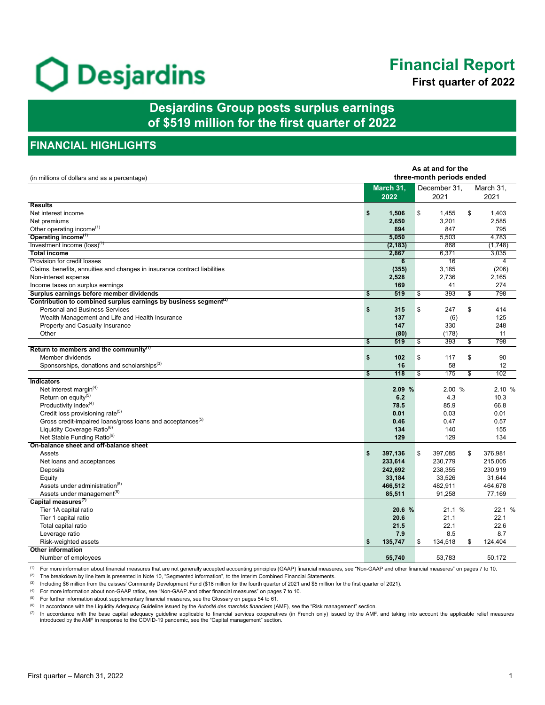# O Desjardins

# **Financial Report**

**First quarter of 2022**

**Desjardins Group posts surplus earnings of \$519 million for the first quarter of 2022**

# **FINANCIAL HIGHLIGHTS**

| As at and for the<br>three-month periods ended<br>(in millions of dollars and as a percentage) |    |                   |    |                      |                         |                   |
|------------------------------------------------------------------------------------------------|----|-------------------|----|----------------------|-------------------------|-------------------|
|                                                                                                |    | March 31,<br>2022 |    | December 31,<br>2021 |                         | March 31,<br>2021 |
| <b>Results</b>                                                                                 |    |                   |    |                      |                         |                   |
| Net interest income                                                                            | \$ | 1,506             | \$ | 1,455                | \$                      | 1,403             |
| Net premiums                                                                                   |    | 2,650             |    | 3,201                |                         | 2,585             |
| Other operating income <sup>(1)</sup>                                                          |    | 894               |    | 847                  |                         | 795               |
| Operating income <sup>(1)</sup>                                                                |    | 5,050             |    | 5,503                |                         | 4,783             |
| Investment income $(\text{loss})^{(1)}$                                                        |    | (2, 183)          |    | 868                  |                         | (1,748)           |
| <b>Total income</b>                                                                            |    | 2,867             |    | 6,371                |                         | 3,035             |
| Provision for credit losses                                                                    |    | $6\phantom{1}$    |    | 16                   |                         | 4                 |
| Claims, benefits, annuities and changes in insurance contract liabilities                      |    | (355)             |    | 3,185                |                         | (206)             |
| Non-interest expense                                                                           |    | 2,528             |    | 2,736                |                         | 2,165             |
| Income taxes on surplus earnings                                                               |    | 169               |    | 41                   |                         | 274               |
| Surplus earnings before member dividends                                                       | \$ | 519               | \$ | 393                  | \$                      | 798               |
| Contribution to combined surplus earnings by business segment <sup>(2)</sup>                   |    |                   |    |                      |                         |                   |
| <b>Personal and Business Services</b>                                                          | \$ | 315               | \$ | 247                  | \$                      | 414               |
| Wealth Management and Life and Health Insurance                                                |    | 137               |    | (6)                  |                         | 125               |
| Property and Casualty Insurance                                                                |    | 147               |    | 330                  |                         | 248               |
| Other                                                                                          |    | (80)              |    | (178)                |                         | 11                |
|                                                                                                | \$ | 519               | \$ | 393                  | $\overline{\mathbb{S}}$ | 798               |
| Return to members and the community $(1)$                                                      |    |                   |    |                      |                         |                   |
| Member dividends                                                                               | \$ | 102               | \$ | 117                  | \$                      | 90                |
| Sponsorships, donations and scholarships <sup>(3)</sup>                                        |    | 16                |    | 58                   |                         | 12                |
|                                                                                                | \$ | 118               | \$ | 175                  | \$                      | 102               |
| Indicators                                                                                     |    |                   |    |                      |                         |                   |
| Net interest margin <sup>(4)</sup>                                                             |    | 2.09%             |    | 2.00 %               |                         | 2.10%             |
| Return on equity(5)                                                                            |    | 6.2               |    | 4.3                  |                         | 10.3              |
| Productivity index <sup>(4)</sup>                                                              |    | 78.5              |    | 85.9                 |                         | 66.8              |
| Credit loss provisioning rate <sup>(5)</sup>                                                   |    | 0.01              |    | 0.03                 |                         | 0.01              |
| Gross credit-impaired loans/gross loans and acceptances <sup>(5)</sup>                         |    | 0.46              |    | 0.47                 |                         | 0.57              |
| Liquidity Coverage Ratio <sup>(6)</sup>                                                        |    | 134               |    | 140                  |                         | 155               |
| Net Stable Funding Ratio <sup>(6)</sup>                                                        |    | 129               |    | 129                  |                         | 134               |
| On-balance sheet and off-balance sheet                                                         |    |                   |    |                      |                         |                   |
| Assets                                                                                         | \$ | 397,136           | \$ | 397,085              | \$                      | 376,981           |
| Net loans and acceptances                                                                      |    | 233,614           |    | 230,779              |                         | 215,005           |
| Deposits                                                                                       |    | 242,692           |    | 238,355              |                         | 230,919           |
| Equity                                                                                         |    | 33,184            |    | 33,526               |                         | 31,644            |
| Assets under administration <sup>(5)</sup>                                                     |    | 466,512           |    | 482,911              |                         | 464,678           |
| Assets under management <sup>(5)</sup>                                                         |    | 85,511            |    | 91,258               |                         | 77,169            |
| Capital measures <sup>(7)</sup>                                                                |    |                   |    |                      |                         |                   |
| Tier 1A capital ratio                                                                          |    | 20.6 %            |    | 21.1 %               |                         | 22.1%             |
| Tier 1 capital ratio                                                                           |    | 20.6              |    | 21.1                 |                         | 22.1              |
| Total capital ratio                                                                            |    | 21.5              |    | 22.1                 |                         | 22.6              |
| Leverage ratio                                                                                 |    | 7.9               |    | 8.5                  |                         | 8.7               |
| Risk-weighted assets                                                                           | \$ | 135,747           | \$ | 134,518              | \$                      | 124,404           |
| <b>Other information</b>                                                                       |    |                   |    |                      |                         |                   |
| Number of employees                                                                            |    | 55.740            |    | 53.783               |                         | 50.172            |

(1) For more information about financial measures that are not generally accepted accounting principles (GAAP) financial measures, see "Non-GAAP and other financial measures" on pages 7 to 10.

<sup>(2)</sup> The breakdown by line item is presented in Note 10, "Segmented information", to the Interim Combined Financial Statements.

(3) Including \$6 million from the caisses' Community Development Fund (\$18 million for the fourth quarter of 2021 and \$5 million for the first quarter of 2021).

(4) For more information about non-GAAP ratios, see "Non-GAAP and other financial measures" on pages 7 to 10.

(5) For further information about supplementary financial measures, see the Glossary on pages 54 to 61.

(6) In accordance with the Liquidity Adequacy Guideline issued by the *Autorité des marchés financiers* (AMF), see the "Risk management" section.

(7) In accordance with the base capital adequacy guideline applicable to financial services cooperatives (in French only) issued by the AMF, and taking into account the applicable relief measures introduced by the AMF in response to the COVID-19 pandemic, see the "Capital management" section.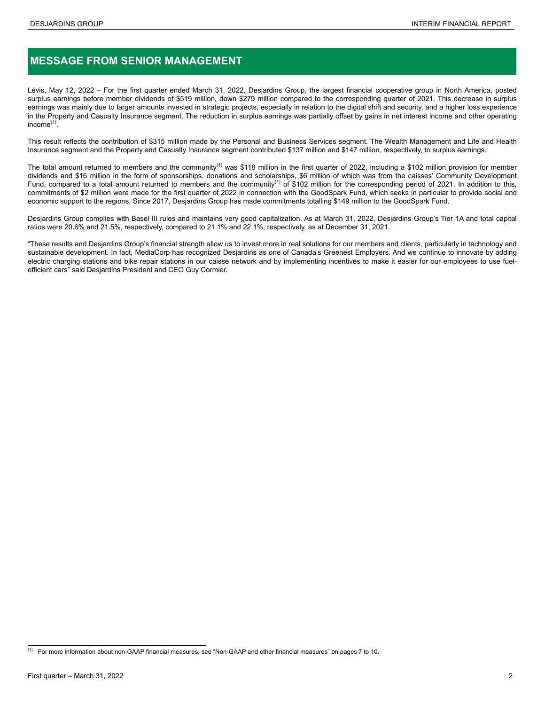# **MESSAGE FROM SENIOR MANAGEMENT**

Lévis, May 12, 2022 – For the first quarter ended March 31, 2022, Desjardins Group, the largest financial cooperative group in North America, posted surplus earnings before member dividends of \$519 million, down \$279 million compared to the corresponding quarter of 2021. This decrease in surplus earnings was mainly due to larger amounts invested in strategic projects, especially in relation to the digital shift and security, and a higher loss experience in the Property and Casualty Insurance segment. The reduction in surplus earnings was partially offset by gains in net interest income and other operating income<sup>(1)</sup>.

This result reflects the contribution of \$315 million made by the Personal and Business Services segment. The Wealth Management and Life and Health Insurance segment and the Property and Casualty Insurance segment contributed \$137 million and \$147 million, respectively, to surplus earnings.

The total amount returned to members and the community<sup>(1)</sup> was \$118 million in the first quarter of 2022, including a \$102 million provision for member dividends and \$16 million in the form of sponsorships, donations and scholarships, \$6 million of which was from the caisses' Community Development Fund, compared to a total amount returned to members and the community<sup>(1)</sup> of \$102 million for the corresponding period of 2021. In addition to this, commitments of \$2 million were made for the first quarter of 2022 in connection with the GoodSpark Fund, which seeks in particular to provide social and economic support to the regions. Since 2017, Desjardins Group has made commitments totalling \$149 million to the GoodSpark Fund.

Desjardins Group complies with Basel III rules and maintains very good capitalization. As at March 31, 2022, Desjardins Group's Tier 1A and total capital ratios were 20.6% and 21.5%, respectively, compared to 21.1% and 22.1%, respectively, as at December 31, 2021.

"These results and Desjardins Group's financial strength allow us to invest more in real solutions for our members and clients, particularly in technology and sustainable development. In fact, MediaCorp has recognized Desjardins as one of Canada's Greenest Employers. And we continue to innovate by adding electric charging stations and bike repair stations in our caisse network and by implementing incentives to make it easier for our employees to use fuelefficient cars" said Desjardins President and CEO Guy Cormier.

 $<sup>(1)</sup>$  For more information about non-GAAP financial measures, see "Non-GAAP and other financial measures" on pages 7 to 10.</sup>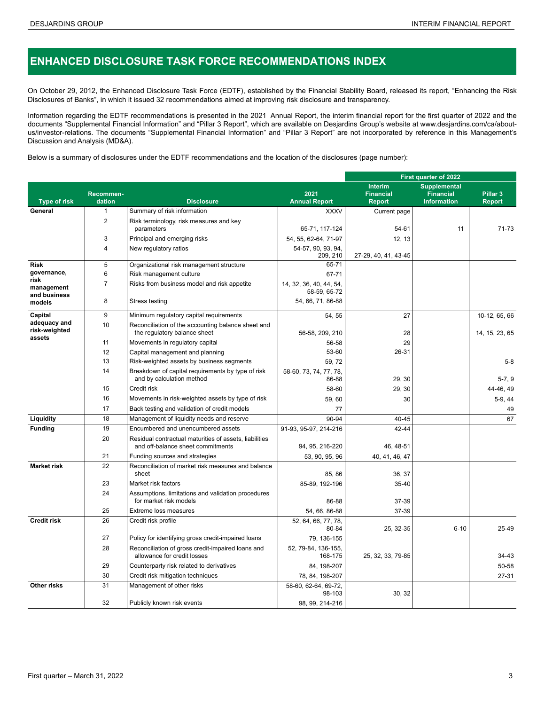# **ENHANCED DISCLOSURE TASK FORCE RECOMMENDATIONS INDEX**

On October 29, 2012, the Enhanced Disclosure Task Force (EDTF), established by the Financial Stability Board, released its report, "Enhancing the Risk Disclosures of Banks", in which it issued 32 recommendations aimed at improving risk disclosure and transparency.

Information regarding the EDTF recommendations is presented in the 2021 Annual Report, the interim financial report for the first quarter of 2022 and the documents "Supplemental Financial Information" and "Pillar 3 Report", which are available on Desjardins Group's website at [www.desjardins.com/ca/about](www.desjardins.com/ca/about-us/investor-relations)[us/investor-relations.](www.desjardins.com/ca/about-us/investor-relations) The documents "Supplemental Financial Information" and "Pillar 3 Report" are not incorporated by reference in this Management's Discussion and Analysis (MD&A).

Below is a summary of disclosures under the EDTF recommendations and the location of the disclosures (page number):

|                                         |                     |                                                                                             |                                         | <b>First quarter of 2022</b>                        |                                                               |                                      |  |  |  |
|-----------------------------------------|---------------------|---------------------------------------------------------------------------------------------|-----------------------------------------|-----------------------------------------------------|---------------------------------------------------------------|--------------------------------------|--|--|--|
| Type of risk                            | Recommen-<br>dation | <b>Disclosure</b>                                                                           | 2021<br><b>Annual Report</b>            | <b>Interim</b><br><b>Financial</b><br><b>Report</b> | <b>Supplemental</b><br><b>Financial</b><br><b>Information</b> | Pillar <sub>3</sub><br><b>Report</b> |  |  |  |
| General                                 | $\mathbf{1}$        | Summary of risk information                                                                 | <b>XXXV</b>                             | Current page                                        |                                                               |                                      |  |  |  |
|                                         | $\overline{2}$      | Risk terminology, risk measures and key                                                     |                                         |                                                     |                                                               |                                      |  |  |  |
|                                         |                     | parameters                                                                                  | 65-71, 117-124                          | 54-61                                               | 11                                                            | 71-73                                |  |  |  |
|                                         | 3                   | Principal and emerging risks                                                                | 54, 55, 62-64, 71-97                    | 12, 13                                              |                                                               |                                      |  |  |  |
|                                         | $\overline{4}$      | New regulatory ratios                                                                       | 54-57, 90, 93, 94,<br>209, 210          | 27-29, 40, 41, 43-45                                |                                                               |                                      |  |  |  |
| <b>Risk</b>                             | 5                   | Organizational risk management structure                                                    | 65-71                                   |                                                     |                                                               |                                      |  |  |  |
| governance,                             | 6                   | Risk management culture                                                                     | 67-71                                   |                                                     |                                                               |                                      |  |  |  |
| risk<br>management<br>and business      | $\overline{7}$      | Risks from business model and risk appetite                                                 | 14, 32, 36, 40, 44, 54,<br>58-59, 65-72 |                                                     |                                                               |                                      |  |  |  |
| models                                  | 8                   | Stress testing                                                                              | 54, 66, 71, 86-88                       |                                                     |                                                               |                                      |  |  |  |
| Capital                                 | 9                   | Minimum regulatory capital requirements                                                     | 54, 55                                  | 27                                                  |                                                               | 10-12, 65, 66                        |  |  |  |
| adequacy and<br>risk-weighted<br>assets | 10                  | Reconciliation of the accounting balance sheet and<br>the regulatory balance sheet          | 56-58, 209, 210                         | 28                                                  |                                                               | 14, 15, 23, 65                       |  |  |  |
|                                         | 11                  | Movements in regulatory capital                                                             | 56-58                                   | 29                                                  |                                                               |                                      |  |  |  |
|                                         | 12                  | Capital management and planning                                                             | 53-60                                   | 26-31                                               |                                                               |                                      |  |  |  |
|                                         | 13                  | Risk-weighted assets by business segments                                                   | 59, 72                                  |                                                     |                                                               | $5-8$                                |  |  |  |
|                                         | 14                  | Breakdown of capital requirements by type of risk<br>and by calculation method              | 58-60, 73, 74, 77, 78,<br>86-88         | 29, 30                                              |                                                               | $5-7, 9$                             |  |  |  |
|                                         | 15                  | Credit risk                                                                                 | 58-60                                   | 29, 30                                              |                                                               | 44-46.49                             |  |  |  |
|                                         | 16                  | Movements in risk-weighted assets by type of risk                                           | 59,60                                   | 30                                                  |                                                               | 5-9, 44                              |  |  |  |
|                                         | 17                  | Back testing and validation of credit models                                                | 77                                      |                                                     |                                                               | 49                                   |  |  |  |
| Liquidity                               | 18                  | Management of liquidity needs and reserve                                                   | 90-94                                   | 40-45                                               |                                                               | 67                                   |  |  |  |
| <b>Funding</b>                          | 19                  | Encumbered and unencumbered assets                                                          | 91-93, 95-97, 214-216                   | 42-44                                               |                                                               |                                      |  |  |  |
|                                         | 20                  | Residual contractual maturities of assets, liabilities<br>and off-balance sheet commitments | 94, 95, 216-220                         | 46, 48-51                                           |                                                               |                                      |  |  |  |
|                                         | 21                  | Funding sources and strategies                                                              | 53, 90, 95, 96                          | 40, 41, 46, 47                                      |                                                               |                                      |  |  |  |
| <b>Market risk</b>                      | 22                  | Reconciliation of market risk measures and balance<br>sheet                                 | 85, 86                                  | 36, 37                                              |                                                               |                                      |  |  |  |
|                                         | 23                  | Market risk factors                                                                         | 85-89, 192-196                          | 35-40                                               |                                                               |                                      |  |  |  |
|                                         | 24                  | Assumptions, limitations and validation procedures<br>for market risk models                | 86-88                                   | 37-39                                               |                                                               |                                      |  |  |  |
|                                         | 25                  | Extreme loss measures                                                                       | 54, 66, 86-88                           | 37-39                                               |                                                               |                                      |  |  |  |
| <b>Credit risk</b>                      | 26                  | Credit risk profile                                                                         | 52, 64, 66, 77, 78,<br>80-84            | 25, 32-35                                           | $6 - 10$                                                      | 25-49                                |  |  |  |
|                                         | 27                  | Policy for identifying gross credit-impaired loans                                          | 79, 136-155                             |                                                     |                                                               |                                      |  |  |  |
|                                         | 28                  | Reconciliation of gross credit-impaired loans and<br>allowance for credit losses            | 52, 79-84, 136-155,<br>168-175          | 25, 32, 33, 79-85                                   |                                                               | 34-43                                |  |  |  |
|                                         | 29                  | Counterparty risk related to derivatives                                                    | 84, 198-207                             |                                                     |                                                               | 50-58                                |  |  |  |
|                                         | 30                  | Credit risk mitigation techniques                                                           | 78, 84, 198-207                         |                                                     |                                                               | 27-31                                |  |  |  |
| Other risks                             | 31                  | Management of other risks                                                                   | 58-60, 62-64, 69-72,<br>98-103          | 30, 32                                              |                                                               |                                      |  |  |  |
|                                         | 32                  | Publicly known risk events                                                                  | 98, 99, 214-216                         |                                                     |                                                               |                                      |  |  |  |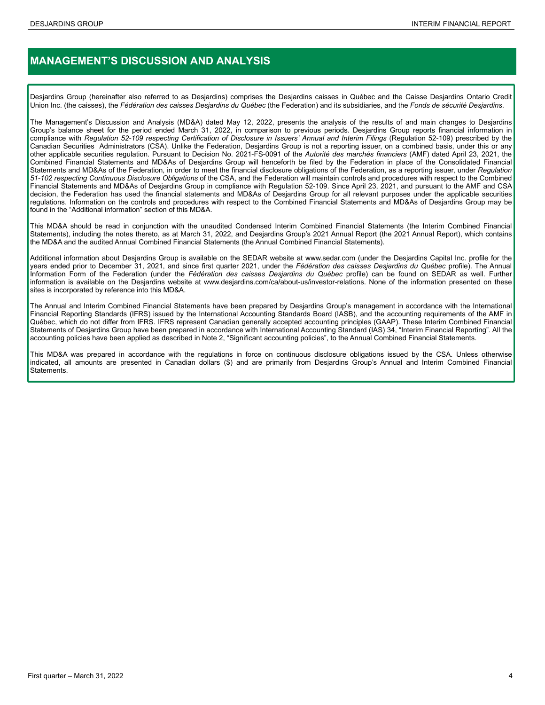# **MANAGEMENT'S DISCUSSION AND ANALYSIS**

Desjardins Group (hereinafter also referred to as Desjardins) comprises the Desjardins caisses in Québec and the Caisse Desjardins Ontario Credit Union Inc. (the caisses), the *Fédération des caisses Desjardins du Québec* (the Federation) and its subsidiaries, and the *Fonds de sécurité Desjardins*.

The Management's Discussion and Analysis (MD&A) dated May 12, 2022, presents the analysis of the results of and main changes to Desjardins Group's balance sheet for the period ended March 31, 2022, in comparison to previous periods. Desjardins Group reports financial information in compliance with *Regulation 52-109 respecting Certification of Disclosure in Issuers' Annual and Interim Filings* (Regulation 52-109) prescribed by the Canadian Securities Administrators (CSA). Unlike the Federation, Desjardins Group is not a reporting issuer, on a combined basis, under this or any other applicable securities regulation. Pursuant to Decision No. 2021-FS-0091 of the *Autorité des marchés financiers* (AMF) dated April 23, 2021, the Combined Financial Statements and MD&As of Desjardins Group will henceforth be filed by the Federation in place of the Consolidated Financial Statements and MD&As of the Federation, in order to meet the financial disclosure obligations of the Federation, as a reporting issuer, under *Regulation 51-102 respecting Continuous Disclosure Obligations* of the CSA, and the Federation will maintain controls and procedures with respect to the Combined Financial Statements and MD&As of Desjardins Group in compliance with Regulation 52-109. Since April 23, 2021, and pursuant to the AMF and CSA decision, the Federation has used the financial statements and MD&As of Desjardins Group for all relevant purposes under the applicable securities regulations. Information on the controls and procedures with respect to the Combined Financial Statements and MD&As of Desjardins Group may be found in the "Additional information" section of this MD&A.

This MD&A should be read in conjunction with the unaudited Condensed Interim Combined Financial Statements (the Interim Combined Financial Statements), including the notes thereto, as at March 31, 2022, and Desjardins Group's 2021 Annual Report (the 2021 Annual Report), which contains the MD&A and the audited Annual Combined Financial Statements (the Annual Combined Financial Statements).

Additional information about Desjardins Group is available on the SEDAR website at www.sedar.com (under the Desjardins Capital Inc. profile for the years ended prior to December 31, 2021, and since first quarter 2021, under the *Fédération des caisses Desjardins du Québec* profile). The Annual Information Form of the Federation (under the *Fédération des caisses Desjardins du Québec* profile) can be found on SEDAR as well. Further information is available on the Desjardins website at www.desjardins.com/ca/about-us/investor-relations. None of the information presented on these sites is incorporated by reference into this MD&A.

The Annual and Interim Combined Financial Statements have been prepared by Desjardins Group's management in accordance with the International Financial Reporting Standards (IFRS) issued by the International Accounting Standards Board (IASB), and the accounting requirements of the AMF in Québec, which do not differ from IFRS. IFRS represent Canadian generally accepted accounting principles (GAAP). These Interim Combined Financial Statements of Desjardins Group have been prepared in accordance with International Accounting Standard (IAS) 34, "Interim Financial Reporting". All the accounting policies have been applied as described in Note 2, "Significant accounting policies", to the Annual Combined Financial Statements.

This MD&A was prepared in accordance with the regulations in force on continuous disclosure obligations issued by the CSA. Unless otherwise indicated, all amounts are presented in Canadian dollars (\$) and are primarily from Desjardins Group's Annual and Interim Combined Financial Statements.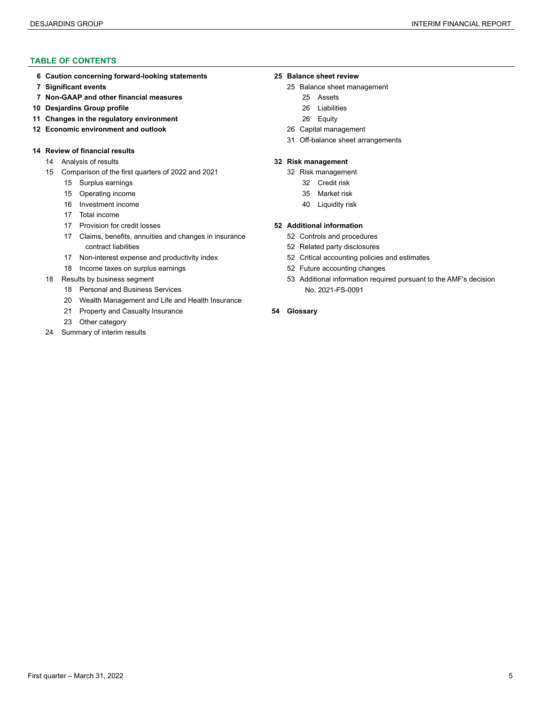#### **TABLE OF CONTENTS**

- **[Caution concerning forward-looking statements](#page-5-0) [25](#page-24-0) [Balance sheet review](#page-24-0)**
- 
- **[Non-GAAP and other financial measures](#page-6-0)** [25](#page-24-0) [Assets](#page-24-0)
- **[Desjardins Group profile](#page-9-0)** [26](#page-25-0) [Liabilities](#page-25-0)
- **[Changes in the regulatory environment](#page-10-0)** [26](#page-25-0) [Equity](#page-25-0)
- **[Economic environment and outlook](#page-11-0)** [26](#page-25-0) [Capital management](#page-25-0)

#### **[Review of financial results](#page-13-0)**

- [Analysis of results](#page-13-0) **[32](#page-31-0) [Risk management](#page-31-0)**
- [Comparison of the first quarters of 2022 and 2021](#page-14-0) [32](#page-31-0) [Risk management](#page-31-0)
	- [Surplus earnings](#page-14-0) [32](#page-31-0) [Credit risk](#page-31-0)
	- [Operating income](#page-14-0) [35](#page-34-0) [Market risk](#page-34-0)
	- [Investment income](#page-15-0) **16 Investment income** [40](#page-39-0) [Liquidity risk](#page-39-0)
	- [Total income](#page-16-0)
	- [Provision for credit losses](#page-16-0) **[52](#page-51-0) [Additional information](#page-51-0)**
	- [Claims, benefits, annuities and changes in insurance](#page-16-0) [52](#page-51-0) [Controls and procedures](#page-51-0)  [contract liabilities](#page-16-0) [52](#page-51-0) [Related party disclosures](#page-51-0)
	- [Non-interest expense and productivity index](#page-16-0) [52](#page-51-0) [Critical accounting policies and estimates](#page-51-0)
	- [Income taxes](#page-17-0) on surplus earnings [52](#page-51-0) [Future accounting changes](#page-51-0)
- - [Personal and Business Services](#page-17-0) N[o. 2021-FS-0091](#page-52-0)
	- [Wealth Management and Life and Health Insurance](#page-19-0)
	- [Property and Casualty Insurance](#page-20-0) **54 [Glossary](#page-53-0)**
	- [Other category](#page-22-0)
- [Summary of interim results](#page-23-0)

- **[Significant events](#page-6-0)** [25](#page-24-0) [Balance sheet management](#page-24-0)
	-
	-
	-
	-
	- [Off-balance sheet arrangements](#page-30-0)

- -
	-
- 

- 
- 
- 
- 
- [Results by business segment](#page-17-0) [53](#page-52-0) [Additional information required pursuant to the AMF's decision](#page-52-0)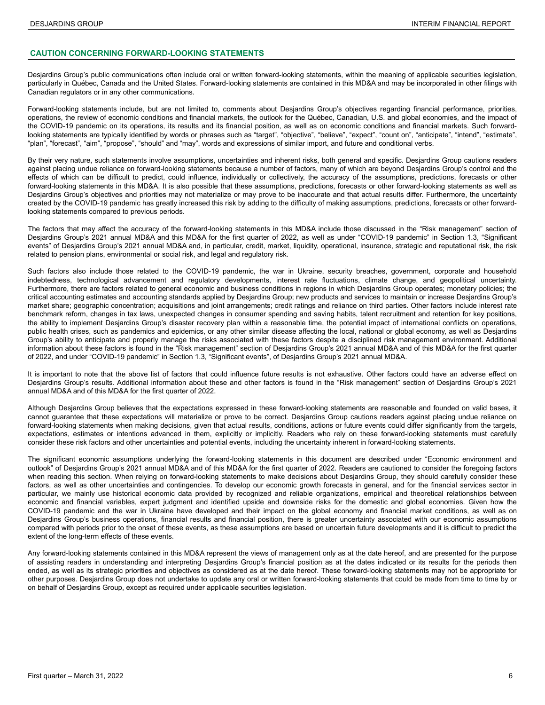#### <span id="page-5-0"></span>**CAUTION CONCERNING FORWARD-LOOKING STATEMENTS**

Desjardins Group's public communications often include oral or written forward-looking statements, within the meaning of applicable securities legislation, particularly in Québec, Canada and the United States. Forward-looking statements are contained in this MD&A and may be incorporated in other filings with Canadian regulators or in any other communications.

Forward-looking statements include, but are not limited to, comments about Desjardins Group's objectives regarding financial performance, priorities, operations, the review of economic conditions and financial markets, the outlook for the Québec, Canadian, U.S. and global economies, and the impact of the COVID-19 pandemic on its operations, its results and its financial position, as well as on economic conditions and financial markets. Such forwardlooking statements are typically identified by words or phrases such as "target", "objective", "expect", "expect", "count on", "anticipate", "intend", "estimate", "plan", "forecast", "aim", "propose", "should" and "may", words and expressions of similar import, and future and conditional verbs.

By their very nature, such statements involve assumptions, uncertainties and inherent risks, both general and specific. Desjardins Group cautions readers against placing undue reliance on forward-looking statements because a number of factors, many of which are beyond Desjardins Group's control and the effects of which can be difficult to predict, could influence, individually or collectively, the accuracy of the assumptions, predictions, forecasts or other forward-looking statements in this MD&A. It is also possible that these assumptions, predictions, forecasts or other forward-looking statements as well as Desjardins Group's objectives and priorities may not materialize or may prove to be inaccurate and that actual results differ. Furthermore, the uncertainty created by the COVID-19 pandemic has greatly increased this risk by adding to the difficulty of making assumptions, predictions, forecasts or other forwardlooking statements compared to previous periods.

The factors that may affect the accuracy of the forward-looking statements in this MD&A include those discussed in the "Risk management" section of Desjardins Group's 2021 annual MD&A and this MD&A for the first quarter of 2022, as well as under "COVID-19 pandemic" in Section 1.3, "Significant events" of Desjardins Group's 2021 annual MD&A and, in particular, credit, market, liquidity, operational, insurance, strategic and reputational risk, the risk related to pension plans, environmental or social risk, and legal and regulatory risk.

Such factors also include those related to the COVID-19 pandemic, the war in Ukraine, security breaches, government, corporate and household indebtedness, technological advancement and regulatory developments, interest rate fluctuations, climate change, and geopolitical uncertainty. Furthermore, there are factors related to general economic and business conditions in regions in which Desjardins Group operates; monetary policies; the critical accounting estimates and accounting standards applied by Desjardins Group; new products and services to maintain or increase Desjardins Group's market share; geographic concentration; acquisitions and joint arrangements; credit ratings and reliance on third parties. Other factors include interest rate benchmark reform, changes in tax laws, unexpected changes in consumer spending and saving habits, talent recruitment and retention for key positions, the ability to implement Desjardins Group's disaster recovery plan within a reasonable time, the potential impact of international conflicts on operations, public health crises, such as pandemics and epidemics, or any other similar disease affecting the local, national or global economy, as well as Desjardins Group's ability to anticipate and properly manage the risks associated with these factors despite a disciplined risk management environment. Additional information about these factors is found in the "Risk management" section of Desjardins Group's 2021 annual MD&A and of this MD&A for the first quarter of 2022, and under "COVID-19 pandemic" in Section 1.3, "Significant events", of Desjardins Group's 2021 annual MD&A.

It is important to note that the above list of factors that could influence future results is not exhaustive. Other factors could have an adverse effect on Desjardins Group's results. Additional information about these and other factors is found in the "Risk management" section of Desjardins Group's 2021 annual MD&A and of this MD&A for the first quarter of 2022.

Although Desjardins Group believes that the expectations expressed in these forward-looking statements are reasonable and founded on valid bases, it cannot guarantee that these expectations will materialize or prove to be correct. Desjardins Group cautions readers against placing undue reliance on forward-looking statements when making decisions, given that actual results, conditions, actions or future events could differ significantly from the targets, expectations, estimates or intentions advanced in them, explicitly or implicitly. Readers who rely on these forward-looking statements must carefully consider these risk factors and other uncertainties and potential events, including the uncertainty inherent in forward-looking statements.

The significant economic assumptions underlying the forward-looking statements in this document are described under "Economic environment and outlook" of Desjardins Group's 2021 annual MD&A and of this MD&A for the first quarter of 2022. Readers are cautioned to consider the foregoing factors when reading this section. When relying on forward-looking statements to make decisions about Desjardins Group, they should carefully consider these factors, as well as other uncertainties and contingencies. To develop our economic growth forecasts in general, and for the financial services sector in particular, we mainly use historical economic data provided by recognized and reliable organizations, empirical and theoretical relationships between economic and financial variables, expert judgment and identified upside and downside risks for the domestic and global economies. Given how the COVID-19 pandemic and the war in Ukraine have developed and their impact on the global economy and financial market conditions, as well as on Desjardins Group's business operations, financial results and financial position, there is greater uncertainty associated with our economic assumptions compared with periods prior to the onset of these events, as these assumptions are based on uncertain future developments and it is difficult to predict the extent of the long-term effects of these events.

Any forward-looking statements contained in this MD&A represent the views of management only as at the date hereof, and are presented for the purpose of assisting readers in understanding and interpreting Desjardins Group's financial position as at the dates indicated or its results for the periods then ended, as well as its strategic priorities and objectives as considered as at the date hereof. These forward-looking statements may not be appropriate for other purposes. Desjardins Group does not undertake to update any oral or written forward-looking statements that could be made from time to time by or on behalf of Desjardins Group, except as required under applicable securities legislation.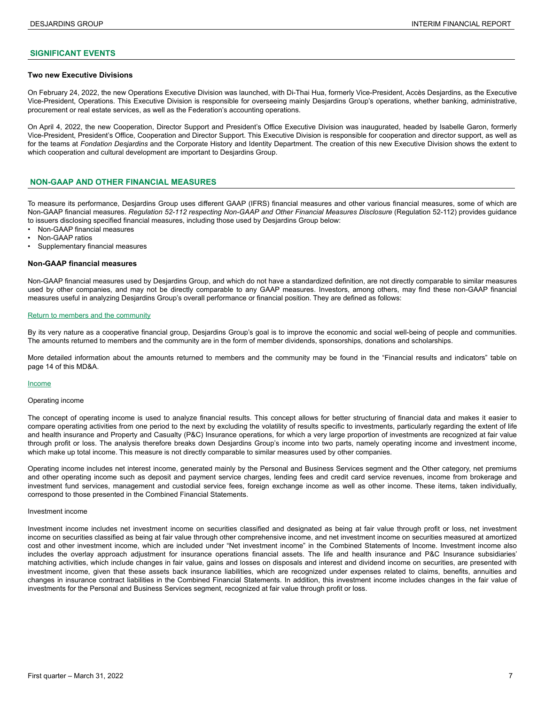#### <span id="page-6-0"></span>**SIGNIFICANT EVENTS**

#### **Two new Executive Divisions**

On February 24, 2022, the new Operations Executive Division was launched, with Di-Thai Hua, formerly Vice-President, Accès Desjardins, as the Executive Vice-President, Operations. This Executive Division is responsible for overseeing mainly Desjardins Group's operations, whether banking, administrative, procurement or real estate services, as well as the Federation's accounting operations.

On April 4, 2022, the new Cooperation, Director Support and President's Office Executive Division was inaugurated, headed by Isabelle Garon, formerly Vice-President, President's Office, Cooperation and Director Support. This Executive Division is responsible for cooperation and director support, as well as for the teams at *Fondation Desjardins* and the Corporate History and Identity Department. The creation of this new Executive Division shows the extent to which cooperation and cultural development are important to Desjardins Group.

#### **NON-GAAP AND OTHER FINANCIAL MEASURES**

To measure its performance, Desjardins Group uses different GAAP (IFRS) financial measures and other various financial measures, some of which are Non-GAAP financial measures. Regulation 52-112 respecting Non-GAAP and Other Financial Measures Disclosure (Regulation 52-112) provides guidance to issuers disclosing specified financial measures, including those used by Desjardins Group below:

- Non-GAAP financial measures
- Non-GAAP ratios
- Supplementary financial measures

#### **Non-GAAP financial measures**

Non-GAAP financial measures used by Desjardins Group, and which do not have a standardized definition, are not directly comparable to similar measures used by other companies, and may not be directly comparable to any GAAP measures. Investors, among others, may find these non-GAAP financial measures useful in analyzing Desjardins Group's overall performance or financial position. They are defined as follows:

#### Return to members and the community

By its very nature as a cooperative financial group, Desjardins Group's goal is to improve the economic and social well-being of people and communities. The amounts returned to members and the community are in the form of member dividends, sponsorships, donations and scholarships.

More detailed information about the amounts returned to members and the community may be found in the "Financial results and indicators" table on page 14 of this MD&A.

#### Income

#### Operating income

The concept of operating income is used to analyze financial results. This concept allows for better structuring of financial data and makes it easier to compare operating activities from one period to the next by excluding the volatility of results specific to investments, particularly regarding the extent of life and health insurance and Property and Casualty (P&C) Insurance operations, for which a very large proportion of investments are recognized at fair value through profit or loss. The analysis therefore breaks down Desjardins Group's income into two parts, namely operating income and investment income, which make up total income. This measure is not directly comparable to similar measures used by other companies.

Operating income includes net interest income, generated mainly by the Personal and Business Services segment and the Other category, net premiums and other operating income such as deposit and payment service charges, lending fees and credit card service revenues, income from brokerage and investment fund services, management and custodial service fees, foreign exchange income as well as other income. These items, taken individually, correspond to those presented in the Combined Financial Statements.

#### Investment income

Investment income includes net investment income on securities classified and designated as being at fair value through profit or loss, net investment income on securities classified as being at fair value through other comprehensive income, and net investment income on securities measured at amortized cost and other investment income, which are included under "Net investment income" in the Combined Statements of Income. Investment income also includes the overlay approach adjustment for insurance operations financial assets. The life and health insurance and P&C Insurance subsidiaries' matching activities, which include changes in fair value, gains and losses on disposals and interest and dividend income on securities, are presented with investment income, given that these assets back insurance liabilities, which are recognized under expenses related to claims, benefits, annuities and changes in insurance contract liabilities in the Combined Financial Statements. In addition, this investment income includes changes in the fair value of investments for the Personal and Business Services segment, recognized at fair value through profit or loss.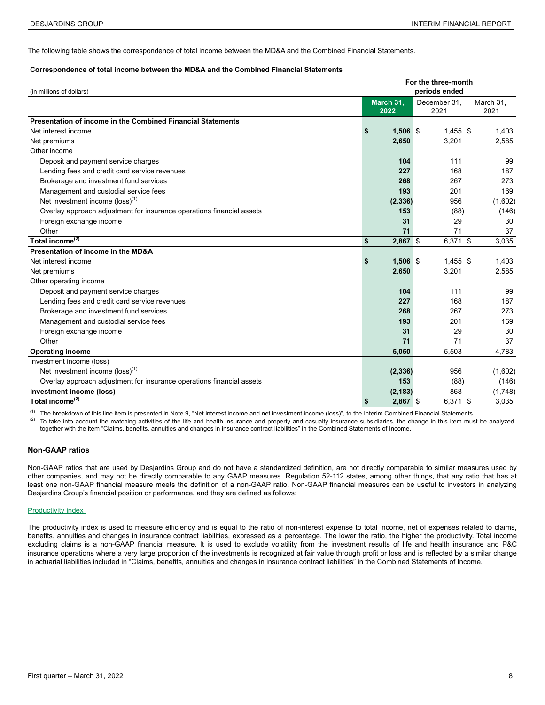The following table shows the correspondence of total income between the MD&A and the Combined Financial Statements.

#### **Correspondence of total income between the MD&A and the Combined Financial Statements <sup>7</sup>**

| (in millions of dollars)                                              | For the three-month<br>periods ended |                   |  |                      |  |                   |  |  |  |
|-----------------------------------------------------------------------|--------------------------------------|-------------------|--|----------------------|--|-------------------|--|--|--|
|                                                                       |                                      | March 31,<br>2022 |  | December 31,<br>2021 |  | March 31,<br>2021 |  |  |  |
| Presentation of income in the Combined Financial Statements           |                                      |                   |  |                      |  |                   |  |  |  |
| Net interest income                                                   | \$                                   | $1,506$ \$        |  | $1,455$ \$           |  | 1,403             |  |  |  |
| Net premiums                                                          |                                      | 2,650             |  | 3,201                |  | 2,585             |  |  |  |
| Other income                                                          |                                      |                   |  |                      |  |                   |  |  |  |
| Deposit and payment service charges                                   |                                      | 104               |  | 111                  |  | 99                |  |  |  |
| Lending fees and credit card service revenues                         |                                      | 227               |  | 168                  |  | 187               |  |  |  |
| Brokerage and investment fund services                                |                                      | 268               |  | 267                  |  | 273               |  |  |  |
| Management and custodial service fees                                 |                                      | 193               |  | 201                  |  | 169               |  |  |  |
| Net investment income $(\text{loss})^{(1)}$                           |                                      | (2, 336)          |  | 956                  |  | (1,602)           |  |  |  |
| Overlay approach adjustment for insurance operations financial assets |                                      | 153               |  | (88)                 |  | (146)             |  |  |  |
| Foreign exchange income                                               |                                      | 31                |  | 29                   |  | 30                |  |  |  |
| Other                                                                 |                                      | 71                |  | 71                   |  | 37                |  |  |  |
| Total income <sup>(2)</sup>                                           | \$                                   | 2,867 \$          |  | $6,371$ \$           |  | 3,035             |  |  |  |
| Presentation of income in the MD&A                                    |                                      |                   |  |                      |  |                   |  |  |  |
| Net interest income                                                   | \$                                   | $1,506$ \$        |  | $1.455$ \$           |  | 1,403             |  |  |  |
| Net premiums                                                          |                                      | 2,650             |  | 3,201                |  | 2,585             |  |  |  |
| Other operating income                                                |                                      |                   |  |                      |  |                   |  |  |  |
| Deposit and payment service charges                                   |                                      | 104               |  | 111                  |  | 99                |  |  |  |
| Lending fees and credit card service revenues                         |                                      | 227               |  | 168                  |  | 187               |  |  |  |
| Brokerage and investment fund services                                |                                      | 268               |  | 267                  |  | 273               |  |  |  |
| Management and custodial service fees                                 |                                      | 193               |  | 201                  |  | 169               |  |  |  |
| Foreign exchange income                                               |                                      | 31                |  | 29                   |  | 30                |  |  |  |
| Other                                                                 |                                      | 71                |  | 71                   |  | 37                |  |  |  |
| <b>Operating income</b>                                               |                                      | 5,050             |  | 5,503                |  | 4,783             |  |  |  |
| Investment income (loss)                                              |                                      |                   |  |                      |  |                   |  |  |  |
| Net investment income $(\text{loss})^{(1)}$                           |                                      | (2, 336)          |  | 956                  |  | (1,602)           |  |  |  |
| Overlay approach adjustment for insurance operations financial assets |                                      | 153               |  | (88)                 |  | (146)             |  |  |  |
| Investment income (loss)                                              |                                      | (2, 183)          |  | 868                  |  | (1,748)           |  |  |  |
| Total income <sup>(2)</sup>                                           | \$                                   | 2,867 \$          |  | 6,371 \$             |  | 3,035             |  |  |  |

(1) The breakdown of this line item is presented in Note 9, "Net interest income and net investment income (loss)", to the Interim Combined Financial Statements.<br>(2) To take interesting the interest interest in the life a

(2) To take into account the matching activities of the life and health insurance and property and casualty insurance subsidiaries, the change in this item must be analyzed together with the item "Claims, benefits, annuities and changes in insurance contract liabilities" in the Combined Statements of Income.

#### **Non-GAAP ratios**

Non-GAAP ratios that are used by Desjardins Group and do not have a standardized definition, are not directly comparable to similar measures used by other companies, and may not be directly comparable to any GAAP measures. Regulation 52-112 states, among other things, that any ratio that has at least one non-GAAP financial measure meets the definition of a non-GAAP ratio. Non-GAAP financial measures can be useful to investors in analyzing Desjardins Group's financial position or performance, and they are defined as follows:

#### **Productivity index**

The productivity index is used to measure efficiency and is equal to the ratio of non-interest expense to total income, net of expenses related to claims, benefits, annuities and changes in insurance contract liabilities, expressed as a percentage. The lower the ratio, the higher the productivity. Total income excluding claims is a non-GAAP financial measure. It is used to exclude volatility from the investment results of life and health insurance and P&C insurance operations where a very large proportion of the investments is recognized at fair value through profit or loss and is reflected by a similar change in actuarial liabilities included in "Claims, benefits, annuities and changes in insurance contract liabilities" in the Combined Statements of Income.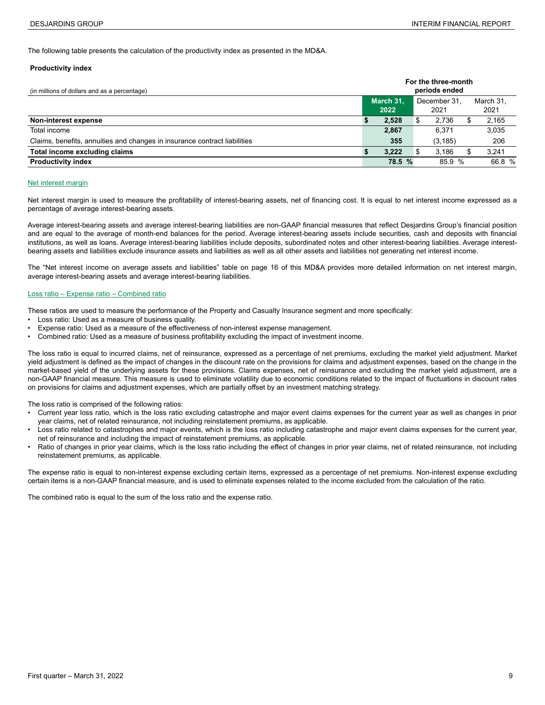The following table presents the calculation of the productivity index as presented in the MD&A.

#### **Productivity index**

| (in millions of dollars and as a percentage)                              |                   |   | For the three-month<br>periods ended |  |                   |
|---------------------------------------------------------------------------|-------------------|---|--------------------------------------|--|-------------------|
|                                                                           | March 31.<br>2022 |   | December 31.<br>2021                 |  | March 31.<br>2021 |
| Non-interest expense                                                      | 2,528             | Ф | 2.736                                |  | 2,165             |
| Total income                                                              | 2,867             |   | 6.371                                |  | 3,035             |
| Claims, benefits, annuities and changes in insurance contract liabilities | 355               |   | (3, 185)                             |  | 206               |
| Total income excluding claims                                             | 3.222             |   | 3.186                                |  | 3,241             |
| <b>Productivity index</b>                                                 | 78.5 %            |   | 85.9 %                               |  | 66.8 %            |

#### Net interest margin

Net interest margin is used to measure the profitability of interest-bearing assets, net of financing cost. It is equal to net interest income expressed as a percentage of average interest-bearing assets.

Average interest-bearing assets and average interest-bearing liabilities are non-GAAP financial measures that reflect Desjardins Group's financial position and are equal to the average of month-end balances for the period. Average interest-bearing assets include securities, cash and deposits with financial institutions, as well as loans. Average interest-bearing liabilities include deposits, subordinated notes and other interest-bearing liabilities. Average interestbearing assets and liabilities exclude insurance assets and liabilities as well as all other assets and liabilities not generating net interest income.

The "Net interest income on average assets and liabilities" table on page 16 of this MD&A provides more detailed information on net interest margin, average interest-bearing assets and average interest-bearing liabilities.

#### Loss ratio – Expense ratio – Combined ratio

These ratios are used to measure the performance of the Property and Casualty Insurance segment and more specifically:

- Loss ratio: Used as a measure of business quality.
- Expense ratio: Used as a measure of the effectiveness of non-interest expense management.
- Combined ratio: Used as a measure of business profitability excluding the impact of investment income.

The loss ratio is equal to incurred claims, net of reinsurance, expressed as a percentage of net premiums, excluding the market yield adjustment. Market yield adjustment is defined as the impact of changes in the discount rate on the provisions for claims and adjustment expenses, based on the change in the market-based yield of the underlying assets for these provisions. Claims expenses, net of reinsurance and excluding the market yield adjustment, are a non-GAAP financial measure. This measure is used to eliminate volatility due to economic conditions related to the impact of fluctuations in discount rates on provisions for claims and adjustment expenses, which are partially offset by an investment matching strategy.

The loss ratio is comprised of the following ratios:

- Current year loss ratio, which is the loss ratio excluding catastrophe and major event claims expenses for the current year as well as changes in prior year claims, net of related reinsurance, not including reinstatement premiums, as applicable.
- Loss ratio related to catastrophes and major events, which is the loss ratio including catastrophe and major event claims expenses for the current year, net of reinsurance and including the impact of reinstatement premiums, as applicable.
- Ratio of changes in prior year claims, which is the loss ratio including the effect of changes in prior year claims, net of related reinsurance, not including reinstatement premiums, as applicable.

The expense ratio is equal to non-interest expense excluding certain items, expressed as a percentage of net premiums. Non-interest expense excluding certain items is a non-GAAP financial measure, and is used to eliminate expenses related to the income excluded from the calculation of the ratio.

The combined ratio is equal to the sum of the loss ratio and the expense ratio.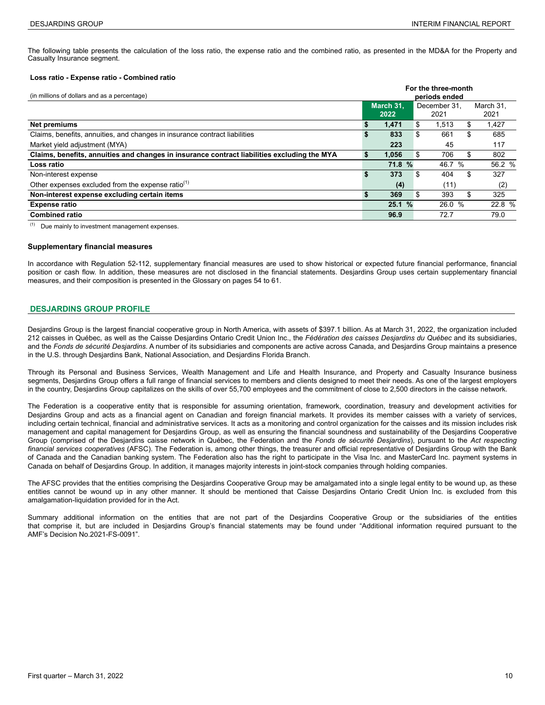<span id="page-9-0"></span>The following table presents the calculation of the loss ratio, the expense ratio and the combined ratio, as presented in the MD&A for the Property and Casualty Insurance segment.

#### **Loss ratio - Expense ratio - Combined ratio**

| (in millions of dollars and as a percentage)                                                | For the three-month<br>periods ended      |                       |    |        |                   |  |  |  |  |  |
|---------------------------------------------------------------------------------------------|-------------------------------------------|-----------------------|----|--------|-------------------|--|--|--|--|--|
|                                                                                             | March 31.<br>December 31.<br>2022<br>2021 |                       |    |        | March 31.<br>2021 |  |  |  |  |  |
| <b>Net premiums</b>                                                                         |                                           | 1,471                 | \$ | 1.513  | 1,427<br>S        |  |  |  |  |  |
| Claims, benefits, annuities, and changes in insurance contract liabilities                  | S                                         | 833                   | \$ | 661    | 685<br>\$         |  |  |  |  |  |
| Market yield adjustment (MYA)                                                               |                                           | 223                   |    | 45     | 117               |  |  |  |  |  |
| Claims, benefits, annuities and changes in insurance contract liabilities excluding the MYA | S                                         | 1,056                 | \$ | 706    | 802<br>\$         |  |  |  |  |  |
| Loss ratio                                                                                  |                                           | 71.8<br>$\frac{9}{6}$ |    | 46.7 % | 56.2 %            |  |  |  |  |  |
| Non-interest expense                                                                        | S                                         | 373                   | \$ | 404    | 327<br>S          |  |  |  |  |  |
| Other expenses excluded from the expense ratio <sup>(1)</sup>                               |                                           | (4)                   |    | (11)   | (2)               |  |  |  |  |  |
| Non-interest expense excluding certain items                                                |                                           | 369                   | \$ | 393    | \$<br>325         |  |  |  |  |  |
| <b>Expense ratio</b>                                                                        |                                           | 25.1%                 |    | 26.0 % | 22.8 %            |  |  |  |  |  |
| <b>Combined ratio</b>                                                                       |                                           | 96.9                  |    | 72.7   | 79.0              |  |  |  |  |  |

(1) Due mainly to investment management expenses.

#### **Supplementary financial measures**

In accordance with Regulation 52-112, supplementary financial measures are used to show historical or expected future financial performance, financial position or cash flow. In addition, these measures are not disclosed in the financial statements. Desjardins Group uses certain supplementary financial measures, and their composition is presented in the Glossary on pages 54 to 61.

#### **DESJARDINS GROUP PROFILE**

Desjardins Group is the largest financial cooperative group in North America, with assets of \$397.1 billion. As at March 31, 2022, the organization included 212 caisses in Québec*,* as well as the Caisse Desjardins Ontario Credit Union Inc., the *Fédération des caisses Desjardins du Québec* and its subsidiaries, and the *Fonds de sécurité Desjardins*. A number of its subsidiaries and components are active across Canada, and Desjardins Group maintains a presence in the U.S. through Desjardins Bank, National Association, and Desjardins Florida Branch.

Through its Personal and Business Services, Wealth Management and Life and Health Insurance, and Property and Casualty Insurance business segments, Desjardins Group offers a full range of financial services to members and clients designed to meet their needs. As one of the largest employers in the country, Desjardins Group capitalizes on the skills of over 55,700 employees and the commitment of close to 2,500 directors in the caisse network.

The Federation is a cooperative entity that is responsible for assuming orientation, framework, coordination, treasury and development activities for Desjardins Group and acts as a financial agent on Canadian and foreign financial markets. It provides its member caisses with a variety of services, including certain technical, financial and administrative services. It acts as a monitoring and control organization for the caisses and its mission includes risk management and capital management for Desjardins Group, as well as ensuring the financial soundness and sustainability of the Desjardins Cooperative Group (comprised of the Desjardins caisse network in Québec, the Federation and the *Fonds de sécurité Desjardins*), pursuant to the *Act respecting financial services cooperatives* (AFSC). The Federation is, among other things, the treasurer and official representative of Desjardins Group with the Bank of Canada and the Canadian banking system. The Federation also has the right to participate in the Visa Inc. and MasterCard Inc. payment systems in Canada on behalf of Desjardins Group. In addition, it manages majority interests in joint-stock companies through holding companies.

The AFSC provides that the entities comprising the Desjardins Cooperative Group may be amalgamated into a single legal entity to be wound up, as these entities cannot be wound up in any other manner. It should be mentioned that Caisse Desjardins Ontario Credit Union Inc. is excluded from this amalgamation-liquidation provided for in the Act.

Summary additional information on the entities that are not part of the Desjardins Cooperative Group or the subsidiaries of the entities that comprise it, but are included in Desjardins Group's financial statements may be found under "Additional information required pursuant to the AMF's Decision No.2021-FS-0091".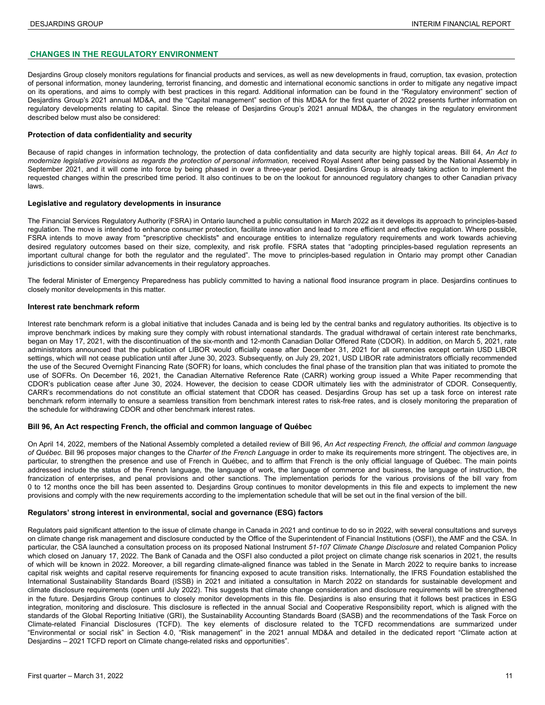### <span id="page-10-0"></span>**CHANGES IN THE REGULATORY ENVIRONMENT**

Desjardins Group closely monitors regulations for financial products and services, as well as new developments in fraud, corruption, tax evasion, protection of personal information, money laundering, terrorist financing, and domestic and international economic sanctions in order to mitigate any negative impact on its operations, and aims to comply with best practices in this regard. Additional information can be found in the "Regulatory environment" section of Desjardins Group's 2021 annual MD&A, and the "Capital management" section of this MD&A for the first quarter of 2022 presents further information on regulatory developments relating to capital. Since the release of Desjardins Group's 2021 annual MD&A, the changes in the regulatory environment described below must also be considered:

#### **Protection of data confidentiality and security**

Because of rapid changes in information technology, the protection of data confidentiality and data security are highly topical areas. Bill 64, *An Act to*  modernize legislative provisions as regards the protection of personal information, received Royal Assent after being passed by the National Assembly in September 2021, and it will come into force by being phased in over a three-year period. Desjardins Group is already taking action to implement the requested changes within the prescribed time period. It also continues to be on the lookout for announced regulatory changes to other Canadian privacy laws.

#### **Legislative and regulatory developments in insurance**

The Financial Services Regulatory Authority (FSRA) in Ontario launched a public consultation in March 2022 as it develops its approach to principles-based regulation. The move is intended to enhance consumer protection, facilitate innovation and lead to more efficient and effective regulation. Where possible, FSRA intends to move away from "prescriptive checklists" and encourage entities to internalize regulatory requirements and work towards achieving desired regulatory outcomes based on their size, complexity, and risk profile. FSRA states that "adopting principles-based regulation represents an important cultural change for both the regulator and the regulated". The move to principles-based regulation in Ontario may prompt other Canadian jurisdictions to consider similar advancements in their regulatory approaches.

The federal Minister of Emergency Preparedness has publicly committed to having a national flood insurance program in place. Desjardins continues to closely monitor developments in this matter.

#### **Interest rate benchmark reform**

Interest rate benchmark reform is a global initiative that includes Canada and is being led by the central banks and regulatory authorities. Its objective is to improve benchmark indices by making sure they comply with robust international standards. The gradual withdrawal of certain interest rate benchmarks, began on May 17, 2021, with the discontinuation of the six-month and 12-month Canadian Dollar Offered Rate (CDOR). In addition, on March 5, 2021, rate administrators announced that the publication of LIBOR would officially cease after December 31, 2021 for all currencies except certain USD LIBOR settings, which will not cease publication until after June 30, 2023. Subsequently, on July 29, 2021, USD LIBOR rate administrators officially recommended the use of the Secured Overnight Financing Rate (SOFR) for loans, which concludes the final phase of the transition plan that was initiated to promote the use of SOFRs. On December 16, 2021, the Canadian Alternative Reference Rate (CARR) working group issued a White Paper recommending that CDOR's publication cease after June 30, 2024. However, the decision to cease CDOR ultimately lies with the administrator of CDOR. Consequently, CARR's recommendations do not constitute an official statement that CDOR has ceased. Desjardins Group has set up a task force on interest rate benchmark reform internally to ensure a seamless transition from benchmark interest rates to risk-free rates, and is closely monitoring the preparation of the schedule for withdrawing CDOR and other benchmark interest rates.

#### **Bill 96, An Act respecting French, the official and common language of Québec**

On April 14, 2022, members of the National Assembly completed a detailed review of Bill 96, *An Act respecting French, the official and common language of Québec*. Bill 96 proposes major changes to the *Charter of the French Language* in order to make its requirements more stringent. The objectives are, in particular, to strengthen the presence and use of French in Québec, and to affirm that French is the only official language of Québec. The main points addressed include the status of the French language, the language of work, the language of commerce and business, the language of instruction, the francization of enterprises, and penal provisions and other sanctions. The implementation periods for the various provisions of the bill vary from 0 to 12 months once the bill has been assented to. Desjardins Group continues to monitor developments in this file and expects to implement the new provisions and comply with the new requirements according to the implementation schedule that will be set out in the final version of the bill.

#### **Regulators' strong interest in environmental, social and governance (ESG) factors**

Regulators paid significant attention to the issue of climate change in Canada in 2021 and continue to do so in 2022, with several consultations and surveys on climate change risk management and disclosure conducted by the Office of the Superintendent of Financial Institutions (OSFI), the AMF and the CSA. In particular, the CSA launched a consultation process on its proposed National Instrument *51-107 Climate Change Disclosure* and related Companion Policy which closed on January 17, 2022. The Bank of Canada and the OSFI also conducted a pilot project on climate change risk scenarios in 2021, the results of which will be known in 2022. Moreover, a bill regarding climate-aligned finance was tabled in the Senate in March 2022 to require banks to increase capital risk weights and capital reserve requirements for financing exposed to acute transition risks. Internationally, the IFRS Foundation established the International Sustainability Standards Board (ISSB) in 2021 and initiated a consultation in March 2022 on standards for sustainable development and climate disclosure requirements (open until July 2022). This suggests that climate change consideration and disclosure requirements will be strengthened in the future. Desjardins Group continues to closely monitor developments in this file. Desjardins is also ensuring that it follows best practices in ESG integration, monitoring and disclosure. This disclosure is reflected in the annual Social and Cooperative Responsibility report, which is aligned with the standards of the Global Reporting Initiative (GRI), the Sustainability Accounting Standards Board (SASB) and the recommendations of the Task Force on Climate-related Financial Disclosures (TCFD). The key elements of disclosure related to the TCFD recommendations are summarized under "Environmental or social risk" in Section 4.0, "Risk management" in the 2021 annual MD&A and detailed in the dedicated report "Climate action at Desjardins – 2021 TCFD report on Climate change-related risks and opportunities".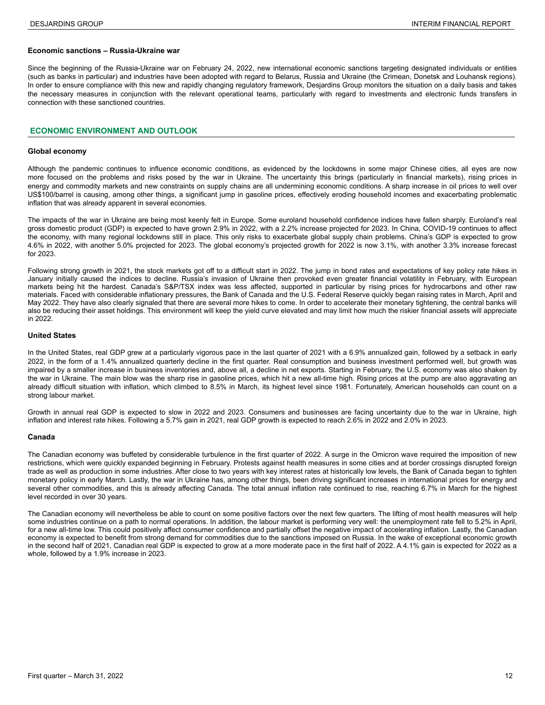#### <span id="page-11-0"></span>**Economic sanctions – Russia-Ukraine war**

Since the beginning of the Russia-Ukraine war on February 24, 2022, new international economic sanctions targeting designated individuals or entities (such as banks in particular) and industries have been adopted with regard to Belarus, Russia and Ukraine (the Crimean, Donetsk and Louhansk regions). In order to ensure compliance with this new and rapidly changing regulatory framework, Desjardins Group monitors the situation on a daily basis and takes the necessary measures in conjunction with the relevant operational teams, particularly with regard to investments and electronic funds transfers in connection with these sanctioned countries.

#### **ECONOMIC ENVIRONMENT AND OUTLOOK**

#### **Global economy**

Although the pandemic continues to influence economic conditions, as evidenced by the lockdowns in some major Chinese cities, all eyes are now more focused on the problems and risks posed by the war in Ukraine. The uncertainty this brings (particularly in financial markets), rising prices in energy and commodity markets and new constraints on supply chains are all undermining economic conditions. A sharp increase in oil prices to well over US\$100/barrel is causing, among other things, a significant jump in gasoline prices, effectively eroding household incomes and exacerbating problematic inflation that was already apparent in several economies.

The impacts of the war in Ukraine are being most keenly felt in Europe. Some euroland household confidence indices have fallen sharply. Euroland's real gross domestic product (GDP) is expected to have grown 2.9% in 2022, with a 2.2% increase projected for 2023. In China, COVID-19 continues to affect the economy, with many regional lockdowns still in place. This only risks to exacerbate global supply chain problems. China's GDP is expected to grow 4.6% in 2022, with another 5.0% projected for 2023. The global economy's projected growth for 2022 is now 3.1%, with another 3.3% increase forecast for 2023.

Following strong growth in 2021, the stock markets got off to a difficult start in 2022. The jump in bond rates and expectations of key policy rate hikes in January initially caused the indices to decline. Russia's invasion of Ukraine then provoked even greater financial volatility in February, with European markets being hit the hardest. Canada's S&P/TSX index was less affected, supported in particular by rising prices for hydrocarbons and other raw materials. Faced with considerable inflationary pressures, the Bank of Canada and the U.S. Federal Reserve quickly began raising rates in March, April and May 2022. They have also clearly signaled that there are several more hikes to come. In order to accelerate their monetary tightening, the central banks will also be reducing their asset holdings. This environment will keep the yield curve elevated and may limit how much the riskier financial assets will appreciate in 2022.

#### **United States**

In the United States, real GDP grew at a particularly vigorous pace in the last quarter of 2021 with a 6.9% annualized gain, followed by a setback in early 2022, in the form of a 1.4% annualized quarterly decline in the first quarter. Real consumption and business investment performed well, but growth was impaired by a smaller increase in business inventories and, above all, a decline in net exports. Starting in February, the U.S. economy was also shaken by the war in Ukraine. The main blow was the sharp rise in gasoline prices, which hit a new all-time high. Rising prices at the pump are also aggravating an already difficult situation with inflation, which climbed to 8.5% in March, its highest level since 1981. Fortunately, American households can count on a strong labour market.

Growth in annual real GDP is expected to slow in 2022 and 2023. Consumers and businesses are facing uncertainty due to the war in Ukraine, high inflation and interest rate hikes. Following a 5.7% gain in 2021, real GDP growth is expected to reach 2.6% in 2022 and 2.0% in 2023.

#### **Canada**

The Canadian economy was buffeted by considerable turbulence in the first quarter of 2022. A surge in the Omicron wave required the imposition of new restrictions, which were quickly expanded beginning in February. Protests against health measures in some cities and at border crossings disrupted foreign trade as well as production in some industries. After close to two years with key interest rates at historically low levels, the Bank of Canada began to tighten monetary policy in early March. Lastly, the war in Ukraine has, among other things, been driving significant increases in international prices for energy and several other commodities, and this is already affecting Canada. The total annual inflation rate continued to rise, reaching 6.7% in March for the highest level recorded in over 30 years.

The Canadian economy will nevertheless be able to count on some positive factors over the next few quarters. The lifting of most health measures will help some industries continue on a path to normal operations. In addition, the labour market is performing very well: the unemployment rate fell to 5.2% in April, for a new all-time low. This could positively affect consumer confidence and partially offset the negative impact of accelerating inflation. Lastly, the Canadian economy is expected to benefit from strong demand for commodities due to the sanctions imposed on Russia. In the wake of exceptional economic growth in the second half of 2021, Canadian real GDP is expected to grow at a more moderate pace in the first half of 2022. A 4.1% gain is expected for 2022 as a whole, followed by a 1.9% increase in 2023.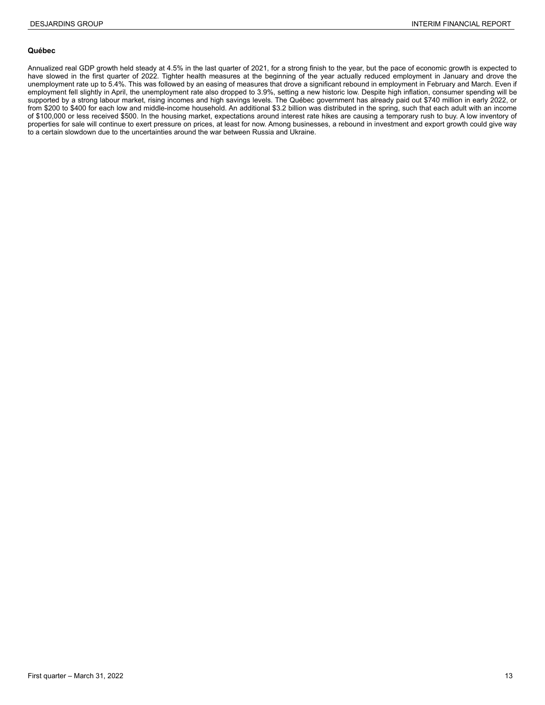#### **Québec**

Annualized real GDP growth held steady at 4.5% in the last quarter of 2021, for a strong finish to the year, but the pace of economic growth is expected to have slowed in the first quarter of 2022. Tighter health measures at the beginning of the year actually reduced employment in January and drove the unemployment rate up to 5.4%. This was followed by an easing of measures that drove a significant rebound in employment in February and March. Even if employment fell slightly in April, the unemployment rate also dropped to 3.9%, setting a new historic low. Despite high inflation, consumer spending will be supported by a strong labour market, rising incomes and high savings levels. The Québec government has already paid out \$740 million in early 2022, or from \$200 to \$400 for each low and middle-income household. An additional \$3.2 billion was distributed in the spring, such that each adult with an income of \$100,000 or less received \$500. In the housing market, expectations around interest rate hikes are causing a temporary rush to buy. A low inventory of properties for sale will continue to exert pressure on prices, at least for now. Among businesses, a rebound in investment and export growth could give way to a certain slowdown due to the uncertainties around the war between Russia and Ukraine.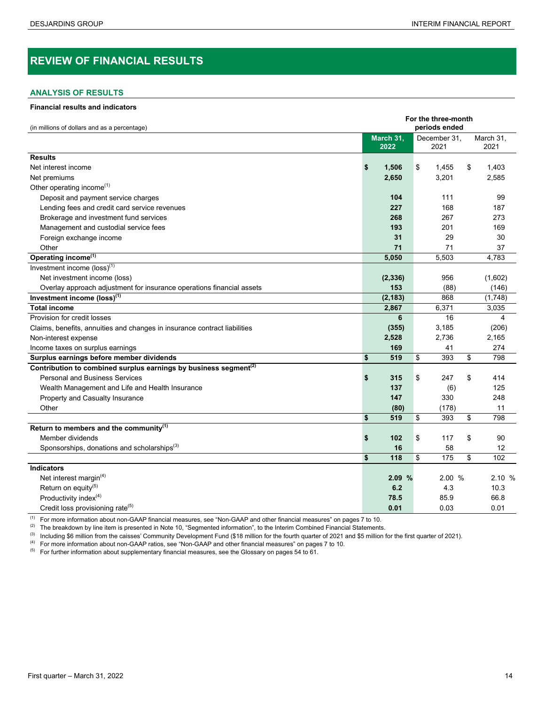# <span id="page-13-0"></span>**REVIEW OF FINANCIAL RESULTS**

## **ANALYSIS OF RESULTS**

#### **Financial results and indicators**

|                                                                              | For the three-month |           |    |               |    |           |  |  |  |  |  |
|------------------------------------------------------------------------------|---------------------|-----------|----|---------------|----|-----------|--|--|--|--|--|
| (in millions of dollars and as a percentage)                                 |                     |           |    | periods ended |    |           |  |  |  |  |  |
|                                                                              |                     | March 31, |    | December 31,  |    | March 31, |  |  |  |  |  |
|                                                                              |                     | 2022      |    | 2021          |    | 2021      |  |  |  |  |  |
| <b>Results</b>                                                               |                     |           |    |               |    |           |  |  |  |  |  |
| Net interest income                                                          | \$                  | 1,506     | \$ | 1,455         | \$ | 1,403     |  |  |  |  |  |
| Net premiums                                                                 |                     | 2,650     |    | 3,201         |    | 2.585     |  |  |  |  |  |
| Other operating income <sup>(1)</sup>                                        |                     |           |    |               |    |           |  |  |  |  |  |
| Deposit and payment service charges                                          |                     | 104       |    | 111           |    | 99        |  |  |  |  |  |
| Lending fees and credit card service revenues                                |                     | 227       |    | 168           |    | 187       |  |  |  |  |  |
| Brokerage and investment fund services                                       |                     | 268       |    | 267           |    | 273       |  |  |  |  |  |
| Management and custodial service fees                                        |                     | 193       |    | 201           |    | 169       |  |  |  |  |  |
| Foreign exchange income                                                      |                     | 31        |    | 29            |    | 30        |  |  |  |  |  |
| Other                                                                        |                     | 71        |    | 71            |    | 37        |  |  |  |  |  |
| Operating income <sup>(1)</sup>                                              |                     | 5,050     |    | 5,503         |    | 4,783     |  |  |  |  |  |
| Investment income $(\text{loss})^{(1)}$                                      |                     |           |    |               |    |           |  |  |  |  |  |
| Net investment income (loss)                                                 |                     | (2, 336)  |    | 956           |    | (1,602)   |  |  |  |  |  |
| Overlay approach adjustment for insurance operations financial assets        |                     | 153       |    | (88)          |    | (146)     |  |  |  |  |  |
| Investment income (loss) <sup>(1)</sup>                                      |                     | (2, 183)  |    | 868           |    | (1,748)   |  |  |  |  |  |
| <b>Total income</b>                                                          |                     | 2,867     |    | 6,371         |    | 3,035     |  |  |  |  |  |
| Provision for credit losses                                                  |                     | 6         |    | 16            |    | 4         |  |  |  |  |  |
| Claims, benefits, annuities and changes in insurance contract liabilities    |                     | (355)     |    | 3,185         |    | (206)     |  |  |  |  |  |
| Non-interest expense                                                         |                     | 2,528     |    | 2,736         |    | 2,165     |  |  |  |  |  |
| Income taxes on surplus earnings                                             |                     | 169       |    | 41            |    | 274       |  |  |  |  |  |
| Surplus earnings before member dividends                                     | \$                  | 519       | \$ | 393           | \$ | 798       |  |  |  |  |  |
| Contribution to combined surplus earnings by business segment <sup>(2)</sup> |                     |           |    |               |    |           |  |  |  |  |  |
| <b>Personal and Business Services</b>                                        | \$                  | 315       | \$ | 247           | \$ | 414       |  |  |  |  |  |
| Wealth Management and Life and Health Insurance                              |                     | 137       |    | (6)           |    | 125       |  |  |  |  |  |
| Property and Casualty Insurance                                              |                     | 147       |    | 330           |    | 248       |  |  |  |  |  |
| Other                                                                        |                     | (80)      |    | (178)         |    | 11        |  |  |  |  |  |
|                                                                              | \$                  | 519       | \$ | 393           | \$ | 798       |  |  |  |  |  |
| Return to members and the community(1)                                       |                     |           |    |               |    |           |  |  |  |  |  |
| Member dividends                                                             | \$                  | 102       | \$ | 117           | \$ | 90        |  |  |  |  |  |
| Sponsorships, donations and scholarships <sup>(3)</sup>                      |                     | 16        |    | 58            |    | 12        |  |  |  |  |  |
|                                                                              | \$                  | 118       | \$ | 175           | \$ | 102       |  |  |  |  |  |
| <b>Indicators</b>                                                            |                     |           |    |               |    |           |  |  |  |  |  |
| Net interest margin <sup>(4)</sup>                                           |                     | 2.09%     |    | 2.00 %        |    | 2.10 %    |  |  |  |  |  |
| Return on equity <sup>(5)</sup>                                              |                     | 6.2       |    | 4.3           |    | 10.3      |  |  |  |  |  |
| Productivity index <sup>(4)</sup>                                            |                     | 78.5      |    | 85.9          |    | 66.8      |  |  |  |  |  |
| Credit loss provisioning rate <sup>(5)</sup>                                 |                     | 0.01      |    | 0.03          |    | 0.01      |  |  |  |  |  |

(1) For more information about non-GAAP financial measures, see "Non-GAAP and other financial measures" on pages 7 to 10.

 $(2)$  The breakdown by line item is presented in Note 10, "Segmented information", to the Interim Combined Financial Statements.

(3) Including \$6 million from the caisses' Community Development Fund (\$18 million for the fourth quarter of 2021 and \$5 million for the first quarter of 2021).

(4) For more information about non-GAAP ratios, see "Non-GAAP and other financial measures" on pages 7 to 10.

 $(5)$  For further information about supplementary financial measures, see the Glossary on pages 54 to 61.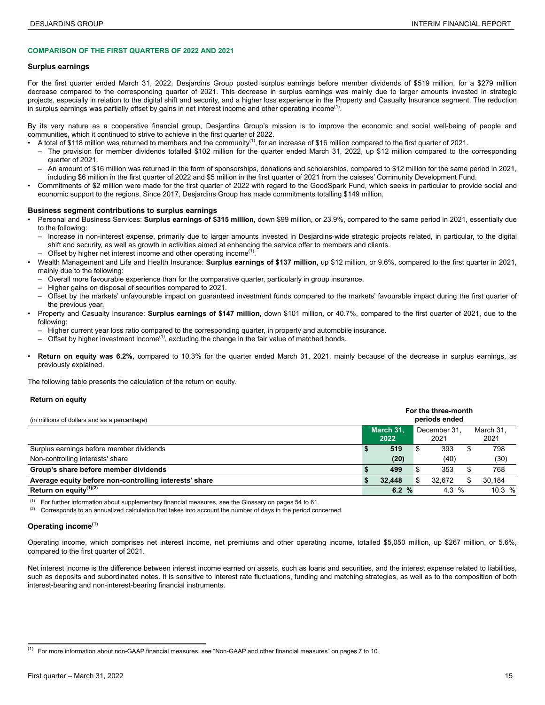#### <span id="page-14-0"></span>**COMPARISON OF THE FIRST QUARTERS OF 2022 AND 2021**

#### **Surplus earnings**

For the first quarter ended March 31, 2022, Desjardins Group posted surplus earnings before member dividends of \$519 million, for a \$279 million decrease compared to the corresponding quarter of 2021. This decrease in surplus earnings was mainly due to larger amounts invested in strategic projects, especially in relation to the digital shift and security, and a higher loss experience in the Property and Casualty Insurance segment. The reduction in surplus earnings was partially offset by gains in net interest income and other operating income<sup>(1)</sup>.

By its very nature as a cooperative financial group, Desjardins Group's mission is to improve the economic and social well-being of people and communities, which it continued to strive to achieve in the first quarter of 2022.

• A total of \$118 million was returned to members and the community<sup>(1)</sup>, for an increase of \$16 million compared to the first quarter of 2021.

- The provision for member dividends totalled \$102 million for the quarter ended March 31, 2022, up \$12 million compared to the corresponding quarter of 2021.
- An amount of \$16 million was returned in the form of sponsorships, donations and scholarships, compared to \$12 million for the same period in 2021, including \$6 million in the first quarter of 2022 and \$5 million in the first quarter of 2021 from the caisses' Community Development Fund.
- Commitments of \$2 million were made for the first quarter of 2022 with regard to the GoodSpark Fund, which seeks in particular to provide social and economic support to the regions. Since 2017, Desjardins Group has made commitments totalling \$149 million.

#### **Business segment contributions to surplus earnings**

- Personal and Business Services: **Surplus earnings of \$315 million,** down \$99 million, or 23.9%, compared to the same period in 2021, essentially due to the following:
	- Increase in non-interest expense, primarily due to larger amounts invested in Desjardins-wide strategic projects related, in particular, to the digital shift and security, as well as growth in activities aimed at enhancing the service offer to members and clients.
- $-$  Offset by higher net interest income and other operating income<sup>(1)</sup>.
- Wealth Management and Life and Health Insurance: **Surplus earnings of \$137 million,** up \$12 million, or 9.6%, compared to the first quarter in 2021, mainly due to the following:
	- Overall more favourable experience than for the comparative quarter, particularly in group insurance.
	- Higher gains on disposal of securities compared to 2021.
	- Offset by the markets' unfavourable impact on guaranteed investment funds compared to the markets' favourable impact during the first quarter of the previous year.
- Property and Casualty Insurance: **Surplus earnings of \$147 million,** down \$101 million, or 40.7%, compared to the first quarter of 2021, due to the following:
	- Higher current year loss ratio compared to the corresponding quarter, in property and automobile insurance.
	- $-$  Offset by higher investment income<sup>(1)</sup>, excluding the change in the fair value of matched bonds.
- **Return on equity was 6.2%,** compared to 10.3% for the quarter ended March 31, 2021, mainly because of the decrease in surplus earnings, as previously explained.

The following table presents the calculation of the return on equity.

#### **Return on equity**

| (in millions of dollars and as a percentage)           | For the three-month<br>periods ended |                   |  |                      |  |                   |  |  |
|--------------------------------------------------------|--------------------------------------|-------------------|--|----------------------|--|-------------------|--|--|
|                                                        |                                      | March 31.<br>2022 |  | December 31.<br>2021 |  | March 31.<br>2021 |  |  |
| Surplus earnings before member dividends               |                                      | 519               |  | 393                  |  | 798               |  |  |
| Non-controlling interests' share                       |                                      | (20)              |  | (40)                 |  | (30)              |  |  |
| Group's share before member dividends                  |                                      | 499               |  | 353                  |  | 768               |  |  |
| Average equity before non-controlling interests' share |                                      | 32.448            |  | 32.672               |  | 30.184            |  |  |
| Return on equity <sup>(1)(2)</sup>                     |                                      | 6.2 $%$           |  | 4.3 $%$              |  | 10.3%             |  |  |

(1) For further information about supplementary financial measures, see the Glossary on pages 54 to 61.

(2) Corresponds to an annualized calculation that takes into account the number of days in the period concerned. **<sup>3</sup>**

#### **Operating income(1)**

Operating income, which comprises net interest income, net premiums and other operating income, totalled \$5,050 million, up \$267 million, or 5.6%, compared to the first quarter of 2021.

Net interest income is the difference between interest income earned on assets, such as loans and securities, and the interest expense related to liabilities, such as deposits and subordinated notes. It is sensitive to interest rate fluctuations, funding and matching strategies, as well as to the composition of both interest-bearing and non-interest-bearing financial instruments.

<sup>(1)</sup> <sup>2</sup> For more information about non-GAAP financial measures, see "Non-GAAP and other financial measures" on pages 7 to 10.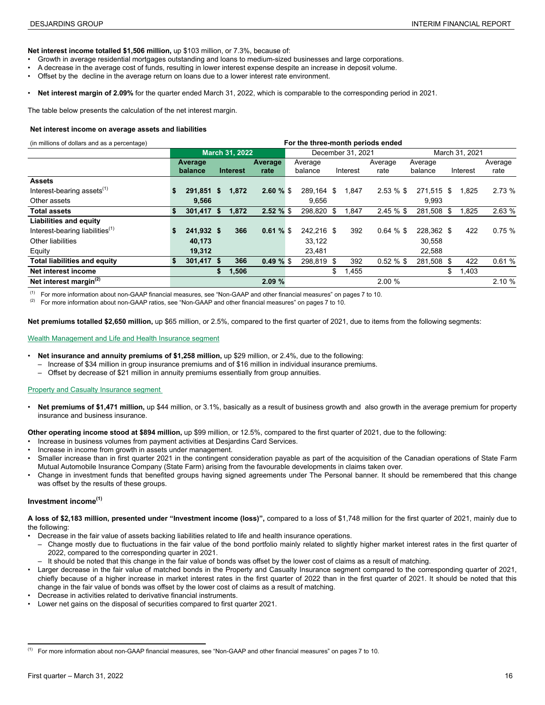<span id="page-15-0"></span>**Net interest income totalled \$1,506 million,** up \$103 million, or 7.3%, because of:

- Growth in average residential mortgages outstanding and loans to medium-sized businesses and large corporations.
- A decrease in the average cost of funds, resulting in lower interest expense despite an increase in deposit volume.
- Offset by the decline in the average return on loans due to a lower interest rate environment.
- **Net interest margin of 2.09%** for the quarter ended March 31, 2022, which is comparable to the corresponding period in 2021.

The table below presents the calculation of the net interest margin.

#### **Net interest income on average assets and liabilities**

(in millions of dollars and as a percentage) **For the three-month periods ended**

|                                             |    | <b>March 31, 2022</b> |    |                 |              |  |            | December 31, 2021 |              | March 31, 2021 |    |          |         |  |  |
|---------------------------------------------|----|-----------------------|----|-----------------|--------------|--|------------|-------------------|--------------|----------------|----|----------|---------|--|--|
|                                             |    | Average               |    |                 | Average      |  | Average    |                   | Average      | Average        |    |          | Average |  |  |
|                                             |    | balance               |    | <b>Interest</b> | rate         |  | balance    | Interest          | rate         | balance        |    | Interest | rate    |  |  |
| <b>Assets</b>                               |    |                       |    |                 |              |  |            |                   |              |                |    |          |         |  |  |
| Interest-bearing assets <sup>(1)</sup>      | S  | 291.851 \$            |    | 1,872           | 2.60%        |  | 289.164 \$ | 1.847             | $2.53\%$ \$  | 271.515 \$     |    | 1.825    | 2.73 %  |  |  |
| Other assets                                |    | 9.566                 |    |                 |              |  | 9.656      |                   |              | 9.993          |    |          |         |  |  |
| <b>Total assets</b>                         | \$ | 301,417 \$            |    | 1,872           | $2.52 \%$ \$ |  | 298.820 \$ | 1,847             | 2.45%        | 281,508 \$     |    | 1,825    | 2.63 %  |  |  |
| Liabilities and equity                      |    |                       |    |                 |              |  |            |                   |              |                |    |          |         |  |  |
| Interest-bearing liabilities <sup>(1)</sup> |    | 241,932 \$            |    | 366             | 0.61%        |  | 242.216 \$ | 392               | $0.64 \%$ \$ | 228.362 \$     |    | 422      | 0.75%   |  |  |
| Other liabilities                           |    | 40,173                |    |                 |              |  | 33.122     |                   |              | 30,558         |    |          |         |  |  |
| Equity                                      |    | 19,312                |    |                 |              |  | 23,481     |                   |              | 22,588         |    |          |         |  |  |
| <b>Total liabilities and equity</b>         | \$ | 301,417 \$            |    | 366             | $0.49 \%$ \$ |  | 298.819 \$ | 392               | $0.52 \%$ \$ | 281,508 \$     |    | 422      | 0.61%   |  |  |
| Net interest income                         |    |                       | \$ | 1,506           |              |  |            | \$<br>1,455       |              |                | \$ | 1,403    |         |  |  |
| Net interest margin $(2)$                   |    |                       |    |                 | 2.09%        |  |            |                   | 2.00%        |                |    |          | 2.10 %  |  |  |
|                                             |    |                       |    |                 |              |  |            |                   |              |                |    |          |         |  |  |

 $(1)$  For more information about non-GAAP financial measures, see "Non-GAAP and other financial measures" on pages 7 to 10.

 $(2)$  For more information about non-GAAP ratios, see "Non-GAAP and other financial measures" on pages 7 to 10.

**Net premiums totalled \$2,650 million,** up \$65 million, or 2.5%, compared to the first quarter of 2021, due to items from the following segments:

#### Wealth Management and Life and Health Insurance segment

- **Net insurance and annuity premiums of \$1,258 million, up \$29 million, or 2.4%, due to the following:** 
	- Increase of \$34 million in group insurance premiums and of \$16 million in individual insurance premiums.
	- Offset by decrease of \$21 million in annuity premiums essentially from group annuities.

#### Property and Casualty Insurance segment

• **Net premiums of \$1,471 million,** up \$44 million, or 3.1%, basically as a result of business growth and also growth in the average premium for property insurance and business insurance.

**Other operating income stood at \$894 million,** up \$99 million, or 12.5%, compared to the first quarter of 2021, due to the following:

- Increase in business volumes from payment activities at Desjardins Card Services.
- Increase in income from growth in assets under management.
- Smaller increase than in first quarter 2021 in the contingent consideration payable as part of the acquisition of the Canadian operations of State Farm Mutual Automobile Insurance Company (State Farm) arising from the favourable developments in claims taken over.
- Change in investment funds that benefited groups having signed agreements under The Personal banner. It should be remembered that this change was offset by the results of these groups.

#### **Investment income(1)** 3

**A loss of \$2,183 million, presented under "Investment income (loss)",** compared to a loss of \$1,748 million for the first quarter of 2021, mainly due to the following:

- Decrease in the fair value of assets backing liabilities related to life and health insurance operations.
- Change mostly due to fluctuations in the fair value of the bond portfolio mainly related to slightly higher market interest rates in the first quarter of 2022, compared to the corresponding quarter in 2021.
- It should be noted that this change in the fair value of bonds was offset by the lower cost of claims as a result of matching.
- Larger decrease in the fair value of matched bonds in the Property and Casualty Insurance segment compared to the corresponding quarter of 2021, chiefly because of a higher increase in market interest rates in the first quarter of 2022 than in the first quarter of 2021. It should be noted that this change in the fair value of bonds was offset by the lower cost of claims as a result of matching.
- Decrease in activities related to derivative financial instruments.
- Lower net gains on the disposal of securities compared to first quarter 2021.

<sup>(1)</sup> <sup>3</sup> For more information about non-GAAP financial measures, see "Non-GAAP and other financial measures" on pages 7 to 10.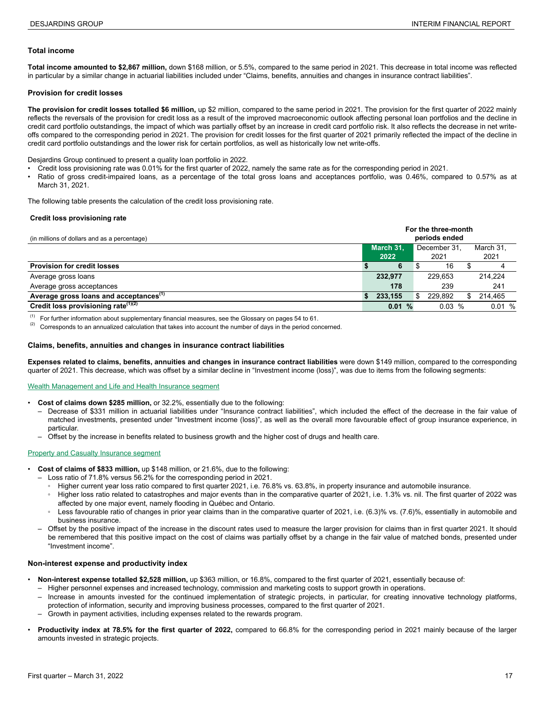#### <span id="page-16-0"></span>**Total income**

**Total income amounted to \$2,867 million,** down \$168 million, or 5.5%, compared to the same period in 2021. This decrease in total income was reflected in particular by a similar change in actuarial liabilities included under "Claims, benefits, annuities and changes in insurance contract liabilities".

#### **Provision for credit losses**

**The provision for credit losses totalled \$6 million,** up \$2 million, compared to the same period in 2021. The provision for the first quarter of 2022 mainly reflects the reversals of the provision for credit loss as a result of the improved macroeconomic outlook affecting personal loan portfolios and the decline in credit card portfolio outstandings, the impact of which was partially offset by an increase in credit card portfolio risk. It also reflects the decrease in net writeoffs compared to the corresponding period in 2021. The provision for credit losses for the first quarter of 2021 primarily reflected the impact of the decline in credit card portfolio outstandings and the lower risk for certain portfolios, as well as historically low net write-offs.

Desjardins Group continued to present a quality loan portfolio in 2022.

- Credit loss provisioning rate was 0.01% for the first quarter of 2022, namely the same rate as for the corresponding period in 2021.
- Ratio of gross credit-impaired loans, as a percentage of the total gross loans and acceptances portfolio, was 0.46%, compared to 0.57% as at March 31, 2021.

The following table presents the calculation of the credit loss provisioning rate.

#### **Credit loss provisioning rate**

| (in millions of dollars and as a percentage)       | For the three-month<br>periods ended      |         |      |          |  |                   |  |
|----------------------------------------------------|-------------------------------------------|---------|------|----------|--|-------------------|--|
|                                                    | March 31.<br>December 31.<br>2022<br>2021 |         |      |          |  | March 31.<br>2021 |  |
| <b>Provision for credit losses</b>                 |                                           | 6       |      | 16       |  | 4                 |  |
| Average gross loans                                |                                           | 232.977 |      | 229.653  |  | 214.224           |  |
| Average gross acceptances                          |                                           | 178     |      | 239      |  | 241               |  |
| Average gross loans and acceptances <sup>(1)</sup> |                                           | 233.155 |      | 229.892  |  | 214.465<br>\$     |  |
| Credit loss provisioning rate <sup>(1)(2)</sup>    |                                           | 0.01    | $\%$ | $0.03\%$ |  | 0.01%             |  |

(1) For further information about supplementary financial measures, see the Glossary on pages 54 to 61.<br>(2) Corresponds to an apply limit of calculation that takes into account the number of doug in the pariod cal

Corresponds to an annualized calculation that takes into account the number of days in the period concerned.

#### **Claims, benefits, annuities and changes in insurance contract liabilities**

Expenses related to claims, benefits, annuities and changes in insurance contract liabilities were down \$149 million, compared to the corresponding quarter of 2021. This decrease, which was offset by a similar decline in "Investment income (loss)", was due to items from the following segments:

Wealth Management and Life and Health Insurance segment

- **Cost of claims down \$285 million,** or 32.2%, essentially due to the following:
	- Decrease of \$331 million in actuarial liabilities under "Insurance contract liabilities", which included the effect of the decrease in the fair value of matched investments, presented under "Investment income (loss)", as well as the overall more favourable effect of group insurance experience, in particular.
	- Offset by the increase in benefits related to business growth and the higher cost of drugs and health care.

#### **Property and Casualty Insurance segment**

- **Cost of claims of \$833 million,** up \$148 million, or 21.6%, due to the following:
	- Loss ratio of 71.8% versus 56.2% for the corresponding period in 2021.
		- Higher current year loss ratio compared to first quarter 2021, i.e. 76.8% vs. 63.8%, in property insurance and automobile insurance.
		- Higher loss ratio related to catastrophes and major events than in the comparative quarter of 2021, i.e. 1.3% vs. nil. The first quarter of 2022 was affected by one major event, namely flooding in Québec and Ontario.
		- Less favourable ratio of changes in prior year claims than in the comparative quarter of 2021, i.e. (6.3)% vs. (7.6)%, essentially in automobile and business insurance.
	- Offset by the positive impact of the increase in the discount rates used to measure the larger provision for claims than in first quarter 2021. It should be remembered that this positive impact on the cost of claims was partially offset by a change in the fair value of matched bonds, presented under "Investment income".

#### **Non-interest expense and productivity index**

- **Non-interest expense totalled \$2,528 million,** up \$363 million, or 16.8%, compared to the first quarter of 2021, essentially because of:
	- Higher personnel expenses and increased technology, commission and marketing costs to support growth in operations.
	- Increase in amounts invested for the continued implementation of strategic projects, in particular, for creating innovative technology platforms,
	- protection of information, security and improving business processes, compared to the first quarter of 2021. – Growth in payment activities, including expenses related to the rewards program.
- **Productivity index at 78.5% for the first quarter of 2022,** compared to 66.8% for the corresponding period in 2021 mainly because of the larger amounts invested in strategic projects.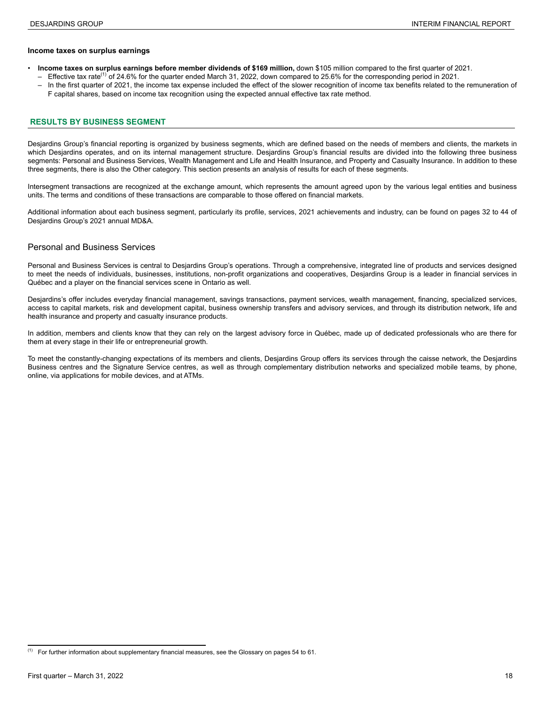#### <span id="page-17-0"></span>**Income taxes on surplus earnings**

- **Income taxes on surplus earnings before member dividends of \$169 million,** down \$105 million compared to the first quarter of 2021.
	- $-$  Effective tax rate<sup>(1)</sup> of 24.6% for the quarter ended March 31, 2022, down compared to 25.6% for the corresponding period in 2021.
	- In the first quarter of 2021, the income tax expense included the effect of the slower recognition of income tax benefits related to the remuneration of F capital shares, based on income tax recognition using the expected annual effective tax rate method.

#### **RESULTS BY BUSINESS SEGMENT**

Desjardins Group's financial reporting is organized by business segments, which are defined based on the needs of members and clients, the markets in which Desjardins operates, and on its internal management structure. Desjardins Group's financial results are divided into the following three business segments: Personal and Business Services, Wealth Management and Life and Health Insurance, and Property and Casualty Insurance. In addition to these three segments, there is also the Other category. This section presents an analysis of results for each of these segments.

Intersegment transactions are recognized at the exchange amount, which represents the amount agreed upon by the various legal entities and business units. The terms and conditions of these transactions are comparable to those offered on financial markets.

Additional information about each business segment, particularly its profile, services, 2021 achievements and industry, can be found on pages 32 to 44 of Desjardins Group's 2021 annual MD&A.

#### Personal and Business Services

Personal and Business Services is central to Desjardins Group's operations. Through a comprehensive, integrated line of products and services designed to meet the needs of individuals, businesses, institutions, non-profit organizations and cooperatives, Desjardins Group is a leader in financial services in Québec and a player on the financial services scene in Ontario as well.

Desjardins's offer includes everyday financial management, savings transactions, payment services, wealth management, financing, specialized services, access to capital markets, risk and development capital, business ownership transfers and advisory services, and through its distribution network, life and health insurance and property and casualty insurance products.

In addition, members and clients know that they can rely on the largest advisory force in Québec, made up of dedicated professionals who are there for them at every stage in their life or entrepreneurial growth.

To meet the constantly-changing expectations of its members and clients, Desjardins Group offers its services through the caisse network, the Desjardins Business centres and the Signature Service centres, as well as through complementary distribution networks and specialized mobile teams, by phone, online, via applications for mobile devices, and at ATMs.

 $<sup>(1)</sup>$  For further information about supplementary financial measures, see the Glossary on pages 54 to 61.</sup>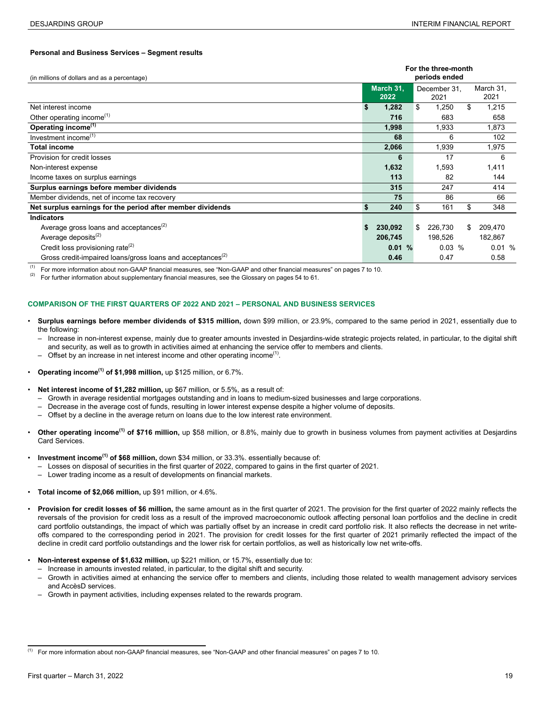#### **Personal and Business Services – Segment results**

| (in millions of dollars and as a percentage)                           |                   | For the three-month<br>periods ended |    |                   |  |
|------------------------------------------------------------------------|-------------------|--------------------------------------|----|-------------------|--|
|                                                                        | March 31,<br>2022 | December 31.<br>2021                 |    | March 31.<br>2021 |  |
| Net interest income                                                    | 1,282             | \$<br>1,250                          | \$ | 1,215             |  |
| Other operating income <sup>(1)</sup>                                  | 716               | 683                                  |    | 658               |  |
| Operating income <sup>(1)</sup>                                        | 1,998             | 1,933                                |    | 1,873             |  |
| Investment income <sup>(1)</sup>                                       | 68                | 6                                    |    | 102               |  |
| Total income                                                           | 2,066             | 1,939                                |    | 1,975             |  |
| Provision for credit losses                                            | 6                 | 17                                   |    | 6                 |  |
| Non-interest expense                                                   | 1,632             | 1,593                                |    | 1,411             |  |
| Income taxes on surplus earnings                                       | 113               | 82                                   |    | 144               |  |
| Surplus earnings before member dividends                               | 315               | 247                                  |    | 414               |  |
| Member dividends, net of income tax recovery                           | 75                | 86                                   |    | 66                |  |
| Net surplus earnings for the period after member dividends             | 240               | \$<br>161                            | \$ | 348               |  |
| <b>Indicators</b>                                                      |                   |                                      |    |                   |  |
| Average gross loans and acceptances <sup>(2)</sup>                     | 230,092           | \$<br>226,730                        | \$ | 209,470           |  |
| Average deposits <sup>(2)</sup>                                        | 206,745           | 198,526                              |    | 182,867           |  |
| Credit loss provisioning rate <sup>(2)</sup>                           | 0.01%             | 0.03%                                |    | 0.01%             |  |
| Gross credit-impaired loans/gross loans and acceptances <sup>(2)</sup> | 0.46              | 0.47                                 |    | 0.58              |  |

(1) For more information about non-GAAP financial measures, see "Non-GAAP and other financial measures" on pages 7 to 10.<br>(2) Eas further information about supplementary financial measures, see the Glossony on pages 54 to

For further information about supplementary financial measures, see the Glossary on pages 54 to 61.

#### **COMPARISON OF THE FIRST QUARTERS OF 2022 AND 2021 – PERSONAL AND BUSINESS SERVICES**

- **Surplus earnings before member dividends of \$315 million,** down \$99 million, or 23.9%, compared to the same period in 2021, essentially due to the following:
	- Increase in non-interest expense, mainly due to greater amounts invested in Desjardins-wide strategic projects related, in particular, to the digital shift and security, as well as to growth in activities aimed at enhancing the service offer to members and clients.
	- $-$  Offset by an increase in net interest income and other operating income<sup>(1)</sup>.
- **Operating income(1) of \$1,998 million,** up \$125 million, or 6.7%.
- **Net interest income of \$1,282 million,** up \$67 million, or 5.5%, as a result of:
	- Growth in average residential mortgages outstanding and in loans to medium-sized businesses and large corporations.
	- Decrease in the average cost of funds, resulting in lower interest expense despite a higher volume of deposits.
	- Offset by a decline in the average return on loans due to the low interest rate environment.
- **Other operating income(1) of \$716 million,** up \$58 million, or 8.8%, mainly due to growth in business volumes from payment activities at Desjardins Card Services.
- **Investment income(1) of \$68 million,** down \$34 million, or 33.3%. essentially because of:
	- Losses on disposal of securities in the first quarter of 2022, compared to gains in the first quarter of 2021.
	- Lower trading income as a result of developments on financial markets.
- **Total income of \$2,066 million,** up \$91 million, or 4.6%.
- **Provision for credit losses of \$6 million,** the same amount as in the first quarter of 2021. The provision for the first quarter of 2022 mainly reflects the reversals of the provision for credit loss as a result of the improved macroeconomic outlook affecting personal loan portfolios and the decline in credit card portfolio outstandings, the impact of which was partially offset by an increase in credit card portfolio risk. It also reflects the decrease in net writeoffs compared to the corresponding period in 2021. The provision for credit losses for the first quarter of 2021 primarily reflected the impact of the decline in credit card portfolio outstandings and the lower risk for certain portfolios, as well as historically low net write-offs.
- **Non-interest expense of \$1,632 million,** up \$221 million, or 15.7%, essentially due to:
	- Increase in amounts invested related, in particular, to the digital shift and security.
	- Growth in activities aimed at enhancing the service offer to members and clients, including those related to wealth management advisory services and AccèsD services.
	- Growth in payment activities, including expenses related to the rewards program.

<sup>(1)</sup> 5 For more information about non-GAAP financial measures, see "Non-GAAP and other financial measures" on pages 7 to 10.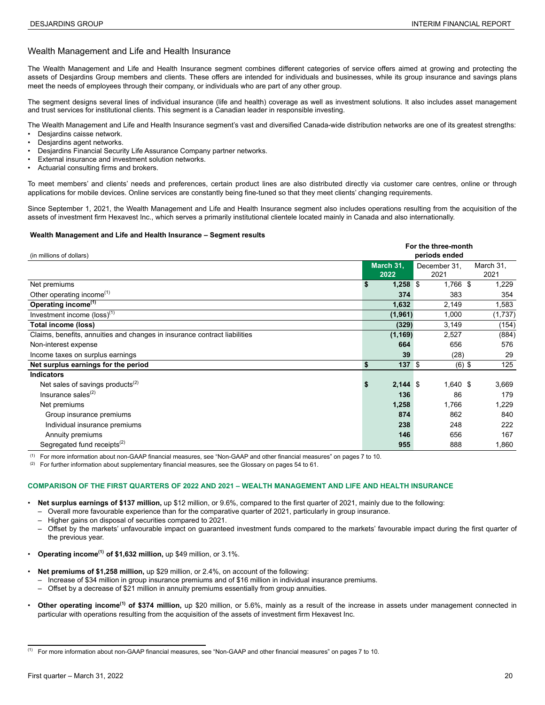#### <span id="page-19-0"></span>Wealth Management and Life and Health Insurance

The Wealth Management and Life and Health Insurance segment combines different categories of service offers aimed at growing and protecting the assets of Desjardins Group members and clients. These offers are intended for individuals and businesses, while its group insurance and savings plans meet the needs of employees through their company, or individuals who are part of any other group.

The segment designs several lines of individual insurance (life and health) coverage as well as investment solutions. It also includes asset management and trust services for institutional clients. This segment is a Canadian leader in responsible investing.

The Wealth Management and Life and Health Insurance segment's vast and diversified Canada-wide distribution networks are one of its greatest strengths:

- Desjardins caisse network.
- Desjardins agent networks.
- Desjardins Financial Security Life Assurance Company partner networks.
- External insurance and investment solution networks.
- Actuarial consulting firms and brokers.

To meet members' and clients' needs and preferences, certain product lines are also distributed directly via customer care centres, online or through applications for mobile devices. Online services are constantly being fine-tuned so that they meet clients' changing requirements.

Since September 1, 2021, the Wealth Management and Life and Health Insurance segment also includes operations resulting from the acquisition of the assets of investment firm Hexavest Inc., which serves a primarily institutional clientele located mainly in Canada and also internationally.

#### **Wealth Management and Life and Health Insurance – Segment results**

| For the three-month                                                       |     |            |  |               |  |           |  |  |
|---------------------------------------------------------------------------|-----|------------|--|---------------|--|-----------|--|--|
| (in millions of dollars)                                                  |     |            |  | periods ended |  |           |  |  |
|                                                                           |     | March 31,  |  | December 31.  |  | March 31. |  |  |
|                                                                           |     | 2022       |  | 2021          |  | 2021      |  |  |
| Net premiums                                                              | \$  | $1,258$ \$ |  | 1,766 \$      |  | 1,229     |  |  |
| Other operating income <sup>(1)</sup>                                     |     | 374        |  | 383           |  | 354       |  |  |
| Operating income <sup>(1)</sup>                                           |     | 1,632      |  | 2,149         |  | 1,583     |  |  |
| Investment income $(\text{loss})^{(1)}$                                   |     | (1, 961)   |  | 1,000         |  | (1,737)   |  |  |
| Total income (loss)                                                       |     | (329)      |  | 3,149         |  | (154)     |  |  |
| Claims, benefits, annuities and changes in insurance contract liabilities |     | (1, 169)   |  | 2,527         |  | (884)     |  |  |
| Non-interest expense                                                      |     | 664        |  | 656           |  | 576       |  |  |
| Income taxes on surplus earnings                                          |     | 39         |  | (28)          |  | 29        |  |  |
| Net surplus earnings for the period                                       | \$  | $137$ \$   |  | $(6)$ \$      |  | 125       |  |  |
| <b>Indicators</b>                                                         |     |            |  |               |  |           |  |  |
| Net sales of savings products <sup>(2)</sup>                              | \$. | $2,144$ \$ |  | $1,640$ \$    |  | 3,669     |  |  |
| Insurance sales <sup>(2)</sup>                                            |     | 136        |  | 86            |  | 179       |  |  |
| Net premiums                                                              |     | 1,258      |  | 1,766         |  | 1,229     |  |  |
| Group insurance premiums                                                  |     | 874        |  | 862           |  | 840       |  |  |
| Individual insurance premiums                                             |     | 238        |  | 248           |  | 222       |  |  |
| Annuity premiums                                                          |     | 146        |  | 656           |  | 167       |  |  |
| Segregated fund receipts <sup>(2)</sup>                                   |     | 955        |  | 888           |  | 1,860     |  |  |

(1) For more information about non-GAAP financial measures, see "Non-GAAP and other financial measures" on pages 7 to 10.

(2) For further information about supplementary financial measures, see the Glossary on pages 54 to 61.

#### **COMPARISON OF THE FIRST QUARTERS OF 2022 AND 2021 – WEALTH MANAGEMENT AND LIFE AND HEALTH INSURANCE**

- **Net surplus earnings of \$137 million,** up \$12 million, or 9.6%, compared to the first quarter of 2021, mainly due to the following:
	- Overall more favourable experience than for the comparative quarter of 2021, particularly in group insurance.
	- Higher gains on disposal of securities compared to 2021.
	- Offset by the markets' unfavourable impact on guaranteed investment funds compared to the markets' favourable impact during the first quarter of the previous year.
- **Operating income(1) <sup>6</sup> of \$1,632 million,** up \$49 million, or 3.1%.
- **Net premiums of \$1,258 million,** up \$29 million, or 2.4%, on account of the following:
	- Increase of \$34 million in group insurance premiums and of \$16 million in individual insurance premiums.
	- Offset by a decrease of \$21 million in annuity premiums essentially from group annuities.
- **Other operating income(1) of \$374 million,** up \$20 million, or 5.6%, mainly as a result of the increase in assets under management connected in particular with operations resulting from the acquisition of the assets of investment firm Hexavest Inc.

<sup>(1)</sup> <sup>6</sup> For more information about non-GAAP financial measures, see "Non-GAAP and other financial measures" on pages 7 to 10.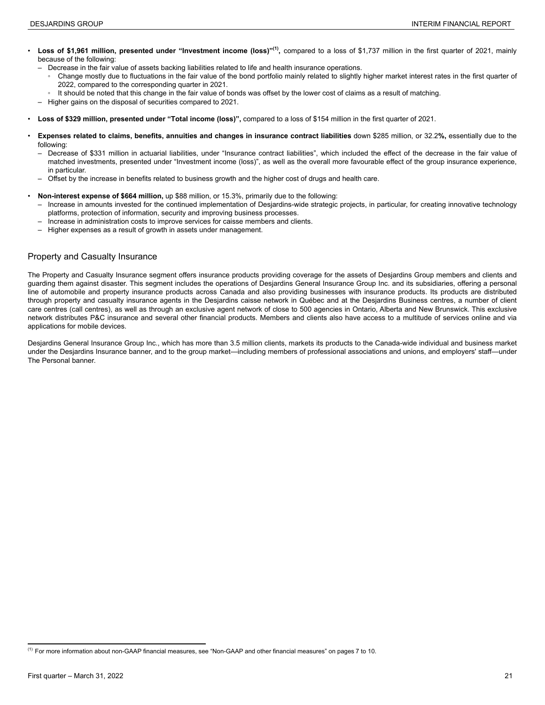- <span id="page-20-0"></span>**Loss of \$1,961 million, presented under "Investment income (loss)"<sup>(1)</sup>, compared to a loss of \$1,737 million in the first quarter of 2021, mainly** because of the following:
	- Decrease in the fair value of assets backing liabilities related to life and health insurance operations.
		- Change mostly due to fluctuations in the fair value of the bond portfolio mainly related to slightly higher market interest rates in the first quarter of 2022, compared to the corresponding quarter in 2021.
		- It should be noted that this change in the fair value of bonds was offset by the lower cost of claims as a result of matching.
	- Higher gains on the disposal of securities compared to 2021.
- **Loss of \$329 million, presented under "Total income (loss)",** compared to a loss of \$154 million in the first quarter of 2021.
- **Expenses related to claims, benefits, annuities and changes in insurance contract liabilities** down \$285 million, or 32.2**%,** essentially due to the following:
	- Decrease of \$331 million in actuarial liabilities, under "Insurance contract liabilities", which included the effect of the decrease in the fair value of matched investments, presented under "Investment income (loss)", as well as the overall more favourable effect of the group insurance experience, in particular.
	- Offset by the increase in benefits related to business growth and the higher cost of drugs and health care.
- **Non-interest expense of \$664 million,** up \$88 million, or 15.3%, primarily due to the following:
	- Increase in amounts invested for the continued implementation of Desjardins-wide strategic projects, in particular, for creating innovative technology platforms, protection of information, security and improving business processes.
	- Increase in administration costs to improve services for caisse members and clients.
	- Higher expenses as a result of growth in assets under management.

#### Property and Casualty Insurance

The Property and Casualty Insurance segment offers insurance products providing coverage for the assets of Desjardins Group members and clients and guarding them against disaster. This segment includes the operations of Desjardins General Insurance Group Inc. and its subsidiaries, offering a personal line of automobile and property insurance products across Canada and also providing businesses with insurance products. Its products are distributed through property and casualty insurance agents in the Desjardins caisse network in Québec and at the Desjardins Business centres, a number of client care centres (call centres), as well as through an exclusive agent network of close to 500 agencies in Ontario, Alberta and New Brunswick. This exclusive network distributes P&C insurance and several other financial products. Members and clients also have access to a multitude of services online and via applications for mobile devices.

Desjardins General Insurance Group Inc., which has more than 3.5 million clients, markets its products to the Canada-wide individual and business market under the Desjardins Insurance banner, and to the group market—including members of professional associations and unions, and employers' staff—under The Personal banner.

 $^{(1)}$  For more information about non-GAAP financial measures, see "Non-GAAP and other financial measures" on pages 7 to 10.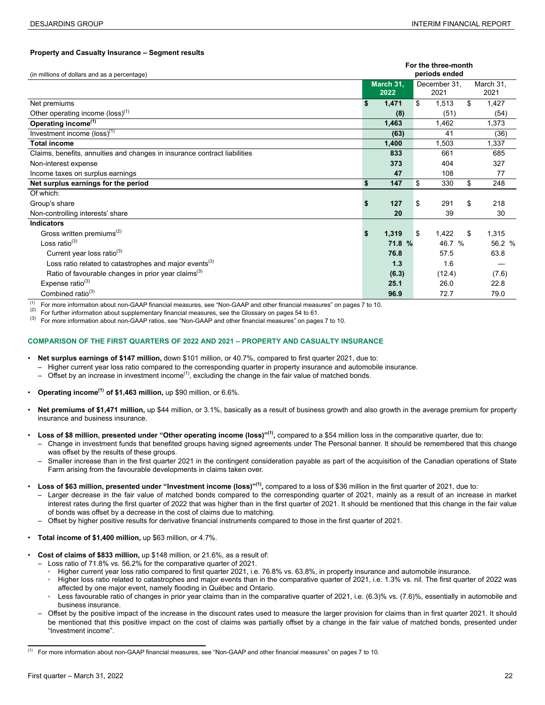#### **Property and Casualty Insurance – Segment results <sup>1</sup>**

|                                                                           | For the three-month |           |    |               |    |           |  |  |
|---------------------------------------------------------------------------|---------------------|-----------|----|---------------|----|-----------|--|--|
| (in millions of dollars and as a percentage)                              |                     |           |    | periods ended |    |           |  |  |
|                                                                           |                     | March 31, |    | December 31,  |    | March 31, |  |  |
|                                                                           |                     | 2022      |    | 2021          |    | 2021      |  |  |
| Net premiums                                                              | \$                  | 1,471     | \$ | 1,513         | \$ | 1,427     |  |  |
| Other operating income (loss) <sup>(1)</sup>                              |                     | (8)       |    | (51)          |    | (54)      |  |  |
| Operating income <sup>(1)</sup>                                           |                     | 1,463     |    | 1,462         |    | 1,373     |  |  |
| Investment income $(\text{loss})^{(1)}$                                   |                     | (63)      |    | 41            |    | (36)      |  |  |
| <b>Total income</b>                                                       |                     | 1,400     |    | 1,503         |    | 1,337     |  |  |
| Claims, benefits, annuities and changes in insurance contract liabilities |                     | 833       |    | 661           |    | 685       |  |  |
| Non-interest expense                                                      |                     | 373       |    | 404           |    | 327       |  |  |
| Income taxes on surplus earnings                                          |                     | 47        |    | 108           |    | 77        |  |  |
| Net surplus earnings for the period                                       | \$                  | 147       | \$ | 330           | \$ | 248       |  |  |
| Of which:                                                                 |                     |           |    |               |    |           |  |  |
| Group's share                                                             | \$                  | 127       | \$ | 291           | \$ | 218       |  |  |
| Non-controlling interests' share                                          |                     | 20        |    | 39            |    | 30        |  |  |
| <b>Indicators</b>                                                         |                     |           |    |               |    |           |  |  |
| Gross written premiums <sup>(2)</sup>                                     | \$                  | 1,319     | \$ | 1,422         | \$ | 1,315     |  |  |
| Loss ratio $^{(3)}$                                                       |                     | 71.8 %    |    | 46.7 %        |    | 56.2 %    |  |  |
| Current year loss ratio <sup>(3)</sup>                                    |                     | 76.8      |    | 57.5          |    | 63.8      |  |  |
| Loss ratio related to catastrophes and major events <sup>(3)</sup>        |                     | 1.3       |    | 1.6           |    |           |  |  |
| Ratio of favourable changes in prior year claims <sup>(3)</sup>           |                     | (6.3)     |    | (12.4)        |    | (7.6)     |  |  |
| Expense ratio $(3)$                                                       |                     | 25.1      |    | 26.0          |    | 22.8      |  |  |
| Combined ratio <sup>(3)</sup>                                             |                     | 96.9      |    | 72.7          |    | 79.0      |  |  |

(1) For more information about non-GAAP financial measures, see "Non-GAAP and other financial measures" on pages 7 to 10.<br>(2) For further information about supplementary financial measures, see the Classery on pages 54 to

(2) For further information about supplementary financial measures, see the Glossary on pages 54 to 61.<br>(3) For more information about non CAAP ratios, see "Non CAAP and other financial measures" on page

(3) For more information about non-GAAP ratios, see "Non-GAAP and other financial measures" on pages 7 to 10.

#### **COMPARISON OF THE FIRST QUARTERS OF 2022 AND 2021 – PROPERTY AND CASUALTY INSURANCE**

- **Net surplus earnings of \$147 million,** down \$101 million, or 40.7%, compared to first quarter 2021, due to:
	- Higher current year loss ratio compared to the corresponding quarter in property insurance and automobile insurance.
	- $-$  Offset by an increase in investment income<sup>(1)</sup>, excluding the change in the fair value of matched bonds.
- **Operating income(1) <sup>8</sup> of \$1,463 million,** up \$90 million, or 6.6%.
- **Net premiums of \$1,471 million,** up \$44 million, or 3.1%, basically as a result of business growth and also growth in the average premium for property insurance and business insurance.
- **Loss of \$8 million, presented under "Other operating income (loss)"<sup>(1)</sup>, compared to a \$54 million loss in the comparative quarter, due to:** 
	- Change in investment funds that benefited groups having signed agreements under The Personal banner. It should be remembered that this change was offset by the results of these groups.
	- Smaller increase than in the first quarter 2021 in the contingent consideration payable as part of the acquisition of the Canadian operations of State Farm arising from the favourable developments in claims taken over.
- **Loss of \$63 million, presented under "Investment income (loss)"(1) ,** compared to a loss of \$36 million in the first quarter of 2021, due to:
	- Larger decrease in the fair value of matched bonds compared to the corresponding quarter of 2021, mainly as a result of an increase in market interest rates during the first quarter of 2022 that was higher than in the first quarter of 2021. It should be mentioned that this change in the fair value of bonds was offset by a decrease in the cost of claims due to matching.
	- Offset by higher positive results for derivative financial instruments compared to those in the first quarter of 2021.
- **Total income of \$1,400 million,** up \$63 million, or 4.7%.
- **Cost of claims of \$833 million,** up \$148 million, or 21.6%, as a result of:
	- Loss ratio of 71.8% vs. 56.2% for the comparative quarter of 2021.
		- Higher current year loss ratio compared to first quarter 2021, i.e. 76.8% vs. 63.8%, in property insurance and automobile insurance.
		- Higher loss ratio related to catastrophes and major events than in the comparative quarter of 2021, i.e. 1.3% vs. nil. The first quarter of 2022 was affected by one major event, namely flooding in Québec and Ontario.
		- Less favourable ratio of changes in prior year claims than in the comparative quarter of 2021, i.e. (6.3)% vs. (7.6)%, essentially in automobile and business insurance.
	- Offset by the positive impact of the increase in the discount rates used to measure the larger provision for claims than in first quarter 2021. It should be mentioned that this positive impact on the cost of claims was partially offset by a change in the fair value of matched bonds, presented under "Investment income".

<sup>(1)</sup> <sup>8</sup> For more information about non-GAAP financial measures, see "Non-GAAP and other financial measures" on pages 7 to 10.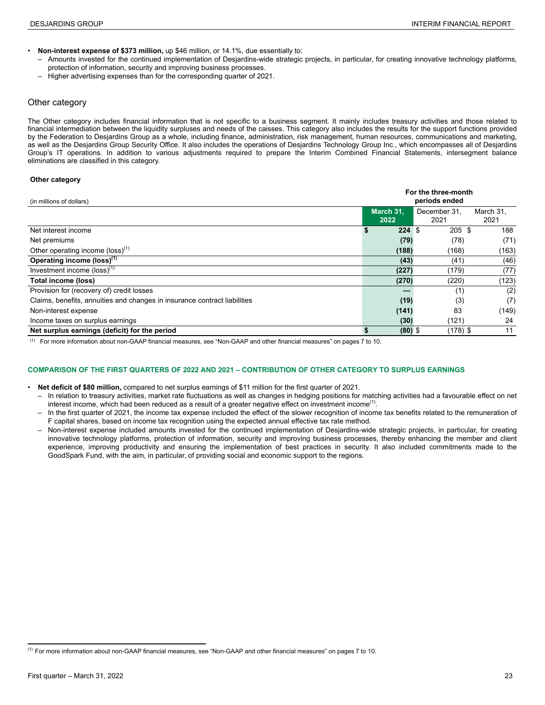- <span id="page-22-0"></span>• **Non-interest expense of \$373 million,** up \$46 million, or 14.1%, due essentially to:
	- Amounts invested for the continued implementation of Desjardins-wide strategic projects, in particular, for creating innovative technology platforms, protection of information, security and improving business processes.
	- Higher advertising expenses than for the corresponding quarter of 2021.

#### Other category

The Other category includes financial information that is not specific to a business segment. It mainly includes treasury activities and those related to financial intermediation between the liquidity surpluses and needs of the caisses. This category also includes the results for the support functions provided by the Federation to Desjardins Group as a whole, including finance, administration, risk management, human resources, communications and marketing, as well as the Desjardins Group Security Office. It also includes the operations of Desjardins Technology Group Inc., which encompasses all of Desjardins Group's IT operations. In addition to various adjustments required to prepare the Interim Combined Financial Statements, intersegment balance eliminations are classified in this category.

#### **Other category 9**

| (in millions of dollars)                                                  | For the three-month<br>periods ended |                   |                      |                   |  |  |  |  |  |  |  |
|---------------------------------------------------------------------------|--------------------------------------|-------------------|----------------------|-------------------|--|--|--|--|--|--|--|
|                                                                           |                                      | March 31.<br>2022 | December 31,<br>2021 | March 31.<br>2021 |  |  |  |  |  |  |  |
| Net interest income                                                       | S                                    | 224S              | 205S                 | 188               |  |  |  |  |  |  |  |
| Net premiums                                                              |                                      | (79)              | (78)                 | (71)              |  |  |  |  |  |  |  |
| Other operating income (loss) <sup>(1)</sup>                              |                                      | (188)             | (168)                | (163)             |  |  |  |  |  |  |  |
| Operating income (loss) <sup>(1)</sup>                                    |                                      | (43)              | (41)                 | (46)              |  |  |  |  |  |  |  |
| Investment income $(logs)^{(1)}$                                          |                                      | (227)             | (179)                | (77)              |  |  |  |  |  |  |  |
| Total income (loss)                                                       |                                      | (270)             | (220)                | (123)             |  |  |  |  |  |  |  |
| Provision for (recovery of) credit losses                                 |                                      |                   | (1)                  | (2)               |  |  |  |  |  |  |  |
| Claims, benefits, annuities and changes in insurance contract liabilities |                                      | (19)              | (3)                  | (7)               |  |  |  |  |  |  |  |
| Non-interest expense                                                      |                                      | (141)             | 83                   | (149)             |  |  |  |  |  |  |  |
| Income taxes on surplus earnings                                          |                                      | (30)              | (121)                | 24                |  |  |  |  |  |  |  |
| Net surplus earnings (deficit) for the period                             |                                      | $(80)$ \$         | $(178)$ \$           | 11                |  |  |  |  |  |  |  |

(1) For more information about non-GAAP financial measures, see "Non-GAAP and other financial measures" on pages 7 to 10.

#### **COMPARISON OF THE FIRST QUARTERS OF 2022 AND 2021 – CONTRIBUTION OF OTHER CATEGORY TO SURPLUS EARNINGS**

- **Net deficit of \$80 million,** compared to net surplus earnings of \$11 million for the first quarter of 2021.
	- In relation to treasury activities, market rate fluctuations as well as changes in hedging positions for matching activities had a favourable effect on net interest income, which had been reduced as a result of a greater negative effect on investment income<sup>(1)</sup>.
	- In the first quarter of 2021, the income tax expense included the effect of the slower recognition of income tax benefits related to the remuneration of F capital shares, based on income tax recognition using the expected annual effective tax rate method.
	- Non-interest expense included amounts invested for the continued implementation of Desjardins-wide strategic projects, in particular, for creating innovative technology platforms, protection of information, security and improving business processes, thereby enhancing the member and client experience, improving productivity and ensuring the implementation of best practices in security. It also included commitments made to the GoodSpark Fund, with the aim, in particular, of providing social and economic support to the regions.

 $^{(1)}$  For more information about non-GAAP financial measures, see "Non-GAAP and other financial measures" on pages 7 to 10.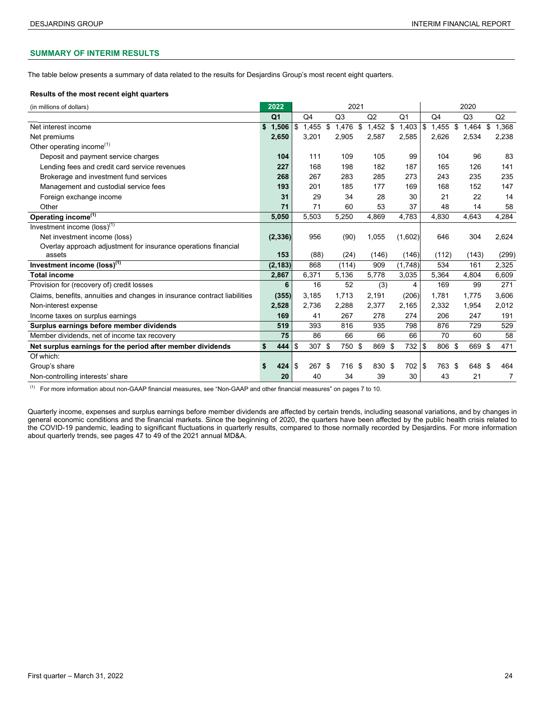#### <span id="page-23-0"></span>**SUMMARY OF INTERIM RESULTS**

The table below presents a summary of data related to the results for Desjardins Group's most recent eight quarters.

#### **Results of the most recent eight quarters**

| (in millions of dollars)                                                  | 2022           |                |            | 2021           |                  |                | 2020           |    |                |    |       |  |  |
|---------------------------------------------------------------------------|----------------|----------------|------------|----------------|------------------|----------------|----------------|----|----------------|----|-------|--|--|
|                                                                           | Q <sub>1</sub> | Q <sub>4</sub> |            | Q <sub>3</sub> | Q <sub>2</sub>   | Q <sub>1</sub> | Q <sub>4</sub> |    | Q <sub>3</sub> |    | Q2    |  |  |
| Net interest income                                                       | \$<br>1,506    | \$             | $1,455$ \$ | 1,476          | \$<br>$1,452$ \$ | $1,403$ \\$    | 1,455          | \$ | 1,464          | \$ | 1,368 |  |  |
| Net premiums                                                              | 2,650          |                | 3,201      | 2,905          | 2,587            | 2,585          | 2,626          |    | 2,534          |    | 2,238 |  |  |
| Other operating income <sup>(1)</sup>                                     |                |                |            |                |                  |                |                |    |                |    |       |  |  |
| Deposit and payment service charges                                       | 104            |                | 111        | 109            | 105              | 99             | 104            |    | 96             |    | 83    |  |  |
| Lending fees and credit card service revenues                             | 227            |                | 168        | 198            | 182              | 187            | 165            |    | 126            |    | 141   |  |  |
| Brokerage and investment fund services                                    | 268            |                | 267        | 283            | 285              | 273            | 243            |    | 235            |    | 235   |  |  |
| Management and custodial service fees                                     | 193            |                | 201        | 185            | 177              | 169            | 168            |    | 152            |    | 147   |  |  |
| Foreign exchange income                                                   | 31             |                | 29         | 34             | 28               | 30             | 21             |    | 22             |    | 14    |  |  |
| Other                                                                     | 71             |                | 71         | 60             | 53               | 37             | 48             |    | 14             |    | 58    |  |  |
| Operating income <sup>(1)</sup>                                           | 5,050          |                | 5,503      | 5,250          | 4,869            | 4,783          | 4,830          |    | 4,643          |    | 4,284 |  |  |
| Investment income $(\text{loss})^{(1)}$                                   |                |                |            |                |                  |                |                |    |                |    |       |  |  |
| Net investment income (loss)                                              | (2, 336)       |                | 956        | (90)           | 1,055            | (1,602)        | 646            |    | 304            |    | 2,624 |  |  |
| Overlay approach adjustment for insurance operations financial            |                |                |            |                |                  |                |                |    |                |    |       |  |  |
| assets                                                                    | 153            |                | (88)       | (24)           | (146)            | (146)          | (112)          |    | (143)          |    | (299) |  |  |
| Investment income (loss) <sup>(1)</sup>                                   | (2, 183)       |                | 868        | (114)          | 909              | (1,748)        | 534            |    | 161            |    | 2,325 |  |  |
| <b>Total income</b>                                                       | 2,867          |                | 6,371      | 5,136          | 5,778            | 3,035          | 5,364          |    | 4,804          |    | 6,609 |  |  |
| Provision for (recovery of) credit losses                                 | 6              |                | 16         | 52             | (3)              | 4              | 169            |    | 99             |    | 271   |  |  |
| Claims, benefits, annuities and changes in insurance contract liabilities | (355)          |                | 3,185      | 1,713          | 2,191            | (206)          | 1,781          |    | 1,775          |    | 3,606 |  |  |
| Non-interest expense                                                      | 2,528          |                | 2,736      | 2,288          | 2,377            | 2,165          | 2,332          |    | 1,954          |    | 2,012 |  |  |
| Income taxes on surplus earnings                                          | 169            |                | 41         | 267            | 278              | 274            | 206            |    | 247            |    | 191   |  |  |
| Surplus earnings before member dividends                                  | 519            |                | 393        | 816            | 935              | 798            | 876            |    | 729            |    | 529   |  |  |
| Member dividends, net of income tax recovery                              | 75             |                | 86         | 66             | 66               | 66             | 70             |    | 60             |    | 58    |  |  |
| Net surplus earnings for the period after member dividends                | \$<br>444      | \$             | 307 \$     | 750 \$         | 869 \$           | $732 $ \$      | 806 \$         |    | 669 \$         |    | 471   |  |  |
| Of which:                                                                 |                |                |            |                |                  |                |                |    |                |    |       |  |  |
| Group's share                                                             | 424            | \$             | 267 \$     | 716 \$         | 830 \$           | $702$   \$     | 763 \$         |    | 648 \$         |    | 464   |  |  |
| Non-controlling interests' share                                          | 20             |                | 40         | 34             | 39               | 30             | 43             |    | 21             |    | 7     |  |  |

(1) For more information about non-GAAP financial measures, see "Non-GAAP and other financial measures" on pages 7 to 10.

Quarterly income, expenses and surplus earnings before member dividends are affected by certain trends, including seasonal variations, and by changes in general economic conditions and the financial markets. Since the beginning of 2020, the quarters have been affected by the public health crisis related to the COVID-19 pandemic, leading to significant fluctuations in quarterly results, compared to those normally recorded by Desjardins. For more information about quarterly trends, see pages 47 to 49 of the 2021 annual MD&A.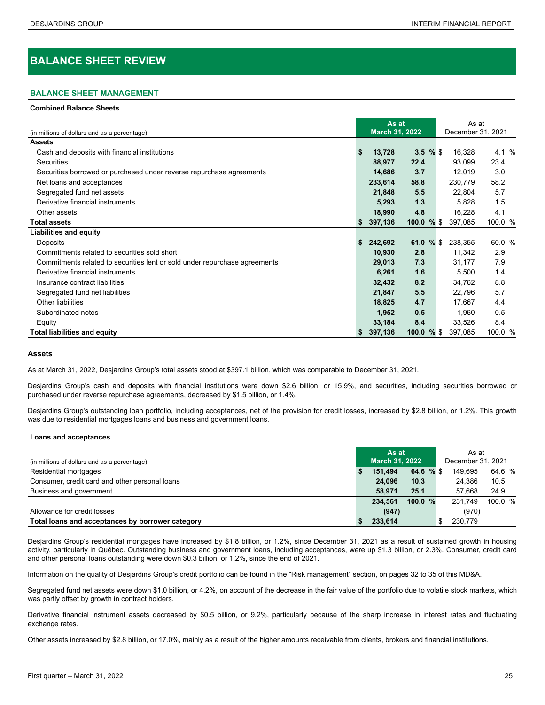# <span id="page-24-0"></span>**BALANCE SHEET REVIEW**

#### **BALANCE SHEET MANAGEMENT**

**Combined Balance Sheets**

|                                                                            |     | As at          |          |     | As at |                   |         |  |  |  |  |
|----------------------------------------------------------------------------|-----|----------------|----------|-----|-------|-------------------|---------|--|--|--|--|
| (in millions of dollars and as a percentage)                               |     | March 31, 2022 |          |     |       | December 31, 2021 |         |  |  |  |  |
| <b>Assets</b>                                                              |     |                |          |     |       |                   |         |  |  |  |  |
| Cash and deposits with financial institutions                              | S   | 13,728         | $3.5 \%$ |     |       | 16,328            | 4.1 %   |  |  |  |  |
| Securities                                                                 |     | 88,977         | 22.4     |     |       | 93,099            | 23.4    |  |  |  |  |
| Securities borrowed or purchased under reverse repurchase agreements       |     | 14,686         | 3.7      |     |       | 12,019            | 3.0     |  |  |  |  |
| Net loans and acceptances                                                  |     | 233,614        | 58.8     |     |       | 230,779           | 58.2    |  |  |  |  |
| Segregated fund net assets                                                 |     | 21,848         | 5.5      |     |       | 22,804            | 5.7     |  |  |  |  |
| Derivative financial instruments                                           |     | 5,293          | 1.3      |     |       | 5,828             | 1.5     |  |  |  |  |
| Other assets                                                               |     | 18,990         | 4.8      |     |       | 16,228            | 4.1     |  |  |  |  |
| <b>Total assets</b>                                                        | \$. | 397,136        | 100.0 %  |     |       | 397,085           | 100.0 % |  |  |  |  |
| <b>Liabilities and equity</b>                                              |     |                |          |     |       |                   |         |  |  |  |  |
| Deposits                                                                   | S   | 242,692        | 61.0     | %\$ |       | 238,355           | 60.0 %  |  |  |  |  |
| Commitments related to securities sold short                               |     | 10,930         | 2.8      |     |       | 11,342            | 2.9     |  |  |  |  |
| Commitments related to securities lent or sold under repurchase agreements |     | 29,013         | 7.3      |     |       | 31,177            | 7.9     |  |  |  |  |
| Derivative financial instruments                                           |     | 6,261          | 1.6      |     |       | 5,500             | 1.4     |  |  |  |  |
| Insurance contract liabilities                                             |     | 32,432         | 8.2      |     |       | 34,762            | 8.8     |  |  |  |  |
| Segregated fund net liabilities                                            |     | 21,847         | 5.5      |     |       | 22,796            | 5.7     |  |  |  |  |
| Other liabilities                                                          |     | 18,825         | 4.7      |     |       | 17,667            | 4.4     |  |  |  |  |
| Subordinated notes                                                         |     | 1,952          | 0.5      |     |       | 1,960             | 0.5     |  |  |  |  |
| Equity                                                                     |     | 33,184         | 8.4      |     |       | 33,526            | 8.4     |  |  |  |  |
| <b>Total liabilities and equity</b>                                        | \$  | 397,136        | 100.0 %  |     |       | 397,085           | 100.0 % |  |  |  |  |

#### **Assets**

As at March 31, 2022, Desjardins Group's total assets stood at \$397.1 billion, which was comparable to December 31, 2021.

Desjardins Group's cash and deposits with financial institutions were down \$2.6 billion, or 15.9%, and securities, including securities borrowed or purchased under reverse repurchase agreements, decreased by \$1.5 billion, or 1.4%.

Desjardins Group's outstanding loan portfolio, including acceptances, net of the provision for credit losses, increased by \$2.8 billion, or 1.2%. This growth was due to residential mortgages loans and business and government loans.

#### **Loans and acceptances <sup>0</sup>**

|                                                  | As at                 |         |           |                   | As at   |         |  |  |
|--------------------------------------------------|-----------------------|---------|-----------|-------------------|---------|---------|--|--|
| (in millions of dollars and as a percentage)     | <b>March 31, 2022</b> |         |           | December 31, 2021 |         |         |  |  |
| Residential mortgages                            |                       | 151.494 | 64.6 % \$ |                   | 149.695 | 64.6 %  |  |  |
| Consumer, credit card and other personal loans   |                       | 24.096  | 10.3      |                   | 24.386  | 10.5    |  |  |
| Business and government                          |                       | 58.971  | 25.1      |                   | 57.668  | 24.9    |  |  |
|                                                  |                       | 234.561 | 100.0%    |                   | 231.749 | 100.0 % |  |  |
| Allowance for credit losses                      |                       | (947)   |           |                   | (970)   |         |  |  |
| Total loans and acceptances by borrower category |                       | 233.614 |           |                   | 230.779 |         |  |  |

Desjardins Group's residential mortgages have increased by \$1.8 billion, or 1.2%, since December 31, 2021 as a result of sustained growth in housing activity, particularly in Québec. Outstanding business and government loans, including acceptances, were up \$1.3 billion, or 2.3%. Consumer, credit card and other personal loans outstanding were down \$0.3 billion, or 1.2%, since the end of 2021.

Information on the quality of Desjardins Group's credit portfolio can be found in the "Risk management" section, on pages 32 to 35 of this MD&A.

Segregated fund net assets were down \$1.0 billion, or 4.2%, on account of the decrease in the fair value of the portfolio due to volatile stock markets, which was partly offset by growth in contract holders.

Derivative financial instrument assets decreased by \$0.5 billion, or 9.2%, particularly because of the sharp increase in interest rates and fluctuating exchange rates.

Other assets increased by \$2.8 billion, or 17.0%, mainly as a result of the higher amounts receivable from clients, brokers and financial institutions.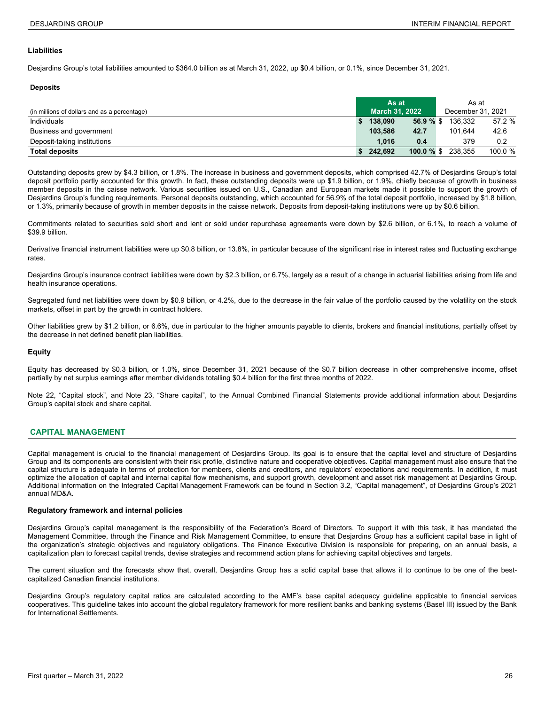#### <span id="page-25-0"></span>**Liabilities**

Desjardins Group's total liabilities amounted to \$364.0 billion as at March 31, 2022, up \$0.4 billion, or 0.1%, since December 31, 2021.

#### **Deposits <sup>8</sup>**

|                                              | As at |                       |              |  | As at             |           |
|----------------------------------------------|-------|-----------------------|--------------|--|-------------------|-----------|
| (in millions of dollars and as a percentage) |       | <b>March 31, 2022</b> |              |  | December 31, 2021 |           |
| Individuals                                  |       | 138.090               | 56.9%        |  | 136.332           | 57.2 %    |
| Business and government                      |       | 103.586               | 42.7         |  | 101.644           | 42.6      |
| Deposit-taking institutions                  |       | 1.016                 | 0.4          |  | 379               | 0.2       |
| <b>Total deposits</b>                        |       | 242.692               | 100.0 $%$ \$ |  | 238.355           | 100.0 $%$ |

Outstanding deposits grew by \$4.3 billion, or 1.8%. The increase in business and government deposits, which comprised 42.7% of Desjardins Group's total deposit portfolio partly accounted for this growth. In fact, these outstanding deposits were up \$1.9 billion, or 1.9%, chiefly because of growth in business member deposits in the caisse network. Various securities issued on U.S., Canadian and European markets made it possible to support the growth of Desjardins Group's funding requirements. Personal deposits outstanding, which accounted for 56.9% of the total deposit portfolio, increased by \$1.8 billion, or 1.3%, primarily because of growth in member deposits in the caisse network. Deposits from deposit-taking institutions were up by \$0.6 billion.

Commitments related to securities sold short and lent or sold under repurchase agreements were down by \$2.6 billion, or 6.1%, to reach a volume of \$39.9 billion.

Derivative financial instrument liabilities were up \$0.8 billion, or 13.8%, in particular because of the significant rise in interest rates and fluctuating exchange rates.

Desjardins Group's insurance contract liabilities were down by \$2.3 billion, or 6.7%, largely as a result of a change in actuarial liabilities arising from life and health insurance operations.

Segregated fund net liabilities were down by \$0.9 billion, or 4.2%, due to the decrease in the fair value of the portfolio caused by the volatility on the stock markets, offset in part by the growth in contract holders.

Other liabilities grew by \$1.2 billion, or 6.6%, due in particular to the higher amounts payable to clients, brokers and financial institutions, partially offset by the decrease in net defined benefit plan liabilities.

#### **Equity**

Equity has decreased by \$0.3 billion, or 1.0%, since December 31, 2021 because of the \$0.7 billion decrease in other comprehensive income, offset partially by net surplus earnings after member dividends totalling \$0.4 billion for the first three months of 2022.

Note 22, "Capital stock", and Note 23, "Share capital", to the Annual Combined Financial Statements provide additional information about Desjardins Group's capital stock and share capital.

#### **CAPITAL MANAGEMENT**

Capital management is crucial to the financial management of Desjardins Group. Its goal is to ensure that the capital level and structure of Desjardins Group and its components are consistent with their risk profile, distinctive nature and cooperative objectives. Capital management must also ensure that the capital structure is adequate in terms of protection for members, clients and creditors, and regulators' expectations and requirements. In addition, it must optimize the allocation of capital and internal capital flow mechanisms, and support growth, development and asset risk management at Desjardins Group. Additional information on the Integrated Capital Management Framework can be found in Section 3.2, "Capital management", of Desjardins Group's 2021 annual MD&A.

#### **Regulatory framework and internal policies**

Desjardins Group's capital management is the responsibility of the Federation's Board of Directors. To support it with this task, it has mandated the Management Committee, through the Finance and Risk Management Committee, to ensure that Desjardins Group has a sufficient capital base in light of the organization's strategic objectives and regulatory obligations. The Finance Executive Division is responsible for preparing, on an annual basis, a capitalization plan to forecast capital trends, devise strategies and recommend action plans for achieving capital objectives and targets.

The current situation and the forecasts show that, overall, Desjardins Group has a solid capital base that allows it to continue to be one of the bestcapitalized Canadian financial institutions.

Desjardins Group's regulatory capital ratios are calculated according to the AMF's base capital adequacy guideline applicable to financial services cooperatives. This guideline takes into account the global regulatory framework for more resilient banks and banking systems (Basel III) issued by the Bank for International Settlements.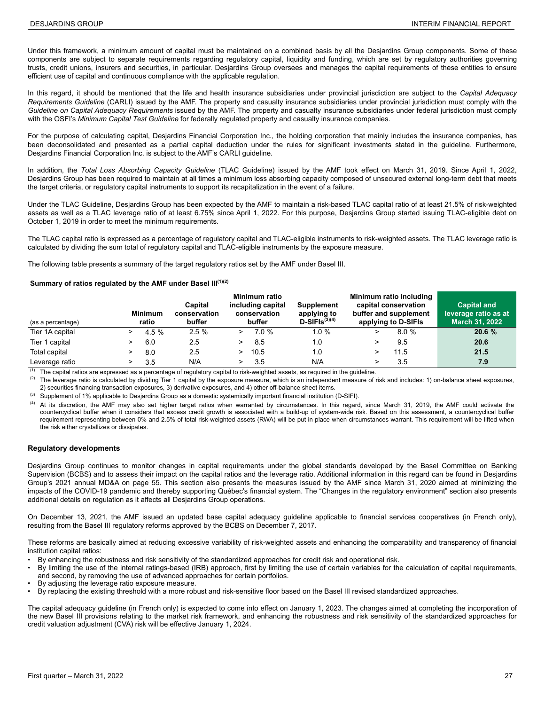Under this framework, a minimum amount of capital must be maintained on a combined basis by all the Desjardins Group components. Some of these components are subject to separate requirements regarding regulatory capital, liquidity and funding, which are set by regulatory authorities governing trusts, credit unions, insurers and securities, in particular. Desjardins Group oversees and manages the capital requirements of these entities to ensure efficient use of capital and continuous compliance with the applicable regulation.

In this regard, it should be mentioned that the life and health insurance subsidiaries under provincial jurisdiction are subject to the *Capital Adequacy Requirements Guideline* (CARLI) issued by the AMF. The property and casualty insurance subsidiaries under provincial jurisdiction must comply with the *Guideline on Capital Adequacy Requirements* issued by the AMF. The property and casualty insurance subsidiaries under federal jurisdiction must comply with the OSFI's *Minimum Capital Test Guideline* for federally regulated property and casualty insurance companies.

For the purpose of calculating capital, Desjardins Financial Corporation Inc., the holding corporation that mainly includes the insurance companies, has been deconsolidated and presented as a partial capital deduction under the rules for significant investments stated in the guideline. Furthermore, Desjardins Financial Corporation Inc. is subject to the AMF's CARLI guideline.

In addition, the *Total Loss Absorbing Capacity Guideline* (TLAC Guideline) issued by the AMF took effect on March 31, 2019. Since April 1, 2022, Desjardins Group has been required to maintain at all times a minimum loss absorbing capacity composed of unsecured external long-term debt that meets the target criteria, or regulatory capital instruments to support its recapitalization in the event of a failure.

Under the TLAC Guideline, Desjardins Group has been expected by the AMF to maintain a risk-based TLAC capital ratio of at least 21.5% of risk-weighted assets as well as a TLAC leverage ratio of at least 6.75% since April 1, 2022. For this purpose, Desjardins Group started issuing TLAC-eligible debt on October 1, 2019 in order to meet the minimum requirements.

The TLAC capital ratio is expressed as a percentage of regulatory capital and TLAC-eligible instruments to risk-weighted assets. The TLAC leverage ratio is calculated by dividing the sum total of regulatory capital and TLAC-eligible instruments by the exposure measure.

The following table presents a summary of the target regulatory ratios set by the AMF under Basel III.

#### Summary of ratios regulated by the AMF under Basel III<sup>(1)(2)</sup>

| (as a percentage) | <b>Minimum</b><br>ratio | Capital<br>conservation<br>buffer | Minimum ratio<br>including capital<br>conservation<br>buffer | <b>Supplement</b><br>applying to<br>$D-SIFls(3)(4)$ | Minimum ratio including<br>capital conservation<br>buffer and supplement<br>applying to D-SIFIs | <b>Capital and</b><br>leverage ratio as at<br><b>March 31, 2022</b> |
|-------------------|-------------------------|-----------------------------------|--------------------------------------------------------------|-----------------------------------------------------|-------------------------------------------------------------------------------------------------|---------------------------------------------------------------------|
| Tier 1A capital   | 4.5 $%$                 | 2.5%                              | 7.0%                                                         | $1.0 \%$                                            | 8.0%                                                                                            | 20.6%                                                               |
| Tier 1 capital    | 6.0                     | 2.5                               | 8.5                                                          | 1.0                                                 | 9.5                                                                                             | 20.6                                                                |
| Total capital     | 8.0                     | 2.5                               | 10.5                                                         | 1.0                                                 | 11.5                                                                                            | 21.5                                                                |
| Leverage ratio    | 3.5                     | N/A                               | 3.5                                                          | N/A                                                 | 3.5                                                                                             | 7.9                                                                 |

 $(1)$  The capital ratios are expressed as a percentage of regulatory capital to risk-weighted assets, as required in the guideline.

(2) The leverage ratio is calculated by dividing Tier 1 capital by the exposure measure, which is an independent measure of risk and includes: 1) on-balance sheet exposures, 2) securities financing transaction exposures, 3) derivative exposures, and 4) other off-balance sheet items.

(3) Supplement of 1% applicable to Desjardins Group as a domestic systemically important financial institution (D-SIFI).

(4) At its discretion, the AMF may also set higher target ratios when warranted by circumstances. In this regard, since March 31, 2019, the AMF could activate the countercyclical buffer when it considers that excess credit growth is associated with a build-up of system-wide risk. Based on this assessment, a countercyclical buffer requirement representing between 0% and 2.5% of total risk-weighted assets (RWA) will be put in place when circumstances warrant. This requirement will be lifted when the risk either crystallizes or dissipates.

#### **Regulatory developments**

Desjardins Group continues to monitor changes in capital requirements under the global standards developed by the Basel Committee on Banking Supervision (BCBS) and to assess their impact on the capital ratios and the leverage ratio. Additional information in this regard can be found in Desjardins Group's 2021 annual MD&A on page 55. This section also presents the measures issued by the AMF since March 31, 2020 aimed at minimizing the impacts of the COVID-19 pandemic and thereby supporting Québec's financial system. The "Changes in the regulatory environment" section also presents additional details on regulation as it affects all Desjardins Group operations.

On December 13, 2021, the AMF issued an updated base capital adequacy guideline applicable to financial services cooperatives (in French only), resulting from the Basel III regulatory reforms approved by the BCBS on December 7, 2017.

These reforms are basically aimed at reducing excessive variability of risk-weighted assets and enhancing the comparability and transparency of financial institution capital ratios:

- By enhancing the robustness and risk sensitivity of the standardized approaches for credit risk and operational risk.
- By limiting the use of the internal ratings-based (IRB) approach, first by limiting the use of certain variables for the calculation of capital requirements, and second, by removing the use of advanced approaches for certain portfolios.
- By adjusting the leverage ratio exposure measure.
- By replacing the existing threshold with a more robust and risk-sensitive floor based on the Basel III revised standardized approaches.

The capital adequacy guideline (in French only) is expected to come into effect on January 1, 2023. The changes aimed at completing the incorporation of the new Basel III provisions relating to the market risk framework, and enhancing the robustness and risk sensitivity of the standardized approaches for credit valuation adjustment (CVA) risk will be effective January 1, 2024.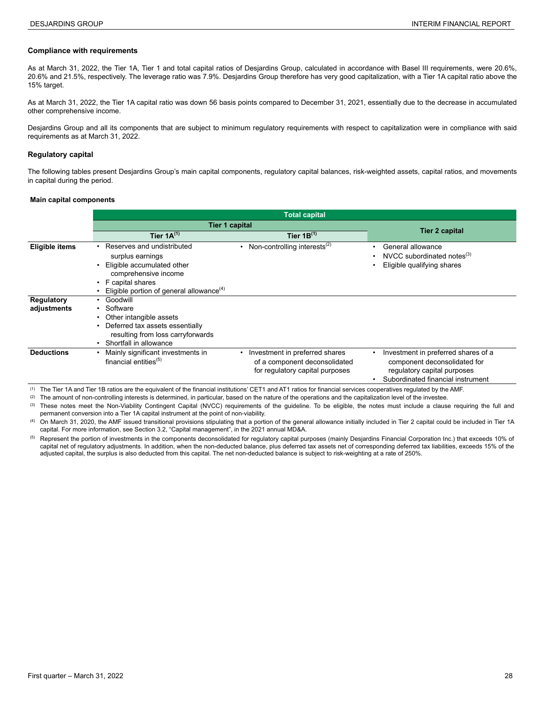#### **Compliance with requirements**

As at March 31, 2022, the Tier 1A, Tier 1 and total capital ratios of Desjardins Group, calculated in accordance with Basel III requirements, were 20.6%, 20.6% and 21.5%, respectively. The leverage ratio was 7.9%. Desjardins Group therefore has very good capitalization, with a Tier 1A capital ratio above the 15% target.

As at March 31, 2022, the Tier 1A capital ratio was down 56 basis points compared to December 31, 2021, essentially due to the decrease in accumulated other comprehensive income.

Desjardins Group and all its components that are subject to minimum regulatory requirements with respect to capitalization were in compliance with said requirements as at March 31, 2022.

#### **Regulatory capital**

The following tables present Desjardins Group's main capital components, regulatory capital balances, risk-weighted assets, capital ratios, and movements in capital during the period.

#### **Main capital components**

|                                  |                                                                                                                                                                                    | <b>Total capital</b>                                                                                 |                                                                                                                                         |
|----------------------------------|------------------------------------------------------------------------------------------------------------------------------------------------------------------------------------|------------------------------------------------------------------------------------------------------|-----------------------------------------------------------------------------------------------------------------------------------------|
|                                  | Tier 1 capital                                                                                                                                                                     | <b>Tier 2 capital</b>                                                                                |                                                                                                                                         |
|                                  | Tier $1A^{(1)}$                                                                                                                                                                    | Tier $1B^{(1)}$                                                                                      |                                                                                                                                         |
| <b>Eligible items</b>            | Reserves and undistributed<br>surplus earnings<br>Eligible accumulated other<br>comprehensive income<br>• F capital shares<br>Eligible portion of general allowance <sup>(4)</sup> | • Non-controlling interests <sup>(2)</sup>                                                           | General allowance<br>NVCC subordinated notes $^{(3)}$<br>Eligible qualifying shares                                                     |
| <b>Regulatory</b><br>adjustments | • Goodwill<br>• Software<br>Other intangible assets<br>Deferred tax assets essentially<br>resulting from loss carryforwards<br>Shortfall in allowance                              |                                                                                                      |                                                                                                                                         |
| <b>Deductions</b>                | Mainly significant investments in<br>financial entities $(5)$                                                                                                                      | • Investment in preferred shares<br>of a component deconsolidated<br>for regulatory capital purposes | Investment in preferred shares of a<br>component deconsolidated for<br>regulatory capital purposes<br>Subordinated financial instrument |

(1) The Tier 1A and Tier 1B ratios are the equivalent of the financial institutions' CET1 and AT1 ratios for financial services cooperatives regulated by the AMF.

(2) The amount of non-controlling interests is determined, in particular, based on the nature of the operations and the capitalization level of the investee.

(3) These notes meet the Non-Viability Contingent Capital (NVCC) requirements of the guideline. To be eligible, the notes must include a clause requiring the full and permanent conversion into a Tier 1A capital instrument at the point of non-viability.

(4) On March 31, 2020, the AMF issued transitional provisions stipulating that a portion of the general allowance initially included in Tier 2 capital could be included in Tier 1A capital. For more information, see Section 3.2, "Capital management", in the 2021 annual MD&A.

<sup>(5)</sup> Represent the portion of investments in the components deconsolidated for regulatory capital purposes (mainly Desjardins Financial Corporation Inc.) that exceeds 10% of capital net of regulatory adjustments. In addition, when the non-deducted balance, plus deferred tax assets net of corresponding deferred tax liabilities, exceeds 15% of the adjusted capital, the surplus is also deducted from this capital. The net non-deducted balance is subject to risk-weighting at a rate of 250%.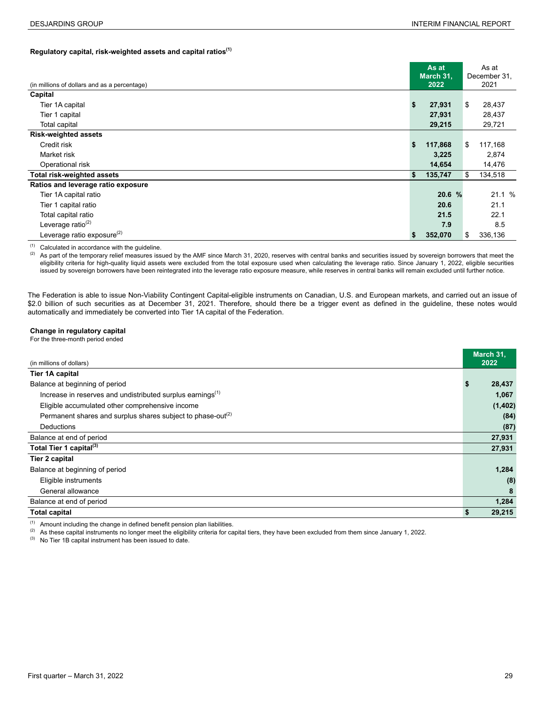# **Regulatory capital, risk-weighted assets and capital ratios(1) 3**

| (in millions of dollars and as a percentage) |    | As at<br>March 31.<br>2022 |    | As at<br>December 31.<br>2021 |
|----------------------------------------------|----|----------------------------|----|-------------------------------|
| Capital                                      |    |                            |    |                               |
| Tier 1A capital                              | \$ | 27,931                     | \$ | 28,437                        |
| Tier 1 capital                               |    | 27,931                     |    | 28,437                        |
| Total capital                                |    | 29,215                     |    | 29,721                        |
| <b>Risk-weighted assets</b>                  |    |                            |    |                               |
| Credit risk                                  | \$ | 117,868                    | S  | 117,168                       |
| Market risk                                  |    | 3,225                      |    | 2,874                         |
| Operational risk                             |    | 14,654                     |    | 14,476                        |
| Total risk-weighted assets                   | \$ | 135,747                    | \$ | 134,518                       |
| Ratios and leverage ratio exposure           |    |                            |    |                               |
| Tier 1A capital ratio                        |    | 20.6 %                     |    | 21.1%                         |
| Tier 1 capital ratio                         |    | 20.6                       |    | 21.1                          |
| Total capital ratio                          |    | 21.5                       |    | 22.1                          |
| Leverage ratio <sup>(2)</sup>                |    | 7.9                        |    | 8.5                           |
| Leverage ratio exposure $^{(2)}$             | S  | 352,070                    | S. | 336,136                       |

(1) Calculated in accordance with the guideline.<br>(2) As part of the temporary relief measures iss

As part of the temporary relief measures issued by the AMF since March 31, 2020, reserves with central banks and securities issued by sovereign borrowers that meet the eligibility criteria for high-quality liquid assets were excluded from the total exposure used when calculating the leverage ratio. Since January 1, 2022, eligible securities issued by sovereign borrowers have been reintegrated into the leverage ratio exposure measure, while reserves in central banks will remain excluded until further notice.

The Federation is able to issue Non-Viability Contingent Capital-eligible instruments on Canadian, U.S. and European markets, and carried out an issue of \$2.0 billion of such securities as at December 31, 2021. Therefore, should there be a trigger event as defined in the guideline, these notes would automatically and immediately be converted into Tier 1A capital of the Federation.

#### **Change in regulatory capital**

For the three-month period ended **<sup>6</sup>**

|                                                                         | March 31, |
|-------------------------------------------------------------------------|-----------|
| (in millions of dollars)                                                | 2022      |
| Tier 1A capital                                                         |           |
| Balance at beginning of period                                          | 28,437    |
| Increase in reserves and undistributed surplus earnings <sup>(1)</sup>  | 1,067     |
| Eligible accumulated other comprehensive income                         | (1, 402)  |
| Permanent shares and surplus shares subject to phase-out <sup>(2)</sup> | (84)      |
| Deductions                                                              | (87)      |
| Balance at end of period                                                | 27,931    |
| Total Tier 1 capital <sup>(3)</sup>                                     | 27,931    |
| <b>Tier 2 capital</b>                                                   |           |
| Balance at beginning of period                                          | 1,284     |
| Eligible instruments                                                    | (8)       |
| General allowance                                                       | 8         |
| Balance at end of period                                                | 1,284     |
| <b>Total capital</b>                                                    | 29,215    |

(1) Amount including the change in defined benefit pension plan liabilities.<br>(2) As these capital instruments no longer meet the eligibility criteria for cap

(2) As these capital instruments no longer meet the eligibility criteria for capital tiers, they have been excluded from them since January 1, 2022.

(3) No Tier 1B capital instrument has been issued to date.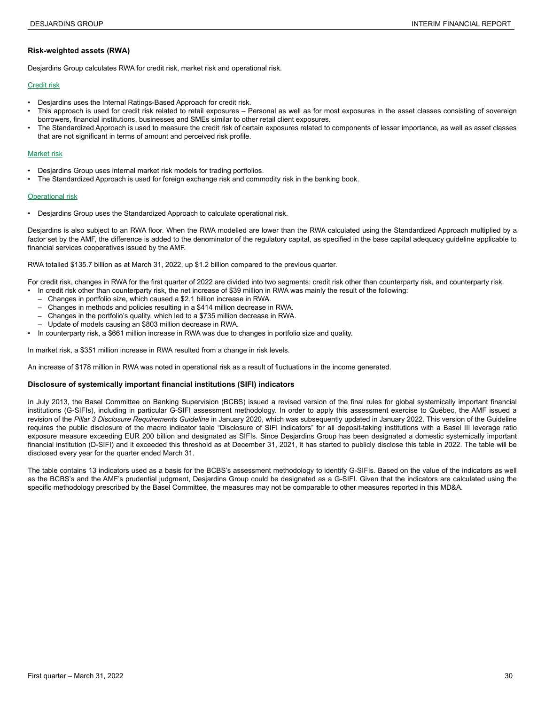#### **Risk-weighted assets (RWA)**

Desjardins Group calculates RWA for credit risk, market risk and operational risk.

#### Credit risk

- Desjardins uses the Internal Ratings-Based Approach for credit risk.
- This approach is used for credit risk related to retail exposures Personal as well as for most exposures in the asset classes consisting of sovereign borrowers, financial institutions, businesses and SMEs similar to other retail client exposures.
- The Standardized Approach is used to measure the credit risk of certain exposures related to components of lesser importance, as well as asset classes that are not significant in terms of amount and perceived risk profile.

#### Market risk

- Desjardins Group uses internal market risk models for trading portfolios.
- The Standardized Approach is used for foreign exchange risk and commodity risk in the banking book.

#### **Operational risk**

• Desjardins Group uses the Standardized Approach to calculate operational risk.

Desjardins is also subject to an RWA floor. When the RWA modelled are lower than the RWA calculated using the Standardized Approach multiplied by a factor set by the AMF, the difference is added to the denominator of the regulatory capital, as specified in the base capital adequacy guideline applicable to financial services cooperatives issued by the AMF.

RWA totalled \$135.7 billion as at March 31, 2022, up \$1.2 billion compared to the previous quarter.

For credit risk, changes in RWA for the first quarter of 2022 are divided into two segments: credit risk other than counterparty risk, and counterparty risk.

- In credit risk other than counterparty risk, the net increase of \$39 million in RWA was mainly the result of the following:
	- Changes in portfolio size, which caused a \$2.1 billion increase in RWA.
	- Changes in methods and policies resulting in a \$414 million decrease in RWA.
	- Changes in the portfolio's quality, which led to a \$735 million decrease in RWA.
	- Update of models causing an \$803 million decrease in RWA.
- In counterparty risk, a \$661 million increase in RWA was due to changes in portfolio size and quality.

In market risk, a \$351 million increase in RWA resulted from a change in risk levels.

An increase of \$178 million in RWA was noted in operational risk as a result of fluctuations in the income generated.

#### **Disclosure of systemically important financial institutions (SIFI) indicators**

In July 2013, the Basel Committee on Banking Supervision (BCBS) issued a revised version of the final rules for global systemically important financial institutions (G-SIFIs), including in particular G-SIFI assessment methodology. In order to apply this assessment exercise to Québec, the AMF issued a revision of the *Pillar 3 Disclosure Requirements Guideline* in January 2020, which was subsequently updated in January 2022. This version of the Guideline requires the public disclosure of the macro indicator table "Disclosure of SIFI indicators" for all deposit-taking institutions with a Basel III leverage ratio exposure measure exceeding EUR 200 billion and designated as SIFIs. Since Desjardins Group has been designated a domestic systemically important financial institution (D-SIFI) and it exceeded this threshold as at December 31, 2021, it has started to publicly disclose this table in 2022. The table will be disclosed every year for the quarter ended March 31.

The table contains 13 indicators used as a basis for the BCBS's assessment methodology to identify G-SIFIs. Based on the value of the indicators as well as the BCBS's and the AMF's prudential judgment, Desjardins Group could be designated as a G-SIFI. Given that the indicators are calculated using the specific methodology prescribed by the Basel Committee, the measures may not be comparable to other measures reported in this MD&A.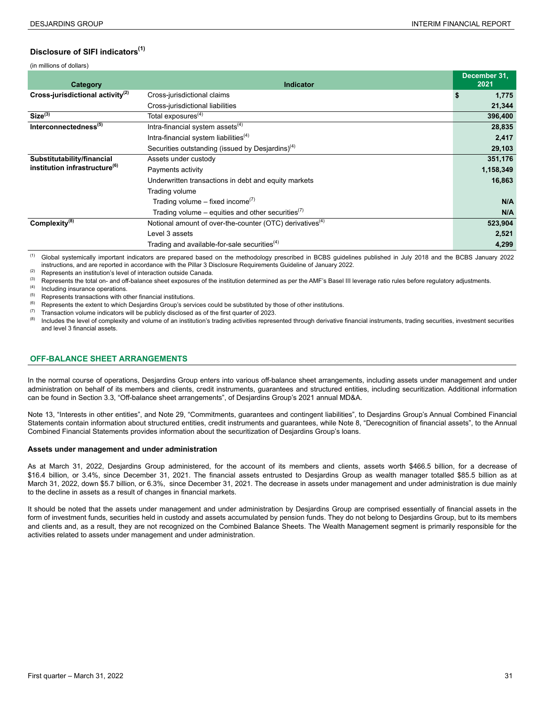## <span id="page-30-0"></span>**Disclosure of SIFI indicators(1) 6**

(in millions of dollars)

| Category                                  | <b>Indicator</b>                                                     | December 31,<br>2021 |
|-------------------------------------------|----------------------------------------------------------------------|----------------------|
| Cross-jurisdictional activity $(2)$       | Cross-jurisdictional claims                                          | \$<br>1,775          |
|                                           | Cross-jurisdictional liabilities                                     | 21,344               |
| Size <sup>(3)</sup>                       | Total exposures <sup>(4)</sup>                                       | 396,400              |
| Interconnectedness <sup>(5)</sup>         | Intra-financial system assets <sup>(4)</sup>                         | 28,835               |
|                                           | Intra-financial system liabilities <sup>(4)</sup>                    | 2,417                |
|                                           | Securities outstanding (issued by Desjardins) $(4)$                  | 29,103               |
| Substitutability/financial                | Assets under custody                                                 | 351,176              |
| institution infrastructure <sup>(6)</sup> | Payments activity                                                    | 1,158,349            |
|                                           | Underwritten transactions in debt and equity markets                 | 16,863               |
|                                           | Trading volume                                                       |                      |
|                                           | Trading volume – fixed income <sup>(7)</sup>                         | N/A                  |
|                                           | Trading volume – equities and other securities $(7)$                 | N/A                  |
| Complexity <sup>(8)</sup>                 | Notional amount of over-the-counter (OTC) derivatives <sup>(4)</sup> | 523,904              |
|                                           | Level 3 assets                                                       | 2,521                |
|                                           | Trading and available-for-sale securities <sup>(4)</sup>             | 4,299                |

(1) Global systemically important indicators are prepared based on the methodology prescribed in BCBS guidelines published in July 2018 and the BCBS January 2022 instructions, and are reported in accordance with the Pillar 3 Disclosure Requirements Guideline of January 2022.

(2) Represents an institution's level of interaction outside Canada.<br>
(3) Poppeopts the total on and off balance short experience of the

(3) Represents the total on- and off-balance sheet exposures of the institution determined as per the AMF's Basel III leverage ratio rules before regulatory adjustments.

Including insurance operations.

 $(5)$  Represents transactions with other financial institutions.

(6) Represents the extent to which Desjardins Group's services could be substituted by those of other institutions.<br>(7) Transaction volume indicators will be publicly disclosed as of the first quarter of 2023.

- (7) Transaction volume indicators will be publicly disclosed as of the first quarter of 2023.<br>(8) Includes the level of complexity and volume of an institution's trading activities repres
- Includes the level of complexity and volume of an institution's trading activities represented through derivative financial instruments, trading securities, investment securities and level 3 financial assets.

#### **OFF-BALANCE SHEET ARRANGEMENTS**

In the normal course of operations, Desjardins Group enters into various off-balance sheet arrangements, including assets under management and under administration on behalf of its members and clients, credit instruments, guarantees and structured entities, including securitization. Additional information can be found in Section 3.3, "Off-balance sheet arrangements", of Desjardins Group's 2021 annual MD&A.

Note 13, "Interests in other entities", and Note 29, "Commitments, guarantees and contingent liabilities", to Desjardins Group's Annual Combined Financial Statements contain information about structured entities, credit instruments and guarantees, while Note 8, "Derecognition of financial assets", to the Annual Combined Financial Statements provides information about the securitization of Desjardins Group's loans.

#### **Assets under management and under administration**

As at March 31, 2022, Desjardins Group administered, for the account of its members and clients, assets worth \$466.5 billion, for a decrease of \$16.4 billion, or 3.4%, since December 31, 2021. The financial assets entrusted to Desjardins Group as wealth manager totalled \$85.5 billion as at March 31, 2022, down \$5.7 billion, or 6.3%, since December 31, 2021. The decrease in assets under management and under administration is due mainly to the decline in assets as a result of changes in financial markets.

It should be noted that the assets under management and under administration by Desjardins Group are comprised essentially of financial assets in the form of investment funds, securities held in custody and assets accumulated by pension funds. They do not belong to Desjardins Group, but to its members and clients and, as a result, they are not recognized on the Combined Balance Sheets. The Wealth Management segment is primarily responsible for the activities related to assets under management and under administration.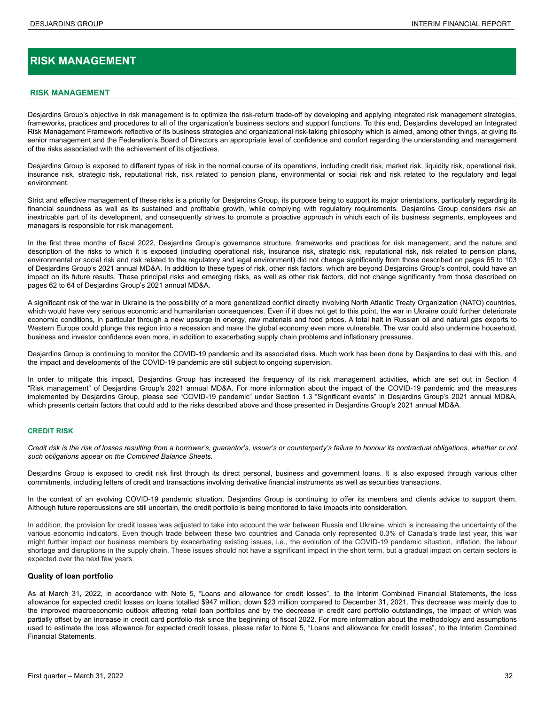# <span id="page-31-0"></span>**RISK MANAGEMENT**

#### **RISK MANAGEMENT**

Desjardins Group's objective in risk management is to optimize the risk-return trade-off by developing and applying integrated risk management strategies, frameworks, practices and procedures to all of the organization's business sectors and support functions. To this end, Desjardins developed an Integrated Risk Management Framework reflective of its business strategies and organizational risk-taking philosophy which is aimed, among other things, at giving its senior management and the Federation's Board of Directors an appropriate level of confidence and comfort regarding the understanding and management of the risks associated with the achievement of its objectives.

Desjardins Group is exposed to different types of risk in the normal course of its operations, including credit risk, market risk, liquidity risk, operational risk, insurance risk, strategic risk, reputational risk, risk related to pension plans, environmental or social risk and risk related to the regulatory and legal environment.

Strict and effective management of these risks is a priority for Desiardins Group, its purpose being to support its major orientations, particularly regarding its financial soundness as well as its sustained and profitable growth, while complying with regulatory requirements. Desjardins Group considers risk an inextricable part of its development, and consequently strives to promote a proactive approach in which each of its business segments, employees and managers is responsible for risk management.

In the first three months of fiscal 2022, Desjardins Group's governance structure, frameworks and practices for risk management, and the nature and description of the risks to which it is exposed (including operational risk, insurance risk, strategic risk, reputational risk, risk related to pension plans, environmental or social risk and risk related to the regulatory and legal environment) did not change significantly from those described on pages 65 to 103 of Desjardins Group's 2021 annual MD&A. In addition to these types of risk, other risk factors, which are beyond Desjardins Group's control, could have an impact on its future results. These principal risks and emerging risks, as well as other risk factors, did not change significantly from those described on pages 62 to 64 of Desjardins Group's 2021 annual MD&A.

A significant risk of the war in Ukraine is the possibility of a more generalized conflict directly involving North Atlantic Treaty Organization (NATO) countries, which would have very serious economic and humanitarian consequences. Even if it does not get to this point, the war in Ukraine could further deteriorate economic conditions, in particular through a new upsurge in energy, raw materials and food prices. A total halt in Russian oil and natural gas exports to Western Europe could plunge this region into a recession and make the global economy even more vulnerable. The war could also undermine household, business and investor confidence even more, in addition to exacerbating supply chain problems and inflationary pressures.

Desjardins Group is continuing to monitor the COVID-19 pandemic and its associated risks. Much work has been done by Desjardins to deal with this, and the impact and developments of the COVID-19 pandemic are still subject to ongoing supervision.

In order to mitigate this impact, Desjardins Group has increased the frequency of its risk management activities, which are set out in Section 4 "Risk management" of Desjardins Group's 2021 annual MD&A. For more information about the impact of the COVID-19 pandemic and the measures implemented by Desjardins Group, please see "COVID-19 pandemic" under Section 1.3 "Significant events" in Desjardins Group's 2021 annual MD&A, which presents certain factors that could add to the risks described above and those presented in Desjardins Group's 2021 annual MD&A.

#### **CREDIT RISK**

*Credit risk is the risk of losses resulting from a borrower's, guarantor's, issuer's or counterparty's failure to honour its contractual obligations, whether or not such obligations appear on the Combined Balance Sheets.*

Desjardins Group is exposed to credit risk first through its direct personal, business and government loans. It is also exposed through various other commitments, including letters of credit and transactions involving derivative financial instruments as well as securities transactions.

In the context of an evolving COVID-19 pandemic situation, Desjardins Group is continuing to offer its members and clients advice to support them. Although future repercussions are still uncertain, the credit portfolio is being monitored to take impacts into consideration.

In addition, the provision for credit losses was adjusted to take into account the war between Russia and Ukraine, which is increasing the uncertainty of the various economic indicators. Even though trade between these two countries and Canada only represented 0.3% of Canada's trade last year, this war might further impact our business members by exacerbating existing issues, i.e., the evolution of the COVID-19 pandemic situation, inflation, the labour shortage and disruptions in the supply chain. These issues should not have a significant impact in the short term, but a gradual impact on certain sectors is expected over the next few years.

#### **Quality of loan portfolio**

As at March 31, 2022, in accordance with Note 5, "Loans and allowance for credit losses", to the Interim Combined Financial Statements, the loss allowance for expected credit losses on loans totalled \$947 million, down \$23 million compared to December 31, 2021. This decrease was mainly due to the improved macroeconomic outlook affecting retail loan portfolios and by the decrease in credit card portfolio outstandings, the impact of which was partially offset by an increase in credit card portfolio risk since the beginning of fiscal 2022. For more information about the methodology and assumptions used to estimate the loss allowance for expected credit losses, please refer to Note 5, "Loans and allowance for credit losses", to the Interim Combined Financial Statements.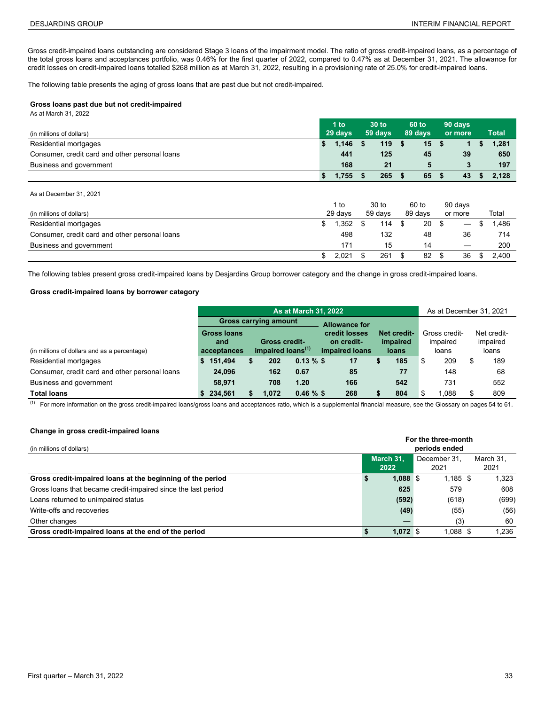Gross credit-impaired loans outstanding are considered Stage 3 loans of the impairment model. The ratio of gross credit-impaired loans, as a percentage of the total gross loans and acceptances portfolio, was 0.46% for the first quarter of 2022, compared to 0.47% as at December 31, 2021. The allowance for credit losses on credit-impaired loans totalled \$268 million as at March 31, 2022, resulting in a provisioning rate of 25.0% for credit-impaired loans.

The following table presents the aging of gross loans that are past due but not credit-impaired.

#### **Gross loans past due but not credit-impaired**

As at March 31, 2022

|                                                | 1 to    |       | 30 to   |     |         | 60 to | 90 days |    |              |
|------------------------------------------------|---------|-------|---------|-----|---------|-------|---------|----|--------------|
| (in millions of dollars)                       | 29 days |       | 59 days |     | 89 days |       | or more |    | <b>Total</b> |
| Residential mortgages                          |         | 1.146 |         | 119 |         | 15    |         |    | 1.281        |
| Consumer, credit card and other personal loans |         | 441   |         | 125 |         | 45    |         | 39 | 650          |
| Business and government                        |         | 168   |         | 21  |         |       |         |    | 197          |
|                                                |         | .755  |         | 265 |         | 65    |         | 43 | 2.128        |

As at December 31, 2021

|                                                |         | l to  |         | 30 to |         | 60 to | 90 days |                               |       |
|------------------------------------------------|---------|-------|---------|-------|---------|-------|---------|-------------------------------|-------|
| (in millions of dollars)                       | 29 days |       | 59 days |       | 89 days |       | or more |                               | Total |
| Residential mortgages                          |         | 1.352 |         | 114   |         | 20    |         | $\overbrace{\phantom{12333}}$ | .486  |
| Consumer, credit card and other personal loans |         | 498   |         | 132   |         | 48    |         | 36                            | 714   |
| Business and government                        |         | 171   |         | 15    |         | 14    |         |                               | 200   |
|                                                |         | 2.021 |         | 261   |         | 82    |         | 36                            | 2.400 |

The following tables present gross credit-impaired loans by Desjardins Group borrower category and the change in gross credit-impaired loans.

#### **Gross credit-impaired loans by borrower category**

|                                                | <b>As at March 31, 2022</b>  |  |                               |               |                               |                      |  |               |          | As at December 31, 2021 |             |       |
|------------------------------------------------|------------------------------|--|-------------------------------|---------------|-------------------------------|----------------------|--|---------------|----------|-------------------------|-------------|-------|
|                                                | <b>Gross carrying amount</b> |  |                               |               |                               | <b>Allowance for</b> |  |               |          |                         |             |       |
|                                                | <b>Gross loans</b>           |  |                               | credit losses |                               | Net credit-          |  | Gross credit- |          |                         | Net credit- |       |
|                                                | <b>Gross credit-</b><br>and  |  |                               |               | <i>impaired</i><br>on credit- |                      |  |               | impaired |                         | impaired    |       |
| (in millions of dollars and as a percentage)   | acceptances                  |  | impaired loans <sup>(1)</sup> |               |                               | impaired loans       |  | loans         |          | loans                   |             | loans |
| Residential mortgages                          | 151,494                      |  | 202                           | $0.13 \%$ \$  |                               | 17                   |  | 185           | S        | 209                     | S           | 189   |
| Consumer, credit card and other personal loans | 24,096                       |  | 162                           | 0.67          |                               | 85                   |  | 77            |          | 148                     |             | 68    |
| Business and government                        | 58,971                       |  | 708                           | 1.20          |                               | 166                  |  | 542           |          | 731                     |             | 552   |
| <b>Total loans</b>                             | 234.561                      |  | .072                          | $0.46 \%$ \$  |                               | 268                  |  | 804           | S        | 1.088                   | S           | 809   |

 $\frac{(1)}{(1)}$  For more information on the gross credit-impaired loans/gross loans and acceptances ratio, which is a supplemental financial measure, see the Glossary on pages 54 to 61.

#### **Change in gross credit-impaired loans**

| (in millions of dollars)                                      | For the three-month<br>periods ended |  |                      |                   |  |  |  |  |  |
|---------------------------------------------------------------|--------------------------------------|--|----------------------|-------------------|--|--|--|--|--|
|                                                               | March 31.<br>2022                    |  | December 31.<br>2021 | March 31.<br>2021 |  |  |  |  |  |
| Gross credit-impaired loans at the beginning of the period    | $1,088$ \$                           |  | $1,185$ \$           | 1,323             |  |  |  |  |  |
| Gross loans that became credit-impaired since the last period | 625                                  |  | 579                  | 608               |  |  |  |  |  |
| Loans returned to unimpaired status                           | (592)                                |  | (618)                | (699)             |  |  |  |  |  |
| Write-offs and recoveries                                     | (49)                                 |  | (55)                 | (56)              |  |  |  |  |  |
| Other changes                                                 |                                      |  | (3)                  | 60                |  |  |  |  |  |
| Gross credit-impaired loans at the end of the period          | $1.072$ \$                           |  | $1.088$ \$           | 1.236             |  |  |  |  |  |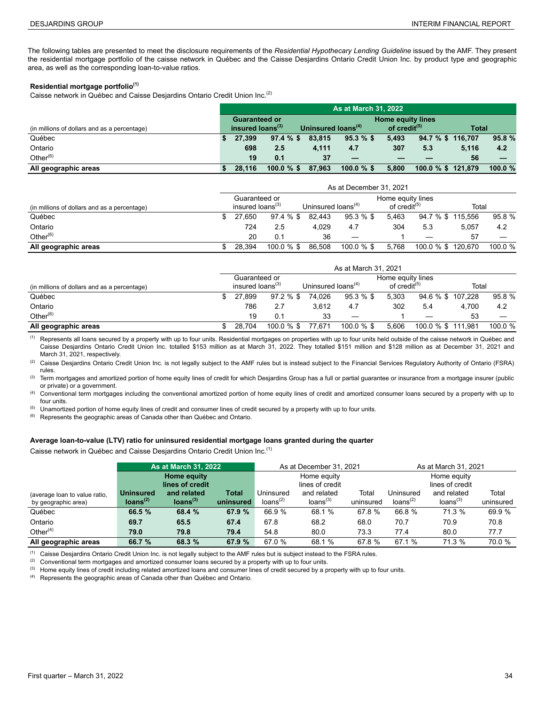The following tables are presented to meet the disclosure requirements of the *Residential Hypothecary Lending Guideline* issued by the AMF. They present the residential mortgage portfolio of the caisse network in Québec and the Caisse Desjardins Ontario Credit Union Inc. by product type and geographic area, as well as the corresponding loan-to-value ratios.

#### **Residential mortgage portfolio(1)**

Caisse network in Québec and Caisse Desjardins Ontario Credit Union Inc.(2) **4**

|                                              | <b>As at March 31, 2022</b>                      |               |                                |               |                          |                    |       |           |  |
|----------------------------------------------|--------------------------------------------------|---------------|--------------------------------|---------------|--------------------------|--------------------|-------|-----------|--|
|                                              | <b>Home equity lines</b><br><b>Guaranteed or</b> |               |                                |               |                          |                    |       |           |  |
| (in millions of dollars and as a percentage) | insured loans <sup>(3)</sup>                     |               | Uninsured loans <sup>(4)</sup> |               | of credit <sup>(5)</sup> |                    | Total |           |  |
| Québec                                       | 27.399                                           | $97.4 \%$ \$  | 83.815                         | $95.3 \%$ \$  | 5.493                    | 94.7 % \$ 116.707  |       | 95.8%     |  |
| Ontario                                      | 698                                              | 2.5           | 4.111                          | 4.7           | 307                      | 5.3                | 5.116 | 4.2       |  |
| Other $^{(6)}$                               | 19                                               | 0.1           | 37                             |               |                          |                    | 56    |           |  |
| All geographic areas                         | 28.116                                           | $100.0 \%$ \$ | 87.963                         | $100.0 \%$ \$ | 5.800                    | 100.0 % \$ 121,879 |       | 100.0 $%$ |  |

|                                              | As at December 31, 2021                                                                    |        |               |        |               |                          |                    |       |         |  |
|----------------------------------------------|--------------------------------------------------------------------------------------------|--------|---------------|--------|---------------|--------------------------|--------------------|-------|---------|--|
|                                              | Home equity lines<br>Guaranteed or<br>insured loans <sup>(3)</sup><br>Uninsured $loans(4)$ |        |               |        |               |                          |                    |       |         |  |
| (in millions of dollars and as a percentage) |                                                                                            |        |               |        |               | of credit <sup>(5)</sup> |                    | Total |         |  |
| Québec                                       |                                                                                            | 27.650 | 97.4 % \$     | 82.443 | 95.3 % \$     | 5.463                    | 94.7 % \$ 115.556  |       | 95.8 %  |  |
| Ontario                                      |                                                                                            | 724    | 2.5           | 4.029  | 4.7           | 304                      | 5.3                | 5.057 | 4.2     |  |
| Other $^{(6)}$                               |                                                                                            | 20     | 0.1           | 36     |               |                          |                    | 57    |         |  |
| All geographic areas                         |                                                                                            | 28.394 | $100.0 \%$ \$ | 86,508 | $100.0 \%$ \$ | 5.768                    | 100.0 % \$ 120,670 |       | 100.0 % |  |

|                                              | As at March 31, 2021 |                              |               |                                |                   |                          |                    |       |         |  |
|----------------------------------------------|----------------------|------------------------------|---------------|--------------------------------|-------------------|--------------------------|--------------------|-------|---------|--|
|                                              |                      | Guaranteed or                |               |                                | Home equity lines |                          |                    |       |         |  |
| (in millions of dollars and as a percentage) |                      | insured loans <sup>(3)</sup> |               | Uninsured loans <sup>(4)</sup> |                   | of credit <sup>(5)</sup> |                    | Total |         |  |
| Québec                                       |                      | 27.899                       | 97.2 % \$     | 74.026                         | $95.3 \%$ \$      | 5.303                    | 94.6 % \$ 107.228  |       | 95.8 %  |  |
| Ontario                                      |                      | 786                          | 2.7           | 3.612                          | 4.7               | 302                      | 5.4                | 4.700 | 4.2     |  |
| Other $^{(6)}$                               |                      | 19                           | 0.1           | 33                             |                   |                          |                    | 53    |         |  |
| All geographic areas                         |                      | 28.704                       | $100.0 \%$ \$ | 77.671                         | $100.0 \%$ \$     | 5.606                    | 100.0 % \$ 111,981 |       | 100.0 % |  |

<sup>(1)</sup> Represents all loans secured by a property with up to four units. Residential mortgages on properties with up to four units held outside of the caisse network in Québec and Caisse Desjardins Ontario Credit Union Inc. totalled \$153 million as at March 31, 2022. They totalled \$151 million and \$128 million as at December 31, 2021 and March 31, 2021, respectively.

(2) Caisse Desjardins Ontario Credit Union Inc. is not legally subject to the AMF rules but is instead subject to the Financial Services Regulatory Authority of Ontario (FSRA) rules.

<sup>(3)</sup> Term mortgages and amortized portion of home equity lines of credit for which Desjardins Group has a full or partial guarantee or insurance from a mortgage insurer (public or private) or a government.

(4) Conventional term mortgages including the conventional amortized portion of home equity lines of credit and amortized consumer loans secured by a property with up to four units.

(5) Unamortized portion of home equity lines of credit and consumer lines of credit secured by a property with up to four units.

(6) Represents the geographic areas of Canada other than Québec and Ontario.

### **Average loan-to-value (LTV) ratio for uninsured residential mortgage loans granted during the quarter**

Caisse network in Québec and Caisse Desjardins Ontario Credit Union Inc.(1)

|                               |                      | <b>As at March 31, 2022</b> |           |                      | As at December 31, 2021 |           | As at March 31, 2021 |                      |           |  |
|-------------------------------|----------------------|-----------------------------|-----------|----------------------|-------------------------|-----------|----------------------|----------------------|-----------|--|
|                               |                      | Home equity                 |           |                      | Home equity             |           | Home equity          |                      |           |  |
|                               |                      | lines of credit             |           | lines of credit      |                         |           |                      |                      |           |  |
| (average loan to value ratio, | <b>Uninsured</b>     | and related                 | Total     | Jninsured            | and related             | Total     | Uninsured            | and related          | Total     |  |
| by geographic area)           | loans <sup>(2)</sup> | Ioans <sup>(3)</sup>        | uninsured | loans <sup>(2)</sup> | loans <sup>(3)</sup>    | uninsured | loans <sup>(2)</sup> | loans <sup>(3)</sup> | uninsured |  |
| Québec                        | 66.5 %               | 68.4 %                      | 67.9 %    | 66.9 %               | 68.1 %                  | 67.8 %    | 66.8 %               | 71.3 %               | 69.9 %    |  |
| Ontario                       | 69.7                 | 65.5                        | 67.4      | 67.8                 | 68.2                    | 68.0      | 70.7                 | 70.9                 | 70.8      |  |
| Other $(4)$                   | 79.0                 | 79.8                        | 79.4      | 54.8                 | 80.0                    | 73.3      | 77.4                 | 80.0                 | 77.7      |  |
| All geographic areas          | 66.7 %               | 68.3 %                      | 67.9 %    | 67.0 %               | 68.1 %                  | 67.8 %    | 67.1%                | 71.3 %               | 70.0 %    |  |

(1) Caisse Desjardins Ontario Credit Union Inc. is not legally subject to the AMF rules but is subject instead to the FSRA rules.

<sup>(2)</sup> Conventional term mortgages and amortized consumer loans secured by a property with up to four units.

<sup>(3)</sup> Home equity lines of credit including related amortized loans and consumer lines of credit secured by a property with up to four units.

(4) Represents the geographic areas of Canada other than Québec and Ontario.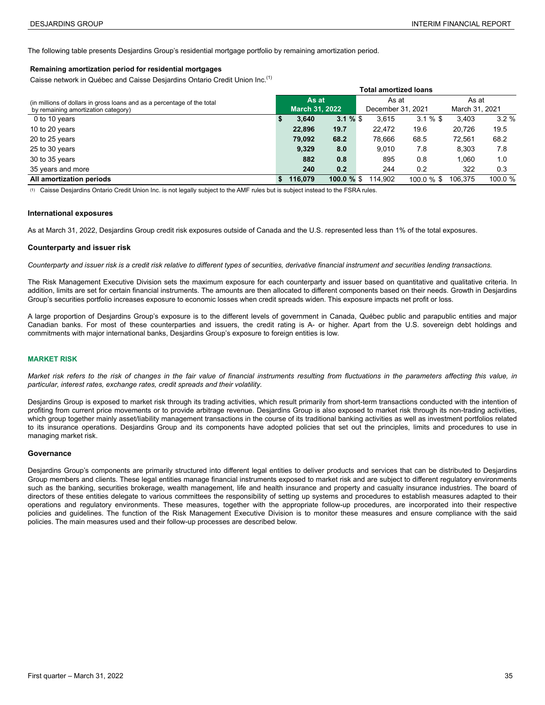<span id="page-34-0"></span>The following table presents Desjardins Group's residential mortgage portfolio by remaining amortization period.

#### **Remaining amortization period for residential mortgages**

Caisse network in Québec and Caisse Desjardins Ontario Credit Union Inc.(1) **0**

|                                                                                                                | <b>Total amortized loans</b> |                                |             |                            |               |                         |         |  |
|----------------------------------------------------------------------------------------------------------------|------------------------------|--------------------------------|-------------|----------------------------|---------------|-------------------------|---------|--|
| (in millions of dollars in gross loans and as a percentage of the total<br>by remaining amortization category) |                              | As at<br><b>March 31, 2022</b> |             | As at<br>December 31, 2021 |               | As at<br>March 31, 2021 |         |  |
| 0 to 10 years                                                                                                  |                              | 3.640                          | $3.1 \%$ \$ | 3.615                      | $3.1 \%$ \$   | 3,403                   | 3.2%    |  |
| 10 to 20 years                                                                                                 |                              | 22.896                         | 19.7        | 22.472                     | 19.6          | 20.726                  | 19.5    |  |
| 20 to 25 years                                                                                                 |                              | 79,092                         | 68.2        | 78,666                     | 68.5          | 72,561                  | 68.2    |  |
| 25 to 30 years                                                                                                 |                              | 9.329                          | 8.0         | 9.010                      | 7.8           | 8,303                   | 7.8     |  |
| 30 to 35 years                                                                                                 |                              | 882                            | 0.8         | 895                        | 0.8           | 1.060                   | 1.0     |  |
| 35 years and more                                                                                              |                              | 240                            | 0.2         | 244                        | 0.2           | 322                     | 0.3     |  |
| All amortization periods                                                                                       | \$                           | 116.079                        | 100.0 %     | 114.902                    | $100.0 \%$ \$ | 106.375                 | 100.0 % |  |

(1) Caisse Desjardins Ontario Credit Union Inc. is not legally subject to the AMF rules but is subject instead to the FSRA rules.

#### **International exposures**

As at March 31, 2022, Desjardins Group credit risk exposures outside of Canada and the U.S. represented less than 1% of the total exposures.

#### **Counterparty and issuer risk**

*Counterparty and issuer risk is a credit risk relative to different types of securities, derivative financial instrument and securities lending transactions.*

The Risk Management Executive Division sets the maximum exposure for each counterparty and issuer based on quantitative and qualitative criteria. In addition, limits are set for certain financial instruments. The amounts are then allocated to different components based on their needs. Growth in Desjardins Group's securities portfolio increases exposure to economic losses when credit spreads widen. This exposure impacts net profit or loss.

A large proportion of Desjardins Group's exposure is to the different levels of government in Canada, Québec public and parapublic entities and major Canadian banks. For most of these counterparties and issuers, the credit rating is A- or higher. Apart from the U.S. sovereign debt holdings and commitments with major international banks, Desjardins Group's exposure to foreign entities is low.

#### **MARKET RISK**

Market risk refers to the risk of changes in the fair value of financial instruments resulting from fluctuations in the parameters affecting this value, in *particular, interest rates, exchange rates, credit spreads and their volatility.*

Desjardins Group is exposed to market risk through its trading activities, which result primarily from short-term transactions conducted with the intention of profiting from current price movements or to provide arbitrage revenue. Desjardins Group is also exposed to market risk through its non-trading activities, which group together mainly asset/liability management transactions in the course of its traditional banking activities as well as investment portfolios related to its insurance operations. Desjardins Group and its components have adopted policies that set out the principles, limits and procedures to use in managing market risk.

#### **Governance**

Desjardins Group's components are primarily structured into different legal entities to deliver products and services that can be distributed to Desjardins Group members and clients. These legal entities manage financial instruments exposed to market risk and are subject to different regulatory environments such as the banking, securities brokerage, wealth management, life and health insurance and property and casualty insurance industries. The board of directors of these entities delegate to various committees the responsibility of setting up systems and procedures to establish measures adapted to their operations and regulatory environments. These measures, together with the appropriate follow-up procedures, are incorporated into their respective policies and guidelines. The function of the Risk Management Executive Division is to monitor these measures and ensure compliance with the said policies. The main measures used and their follow-up processes are described below.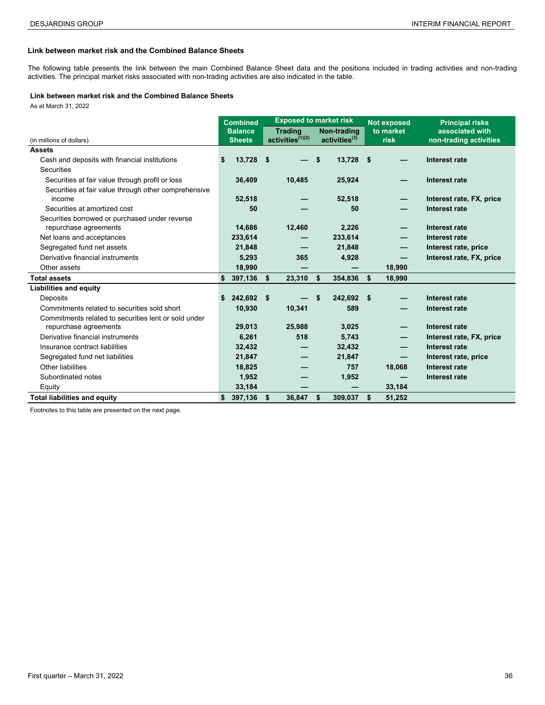## **Link between market risk and the Combined Balance Sheets**

The following table presents the link between the main Combined Balance Sheet data and the positions included in trading activities and non-trading activities. The principal market risks associated with non-trading activities are also indicated in the table.

#### **Link between market risk and the Combined Balance Sheets**

As at March 31, 2022 **<sup>8</sup>**

|                                                      |    | <b>Exposed to market risk</b><br><b>Combined</b> |      |                       |    |                              | <b>Not exposed</b> |           | <b>Principal risks</b>   |
|------------------------------------------------------|----|--------------------------------------------------|------|-----------------------|----|------------------------------|--------------------|-----------|--------------------------|
|                                                      |    | <b>Balance</b>                                   |      | <b>Trading</b>        |    | Non-trading                  |                    | to market | associated with          |
| (in millions of dollars)                             |    | <b>Sheets</b>                                    |      | $activities^{(1)(2)}$ |    | $activeities$ <sup>(3)</sup> |                    | risk      | non-trading activities   |
| <b>Assets</b>                                        |    |                                                  |      |                       |    |                              |                    |           |                          |
| Cash and deposits with financial institutions        | S. | 13,728                                           | - \$ |                       | \$ | 13,728 \$                    |                    |           | Interest rate            |
| Securities                                           |    |                                                  |      |                       |    |                              |                    |           |                          |
| Securities at fair value through profit or loss      |    | 36,409                                           |      | 10,485                |    | 25,924                       |                    |           | Interest rate            |
| Securities at fair value through other comprehensive |    |                                                  |      |                       |    |                              |                    |           |                          |
| income                                               |    | 52,518                                           |      |                       |    | 52,518                       |                    | –         | Interest rate, FX, price |
| Securities at amortized cost                         |    | 50                                               |      |                       |    | 50                           |                    |           | Interest rate            |
| Securities borrowed or purchased under reverse       |    |                                                  |      |                       |    |                              |                    |           |                          |
| repurchase agreements                                |    | 14,686                                           |      | 12,460                |    | 2,226                        |                    |           | Interest rate            |
| Net loans and acceptances                            |    | 233,614                                          |      |                       |    | 233,614                      |                    |           | Interest rate            |
| Segregated fund net assets                           |    | 21,848                                           |      |                       |    | 21,848                       |                    | —         | Interest rate, price     |
| Derivative financial instruments                     |    | 5,293                                            |      | 365                   |    | 4,928                        |                    | —         | Interest rate, FX, price |
| Other assets                                         |    | 18,990                                           |      |                       |    |                              |                    | 18,990    |                          |
| <b>Total assets</b>                                  | \$ | 397,136                                          | \$   | 23,310                | \$ | 354,836                      | \$                 | 18,990    |                          |
| <b>Liabilities and equity</b>                        |    |                                                  |      |                       |    |                              |                    |           |                          |
| Deposits                                             | S  | 242,692 \$                                       |      |                       | S  | 242,692                      | - \$               |           | Interest rate            |
| Commitments related to securities sold short         |    | 10,930                                           |      | 10,341                |    | 589                          |                    |           | Interest rate            |
| Commitments related to securities lent or sold under |    |                                                  |      |                       |    |                              |                    |           |                          |
| repurchase agreements                                |    | 29,013                                           |      | 25,988                |    | 3,025                        |                    |           | Interest rate            |
| Derivative financial instruments                     |    | 6,261                                            |      | 518                   |    | 5,743                        |                    | –         | Interest rate, FX, price |
| Insurance contract liabilities                       |    | 32,432                                           |      |                       |    | 32,432                       |                    |           | Interest rate            |
| Segregated fund net liabilities                      |    | 21,847                                           |      |                       |    | 21,847                       |                    |           | Interest rate, price     |
| Other liabilities                                    |    | 18,825                                           |      |                       |    | 757                          |                    | 18,068    | Interest rate            |
| Subordinated notes                                   |    | 1,952                                            |      |                       |    | 1,952                        |                    |           | Interest rate            |
| Equity                                               |    | 33,184                                           |      |                       |    |                              |                    | 33,184    |                          |
| <b>Total liabilities and equity</b>                  |    | 397,136                                          | \$   | 36,847                | \$ | 309,037                      | \$                 | 51,252    |                          |

Footnotes to this table are presented on the next page.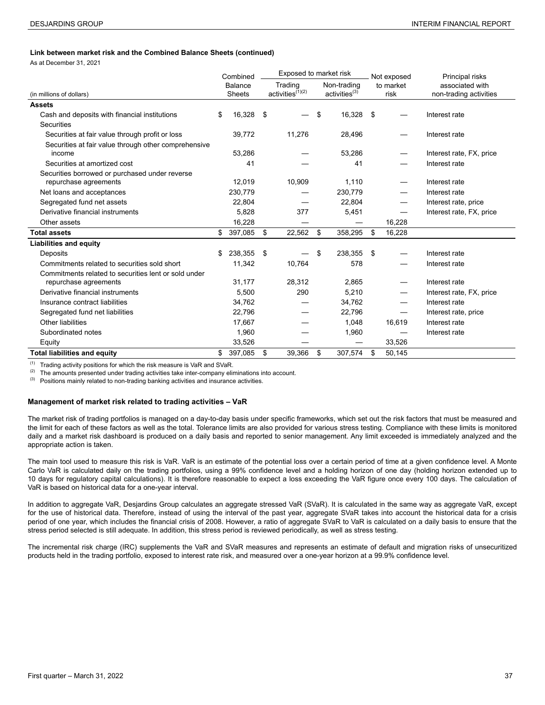#### **Link between market risk and the Combined Balance Sheets (continued)**

As at December 31, 2021

|                                                      | Combined                        | Exposed to market risk |                                  |    | Not exposed                   | Principal risks          |                                           |
|------------------------------------------------------|---------------------------------|------------------------|----------------------------------|----|-------------------------------|--------------------------|-------------------------------------------|
| (in millions of dollars)                             | <b>Balance</b><br><b>Sheets</b> |                        | Trading<br>$activities^{(1)(2)}$ |    | Non-trading<br>$active^{(3)}$ | to market<br>risk        | associated with<br>non-trading activities |
| <b>Assets</b>                                        |                                 |                        |                                  |    |                               |                          |                                           |
| Cash and deposits with financial institutions        | \$<br>16,328                    | -\$                    |                                  | \$ | 16,328                        | \$                       | Interest rate                             |
| Securities                                           |                                 |                        |                                  |    |                               |                          |                                           |
| Securities at fair value through profit or loss      | 39,772                          |                        | 11,276                           |    | 28,496                        |                          | Interest rate                             |
| Securities at fair value through other comprehensive |                                 |                        |                                  |    |                               |                          |                                           |
| income                                               | 53,286                          |                        |                                  |    | 53,286                        |                          | Interest rate, FX, price                  |
| Securities at amortized cost                         | 41                              |                        |                                  |    | 41                            |                          | Interest rate                             |
| Securities borrowed or purchased under reverse       |                                 |                        |                                  |    |                               |                          |                                           |
| repurchase agreements                                | 12,019                          |                        | 10,909                           |    | 1,110                         |                          | Interest rate                             |
| Net loans and acceptances                            | 230,779                         |                        |                                  |    | 230,779                       |                          | Interest rate                             |
| Segregated fund net assets                           | 22,804                          |                        |                                  |    | 22,804                        | $\overline{\phantom{0}}$ | Interest rate, price                      |
| Derivative financial instruments                     | 5,828                           |                        | 377                              |    | 5,451                         | $\qquad \qquad$          | Interest rate, FX, price                  |
| Other assets                                         | 16,228                          |                        |                                  |    |                               | 16,228                   |                                           |
| <b>Total assets</b>                                  | \$<br>397,085                   | \$                     | 22,562                           | \$ | 358,295                       | \$<br>16,228             |                                           |
| <b>Liabilities and equity</b>                        |                                 |                        |                                  |    |                               |                          |                                           |
| Deposits                                             | \$<br>238,355                   | -\$                    |                                  | \$ | 238,355                       | \$                       | Interest rate                             |
| Commitments related to securities sold short         | 11,342                          |                        | 10,764                           |    | 578                           |                          | Interest rate                             |
| Commitments related to securities lent or sold under |                                 |                        |                                  |    |                               |                          |                                           |
| repurchase agreements                                | 31,177                          |                        | 28,312                           |    | 2,865                         |                          | Interest rate                             |
| Derivative financial instruments                     | 5,500                           |                        | 290                              |    | 5,210                         |                          | Interest rate, FX, price                  |
| Insurance contract liabilities                       | 34,762                          |                        |                                  |    | 34,762                        |                          | Interest rate                             |
| Segregated fund net liabilities                      | 22,796                          |                        |                                  |    | 22,796                        | $\qquad \qquad$          | Interest rate, price                      |
| Other liabilities                                    | 17,667                          |                        |                                  |    | 1,048                         | 16,619                   | Interest rate                             |
| Subordinated notes                                   | 1,960                           |                        |                                  |    | 1,960                         |                          | Interest rate                             |
| Equity                                               | 33,526                          |                        |                                  |    |                               | 33,526                   |                                           |
| <b>Total liabilities and equity</b>                  | \$<br>397,085                   | \$                     | 39,366                           | \$ | 307,574                       | \$<br>50.145             |                                           |

(1) Trading activity positions for which the risk measure is VaR and SVaR.<br>(2) The amounts presented under trading activities take inter company eliminates

(2) The amounts presented under trading activities take inter-company eliminations into account.<br>(3) Positions mainly related to non-trading banking activities and insurance activities

Positions mainly related to non-trading banking activities and insurance activities.

#### **Management of market risk related to trading activities – VaR**

The market risk of trading portfolios is managed on a day-to-day basis under specific frameworks, which set out the risk factors that must be measured and the limit for each of these factors as well as the total. Tolerance limits are also provided for various stress testing. Compliance with these limits is monitored daily and a market risk dashboard is produced on a daily basis and reported to senior management. Any limit exceeded is immediately analyzed and the appropriate action is taken.

The main tool used to measure this risk is VaR. VaR is an estimate of the potential loss over a certain period of time at a given confidence level. A Monte Carlo VaR is calculated daily on the trading portfolios, using a 99% confidence level and a holding horizon of one day (holding horizon extended up to 10 days for regulatory capital calculations). It is therefore reasonable to expect a loss exceeding the VaR figure once every 100 days. The calculation of VaR is based on historical data for a one-year interval.

In addition to aggregate VaR, Desjardins Group calculates an aggregate stressed VaR (SVaR). It is calculated in the same way as aggregate VaR, except for the use of historical data. Therefore, instead of using the interval of the past year, aggregate SVaR takes into account the historical data for a crisis period of one year, which includes the financial crisis of 2008. However, a ratio of aggregate SVaR to VaR is calculated on a daily basis to ensure that the stress period selected is still adequate. In addition, this stress period is reviewed periodically, as well as stress testing.

The incremental risk charge (IRC) supplements the VaR and SVaR measures and represents an estimate of default and migration risks of unsecuritized products held in the trading portfolio, exposed to interest rate risk, and measured over a one-year horizon at a 99.9% confidence level.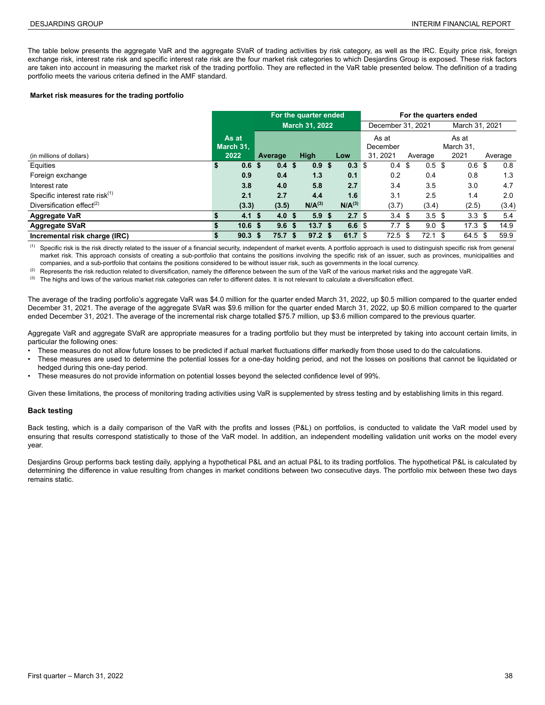The table below presents the aggregate VaR and the aggregate SVaR of trading activities by risk category, as well as the IRC. Equity price risk, foreign exchange risk, interest rate risk and specific interest rate risk are the four market risk categories to which Desjardins Group is exposed. These risk factors are taken into account in measuring the market risk of the trading portfolio. They are reflected in the VaR table presented below. The definition of a trading portfolio meets the various criteria defined in the AMF standard.

#### **Market risk measures for the trading portfolio**

|                                            | For the quarter ended |                   |         |                   |  |                       |    |                    | For the quarters ended |                  |      |                  |      |                   |  |         |  |
|--------------------------------------------|-----------------------|-------------------|---------|-------------------|--|-----------------------|----|--------------------|------------------------|------------------|------|------------------|------|-------------------|--|---------|--|
|                                            |                       |                   |         |                   |  | <b>March 31, 2022</b> |    |                    | December 31, 2021      |                  |      |                  |      | March 31, 2021    |  |         |  |
|                                            |                       | As at             |         |                   |  |                       |    |                    |                        | As at            |      |                  |      | As at             |  |         |  |
|                                            |                       | March 31.         |         |                   |  |                       |    |                    |                        | December         |      |                  |      | March 31.         |  |         |  |
| (in millions of dollars)                   |                       | 2022              | Average |                   |  | <b>High</b>           |    | Low                |                        | 31.2021          |      | Average          |      | 2021              |  | Average |  |
| Equities                                   | \$                    | 0.6               | - \$    | 0.4 <sup>5</sup>  |  | 0.9                   | \$ | 0.3 <sup>5</sup>   |                        | 0.4              | - \$ | 0.5 <sup>5</sup> |      | 0.6 <sup>5</sup>  |  | 0.8     |  |
| Foreign exchange                           |                       | 0.9               |         | 0.4               |  | 1.3                   |    | 0.1                |                        | 0.2              |      | 0.4              |      | 0.8               |  | 1.3     |  |
| Interest rate                              |                       | 3.8               |         | 4.0               |  | 5.8                   |    | 2.7                |                        | 3.4              |      | 3.5              |      | 3.0               |  | 4.7     |  |
| Specific interest rate risk <sup>(1)</sup> |                       | 2.1               |         | 2.7               |  | 4.4                   |    | 1.6                |                        | 3.1              |      | 2.5              |      | 1.4               |  | 2.0     |  |
| Diversification effect <sup>(2)</sup>      |                       | (3.3)             |         | (3.5)             |  | N/A <sup>(3)</sup>    |    | N/A <sup>(3)</sup> |                        | (3.7)            |      | (3.4)            |      | (2.5)             |  | (3.4)   |  |
| <b>Aggregate VaR</b>                       | S.                    | 4.1               | -\$     | 4.0 <sup>5</sup>  |  | 5.9 <sup>5</sup>      |    | 2.7 <sup>°</sup>   |                        | 3.4 <sup>5</sup> |      | 3.5 <sup>5</sup> |      | 3.3 <sup>5</sup>  |  | 5.4     |  |
| <b>Aggregate SVaR</b>                      | \$                    | 10.6 <sup>5</sup> |         | 9.6 <sup>5</sup>  |  | 13.7 <sup>5</sup>     |    | 6.6 <sup>°</sup>   |                        | 7.7              | \$   | 9.0 <sup>5</sup> |      | 17.3 <sup>5</sup> |  | 14.9    |  |
| Incremental risk charge (IRC)              | \$                    | 90.3              | -S      | 75.7 <sup>5</sup> |  | 97.2 <sup>5</sup>     |    | 61.7 $$$           |                        | 72.5             | -S   | 72.1             | - \$ | 64.5 \$           |  | 59.9    |  |

(1) Specific risk is the risk directly related to the issuer of a financial security, independent of market events. A portfolio approach is used to distinguish specific risk from general market risk. This approach consists of creating a sub-portfolio that contains the positions involving the specific risk of an issuer, such as provinces, municipalities and companies, and a sub-portfolio that contains the positions considered to be without issuer risk, such as governments in the local currency.

(2) Represents the risk reduction related to diversification, namely the difference between the sum of the VaR of the various market risks and the aggregate VaR.

(3) The highs and lows of the various market risk categories can refer to different dates. It is not relevant to calculate a diversification effect.

The average of the trading portfolio's aggregate VaR was \$4.0 million for the quarter ended March 31, 2022, up \$0.5 million compared to the quarter ended December 31, 2021. The average of the aggregate SVaR was \$9.6 million for the quarter ended March 31, 2022, up \$0.6 million compared to the quarter ended December 31, 2021. The average of the incremental risk charge totalled \$75.7 million, up \$3.6 million compared to the previous quarter.

Aggregate VaR and aggregate SVaR are appropriate measures for a trading portfolio but they must be interpreted by taking into account certain limits, in particular the following ones:

- These measures do not allow future losses to be predicted if actual market fluctuations differ markedly from those used to do the calculations.
- These measures are used to determine the potential losses for a one-day holding period, and not the losses on positions that cannot be liquidated or hedged during this one-day period.
- These measures do not provide information on potential losses beyond the selected confidence level of 99%.

Given these limitations, the process of monitoring trading activities using VaR is supplemented by stress testing and by establishing limits in this regard.

#### **Back testing**

Back testing, which is a daily comparison of the VaR with the profits and losses (P&L) on portfolios, is conducted to validate the VaR model used by ensuring that results correspond statistically to those of the VaR model. In addition, an independent modelling validation unit works on the model every year.

Desjardins Group performs back testing daily, applying a hypothetical P&L and an actual P&L to its trading portfolios. The hypothetical P&L is calculated by determining the difference in value resulting from changes in market conditions between two consecutive days. The portfolio mix between these two days remains static.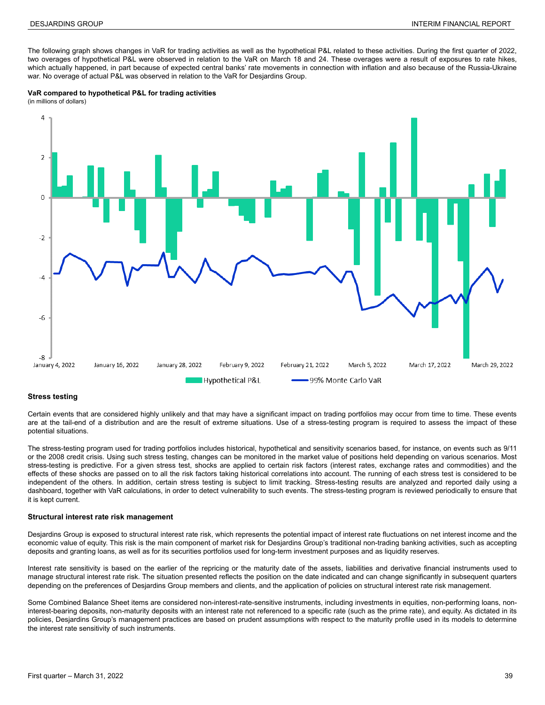The following graph shows changes in VaR for trading activities as well as the hypothetical P&L related to these activities. During the first quarter of 2022, two overages of hypothetical P&L were observed in relation to the VaR on March 18 and 24. These overages were a result of exposures to rate hikes, which actually happened, in part because of expected central banks' rate movements in connection with inflation and also because of the Russia-Ukraine war. No overage of actual P&L was observed in relation to the VaR for Desjardins Group.





#### **Stress testing**

Certain events that are considered highly unlikely and that may have a significant impact on trading portfolios may occur from time to time. These events are at the tail-end of a distribution and are the result of extreme situations. Use of a stress-testing program is required to assess the impact of these potential situations.

The stress-testing program used for trading portfolios includes historical, hypothetical and sensitivity scenarios based, for instance, on events such as 9/11 or the 2008 credit crisis. Using such stress testing, changes can be monitored in the market value of positions held depending on various scenarios. Most stress-testing is predictive. For a given stress test, shocks are applied to certain risk factors (interest rates, exchange rates and commodities) and the effects of these shocks are passed on to all the risk factors taking historical correlations into account. The running of each stress test is considered to be independent of the others. In addition, certain stress testing is subject to limit tracking. Stress-testing results are analyzed and reported daily using a dashboard, together with VaR calculations, in order to detect vulnerability to such events. The stress-testing program is reviewed periodically to ensure that it is kept current.

#### **Structural interest rate risk management**

Desjardins Group is exposed to structural interest rate risk, which represents the potential impact of interest rate fluctuations on net interest income and the economic value of equity. This risk is the main component of market risk for Desjardins Group's traditional non-trading banking activities, such as accepting deposits and granting loans, as well as for its securities portfolios used for long-term investment purposes and as liquidity reserves.

Interest rate sensitivity is based on the earlier of the repricing or the maturity date of the assets, liabilities and derivative financial instruments used to manage structural interest rate risk. The situation presented reflects the position on the date indicated and can change significantly in subsequent quarters depending on the preferences of Desjardins Group members and clients, and the application of policies on structural interest rate risk management.

Some Combined Balance Sheet items are considered non-interest-rate-sensitive instruments, including investments in equities, non-performing loans, noninterest-bearing deposits, non-maturity deposits with an interest rate not referenced to a specific rate (such as the prime rate), and equity. As dictated in its policies, Desjardins Group's management practices are based on prudent assumptions with respect to the maturity profile used in its models to determine the interest rate sensitivity of such instruments.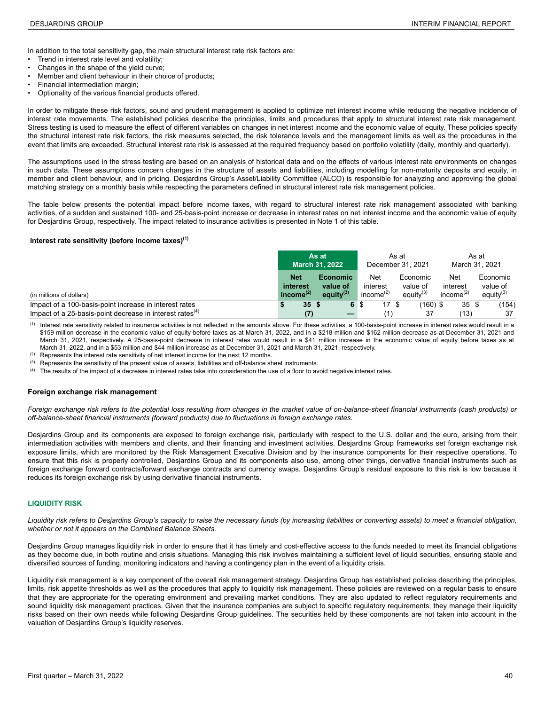In addition to the total sensitivity gap, the main structural interest rate risk factors are:

- Trend in interest rate level and volatility;
- Changes in the shape of the yield curve;
- Member and client behaviour in their choice of products;
- Financial intermediation margin;
- Optionality of the various financial products offered.

In order to mitigate these risk factors, sound and prudent management is applied to optimize net interest income while reducing the negative incidence of interest rate movements. The established policies describe the principles, limits and procedures that apply to structural interest rate risk management. Stress testing is used to measure the effect of different variables on changes in net interest income and the economic value of equity. These policies specify the structural interest rate risk factors, the risk measures selected, the risk tolerance levels and the management limits as well as the procedures in the event that limits are exceeded. Structural interest rate risk is assessed at the required frequency based on portfolio volatility (daily, monthly and quarterly).

The assumptions used in the stress testing are based on an analysis of historical data and on the effects of various interest rate environments on changes in such data. These assumptions concern changes in the structure of assets and liabilities, including modelling for non-maturity deposits and equity, in member and client behaviour, and in pricing. Desjardins Group's Asset/Liability Committee (ALCO) is responsible for analyzing and approving the global matching strategy on a monthly basis while respecting the parameters defined in structural interest rate risk management policies.

The table below presents the potential impact before income taxes, with regard to structural interest rate risk management associated with banking activities, of a sudden and sustained 100- and 25-basis-point increase or decrease in interest rates on net interest income and the economic value of equity for Desjardins Group, respectively. The impact related to insurance activities is presented in Note 1 of this table.

### **Interest rate sensitivity (before income taxes)(1) 4**

|                                                                                                                                | As at<br><b>March 31, 2022</b>            |            |                                                |      | As at                              | December 31, 2021 | As at<br>March 31, 2021              |                                                       |                                      |  |
|--------------------------------------------------------------------------------------------------------------------------------|-------------------------------------------|------------|------------------------------------------------|------|------------------------------------|-------------------|--------------------------------------|-------------------------------------------------------|--------------------------------------|--|
| (in millions of dollars)                                                                                                       | <b>Net</b><br>interest<br>income $^{(2)}$ |            | <b>Economic</b><br>value of<br>equity $^{(3)}$ |      | Net<br>interest<br>income $^{(2)}$ |                   | Economic<br>value of<br>equity $(3)$ | Net<br>interest<br>income <sup><math>(2)</math></sup> | Economic<br>value of<br>equity $(3)$ |  |
| Impact of a 100-basis-point increase in interest rates<br>Impact of a 25-basis-point decrease in interest rates <sup>(4)</sup> |                                           | 35S<br>(7) |                                                | 6 \$ | 17S                                |                   | $(160)$ \$<br>37                     | 35S<br>(13)                                           | (154)<br>37                          |  |

Interest rate sensitivity related to insurance activities is not reflected in the amounts above. For these activities, a 100-basis-point increase in interest rates would result in a \$159 million decrease in the economic value of equity before taxes as at March 31, 2022, and in a \$218 million and \$162 million decrease as at December 31, 2021 and March 31, 2021, respectively. A 25-basis-point decrease in interest rates would result in a \$41 million increase in the economic value of equity before taxes as at March 31, 2022, and in a \$53 million and \$44 million increase as at December 31, 2021 and March 31, 2021, respectively.

 $(2)$  Represents the interest rate sensitivity of net interest income for the next 12 months.

(3) Represents the sensitivity of the present value of assets, liabilities and off-balance sheet instruments.

The results of the impact of a decrease in interest rates take into consideration the use of a floor to avoid negative interest rates.

#### **Foreign exchange risk management**

*Foreign exchange risk refers to the potential loss resulting from changes in the market value of on-balance-sheet financial instruments (cash products) or off-balance-sheet financial instruments (forward products) due to fluctuations in foreign exchange rates.* 

Desjardins Group and its components are exposed to foreign exchange risk, particularly with respect to the U.S. dollar and the euro, arising from their intermediation activities with members and clients, and their financing and investment activities. Desjardins Group frameworks set foreign exchange risk exposure limits, which are monitored by the Risk Management Executive Division and by the insurance components for their respective operations. To ensure that this risk is properly controlled, Desjardins Group and its components also use, among other things, derivative financial instruments such as foreign exchange forward contracts/forward exchange contracts and currency swaps. Desjardins Group's residual exposure to this risk is low because it reduces its foreign exchange risk by using derivative financial instruments.

#### **LIQUIDITY RISK**

*Liquidity risk refers to Desjardins Group's capacity to raise the necessary funds (by increasing liabilities or converting assets) to meet a financial obligation, whether or not it appears on the Combined Balance Sheets.*

Desjardins Group manages liquidity risk in order to ensure that it has timely and cost-effective access to the funds needed to meet its financial obligations as they become due, in both routine and crisis situations. Managing this risk involves maintaining a sufficient level of liquid securities, ensuring stable and diversified sources of funding, monitoring indicators and having a contingency plan in the event of a liquidity crisis.

Liquidity risk management is a key component of the overall risk management strategy. Desjardins Group has established policies describing the principles, limits, risk appetite thresholds as well as the procedures that apply to liquidity risk management. These policies are reviewed on a regular basis to ensure that they are appropriate for the operating environment and prevailing market conditions. They are also updated to reflect regulatory requirements and sound liquidity risk management practices. Given that the insurance companies are subject to specific regulatory requirements, they manage their liquidity risks based on their own needs while following Desjardins Group guidelines. The securities held by these components are not taken into account in the valuation of Desjardins Group's liquidity reserves.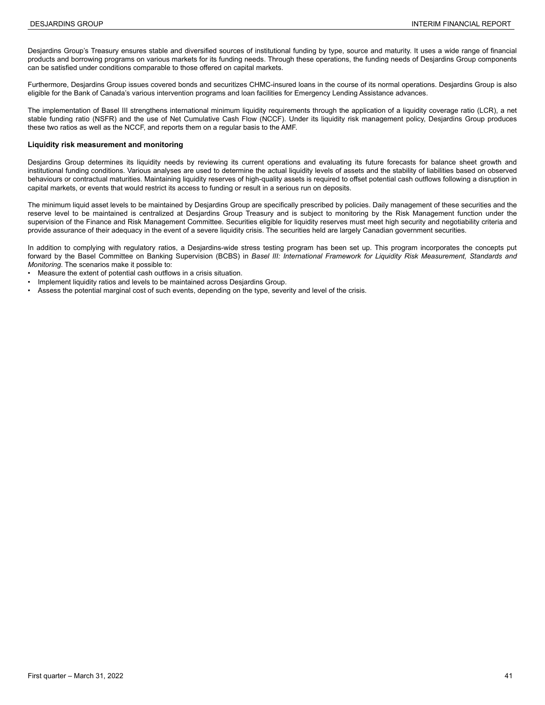Desjardins Group's Treasury ensures stable and diversified sources of institutional funding by type, source and maturity. It uses a wide range of financial products and borrowing programs on various markets for its funding needs. Through these operations, the funding needs of Desjardins Group components can be satisfied under conditions comparable to those offered on capital markets.

Furthermore, Desjardins Group issues covered bonds and securitizes CHMC-insured loans in the course of its normal operations. Desjardins Group is also eligible for the Bank of Canada's various intervention programs and loan facilities for Emergency Lending Assistance advances.

The implementation of Basel III strengthens international minimum liquidity requirements through the application of a liquidity coverage ratio (LCR), a net stable funding ratio (NSFR) and the use of Net Cumulative Cash Flow (NCCF). Under its liquidity risk management policy, Desjardins Group produces these two ratios as well as the NCCF, and reports them on a regular basis to the AMF.

#### **Liquidity risk measurement and monitoring**

Desjardins Group determines its liquidity needs by reviewing its current operations and evaluating its future forecasts for balance sheet growth and institutional funding conditions. Various analyses are used to determine the actual liquidity levels of assets and the stability of liabilities based on observed behaviours or contractual maturities. Maintaining liquidity reserves of high-quality assets is required to offset potential cash outflows following a disruption in capital markets, or events that would restrict its access to funding or result in a serious run on deposits.

The minimum liquid asset levels to be maintained by Desjardins Group are specifically prescribed by policies. Daily management of these securities and the reserve level to be maintained is centralized at Desjardins Group Treasury and is subject to monitoring by the Risk Management function under the supervision of the Finance and Risk Management Committee. Securities eligible for liquidity reserves must meet high security and negotiability criteria and provide assurance of their adequacy in the event of a severe liquidity crisis. The securities held are largely Canadian government securities.

In addition to complying with regulatory ratios, a Desjardins-wide stress testing program has been set up. This program incorporates the concepts put forward by the Basel Committee on Banking Supervision (BCBS) in *Basel III: International Framework for Liquidity Risk Measurement, Standards and Monitoring*. The scenarios make it possible to:

- Measure the extent of potential cash outflows in a crisis situation.
- Implement liquidity ratios and levels to be maintained across Desjardins Group.
- Assess the potential marginal cost of such events, depending on the type, severity and level of the crisis.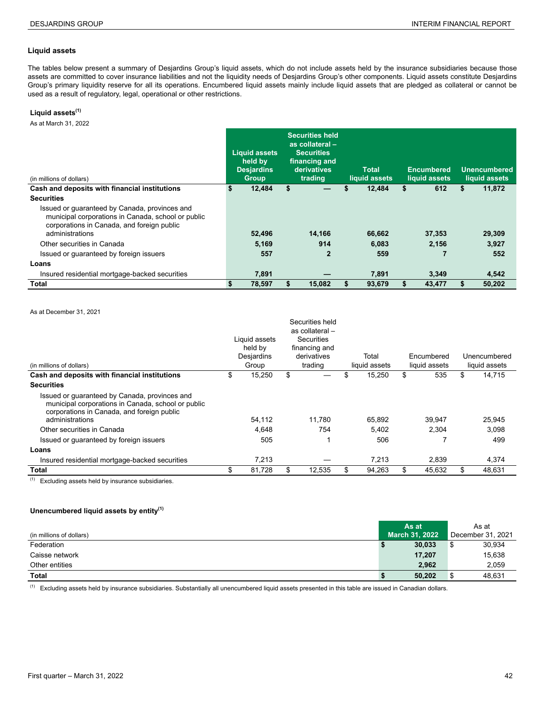#### **Liquid assets**

The tables below present a summary of Desjardins Group's liquid assets, which do not include assets held by the insurance subsidiaries because those assets are committed to cover insurance liabilities and not the liquidity needs of Desjardins Group's other components. Liquid assets constitute Desjardins Group's primary liquidity reserve for all its operations. Encumbered liquid assets mainly include liquid assets that are pledged as collateral or cannot be used as a result of regulatory, legal, operational or other restrictions.

#### **Liquid assets(1)**

As at March 31, 2022

| (in millions of dollars)                                                                                                                          |    | <b>Liquid assets</b><br>held by<br><b>Desjardins</b><br><b>Group</b> | <b>Securities held</b><br>as collateral -<br><b>Securities</b><br>financing and<br>derivatives<br>trading |    | <b>Total</b><br>liquid assets |    | <b>Encumbered</b><br>liquid assets |    | <b>Unencumbered</b><br>liquid assets |
|---------------------------------------------------------------------------------------------------------------------------------------------------|----|----------------------------------------------------------------------|-----------------------------------------------------------------------------------------------------------|----|-------------------------------|----|------------------------------------|----|--------------------------------------|
| Cash and deposits with financial institutions                                                                                                     | S. | 12,484                                                               | \$                                                                                                        | \$ | 12,484                        | \$ | 612                                | \$ | 11,872                               |
| <b>Securities</b>                                                                                                                                 |    |                                                                      |                                                                                                           |    |                               |    |                                    |    |                                      |
| Issued or quaranteed by Canada, provinces and<br>municipal corporations in Canada, school or public<br>corporations in Canada, and foreign public |    |                                                                      |                                                                                                           |    |                               |    |                                    |    |                                      |
| administrations                                                                                                                                   |    | 52,496                                                               | 14.166                                                                                                    |    | 66,662                        |    | 37.353                             |    | 29,309                               |
| Other securities in Canada                                                                                                                        |    | 5.169                                                                | 914                                                                                                       |    | 6.083                         |    | 2.156                              |    | 3.927                                |
| Issued or quaranteed by foreign issuers                                                                                                           |    | 557                                                                  | $\overline{2}$                                                                                            |    | 559                           |    |                                    |    | 552                                  |
| Loans                                                                                                                                             |    |                                                                      |                                                                                                           |    |                               |    |                                    |    |                                      |
| Insured residential mortgage-backed securities                                                                                                    |    | 7,891                                                                |                                                                                                           |    | 7,891                         |    | 3,349                              |    | 4,542                                |
| Total                                                                                                                                             | S  | 78.597                                                               | 15.082                                                                                                    | S  | 93.679                        | S  | 43.477                             | S  | 50.202                               |

As at December 31, 2021

|                                                                                                                                                                      | Liquid assets<br>held by | Securities held<br>as collateral-<br>Securities<br>financing and |                        |                             |                               |
|----------------------------------------------------------------------------------------------------------------------------------------------------------------------|--------------------------|------------------------------------------------------------------|------------------------|-----------------------------|-------------------------------|
|                                                                                                                                                                      | Desjardins               | derivatives<br>trading                                           | Total<br>liquid assets | Encumbered<br>liquid assets | Unencumbered<br>liquid assets |
| (in millions of dollars)                                                                                                                                             | Group                    |                                                                  |                        |                             |                               |
| Cash and deposits with financial institutions                                                                                                                        | \$<br>15,250             | \$                                                               | \$<br>15,250           | \$<br>535                   | \$<br>14,715                  |
| <b>Securities</b>                                                                                                                                                    |                          |                                                                  |                        |                             |                               |
| Issued or guaranteed by Canada, provinces and<br>municipal corporations in Canada, school or public<br>corporations in Canada, and foreign public<br>administrations | 54,112                   | 11.780                                                           | 65.892                 | 39.947                      | 25,945                        |
| Other securities in Canada                                                                                                                                           | 4.648                    | 754                                                              | 5.402                  | 2.304                       | 3.098                         |
| Issued or quaranteed by foreign issuers                                                                                                                              | 505                      |                                                                  | 506                    |                             | 499                           |
| Loans                                                                                                                                                                |                          |                                                                  |                        |                             |                               |
| Insured residential mortgage-backed securities                                                                                                                       | 7,213                    |                                                                  | 7,213                  | 2,839                       | 4,374                         |
| Total                                                                                                                                                                | \$<br>81,728             | \$<br>12.535                                                     | \$<br>94.263           | \$<br>45.632                | \$<br>48.631                  |

 $(1)$  Excluding assets held by insurance subsidiaries.

#### **Unencumbered liquid assets by entity(1)**

|                          |   | As at                 |     | As at             |
|--------------------------|---|-----------------------|-----|-------------------|
| (in millions of dollars) |   | <b>March 31, 2022</b> |     | December 31, 2021 |
| Federation               |   | 30.033                | \$  | 30,934            |
| Caisse network           |   | 17,207                |     | 15,638            |
| Other entities           |   | 2,962                 |     | 2,059             |
| Total                    | Ð | 50,202                | \$. | 48,631            |

(1) Excluding assets held by insurance subsidiaries. Substantially all unencumbered liquid assets presented in this table are issued in Canadian dollars.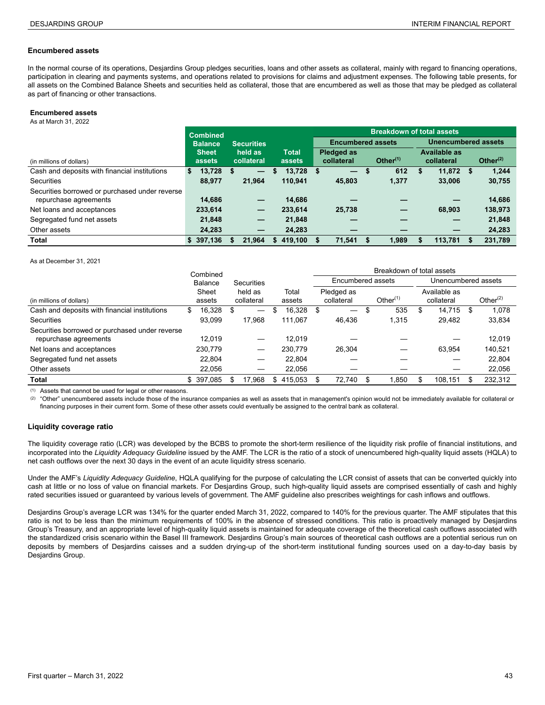#### **Encumbered assets**

In the normal course of its operations, Desjardins Group pledges securities, loans and other assets as collateral, mainly with regard to financing operations, participation in clearing and payments systems, and operations related to provisions for claims and adjustment expenses. The following table presents, for all assets on the Combined Balance Sheets and securities held as collateral, those that are encumbered as well as those that may be pledged as collateral as part of financing or other transactions.

#### **Encumbered assets**

As at March 31, 2022 **0**

|                                                | <b>Combined</b> |   |                   |               |      |                          |   | <b>Breakdown of total assets</b> |   |                            |             |
|------------------------------------------------|-----------------|---|-------------------|---------------|------|--------------------------|---|----------------------------------|---|----------------------------|-------------|
|                                                | <b>Balance</b>  |   | <b>Securities</b> |               |      | <b>Encumbered assets</b> |   |                                  |   | <b>Unencumbered assets</b> |             |
|                                                | <b>Sheet</b>    |   | held as           | <b>Total</b>  |      | <b>Pledged as</b>        |   |                                  |   | Available as               |             |
| (in millions of dollars)                       | assets          |   | collateral        | assets        |      | collateral               |   | Other $(1)$                      |   | collateral                 | Other $(2)$ |
| Cash and deposits with financial institutions  | 13,728<br>S.    | S |                   | 13,728<br>S.  | - 56 |                          | S | 612                              | S | $11.872$ \$                | 1.244       |
| Securities                                     | 88.977          |   | 21.964            | 110.941       |      | 45.803                   |   | 1,377                            |   | 33,006                     | 30,755      |
| Securities borrowed or purchased under reverse |                 |   |                   |               |      |                          |   |                                  |   |                            |             |
| repurchase agreements                          | 14.686          |   | —                 | 14.686        |      |                          |   |                                  |   |                            | 14,686      |
| Net loans and acceptances                      | 233,614         |   | $\qquad \qquad -$ | 233,614       |      | 25,738                   |   |                                  |   | 68.903                     | 138,973     |
| Segregated fund net assets                     | 21.848          |   | $\qquad \qquad -$ | 21,848        |      |                          |   |                                  |   |                            | 21,848      |
| Other assets                                   | 24,283          |   |                   | 24,283        |      |                          |   |                                  |   | –                          | 24,283      |
| <b>Total</b>                                   | \$397,136       | S | 21.964            | 419.100<br>S. |      | 71,541                   |   | 1.989                            |   | 113.781                    | 231,789     |

As at December 31, 2021

|                                                | Combined    |     |            |     |         |                                       | Breakdown of total assets |     |                     |             |
|------------------------------------------------|-------------|-----|------------|-----|---------|---------------------------------------|---------------------------|-----|---------------------|-------------|
|                                                | Balance     |     | Securities |     |         | Encumbered assets                     |                           |     | Unencumbered assets |             |
|                                                | Sheet       |     | held as    |     | Total   | Pledged as                            |                           |     | Available as        |             |
| (in millions of dollars)                       | assets      |     | collateral |     | assets  | collateral                            | Other $(1)$               |     | collateral          | Other $(2)$ |
| Cash and deposits with financial institutions  | 16,328<br>S | \$  |            | S   | 16,328  | \$<br>$\hspace{0.1mm}-\hspace{0.1mm}$ | \$<br>535                 | \$  | 14,715              | \$<br>1,078 |
| Securities                                     | 93,099      |     | 17.968     |     | 111,067 | 46,436                                | 1,315                     |     | 29,482              | 33,834      |
| Securities borrowed or purchased under reverse |             |     |            |     |         |                                       |                           |     |                     |             |
| repurchase agreements                          | 12,019      |     |            |     | 12,019  |                                       |                           |     |                     | 12,019      |
| Net loans and acceptances                      | 230,779     |     |            |     | 230.779 | 26,304                                |                           |     | 63.954              | 140,521     |
| Segregated fund net assets                     | 22.804      |     |            |     | 22.804  |                                       |                           |     |                     | 22,804      |
| Other assets                                   | 22.056      |     |            |     | 22.056  |                                       |                           |     |                     | 22,056      |
| Total                                          | \$ 397.085  | \$. | 17.968     | \$. | 415.053 | 72.740                                | .850                      | \$. | 108.151             | 232.312     |

(1) Assets that cannot be used for legal or other reasons.

(2) "Other" unencumbered assets include those of the insurance companies as well as assets that in management's opinion would not be immediately available for collateral or financing purposes in their current form. Some of these other assets could eventually be assigned to the central bank as collateral.

#### **Liquidity coverage ratio**

The liquidity coverage ratio (LCR) was developed by the BCBS to promote the short-term resilience of the liquidity risk profile of financial institutions, and incorporated into the *Liquidity Adequacy Guideline* issued by the AMF. The LCR is the ratio of a stock of unencumbered high-quality liquid assets (HQLA) to net cash outflows over the next 30 days in the event of an acute liquidity stress scenario.

Under the AMF's *Liquidity Adequacy Guideline*, HQLA qualifying for the purpose of calculating the LCR consist of assets that can be converted quickly into cash at little or no loss of value on financial markets. For Desjardins Group, such high-quality liquid assets are comprised essentially of cash and highly rated securities issued or guaranteed by various levels of government. The AMF guideline also prescribes weightings for cash inflows and outflows.

Desjardins Group's average LCR was 134% for the quarter ended March 31, 2022, compared to 140% for the previous quarter. The AMF stipulates that this ratio is not to be less than the minimum requirements of 100% in the absence of stressed conditions. This ratio is proactively managed by Desjardins Group's Treasury, and an appropriate level of high-quality liquid assets is maintained for adequate coverage of the theoretical cash outflows associated with the standardized crisis scenario within the Basel III framework. Desjardins Group's main sources of theoretical cash outflows are a potential serious run on deposits by members of Desjardins caisses and a sudden drying-up of the short-term institutional funding sources used on a day-to-day basis by Desjardins Group.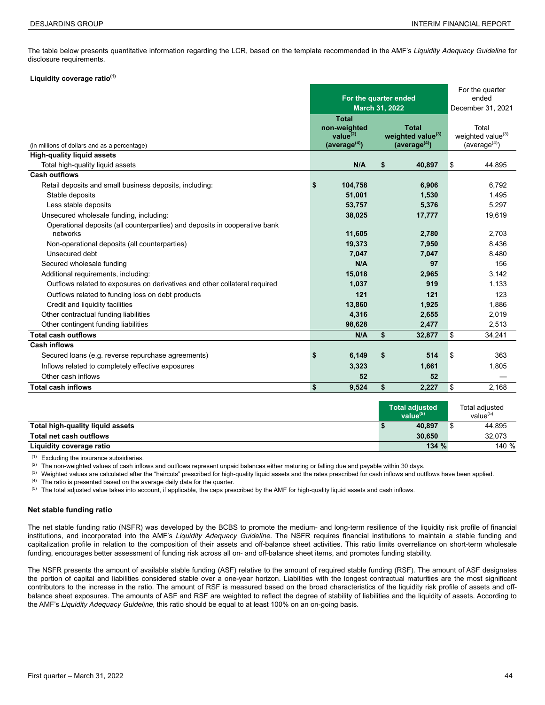The table below presents quantitative information regarding the LCR, based on the template recommended in the AMF's *Liquidity Adequacy Guideline* for disclosure requirements.

#### **Liquidity coverage ratio(1)**

|                                                                                        |                                                                             |                       |                                                                            | For the quarter                                                     |
|----------------------------------------------------------------------------------------|-----------------------------------------------------------------------------|-----------------------|----------------------------------------------------------------------------|---------------------------------------------------------------------|
|                                                                                        | For the quarter ended                                                       |                       | ended                                                                      |                                                                     |
|                                                                                        |                                                                             | <b>March 31, 2022</b> |                                                                            | December 31, 2021                                                   |
| (in millions of dollars and as a percentage)                                           | <b>Total</b><br>non-weighted<br>value $^{(2)}$<br>(average <sup>(4)</sup> ) |                       | <b>Total</b><br>weighted value <sup>(3)</sup><br>(average <sup>(4)</sup> ) | Total<br>weighted value <sup>(3)</sup><br>(average <sup>(4)</sup> ) |
| <b>High-quality liquid assets</b>                                                      |                                                                             |                       |                                                                            |                                                                     |
| Total high-quality liquid assets                                                       | N/A                                                                         | \$                    | 40,897                                                                     | \$<br>44.895                                                        |
| <b>Cash outflows</b>                                                                   |                                                                             |                       |                                                                            |                                                                     |
| Retail deposits and small business deposits, including:                                | \$<br>104,758                                                               |                       | 6,906                                                                      | 6,792                                                               |
| Stable deposits                                                                        | 51,001                                                                      |                       | 1,530                                                                      | 1,495                                                               |
| Less stable deposits                                                                   | 53,757                                                                      |                       | 5,376                                                                      | 5,297                                                               |
| Unsecured wholesale funding, including:                                                | 38,025                                                                      |                       | 17,777                                                                     | 19,619                                                              |
| Operational deposits (all counterparties) and deposits in cooperative bank<br>networks | 11,605                                                                      |                       | 2,780                                                                      | 2,703                                                               |
| Non-operational deposits (all counterparties)                                          | 19,373                                                                      |                       | 7,950                                                                      | 8,436                                                               |
| Unsecured debt                                                                         | 7,047                                                                       |                       | 7.047                                                                      | 8,480                                                               |
| Secured wholesale funding                                                              | N/A                                                                         |                       | 97                                                                         | 156                                                                 |
| Additional requirements, including:                                                    | 15,018                                                                      |                       | 2,965                                                                      | 3,142                                                               |
| Outflows related to exposures on derivatives and other collateral required             | 1,037                                                                       |                       | 919                                                                        | 1,133                                                               |
| Outflows related to funding loss on debt products                                      | 121                                                                         |                       | 121                                                                        | 123                                                                 |
| Credit and liquidity facilities                                                        | 13,860                                                                      |                       | 1,925                                                                      | 1,886                                                               |
| Other contractual funding liabilities                                                  | 4,316                                                                       |                       | 2,655                                                                      | 2,019                                                               |
| Other contingent funding liabilities                                                   | 98,628                                                                      |                       | 2,477                                                                      | 2,513                                                               |
| <b>Total cash outflows</b>                                                             | N/A                                                                         | \$                    | 32,877                                                                     | \$<br>34,241                                                        |
| Cash inflows                                                                           |                                                                             |                       |                                                                            |                                                                     |
| Secured loans (e.g. reverse repurchase agreements)                                     | \$<br>6.149                                                                 | \$                    | 514                                                                        | \$<br>363                                                           |
| Inflows related to completely effective exposures                                      | 3,323                                                                       |                       | 1,661                                                                      | 1,805                                                               |
| Other cash inflows                                                                     | 52                                                                          |                       | 52                                                                         |                                                                     |
| <b>Total cash inflows</b>                                                              | \$<br>9,524                                                                 | \$                    | 2,227                                                                      | \$<br>2,168                                                         |

|                                  | <b>Total adiusted</b><br>value $(5)$ | Total adjusted<br>value $(5)$ |
|----------------------------------|--------------------------------------|-------------------------------|
| Total high-quality liquid assets | 40.897                               | 44,895                        |
| Total net cash outflows          | 30.650                               | 32.073                        |
| Liquidity coverage ratio         | 134 %                                | 140 %                         |

(1) Excluding the insurance subsidiaries.<br>(2) The non-weighted values of cash inflo

(2) The non-weighted values of cash inflows and outflows represent unpaid balances either maturing or falling due and payable within 30 days.

(3) Weighted values are calculated after the "haircuts" prescribed for high-quality liquid assets and the rates prescribed for cash inflows and outflows have been applied.

 $(4)$  The ratio is presented based on the average daily data for the quarter.

(5) The total adjusted value takes into account, if applicable, the caps prescribed by the AMF for high-quality liquid assets and cash inflows.

#### **Net stable funding ratio**

The net stable funding ratio (NSFR) was developed by the BCBS to promote the medium- and long-term resilience of the liquidity risk profile of financial institutions, and incorporated into the AMF's *Liquidity Adequacy Guideline*. The NSFR requires financial institutions to maintain a stable funding and capitalization profile in relation to the composition of their assets and off-balance sheet activities. This ratio limits overreliance on short-term wholesale funding, encourages better assessment of funding risk across all on- and off-balance sheet items, and promotes funding stability.

The NSFR presents the amount of available stable funding (ASF) relative to the amount of required stable funding (RSF). The amount of ASF designates the portion of capital and liabilities considered stable over a one-year horizon. Liabilities with the longest contractual maturities are the most significant contributors to the increase in the ratio. The amount of RSF is measured based on the broad characteristics of the liquidity risk profile of assets and offbalance sheet exposures. The amounts of ASF and RSF are weighted to reflect the degree of stability of liabilities and the liquidity of assets. According to the AMF's *Liquidity Adequacy Guideline*, this ratio should be equal to at least 100% on an on-going basis.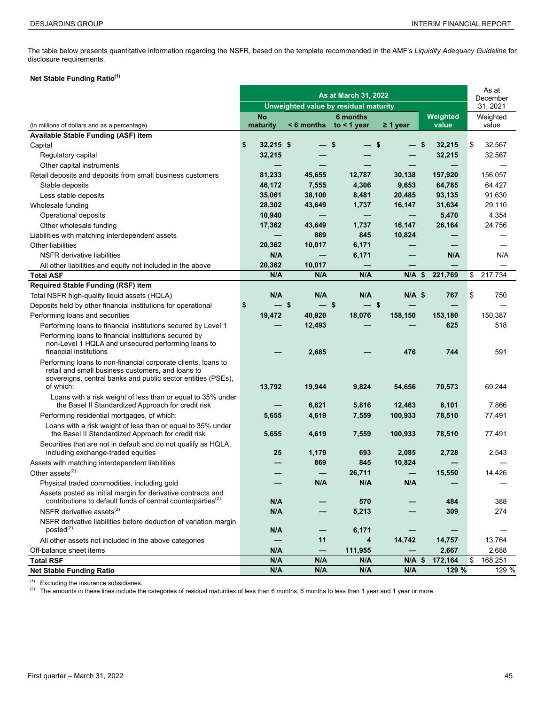The table below presents quantitative information regarding the NSFR, based on the template recommended in the AMF's *Liquidity Adequacy Guideline* for disclosure requirements.

#### **Net Stable Funding Ratio(1)**

|                                                                                                                                                                                                 |                                       | As at<br>December |                           |                   |                   |                   |
|-------------------------------------------------------------------------------------------------------------------------------------------------------------------------------------------------|---------------------------------------|-------------------|---------------------------|-------------------|-------------------|-------------------|
|                                                                                                                                                                                                 | Unweighted value by residual maturity | 31, 2021          |                           |                   |                   |                   |
| (in millions of dollars and as a percentage)                                                                                                                                                    | <b>No</b><br>maturity                 | < 6 months        | 6 months<br>to $<$ 1 year | $\geq 1$ year     | Weighted<br>value | Weighted<br>value |
| Available Stable Funding (ASF) item                                                                                                                                                             |                                       |                   |                           |                   |                   |                   |
| Capital                                                                                                                                                                                         | 32,215 \$<br>\$                       |                   | \$                        | \$<br>\$          | 32,215            | \$<br>32,567      |
| Regulatory capital                                                                                                                                                                              | 32,215                                |                   |                           |                   | 32,215            | 32,567            |
| Other capital instruments                                                                                                                                                                       |                                       |                   |                           |                   |                   |                   |
| Retail deposits and deposits from small business customers                                                                                                                                      | 81,233                                | 45,655            | 12,787                    | 30,138            | 157,920           | 156,057           |
| Stable deposits                                                                                                                                                                                 | 46,172                                | 7,555             | 4,306                     | 9,653             | 64,785            | 64,427            |
| Less stable deposits                                                                                                                                                                            | 35,061                                | 38,100            | 8,481                     | 20,485            | 93,135            | 91,630            |
| Wholesale funding                                                                                                                                                                               | 28,302                                | 43,649            | 1,737                     | 16,147            | 31,634            | 29,110            |
| Operational deposits                                                                                                                                                                            | 10,940                                |                   | -                         | $\qquad \qquad -$ | 5,470             | 4,354             |
| Other wholesale funding                                                                                                                                                                         | 17,362                                | 43,649            | 1,737                     | 16,147            | 26,164            | 24,756            |
| Liabilities with matching interdependent assets                                                                                                                                                 |                                       | 869               | 845                       | 10,824            |                   |                   |
| Other liabilities                                                                                                                                                                               | 20,362                                | 10,017            | 6,171                     |                   |                   |                   |
| <b>NSFR</b> derivative liabilities                                                                                                                                                              | N/A                                   |                   | 6,171                     |                   | N/A               | N/A               |
| All other liabilities and equity not included in the above                                                                                                                                      | 20,362                                | 10,017            |                           |                   |                   |                   |
| <b>Total ASF</b>                                                                                                                                                                                | N/A                                   | N/A               | N/A                       | $N/A$ \$          | 221,769           | \$<br>217,734     |
| <b>Required Stable Funding (RSF) item</b>                                                                                                                                                       |                                       |                   |                           |                   |                   |                   |
| Total NSFR high-quality liquid assets (HQLA)                                                                                                                                                    | N/A                                   | N/A               | N/A                       | $N/A$ \$          | 767               | \$<br>750         |
| Deposits held by other financial institutions for operational                                                                                                                                   | \$<br>— \$                            | — \$              | — \$                      |                   |                   |                   |
| Performing loans and securities                                                                                                                                                                 | 19,472                                | 40,920            | 18,076                    | 158,150           | 153,180           | 150,387           |
| Performing loans to financial institutions secured by Level 1                                                                                                                                   |                                       | 12,493            |                           |                   | 625               | 518               |
| Performing loans to financial institutions secured by<br>non-Level 1 HQLA and unsecured performing loans to<br>financial institutions                                                           |                                       | 2,685             |                           | 476               | 744               | 591               |
| Performing loans to non-financial corporate clients, loans to<br>retail and small business customers, and loans to<br>sovereigns, central banks and public sector entities (PSEs),<br>of which: | 13,792                                | 19,944            | 9,824                     | 54,656            | 70,573            | 69,244            |
| Loans with a risk weight of less than or equal to 35% under                                                                                                                                     |                                       |                   |                           |                   |                   |                   |
| the Basel II Standardized Approach for credit risk                                                                                                                                              |                                       | 6,621             | 5,816                     | 12,463            | 8,101             | 7,866             |
| Performing residential mortgages, of which:                                                                                                                                                     | 5,655                                 | 4,619             | 7,559                     | 100,933           | 78,510            | 77,491            |
| Loans with a risk weight of less than or equal to 35% under<br>the Basel II Standardized Approach for credit risk<br>Securities that are not in default and do not qualify as HQLA,             | 5,655                                 | 4,619             | 7,559                     | 100,933           | 78,510            | 77,491            |
| including exchange-traded equities                                                                                                                                                              | 25                                    | 1,179             | 693                       | 2,085             | 2,728             | 2,543             |
| Assets with matching interdependent liabilities                                                                                                                                                 |                                       | 869               | 845                       | 10,824            |                   |                   |
| Other assets $(2)$                                                                                                                                                                              |                                       |                   | 26,711                    |                   | 15,550            | 14,426            |
| Physical traded commodities, including gold                                                                                                                                                     |                                       | N/A               | N/A                       | N/A               |                   |                   |
| Assets posted as initial margin for derivative contracts and                                                                                                                                    |                                       |                   |                           |                   |                   |                   |
| contributions to default funds of central counterparties <sup>(2)</sup>                                                                                                                         | N/A                                   |                   | 570                       |                   | 484               | 388               |
| NSFR derivative assets $^{(2)}$                                                                                                                                                                 | N/A                                   |                   | 5,213                     |                   | 309               | 274               |
| NSFR derivative liabilities before deduction of variation margin<br>posted <sup>(2)</sup>                                                                                                       | N/A                                   |                   | 6,171                     |                   |                   |                   |
| All other assets not included in the above categories                                                                                                                                           |                                       | 11                | 4                         | 14,742            | 14,757            | 13,764            |
| Off-balance sheet items                                                                                                                                                                         | N/A                                   |                   | 111,955                   |                   | 2,667             | 2,688             |
| <b>Total RSF</b>                                                                                                                                                                                | N/A                                   | N/A               | N/A                       | $N/A$ \$          | 172,164           | 168,251<br>\$     |
| <b>Net Stable Funding Ratio</b>                                                                                                                                                                 | N/A                                   | N/A               | N/A                       | N/A               | 129 %             | 129 %             |

(1) Excluding the insurance subsidiaries.

(2) The amounts in these lines include the categories of residual maturities of less than 6 months, 6 months to less than 1 year and 1 year or more.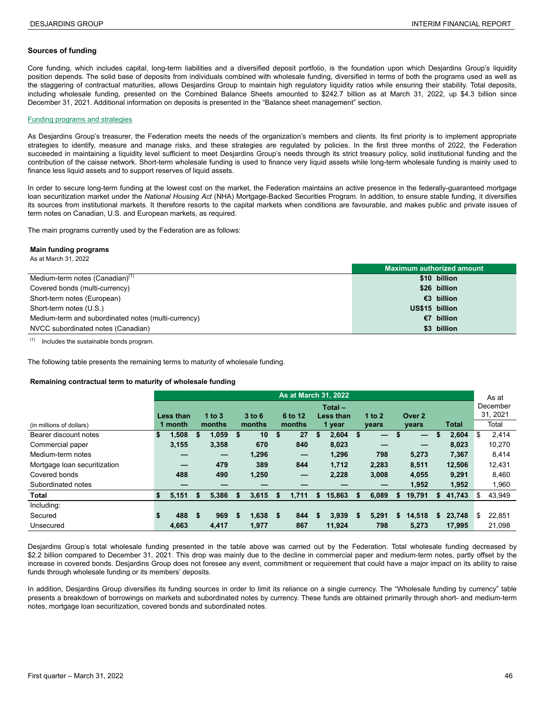#### **Sources of funding**

Core funding, which includes capital, long-term liabilities and a diversified deposit portfolio, is the foundation upon which Desjardins Group's liquidity position depends. The solid base of deposits from individuals combined with wholesale funding, diversified in terms of both the programs used as well as the staggering of contractual maturities, allows Desjardins Group to maintain high regulatory liquidity ratios while ensuring their stability. Total deposits, including wholesale funding, presented on the Combined Balance Sheets amounted to \$242.7 billion as at March 31, 2022, up \$4.3 billion since December 31, 2021. Additional information on deposits is presented in the "Balance sheet management" section.

#### Funding programs and strategies

As Desjardins Group's treasurer, the Federation meets the needs of the organization's members and clients. Its first priority is to implement appropriate strategies to identify, measure and manage risks, and these strategies are regulated by policies. In the first three months of 2022, the Federation succeeded in maintaining a liquidity level sufficient to meet Desjardins Group's needs through its strict treasury policy, solid institutional funding and the contribution of the caisse network. Short-term wholesale funding is used to finance very liquid assets while long-term wholesale funding is mainly used to finance less liquid assets and to support reserves of liquid assets.

In order to secure long-term funding at the lowest cost on the market, the Federation maintains an active presence in the federally-guaranteed mortgage loan securitization market under the *National Housing Act* (NHA) Mortgage-Backed Securities Program*.* In addition, to ensure stable funding, it diversifies its sources from institutional markets. It therefore resorts to the capital markets when conditions are favourable, and makes public and private issues of term notes on Canadian, U.S. and European markets, as required.

The main programs currently used by the Federation are as follows:

#### **Main funding programs**

| As at March 31, 2022 |  |
|----------------------|--|
|                      |  |

|                                                     | Maximum authorized amount |
|-----------------------------------------------------|---------------------------|
| Medium-term notes (Canadian) <sup>(1)</sup>         | \$10 billion              |
| Covered bonds (multi-currency)                      | \$26 billion              |
| Short-term notes (European)                         | €3 billion                |
| Short-term notes (U.S.)                             | US\$15 billion            |
| Medium-term and subordinated notes (multi-currency) | €7 billion                |
| NVCC subordinated notes (Canadian)                  | \$3 billion               |

 $(1)$  Includes the sustainable bonds program.

The following table presents the remaining terms to maturity of wholesale funding.

#### **Remaining contractual term to maturity of wholesale funding <sup>4</sup>**

|                              | <b>As at March 31, 2022</b> |           |    |                          |    |          |    |                                 |    |                        |    |          |    |                          |    |              | As at |                      |
|------------------------------|-----------------------------|-----------|----|--------------------------|----|----------|----|---------------------------------|----|------------------------|----|----------|----|--------------------------|----|--------------|-------|----------------------|
|                              |                             | Less than |    | 1 to $3$                 |    | $3$ to 6 |    | 6 to 12                         |    | $Total -$<br>Less than |    | 1 to $2$ |    | Over 2                   |    |              |       | December<br>31, 2021 |
| (in millions of dollars)     |                             | 1 month   |    | months                   |    | months   |    | months                          |    | 1 year                 |    | years    |    | years                    |    | <b>Total</b> |       | Total                |
| Bearer discount notes        | \$                          | 1,508     | S  | 1,059                    | \$ | 10       | \$ | 27                              | \$ | 2,604                  | \$ | —        | \$ | $\overline{\phantom{m}}$ | S  | 2,604        | \$    | 2,414                |
| Commercial paper             |                             | 3,155     |    | 3,358                    |    | 670      |    | 840                             |    | 8,023                  |    | –        |    |                          |    | 8,023        |       | 10,270               |
| Medium-term notes            |                             |           |    | $\overline{\phantom{m}}$ |    | 1,296    |    | $\qquad \qquad - \qquad \qquad$ |    | 1,296                  |    | 798      |    | 5,273                    |    | 7,367        |       | 8.414                |
| Mortgage loan securitization |                             |           |    | 479                      |    | 389      |    | 844                             |    | 1.712                  |    | 2.283    |    | 8,511                    |    | 12.506       |       | 12,431               |
| Covered bonds                |                             | 488       |    | 490                      |    | 1,250    |    |                                 |    | 2,228                  |    | 3,008    |    | 4,055                    |    | 9,291        |       | 8.460                |
| Subordinated notes           |                             |           |    |                          |    |          |    |                                 |    |                        |    |          |    | 1.952                    |    | 1,952        |       | 1,960                |
| <b>Total</b>                 | S.                          | 5,151     | S  | 5.386                    | S. | 3.615    | S. | 1.711                           | \$ | 15.863                 | S  | 6,089    | S  | 19.791                   | S. | 41.743       | S     | 43,949               |
| Including:                   |                             |           |    |                          |    |          |    |                                 |    |                        |    |          |    |                          |    |              |       |                      |
| Secured                      | \$                          | 488       | \$ | 969                      | S. | 1,638    | \$ | 844                             | S  | 3,939                  | \$ | 5,291    | S. | 14,518                   | S. | 23,748       | \$    | 22,851               |
| Unsecured                    |                             | 4.663     |    | 4.417                    |    | 1.977    |    | 867                             |    | 11.924                 |    | 798      |    | 5.273                    |    | 17.995       |       | 21.098               |

Desjardins Group's total wholesale funding presented in the table above was carried out by the Federation. Total wholesale funding decreased by \$2.2 billion compared to December 31, 2021. This drop was mainly due to the decline in commercial paper and medium-term notes, partly offset by the increase in covered bonds. Desjardins Group does not foresee any event, commitment or requirement that could have a major impact on its ability to raise funds through wholesale funding or its members' deposits.

In addition, Desjardins Group diversifies its funding sources in order to limit its reliance on a single currency. The "Wholesale funding by currency" table presents a breakdown of borrowings on markets and subordinated notes by currency. These funds are obtained primarily through short- and medium-term notes, mortgage loan securitization, covered bonds and subordinated notes.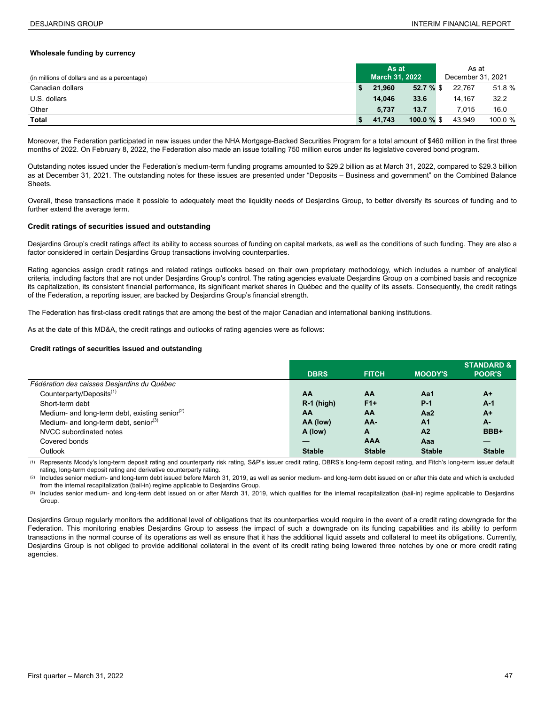#### **Wholesale funding by currency**

|                                              | As at                 |               |  | As at             |         |
|----------------------------------------------|-----------------------|---------------|--|-------------------|---------|
| (in millions of dollars and as a percentage) | <b>March 31, 2022</b> |               |  | December 31, 2021 |         |
| Canadian dollars                             | 21.960                | 52.7%         |  | 22.767            | 51.8 %  |
| U.S. dollars                                 | 14.046                | 33.6          |  | 14.167            | 32.2    |
| Other                                        | 5.737                 | 13.7          |  | 7.015             | 16.0    |
| Total                                        | 41.743                | $100.0 \%$ \$ |  | 43.949            | 100.0 % |

Moreover, the Federation participated in new issues under the NHA Mortgage-Backed Securities Program for a total amount of \$460 million in the first three months of 2022. On February 8, 2022, the Federation also made an issue totalling 750 million euros under its legislative covered bond program.

Outstanding notes issued under the Federation's medium-term funding programs amounted to \$29.2 billion as at March 31, 2022, compared to \$29.3 billion as at December 31, 2021. The outstanding notes for these issues are presented under "Deposits – Business and government" on the Combined Balance Sheets.

Overall, these transactions made it possible to adequately meet the liquidity needs of Desjardins Group, to better diversify its sources of funding and to further extend the average term.

#### **Credit ratings of securities issued and outstanding**

Desjardins Group's credit ratings affect its ability to access sources of funding on capital markets, as well as the conditions of such funding. They are also a factor considered in certain Desjardins Group transactions involving counterparties.

Rating agencies assign credit ratings and related ratings outlooks based on their own proprietary methodology, which includes a number of analytical criteria, including factors that are not under Desjardins Group's control. The rating agencies evaluate Desjardins Group on a combined basis and recognize its capitalization, its consistent financial performance, its significant market shares in Québec and the quality of its assets. Consequently, the credit ratings of the Federation, a reporting issuer, are backed by Desjardins Group's financial strength.

The Federation has first-class credit ratings that are among the best of the major Canadian and international banking institutions.

As at the date of this MD&A, the credit ratings and outlooks of rating agencies were as follows:

#### **Credit ratings of securities issued and outstanding**

|                                                   |               |               |                | <b>STANDARD &amp;</b> |
|---------------------------------------------------|---------------|---------------|----------------|-----------------------|
|                                                   | <b>DBRS</b>   | <b>FITCH</b>  | <b>MOODY'S</b> | <b>POOR'S</b>         |
| Fédération des caisses Desjardins du Québec       |               |               |                |                       |
| Counterparty/Deposits <sup>(1)</sup>              | AA            | AA            | Aa1            | $A+$                  |
| Short-term debt                                   | $R-1$ (high)  | $F1+$         | $P-1$          | $A-1$                 |
| Medium- and long-term debt, existing senior $(2)$ | AA            | AA            | Aa2            | $A+$                  |
| Medium- and long-term debt, senior <sup>(3)</sup> | AA (low)      | AA-           | A <sub>1</sub> | А-                    |
| NVCC subordinated notes                           | A (low)       | A             | A <sub>2</sub> | BBB+                  |
| Covered bonds                                     |               | <b>AAA</b>    | Aaa            |                       |
| Outlook                                           | <b>Stable</b> | <b>Stable</b> | <b>Stable</b>  | <b>Stable</b>         |

(1) Represents Moody's long-term deposit rating and counterparty risk rating, S&P's issuer credit rating, DBRS's long-term deposit rating, and Fitch's long-term issuer default rating, long-term deposit rating and derivative counterparty rating.

(2) Includes senior medium- and long-term debt issued before March 31, 2019, as well as senior medium- and long-term debt issued on or after this date and which is excluded from the internal recapitalization (bail-in) regime applicable to Desjardins Group.

(3) Includes senior medium- and long-term debt issued on or after March 31, 2019, which qualifies for the internal recapitalization (bail-in) regime applicable to Desjardins Group.

Desjardins Group regularly monitors the additional level of obligations that its counterparties would require in the event of a credit rating downgrade for the Federation. This monitoring enables Desjardins Group to assess the impact of such a downgrade on its funding capabilities and its ability to perform transactions in the normal course of its operations as well as ensure that it has the additional liquid assets and collateral to meet its obligations. Currently, Desjardins Group is not obliged to provide additional collateral in the event of its credit rating being lowered three notches by one or more credit rating agencies.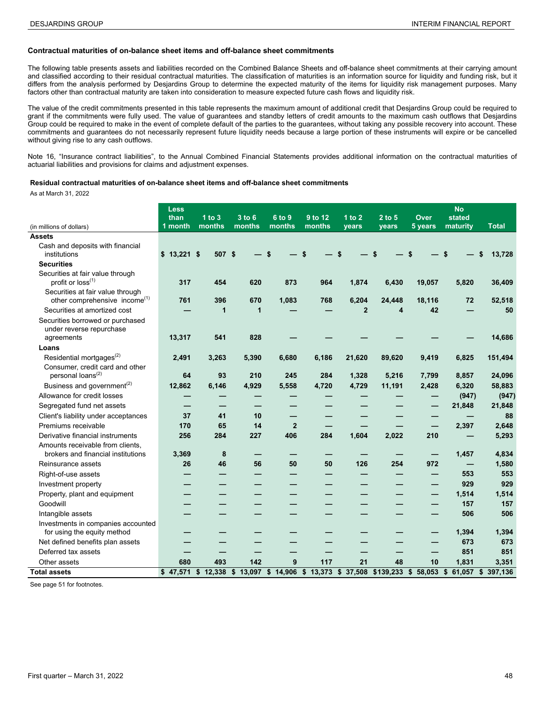#### **Contractual maturities of on-balance sheet items and off-balance sheet commitments**

The following table presents assets and liabilities recorded on the Combined Balance Sheets and off-balance sheet commitments at their carrying amount and classified according to their residual contractual maturities. The classification of maturities is an information source for liquidity and funding risk, but it differs from the analysis performed by Desjardins Group to determine the expected maturity of the items for liquidity risk management purposes. Many factors other than contractual maturity are taken into consideration to measure expected future cash flows and liquidity risk.

The value of the credit commitments presented in this table represents the maximum amount of additional credit that Desjardins Group could be required to grant if the commitments were fully used. The value of guarantees and standby letters of credit amounts to the maximum cash outflows that Desjardins Group could be required to make in the event of complete default of the parties to the guarantees, without taking any possible recovery into account. These commitments and guarantees do not necessarily represent future liquidity needs because a large portion of these instruments will expire or be cancelled without giving rise to any cash outflows.

Note 16, "Insurance contract liabilities", to the Annual Combined Financial Statements provides additional information on the contractual maturities of actuarial liabilities and provisions for claims and adjustment expenses.

#### **Residual contractual maturities of on-balance sheet items and off-balance sheet commitments**

As at March 31, 2022 **<sup>4</sup>**

|                                                                               | <b>Less</b><br>than | $1$ to $3$   | 3 to 6                              | 6 to 9         | 9 to 12 | 1 to 2         | $2$ to $5$ | <b>Over</b>                     | <b>No</b><br>stated |                                                                                            |
|-------------------------------------------------------------------------------|---------------------|--------------|-------------------------------------|----------------|---------|----------------|------------|---------------------------------|---------------------|--------------------------------------------------------------------------------------------|
| (in millions of dollars)                                                      | 1 month             | months       | months<br>months<br>months<br>vears |                |         | vears          | 5 years    | maturity                        | <b>Total</b>        |                                                                                            |
| <b>Assets</b>                                                                 |                     |              |                                     |                |         |                |            |                                 |                     |                                                                                            |
| Cash and deposits with financial<br>institutions                              | $$13,221$ \$        | 507 \$       |                                     | \$             |         | \$             |            |                                 | \$                  | 13,728<br>\$                                                                               |
| <b>Securities</b>                                                             |                     |              |                                     |                |         |                |            |                                 |                     |                                                                                            |
| Securities at fair value through<br>profit or $loss^{(1)}$                    | 317                 | 454          | 620                                 | 873            | 964     | 1,874          | 6,430      | 19,057                          | 5,820               | 36,409                                                                                     |
| Securities at fair value through<br>other comprehensive income <sup>(1)</sup> | 761                 | 396          | 670                                 | 1,083          | 768     | 6,204          | 24,448     | 18,116                          | 72                  | 52,518                                                                                     |
| Securities at amortized cost                                                  |                     | $\mathbf{1}$ | 1                                   |                |         | $\overline{2}$ | 4          | 42                              |                     | 50                                                                                         |
| Securities borrowed or purchased                                              |                     |              |                                     |                |         |                |            |                                 |                     |                                                                                            |
| under reverse repurchase<br>agreements                                        | 13,317              | 541          | 828                                 |                |         |                |            |                                 |                     | 14,686                                                                                     |
| Loans                                                                         |                     |              |                                     |                |         |                |            |                                 |                     |                                                                                            |
| Residential mortgages <sup>(2)</sup>                                          | 2,491               | 3,263        | 5,390                               | 6.680          | 6,186   | 21,620         | 89,620     | 9,419                           | 6,825               | 151,494                                                                                    |
| Consumer, credit card and other<br>personal loans <sup>(2)</sup>              | 64                  | 93           | 210                                 | 245            | 284     | 1,328          | 5,216      | 7,799                           | 8,857               | 24,096                                                                                     |
| Business and government <sup>(2)</sup>                                        | 12,862              | 6,146        | 4,929                               | 5,558          | 4,720   | 4,729          | 11,191     | 2,428                           | 6,320               | 58,883                                                                                     |
| Allowance for credit losses                                                   |                     |              |                                     |                |         |                |            |                                 | (947)               | (947)                                                                                      |
| Segregated fund net assets                                                    |                     |              |                                     |                |         |                |            |                                 | 21,848              | 21,848                                                                                     |
| Client's liability under acceptances                                          | 37                  | 41           | 10                                  |                |         |                |            | -                               |                     | 88                                                                                         |
| Premiums receivable                                                           | 170                 | 65           | 14                                  | $\overline{2}$ |         |                |            | $\qquad \qquad - \qquad \qquad$ | 2,397               | 2,648                                                                                      |
| Derivative financial instruments                                              | 256                 | 284          | 227                                 | 406            | 284     | 1,604          | 2,022      | 210                             |                     | 5,293                                                                                      |
| Amounts receivable from clients.                                              |                     |              |                                     |                |         |                |            |                                 |                     |                                                                                            |
| brokers and financial institutions                                            | 3,369               | 8            |                                     |                |         |                |            |                                 | 1,457               | 4,834                                                                                      |
| Reinsurance assets                                                            | 26                  | 46           | 56                                  | 50             | 50      | 126            | 254        | 972                             |                     | 1,580                                                                                      |
| Right-of-use assets                                                           |                     |              |                                     |                |         |                |            |                                 | 553                 | 553                                                                                        |
| Investment property                                                           |                     |              |                                     |                |         |                |            |                                 | 929                 | 929                                                                                        |
| Property, plant and equipment                                                 |                     |              |                                     |                |         |                |            |                                 | 1,514               | 1,514                                                                                      |
| Goodwill                                                                      |                     |              |                                     |                |         |                |            |                                 | 157                 | 157                                                                                        |
| Intangible assets                                                             |                     |              |                                     |                |         |                |            |                                 | 506                 | 506                                                                                        |
| Investments in companies accounted<br>for using the equity method             |                     |              |                                     |                |         |                |            |                                 | 1,394               | 1,394                                                                                      |
| Net defined benefits plan assets                                              |                     |              |                                     |                |         |                |            |                                 | 673                 | 673                                                                                        |
| Deferred tax assets                                                           |                     |              |                                     |                |         |                |            |                                 | 851                 | 851                                                                                        |
| Other assets                                                                  | 680                 | 493          | 142                                 | 9              | 117     | 21             | 48         | 10                              | 1,831               | 3,351                                                                                      |
| <b>Total assets</b>                                                           | \$47,571            |              |                                     |                |         |                |            |                                 |                     | \$ 12,338 \$ 13,097 \$ 14,906 \$ 13,373 \$ 37,508 \$139,233 \$ 58,053 \$ 61,057 \$ 397,136 |

See page 51 for footnotes.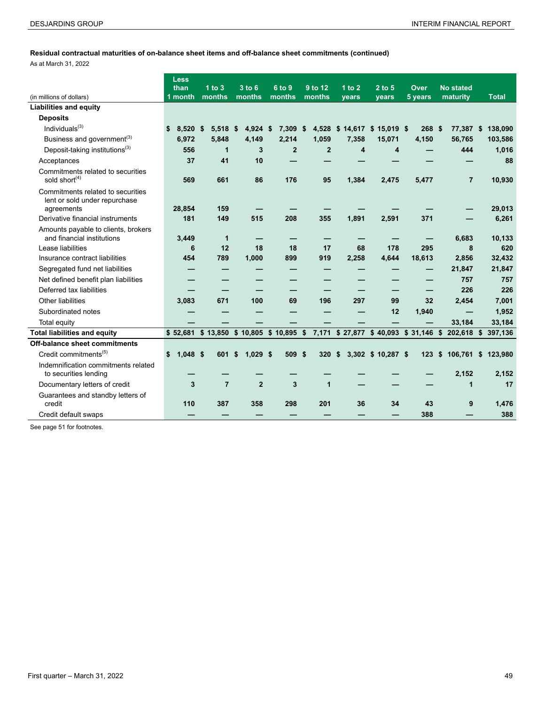# **Residual contractual maturities of on-balance sheet items and off-balance sheet commitments (continued)**

|  | As at March 31, 2022 |  |
|--|----------------------|--|
|  |                      |  |

|                                                                                  | <b>Less</b><br>than | $1$ to $3$       | $3$ to $6$       | 6 to 9                                 | 9 to 12<br>1 to $2$ |                         | $2$ to $5$         | Over    | <b>No stated</b>                              |               |
|----------------------------------------------------------------------------------|---------------------|------------------|------------------|----------------------------------------|---------------------|-------------------------|--------------------|---------|-----------------------------------------------|---------------|
| (in millions of dollars)                                                         | 1 month             | months<br>months |                  | months                                 | months              | vears                   | vears              | 5 years | maturity                                      | <b>Total</b>  |
| <b>Liabilities and equity</b>                                                    |                     |                  |                  |                                        |                     |                         |                    |         |                                               |               |
| <b>Deposits</b>                                                                  |                     |                  |                  |                                        |                     |                         |                    |         |                                               |               |
| Individuals $^{(3)}$                                                             | \$<br>$8.520$ \$    | 5.518            | 4.924<br>- \$    | -\$<br>7,309                           | -\$                 | 4,528 \$ 14,617         | $$15,019$ \$       | 268 \$  | 77,387 \$                                     | 138,090       |
| Business and government <sup>(3)</sup>                                           | 6,972               | 5,848            | 4,149            | 2,214                                  | 1.059               | 7,358                   | 15,071             | 4,150   | 56,765                                        | 103,586       |
| Deposit-taking institutions <sup>(3)</sup>                                       | 556                 | 1                | 3                | $\mathbf{2}$                           | $\overline{2}$      | $\overline{\mathbf{4}}$ | 4                  |         | 444                                           | 1,016         |
| Acceptances                                                                      | 37                  | 41               | 10               |                                        |                     |                         |                    |         |                                               | 88            |
| Commitments related to securities<br>sold short <sup>(4)</sup>                   | 569                 | 661              | 86               | 176                                    | 95                  | 1,384                   | 2,475              | 5.477   | $\overline{7}$                                | 10,930        |
| Commitments related to securities<br>lent or sold under repurchase<br>agreements | 28,854              | 159              |                  |                                        |                     |                         |                    |         |                                               | 29,013        |
| Derivative financial instruments                                                 | 181                 | 149              | 515              | 208                                    | 355                 | 1,891                   | 2,591              | 371     |                                               | 6,261         |
| Amounts payable to clients, brokers<br>and financial institutions                | 3.449               | $\mathbf{1}$     |                  |                                        |                     |                         |                    |         | 6.683                                         | 10,133        |
| Lease liabilities                                                                | 6                   | 12               | 18               | 18                                     | 17                  | 68                      | 178                | 295     | 8                                             | 620           |
| Insurance contract liabilities                                                   | 454                 | 789              | 1,000            | 899                                    | 919                 | 2,258                   | 4,644              | 18,613  | 2,856                                         | 32,432        |
| Segregated fund net liabilities                                                  |                     |                  |                  |                                        |                     |                         |                    |         | 21,847                                        | 21,847        |
| Net defined benefit plan liabilities                                             |                     |                  |                  |                                        |                     |                         |                    |         | 757                                           | 757           |
| Deferred tax liabilities                                                         |                     |                  |                  |                                        |                     |                         |                    |         | 226                                           | 226           |
| Other liabilities                                                                | 3,083               | 671              | 100              | 69                                     | 196                 | 297                     | 99                 | 32      | 2.454                                         | 7,001         |
| Subordinated notes                                                               |                     |                  |                  |                                        |                     |                         | 12                 | 1,940   |                                               | 1,952         |
| Total equity                                                                     |                     |                  |                  |                                        |                     |                         |                    |         | 33,184                                        | 33,184        |
| <b>Total liabilities and equity</b>                                              |                     |                  |                  | \$52,681 \$13,850 \$10,805 \$10,895 \$ |                     |                         |                    |         | 7,171 \$27,877 \$40,093 \$31,146 \$202,618 \$ | 397,136       |
| Off-balance sheet commitments                                                    |                     |                  |                  |                                        |                     |                         |                    |         |                                               |               |
| Credit commitments <sup>(5)</sup>                                                | $1,048$ \$<br>\$    | 601              | \$<br>$1,029$ \$ | 509 \$                                 | 320                 | \$                      | 3,302 \$ 10,287 \$ | 123     | \$<br>106,761                                 | 123,980<br>\$ |
| Indemnification commitments related<br>to securities lending                     |                     |                  |                  |                                        |                     |                         |                    |         | 2,152                                         | 2,152         |
| Documentary letters of credit                                                    | 3                   | $\overline{7}$   | $\overline{2}$   | 3                                      | 1                   |                         |                    |         | 1                                             | 17            |
| Guarantees and standby letters of<br>credit                                      | 110                 | 387              | 358              | 298                                    | 201                 | 36                      | 34                 | 43      | 9                                             | 1,476         |
| Credit default swaps                                                             |                     |                  |                  |                                        |                     |                         |                    | 388     |                                               | 388           |

See page 51 for footnotes.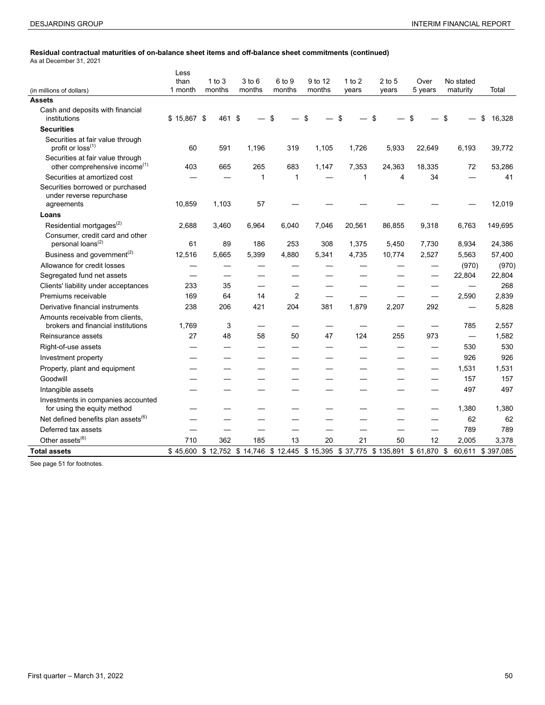÷,

# **Residual contractual maturities of on-balance sheet items and off-balance sheet commitments (continued)**

| As at December 31, 2021 |
|-------------------------|
|-------------------------|

|                                                                               | Less            |                    |                      |                  |                   |                   |                                                                             |                 |                       |                  |
|-------------------------------------------------------------------------------|-----------------|--------------------|----------------------|------------------|-------------------|-------------------|-----------------------------------------------------------------------------|-----------------|-----------------------|------------------|
| (in millions of dollars)                                                      | than<br>1 month | 1 to $3$<br>months | $3$ to $6$<br>months | 6 to 9<br>months | 9 to 12<br>months | 1 to $2$<br>years | $2$ to 5<br>years                                                           | Over<br>5 years | No stated<br>maturity | Total            |
| <b>Assets</b>                                                                 |                 |                    |                      |                  |                   |                   |                                                                             |                 |                       |                  |
| Cash and deposits with financial<br>institutions                              | $$15,867$ \$    | 461 \$             |                      | \$               | \$                | \$                | \$                                                                          | \$              | \$                    | \$<br>16,328     |
| <b>Securities</b>                                                             |                 |                    |                      |                  |                   |                   |                                                                             |                 |                       |                  |
| Securities at fair value through<br>profit or loss <sup>(1)</sup>             | 60              | 591                | 1,196                | 319              | 1,105             | 1,726             | 5,933                                                                       | 22,649          | 6,193                 | 39,772           |
| Securities at fair value through<br>other comprehensive income <sup>(1)</sup> | 403             | 665                | 265                  | 683              | 1,147             | 7,353             | 24,363                                                                      | 18,335          | 72                    | 53,286           |
| Securities at amortized cost                                                  |                 |                    | $\mathbf{1}$         | 1                |                   | 1                 | 4                                                                           | 34              |                       | 41               |
| Securities borrowed or purchased<br>under reverse repurchase<br>agreements    | 10,859          | 1,103              | 57                   |                  |                   |                   |                                                                             |                 |                       | 12,019           |
| Loans                                                                         |                 |                    |                      |                  |                   |                   |                                                                             |                 |                       |                  |
| Residential mortgages <sup>(2)</sup>                                          | 2,688           | 3,460              | 6,964                | 6.040            | 7,046             | 20,561            | 86,855                                                                      | 9,318           | 6,763                 | 149,695          |
| Consumer, credit card and other<br>personal loans <sup>(2)</sup>              | 61              | 89                 | 186                  | 253              | 308               | 1,375             | 5,450                                                                       | 7,730           | 8,934                 | 24,386           |
| Business and government <sup>(2)</sup>                                        | 12,516          | 5,665              | 5,399                | 4,880            | 5,341             | 4,735             | 10,774                                                                      | 2,527           | 5,563                 | 57,400           |
| Allowance for credit losses                                                   |                 |                    |                      |                  |                   |                   |                                                                             |                 | (970)                 | (970)            |
| Segregated fund net assets                                                    |                 |                    |                      |                  |                   |                   |                                                                             |                 | 22,804                | 22,804           |
| Clients' liability under acceptances                                          | 233             | 35                 |                      |                  |                   |                   |                                                                             |                 |                       | 268              |
| Premiums receivable                                                           | 169             | 64                 | 14                   | 2                |                   |                   |                                                                             |                 | 2,590                 | 2,839            |
| Derivative financial instruments                                              | 238             | 206                | 421                  | 204              | 381               | 1,879             | 2,207                                                                       | 292             |                       | 5,828            |
| Amounts receivable from clients,<br>brokers and financial institutions        | 1,769           | 3                  |                      |                  |                   |                   |                                                                             |                 | 785                   | 2,557            |
| Reinsurance assets                                                            | 27              | 48                 | 58                   | 50               | 47                | 124               | 255                                                                         | 973             |                       | 1,582            |
| Right-of-use assets                                                           |                 |                    |                      |                  |                   |                   |                                                                             |                 | 530                   | 530              |
| Investment property                                                           |                 |                    |                      |                  |                   |                   |                                                                             |                 | 926                   | 926              |
| Property, plant and equipment                                                 |                 |                    |                      |                  |                   |                   |                                                                             |                 | 1,531                 | 1,531            |
| Goodwill                                                                      |                 |                    |                      |                  |                   |                   |                                                                             |                 | 157                   | 157              |
| Intangible assets                                                             |                 |                    |                      |                  |                   |                   |                                                                             |                 | 497                   | 497              |
| Investments in companies accounted<br>for using the equity method             |                 |                    |                      |                  |                   |                   |                                                                             |                 | 1,380                 | 1,380            |
| Net defined benefits plan assets <sup>(6)</sup>                               |                 |                    |                      |                  |                   |                   |                                                                             |                 | 62                    | 62               |
| Deferred tax assets                                                           |                 |                    |                      |                  |                   |                   |                                                                             |                 | 789                   | 789              |
| Other assets <sup>(6)</sup>                                                   | 710             | 362                | 185                  | 13               | 20                | 21                | 50                                                                          | 12              | 2,005                 | 3,378            |
| <b>Total assets</b>                                                           |                 |                    |                      |                  |                   |                   | \$45,600 \$12,752 \$14,746 \$12,445 \$15,395 \$37,775 \$135,891 \$61,870 \$ |                 |                       | 60,611 \$397,085 |

See page 51 for footnotes.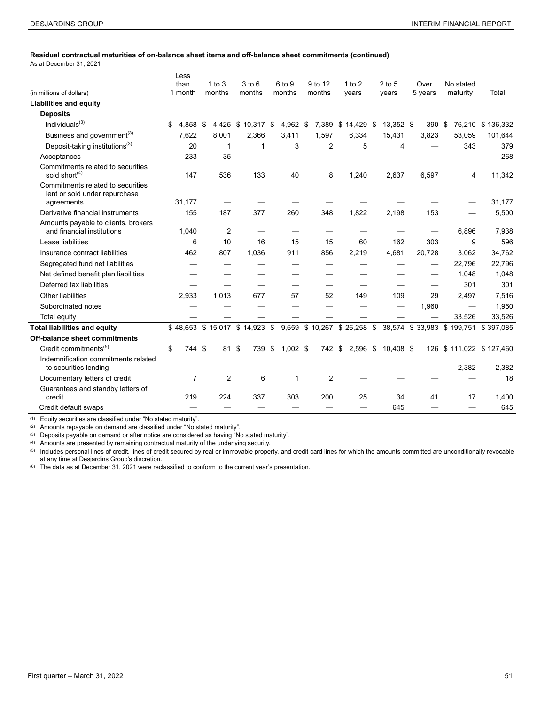#### **Residual contractual maturities of on-balance sheet items and off-balance sheet commitments (continued)**

As at December 31, 2021

|                                                                    | Less    |                |          |                               |                  |                |                            |      |           |         |           |        |                                     |
|--------------------------------------------------------------------|---------|----------------|----------|-------------------------------|------------------|----------------|----------------------------|------|-----------|---------|-----------|--------|-------------------------------------|
|                                                                    | than    |                | 1 to $3$ | $3$ to $6$                    | 6 to 9           | 9 to 12        | $1$ to $2$                 |      | $2$ to 5  | Over    | No stated |        |                                     |
| (in millions of dollars)                                           | 1 month |                | months   | months                        | months           | months         | years                      |      | years     | 5 years | maturity  |        | Total                               |
| <b>Liabilities and equity</b>                                      |         |                |          |                               |                  |                |                            |      |           |         |           |        |                                     |
| <b>Deposits</b>                                                    |         |                |          |                               |                  |                |                            |      |           |         |           |        |                                     |
| Individuals $^{(3)}$                                               | \$      | 4.858          | -\$      | 4,425 \$ 10,317 \$            | 4,962 \$         |                | 7,389 \$14,429 \$          |      | 13,352 \$ | 390 \$  |           |        | 76,210 \$136,332                    |
| Business and government <sup>(3)</sup>                             |         | 7,622          | 8,001    | 2,366                         | 3,411            | 1,597          | 6,334                      |      | 15,431    | 3,823   |           | 53,059 | 101,644                             |
| Deposit-taking institutions <sup>(3)</sup>                         |         | 20             | 1        | 1                             | 3                | 2              | 5                          |      | 4         |         |           | 343    | 379                                 |
| Acceptances                                                        |         | 233            | 35       |                               |                  |                |                            |      |           |         |           |        | 268                                 |
| Commitments related to securities<br>sold short <sup>(4)</sup>     |         | 147            | 536      | 133                           | 40               | 8              | 1,240                      |      | 2,637     | 6,597   |           | 4      | 11,342                              |
| Commitments related to securities<br>lent or sold under repurchase |         |                |          |                               |                  |                |                            |      |           |         |           |        |                                     |
| agreements                                                         |         | 31,177         |          |                               |                  |                |                            |      |           |         |           |        | 31,177                              |
| Derivative financial instruments                                   |         | 155            | 187      | 377                           | 260              | 348            | 1,822                      |      | 2,198     | 153     |           |        | 5,500                               |
| Amounts payable to clients, brokers<br>and financial institutions  |         | 1,040          | 2        |                               |                  |                |                            |      |           |         |           | 6.896  | 7,938                               |
| Lease liabilities                                                  |         | 6              | 10       | 16                            | 15               | 15             | 60                         |      | 162       | 303     |           | 9      | 596                                 |
| Insurance contract liabilities                                     |         | 462            | 807      | 1.036                         | 911              | 856            | 2,219                      |      | 4,681     | 20,728  |           | 3,062  | 34,762                              |
| Segregated fund net liabilities                                    |         |                |          |                               |                  |                |                            |      |           |         |           | 22,796 | 22,796                              |
| Net defined benefit plan liabilities                               |         |                |          |                               |                  |                |                            |      |           |         |           | 1,048  | 1,048                               |
| Deferred tax liabilities                                           |         |                |          |                               |                  |                |                            |      |           |         |           | 301    | 301                                 |
| <b>Other liabilities</b>                                           |         | 2,933          | 1,013    | 677                           | 57               | 52             | 149                        |      | 109       | 29      |           | 2,497  | 7,516                               |
| Subordinated notes                                                 |         |                |          |                               |                  |                |                            |      |           | 1,960   |           |        | 1,960                               |
| Total equity                                                       |         |                |          |                               |                  |                |                            |      |           |         |           | 33,526 | 33,526                              |
| <b>Total liabilities and equity</b>                                |         |                |          | \$48,653 \$15,017 \$14,923 \$ |                  |                | 9,659 \$10,267 \$26,258 \$ |      |           |         |           |        | 38,574 \$33,983 \$199,751 \$397,085 |
| Off-balance sheet commitments                                      |         |                |          |                               |                  |                |                            |      |           |         |           |        |                                     |
| Credit commitments <sup>(5)</sup>                                  | \$      | 744 \$         | 81       | \$<br>739                     | \$<br>$1,002$ \$ | 742 \$         | 2,596                      | - \$ | 10,408 \$ |         |           |        | 126 \$111,022 \$127,460             |
| Indemnification commitments related<br>to securities lending       |         |                |          |                               |                  |                |                            |      |           |         |           | 2,382  | 2,382                               |
| Documentary letters of credit                                      |         | $\overline{7}$ | 2        | 6                             | $\mathbf{1}$     | $\overline{2}$ |                            |      |           |         |           |        | 18                                  |
| Guarantees and standby letters of<br>credit                        |         | 219            | 224      | 337                           | 303              | 200            | 25                         |      | 34        | 41      |           | 17     | 1,400                               |
| Credit default swaps                                               |         |                |          |                               |                  |                |                            |      | 645       |         |           |        | 645                                 |

(1) Equity securities are classified under "No stated maturity".

(2) Amounts repayable on demand are classified under "No stated maturity".

(3) Deposits payable on demand or after notice are considered as having "No stated maturity".

(4) Amounts are presented by remaining contractual maturity of the underlying security.

(5) Includes personal lines of credit, lines of credit secured by real or immovable property, and credit card lines for which the amounts committed are unconditionally revocable at any time at Desjardins Group's discretion.

(6) The data as at December 31, 2021 were reclassified to conform to the current year's presentation.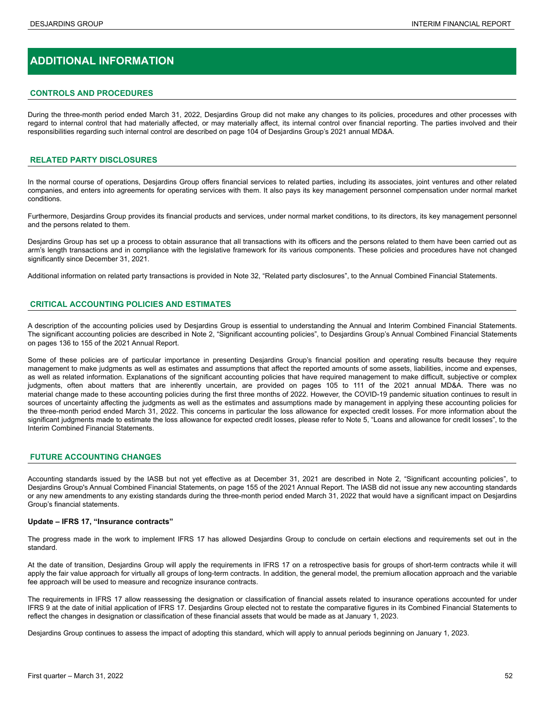## **ADDITIONAL INFORMATION**

#### **CONTROLS AND PROCEDURES**

During the three-month period ended March 31, 2022, Desjardins Group did not make any changes to its policies, procedures and other processes with regard to internal control that had materially affected, or may materially affect, its internal control over financial reporting. The parties involved and their responsibilities regarding such internal control are described on page 104 of Desjardins Group's 2021 annual MD&A.

#### **RELATED PARTY DISCLOSURES**

In the normal course of operations, Desjardins Group offers financial services to related parties, including its associates, joint ventures and other related companies, and enters into agreements for operating services with them. It also pays its key management personnel compensation under normal market conditions.

Furthermore, Desjardins Group provides its financial products and services, under normal market conditions, to its directors, its key management personnel and the persons related to them.

Desjardins Group has set up a process to obtain assurance that all transactions with its officers and the persons related to them have been carried out as arm's length transactions and in compliance with the legislative framework for its various components. These policies and procedures have not changed significantly since December 31, 2021.

Additional information on related party transactions is provided in Note 32, "Related party disclosures", to the Annual Combined Financial Statements.

#### **CRITICAL ACCOUNTING POLICIES AND ESTIMATES**

A description of the accounting policies used by Desjardins Group is essential to understanding the Annual and Interim Combined Financial Statements. The significant accounting policies are described in Note 2, "Significant accounting policies", to Desjardins Group's Annual Combined Financial Statements on pages 136 to 155 of the 2021 Annual Report.

Some of these policies are of particular importance in presenting Desjardins Group's financial position and operating results because they require management to make judgments as well as estimates and assumptions that affect the reported amounts of some assets, liabilities, income and expenses, as well as related information. Explanations of the significant accounting policies that have required management to make difficult, subjective or complex judgments, often about matters that are inherently uncertain, are provided on pages 105 to 111 of the 2021 annual MD&A. There was no material change made to these accounting policies during the first three months of 2022. However, the COVID-19 pandemic situation continues to result in sources of uncertainty affecting the judgments as well as the estimates and assumptions made by management in applying these accounting policies for the three-month period ended March 31, 2022. This concerns in particular the loss allowance for expected credit losses. For more information about the significant judgments made to estimate the loss allowance for expected credit losses, please refer to Note 5, "Loans and allowance for credit losses", to the Interim Combined Financial Statements.

#### **FUTURE ACCOUNTING CHANGES**

Accounting standards issued by the IASB but not yet effective as at December 31, 2021 are described in Note 2, "Significant accounting policies", to Desjardins Group's Annual Combined Financial Statements, on page 155 of the 2021 Annual Report. The IASB did not issue any new accounting standards or any new amendments to any existing standards during the three-month period ended March 31, 2022 that would have a significant impact on Desjardins Group's financial statements.

#### **Update – IFRS 17, "Insurance contracts"**

The progress made in the work to implement IFRS 17 has allowed Desjardins Group to conclude on certain elections and requirements set out in the standard.

At the date of transition, Desjardins Group will apply the requirements in IFRS 17 on a retrospective basis for groups of short-term contracts while it will apply the fair value approach for virtually all groups of long-term contracts. In addition, the general model, the premium allocation approach and the variable fee approach will be used to measure and recognize insurance contracts.

The requirements in IFRS 17 allow reassessing the designation or classification of financial assets related to insurance operations accounted for under IFRS 9 at the date of initial application of IFRS 17. Desjardins Group elected not to restate the comparative figures in its Combined Financial Statements to reflect the changes in designation or classification of these financial assets that would be made as at January 1, 2023.

Desjardins Group continues to assess the impact of adopting this standard, which will apply to annual periods beginning on January 1, 2023.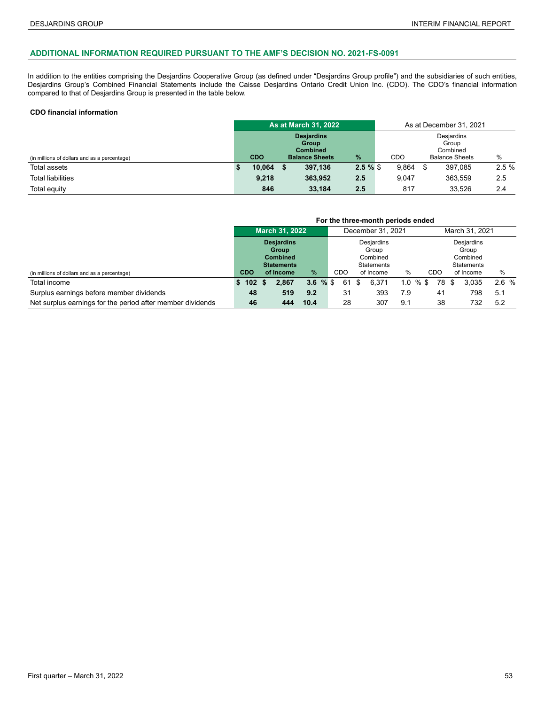#### **ADDITIONAL INFORMATION REQUIRED PURSUANT TO THE AMF'S DECISION NO. 2021-FS-0091**

In addition to the entities comprising the Desjardins Cooperative Group (as defined under "Desjardins Group profile") and the subsidiaries of such entities, Desjardins Group's Combined Financial Statements include the Caisse Desjardins Ontario Credit Union Inc. (CDO). The CDO's financial information compared to that of Desjardins Group is presented in the table below.

#### **CDO financial information**

|                                              |            | <b>As at March 31, 2022</b>                                            |               |       | As at December 31, 2021 |                                                          |      |
|----------------------------------------------|------------|------------------------------------------------------------------------|---------------|-------|-------------------------|----------------------------------------------------------|------|
| (in millions of dollars and as a percentage) | <b>CDO</b> | <b>Desjardins</b><br>Group<br><b>Combined</b><br><b>Balance Sheets</b> | $\frac{9}{6}$ | CDO   |                         | Desjardins<br>Group<br>Combined<br><b>Balance Sheets</b> | %    |
| Total assets                                 | 10,064     | 397.136                                                                | $2.5 \%$ \$   | 9,864 | \$                      | 397,085                                                  | 2.5% |
| <b>Total liabilities</b>                     | 9.218      | 363,952                                                                | 2.5           | 9.047 |                         | 363,559                                                  | 2.5  |
| Total equity                                 | 846        | 33,184                                                                 | 2.5           | 817   |                         | 33,526                                                   | 2.4  |

|                                                            | For the three-month periods ended |           |                                                                    |             |  |     |      |                                                             |             |  |                |    |                                                      |      |  |
|------------------------------------------------------------|-----------------------------------|-----------|--------------------------------------------------------------------|-------------|--|-----|------|-------------------------------------------------------------|-------------|--|----------------|----|------------------------------------------------------|------|--|
|                                                            | <b>March 31, 2022</b>             |           |                                                                    |             |  |     |      | December 31, 2021                                           |             |  | March 31, 2021 |    |                                                      |      |  |
|                                                            |                                   |           | <b>Desjardins</b><br>Group<br><b>Combined</b><br><b>Statements</b> |             |  |     |      | <b>Desiardins</b><br>Group<br>Combined<br><b>Statements</b> |             |  |                |    | Desjardins<br>Group<br>Combined<br><b>Statements</b> |      |  |
| (in millions of dollars and as a percentage)               | <b>CDO</b>                        | of Income |                                                                    | %           |  | CDO |      | of Income                                                   | %           |  | CDO            |    | of Income                                            | $\%$ |  |
| Total income                                               | 102 <sub>2</sub>                  |           | 2.867                                                              | $3.6 \%$ \$ |  | 61  | - \$ | 6.371                                                       | $1.0 \%$ \$ |  | 78             | -S | 3.035                                                | 2.6% |  |
| Surplus earnings before member dividends                   | 48                                |           | 519                                                                | 9.2         |  | 31  |      | 393                                                         | 7.9         |  | 41             |    | 798                                                  | 5.1  |  |
| Net surplus earnings for the period after member dividends | 46                                |           | 444                                                                | 10.4        |  | 28  |      | 307                                                         | 9.1         |  | 38             |    | 732                                                  | 5.2  |  |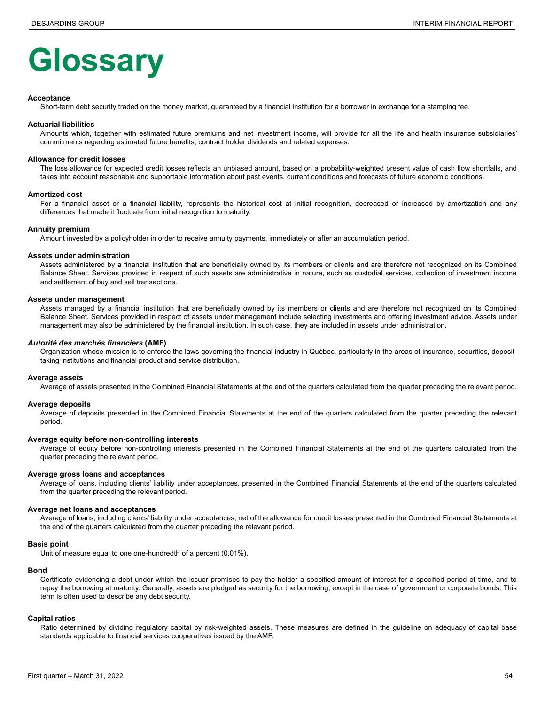# **Glossary**

#### **Acceptance**

Short-term debt security traded on the money market, guaranteed by a financial institution for a borrower in exchange for a stamping fee.

#### **Actuarial liabilities**

Amounts which, together with estimated future premiums and net investment income, will provide for all the life and health insurance subsidiaries' commitments regarding estimated future benefits, contract holder dividends and related expenses.

#### **Allowance for credit losses**

The loss allowance for expected credit losses reflects an unbiased amount, based on a probability-weighted present value of cash flow shortfalls, and takes into account reasonable and supportable information about past events, current conditions and forecasts of future economic conditions.

#### **Amortized cost**

For a financial asset or a financial liability, represents the historical cost at initial recognition, decreased or increased by amortization and any differences that made it fluctuate from initial recognition to maturity.

#### **Annuity premium**

Amount invested by a policyholder in order to receive annuity payments, immediately or after an accumulation period.

#### **Assets under administration**

Assets administered by a financial institution that are beneficially owned by its members or clients and are therefore not recognized on its Combined Balance Sheet. Services provided in respect of such assets are administrative in nature, such as custodial services, collection of investment income and settlement of buy and sell transactions.

#### **Assets under management**

Assets managed by a financial institution that are beneficially owned by its members or clients and are therefore not recognized on its Combined Balance Sheet. Services provided in respect of assets under management include selecting investments and offering investment advice. Assets under management may also be administered by the financial institution. In such case, they are included in assets under administration.

#### *Autorité des marchés financiers* **(AMF)**

Organization whose mission is to enforce the laws governing the financial industry in Québec, particularly in the areas of insurance, securities, deposittaking institutions and financial product and service distribution.

#### **Average assets**

Average of assets presented in the Combined Financial Statements at the end of the quarters calculated from the quarter preceding the relevant period.

#### **Average deposits**

Average of deposits presented in the Combined Financial Statements at the end of the quarters calculated from the quarter preceding the relevant period.

#### **Average equity before non-controlling interests**

Average of equity before non-controlling interests presented in the Combined Financial Statements at the end of the quarters calculated from the quarter preceding the relevant period.

#### **Average gross loans and acceptances**

Average of loans, including clients' liability under acceptances, presented in the Combined Financial Statements at the end of the quarters calculated from the quarter preceding the relevant period.

#### **Average net loans and acceptances**

Average of loans, including clients' liability under acceptances, net of the allowance for credit losses presented in the Combined Financial Statements at the end of the quarters calculated from the quarter preceding the relevant period.

#### **Basis point**

Unit of measure equal to one one-hundredth of a percent (0.01%).

#### **Bond**

Certificate evidencing a debt under which the issuer promises to pay the holder a specified amount of interest for a specified period of time, and to repay the borrowing at maturity. Generally, assets are pledged as security for the borrowing, except in the case of government or corporate bonds. This term is often used to describe any debt security.

#### **Capital ratios**

Ratio determined by dividing regulatory capital by risk-weighted assets. These measures are defined in the guideline on adequacy of capital base standards applicable to financial services cooperatives issued by the AMF.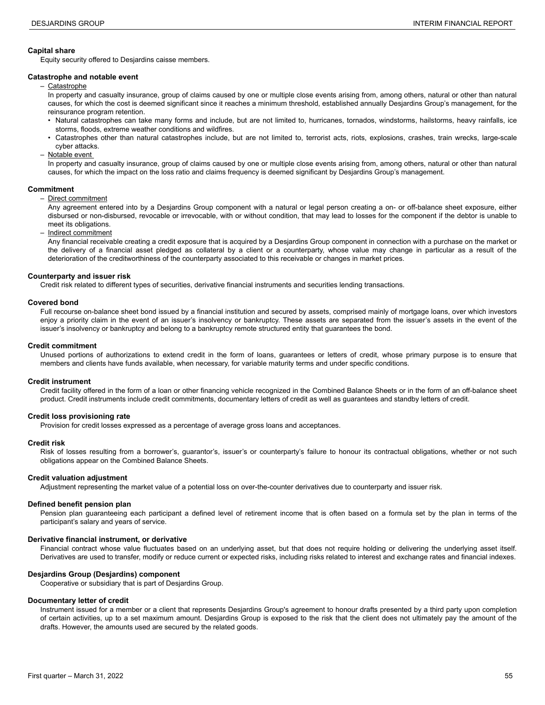#### **Capital share**

Equity security offered to Desjardins caisse members.

#### **Catastrophe and notable event**

– Catastrophe

In property and casualty insurance, group of claims caused by one or multiple close events arising from, among others, natural or other than natural causes, for which the cost is deemed significant since it reaches a minimum threshold, established annually Desjardins Group's management, for the reinsurance program retention.

- Natural catastrophes can take many forms and include, but are not limited to, hurricanes, tornados, windstorms, hailstorms, heavy rainfalls, ice storms, floods, extreme weather conditions and wildfires.
- Catastrophes other than natural catastrophes include, but are not limited to, terrorist acts, riots, explosions, crashes, train wrecks, large-scale cyber attacks.
- Notable event

In property and casualty insurance, group of claims caused by one or multiple close events arising from, among others, natural or other than natural causes, for which the impact on the loss ratio and claims frequency is deemed significant by Desjardins Group's management.

#### **Commitment**

– Direct commitment

 Any agreement entered into by a Desjardins Group component with a natural or legal person creating a on- or off-balance sheet exposure, either disbursed or non-disbursed, revocable or irrevocable, with or without condition, that may lead to losses for the component if the debtor is unable to meet its obligations.

– Indirect commitment

 Any financial receivable creating a credit exposure that is acquired by a Desjardins Group component in connection with a purchase on the market or the delivery of a financial asset pledged as collateral by a client or a counterparty, whose value may change in particular as a result of the deterioration of the creditworthiness of the counterparty associated to this receivable or changes in market prices.

#### **Counterparty and issuer risk**

Credit risk related to different types of securities, derivative financial instruments and securities lending transactions.

#### **Covered bond**

Full recourse on-balance sheet bond issued by a financial institution and secured by assets, comprised mainly of mortgage loans, over which investors enjoy a priority claim in the event of an issuer's insolvency or bankruptcy. These assets are separated from the issuer's assets in the event of the issuer's insolvency or bankruptcy and belong to a bankruptcy remote structured entity that guarantees the bond.

#### **Credit commitment**

Unused portions of authorizations to extend credit in the form of loans, guarantees or letters of credit, whose primary purpose is to ensure that members and clients have funds available, when necessary, for variable maturity terms and under specific conditions.

#### **Credit instrument**

Credit facility offered in the form of a loan or other financing vehicle recognized in the Combined Balance Sheets or in the form of an off-balance sheet product. Credit instruments include credit commitments, documentary letters of credit as well as guarantees and standby letters of credit.

#### **Credit loss provisioning rate**

Provision for credit losses expressed as a percentage of average gross loans and acceptances.

#### **Credit risk**

Risk of losses resulting from a borrower's, guarantor's, issuer's or counterparty's failure to honour its contractual obligations, whether or not such obligations appear on the Combined Balance Sheets.

#### **Credit valuation adjustment**

Adjustment representing the market value of a potential loss on over-the-counter derivatives due to counterparty and issuer risk.

#### **Defined benefit pension plan**

Pension plan guaranteeing each participant a defined level of retirement income that is often based on a formula set by the plan in terms of the participant's salary and years of service.

#### **Derivative financial instrument, or derivative**

Financial contract whose value fluctuates based on an underlying asset, but that does not require holding or delivering the underlying asset itself. Derivatives are used to transfer, modify or reduce current or expected risks, including risks related to interest and exchange rates and financial indexes.

#### **Desjardins Group (Desjardins) component**

Cooperative or subsidiary that is part of Desjardins Group.

#### **Documentary letter of credit**

Instrument issued for a member or a client that represents Desjardins Group's agreement to honour drafts presented by a third party upon completion of certain activities, up to a set maximum amount. Desjardins Group is exposed to the risk that the client does not ultimately pay the amount of the drafts. However, the amounts used are secured by the related goods.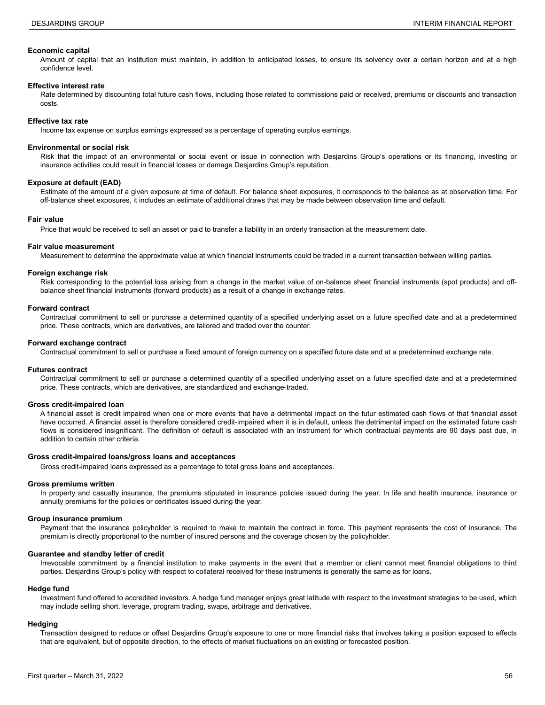#### **Economic capital**

Amount of capital that an institution must maintain, in addition to anticipated losses, to ensure its solvency over a certain horizon and at a high confidence level.

#### **Effective interest rate**

Rate determined by discounting total future cash flows, including those related to commissions paid or received, premiums or discounts and transaction costs.

#### **Effective tax rate**

Income tax expense on surplus earnings expressed as a percentage of operating surplus earnings.

#### **Environmental or social risk**

Risk that the impact of an environmental or social event or issue in connection with Desjardins Group's operations or its financing, investing or insurance activities could result in financial losses or damage Desjardins Group's reputation.

#### **Exposure at default (EAD)**

Estimate of the amount of a given exposure at time of default. For balance sheet exposures, it corresponds to the balance as at observation time. For off-balance sheet exposures, it includes an estimate of additional draws that may be made between observation time and default.

#### **Fair value**

Price that would be received to sell an asset or paid to transfer a liability in an orderly transaction at the measurement date.

#### **Fair value measurement**

Measurement to determine the approximate value at which financial instruments could be traded in a current transaction between willing parties.

#### **Foreign exchange risk**

Risk corresponding to the potential loss arising from a change in the market value of on-balance sheet financial instruments (spot products) and offbalance sheet financial instruments (forward products) as a result of a change in exchange rates.

#### **Forward contract**

Contractual commitment to sell or purchase a determined quantity of a specified underlying asset on a future specified date and at a predetermined price. These contracts, which are derivatives, are tailored and traded over the counter.

#### **Forward exchange contract**

Contractual commitment to sell or purchase a fixed amount of foreign currency on a specified future date and at a predetermined exchange rate.

#### **Futures contract**

Contractual commitment to sell or purchase a determined quantity of a specified underlying asset on a future specified date and at a predetermined price. These contracts, which are derivatives, are standardized and exchange-traded.

#### **Gross credit-impaired loan**

A financial asset is credit impaired when one or more events that have a detrimental impact on the futur estimated cash flows of that financial asset have occurred. A financial asset is therefore considered credit-impaired when it is in default, unless the detrimental impact on the estimated future cash flows is considered insignificant. The definition of default is associated with an instrument for which contractual payments are 90 days past due, in addition to certain other criteria.

#### **Gross credit-impaired loans/gross loans and acceptances**

Gross credit-impaired loans expressed as a percentage to total gross loans and acceptances.

#### **Gross premiums written**

In property and casualty insurance, the premiums stipulated in insurance policies issued during the year. In life and health insurance, insurance or annuity premiums for the policies or certificates issued during the year.

#### **Group insurance premium**

Payment that the insurance policyholder is required to make to maintain the contract in force. This payment represents the cost of insurance. The premium is directly proportional to the number of insured persons and the coverage chosen by the policyholder.

#### **Guarantee and standby letter of credit**

Irrevocable commitment by a financial institution to make payments in the event that a member or client cannot meet financial obligations to third parties. Desjardins Group's policy with respect to collateral received for these instruments is generally the same as for loans.

#### **Hedge fund**

Investment fund offered to accredited investors. A hedge fund manager enjoys great latitude with respect to the investment strategies to be used, which may include selling short, leverage, program trading, swaps, arbitrage and derivatives.

#### **Hedging**

Transaction designed to reduce or offset Desjardins Group's exposure to one or more financial risks that involves taking a position exposed to effects that are equivalent, but of opposite direction, to the effects of market fluctuations on an existing or forecasted position.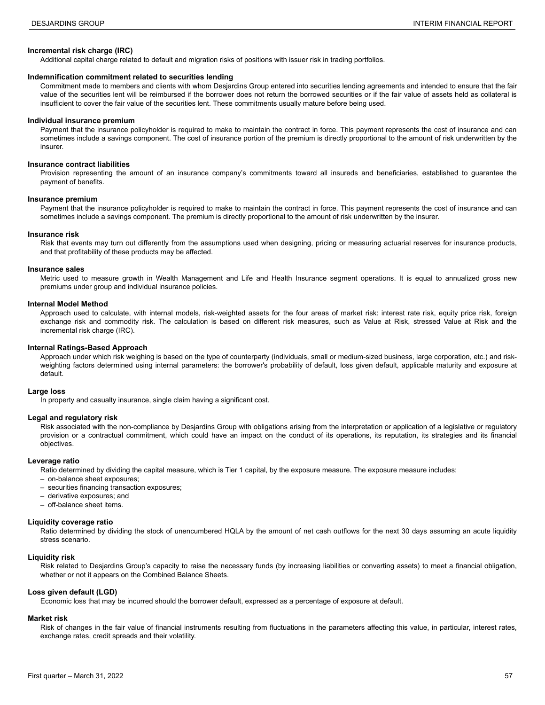#### **Incremental risk charge (IRC)**

Additional capital charge related to default and migration risks of positions with issuer risk in trading portfolios.

#### **Indemnification commitment related to securities lending**

Commitment made to members and clients with whom Desjardins Group entered into securities lending agreements and intended to ensure that the fair value of the securities lent will be reimbursed if the borrower does not return the borrowed securities or if the fair value of assets held as collateral is insufficient to cover the fair value of the securities lent. These commitments usually mature before being used.

#### **Individual insurance premium**

Payment that the insurance policyholder is required to make to maintain the contract in force. This payment represents the cost of insurance and can sometimes include a savings component. The cost of insurance portion of the premium is directly proportional to the amount of risk underwritten by the insurer.

#### **Insurance contract liabilities**

Provision representing the amount of an insurance company's commitments toward all insureds and beneficiaries, established to guarantee the payment of benefits.

#### **Insurance premium**

Payment that the insurance policyholder is required to make to maintain the contract in force. This payment represents the cost of insurance and can sometimes include a savings component. The premium is directly proportional to the amount of risk underwritten by the insurer.

#### **Insurance risk**

Risk that events may turn out differently from the assumptions used when designing, pricing or measuring actuarial reserves for insurance products, and that profitability of these products may be affected.

#### **Insurance sales**

Metric used to measure growth in Wealth Management and Life and Health Insurance segment operations. It is equal to annualized gross new premiums under group and individual insurance policies.

#### **Internal Model Method**

Approach used to calculate, with internal models, risk-weighted assets for the four areas of market risk: interest rate risk, equity price risk, foreign exchange risk and commodity risk. The calculation is based on different risk measures, such as Value at Risk, stressed Value at Risk and the incremental risk charge (IRC).

#### **Internal Ratings-Based Approach**

Approach under which risk weighing is based on the type of counterparty (individuals, small or medium-sized business, large corporation, etc.) and riskweighting factors determined using internal parameters: the borrower's probability of default, loss given default, applicable maturity and exposure at default.

#### **Large loss**

In property and casualty insurance, single claim having a significant cost.

#### **Legal and regulatory risk**

Risk associated with the non-compliance by Desjardins Group with obligations arising from the interpretation or application of a legislative or regulatory provision or a contractual commitment, which could have an impact on the conduct of its operations, its reputation, its strategies and its financial objectives.

#### **Leverage ratio**

Ratio determined by dividing the capital measure, which is Tier 1 capital, by the exposure measure. The exposure measure includes:

- on-balance sheet exposures;
- securities financing transaction exposures;
- derivative exposures; and
- off-balance sheet items.

#### **Liquidity coverage ratio**

Ratio determined by dividing the stock of unencumbered HQLA by the amount of net cash outflows for the next 30 days assuming an acute liquidity stress scenario.

#### **Liquidity risk**

Risk related to Desjardins Group's capacity to raise the necessary funds (by increasing liabilities or converting assets) to meet a financial obligation, whether or not it appears on the Combined Balance Sheets.

#### **Loss given default (LGD)**

Economic loss that may be incurred should the borrower default, expressed as a percentage of exposure at default.

#### **Market risk**

Risk of changes in the fair value of financial instruments resulting from fluctuations in the parameters affecting this value, in particular, interest rates, exchange rates, credit spreads and their volatility.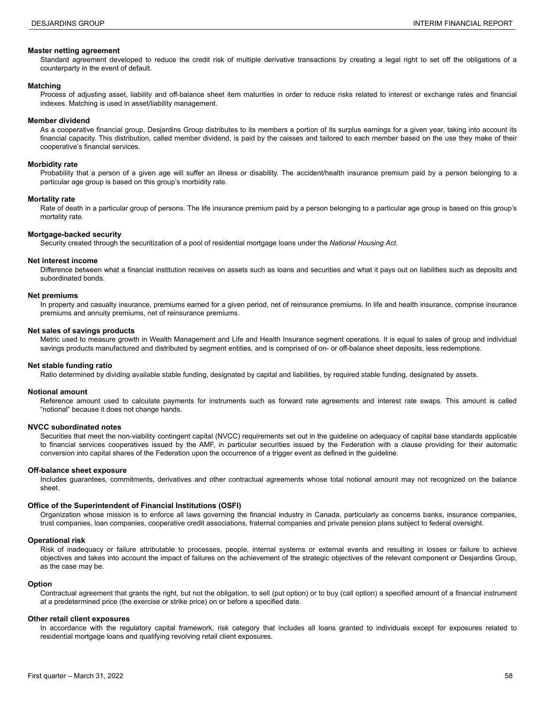#### **Master netting agreement**

Standard agreement developed to reduce the credit risk of multiple derivative transactions by creating a legal right to set off the obligations of a counterparty in the event of default.

#### **Matching**

Process of adjusting asset, liability and off-balance sheet item maturities in order to reduce risks related to interest or exchange rates and financial indexes. Matching is used in asset/liability management.

#### **Member dividend**

As a cooperative financial group, Desjardins Group distributes to its members a portion of its surplus earnings for a given year, taking into account its financial capacity. This distribution, called member dividend, is paid by the caisses and tailored to each member based on the use they make of their cooperative's financial services.

#### **Morbidity rate**

Probability that a person of a given age will suffer an illness or disability. The accident/health insurance premium paid by a person belonging to a particular age group is based on this group's morbidity rate.

#### **Mortality rate**

Rate of death in a particular group of persons. The life insurance premium paid by a person belonging to a particular age group is based on this group's mortality rate.

#### **Mortgage-backed security**

Security created through the securitization of a pool of residential mortgage loans under the *National Housing Act*.

#### **Net interest income**

Difference between what a financial institution receives on assets such as loans and securities and what it pays out on liabilities such as deposits and subordinated bonds.

#### **Net premiums**

In property and casualty insurance, premiums earned for a given period, net of reinsurance premiums. In life and health insurance, comprise insurance premiums and annuity premiums, net of reinsurance premiums.

#### **Net sales of savings products**

Metric used to measure growth in Wealth Management and Life and Health Insurance segment operations. It is equal to sales of group and individual savings products manufactured and distributed by segment entities, and is comprised of on- or off-balance sheet deposits, less redemptions.

#### **Net stable funding ratio**

Ratio determined by dividing available stable funding, designated by capital and liabilities, by required stable funding, designated by assets.

#### **Notional amount**

Reference amount used to calculate payments for instruments such as forward rate agreements and interest rate swaps. This amount is called "notional" because it does not change hands.

#### **NVCC subordinated notes**

Securities that meet the non-viability contingent capital (NVCC) requirements set out in the guideline on adequacy of capital base standards applicable to financial services cooperatives issued by the AMF, in particular securities issued by the Federation with a clause providing for their automatic conversion into capital shares of the Federation upon the occurrence of a trigger event as defined in the guideline.

#### **Off-balance sheet exposure**

Includes guarantees, commitments, derivatives and other contractual agreements whose total notional amount may not recognized on the balance sheet.

#### **Office of the Superintendent of Financial Institutions (OSFI)**

Organization whose mission is to enforce all laws governing the financial industry in Canada, particularly as concerns banks, insurance companies, trust companies, loan companies, cooperative credit associations, fraternal companies and private pension plans subject to federal oversight.

#### **Operational risk**

Risk of inadequacy or failure attributable to processes, people, internal systems or external events and resulting in losses or failure to achieve objectives and takes into account the impact of failures on the achievement of the strategic objectives of the relevant component or Desjardins Group, as the case may be.

#### **Option**

Contractual agreement that grants the right, but not the obligation, to sell (put option) or to buy (call option) a specified amount of a financial instrument at a predetermined price (the exercise or strike price) on or before a specified date.

#### **Other retail client exposures**

In accordance with the regulatory capital framework, risk category that includes all loans granted to individuals except for exposures related to residential mortgage loans and qualifying revolving retail client exposures.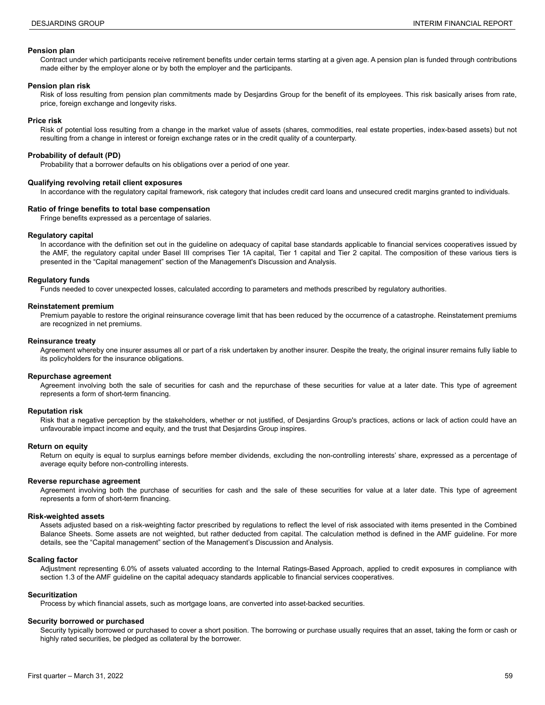#### **Pension plan**

Contract under which participants receive retirement benefits under certain terms starting at a given age. A pension plan is funded through contributions made either by the employer alone or by both the employer and the participants.

#### **Pension plan risk**

Risk of loss resulting from pension plan commitments made by Desjardins Group for the benefit of its employees. This risk basically arises from rate, price, foreign exchange and longevity risks.

#### **Price risk**

Risk of potential loss resulting from a change in the market value of assets (shares, commodities, real estate properties, index-based assets) but not resulting from a change in interest or foreign exchange rates or in the credit quality of a counterparty.

#### **Probability of default (PD)**

Probability that a borrower defaults on his obligations over a period of one year.

#### **Qualifying revolving retail client exposures**

In accordance with the regulatory capital framework, risk category that includes credit card loans and unsecured credit margins granted to individuals.

#### **Ratio of fringe benefits to total base compensation**

Fringe benefits expressed as a percentage of salaries.

#### **Regulatory capital**

In accordance with the definition set out in the guideline on adequacy of capital base standards applicable to financial services cooperatives issued by the AMF, the regulatory capital under Basel III comprises Tier 1A capital, Tier 1 capital and Tier 2 capital. The composition of these various tiers is presented in the "Capital management" section of the Management's Discussion and Analysis.

#### **Regulatory funds**

Funds needed to cover unexpected losses, calculated according to parameters and methods prescribed by regulatory authorities.

#### **Reinstatement premium**

Premium payable to restore the original reinsurance coverage limit that has been reduced by the occurrence of a catastrophe. Reinstatement premiums are recognized in net premiums.

#### **Reinsurance treaty**

Agreement whereby one insurer assumes all or part of a risk undertaken by another insurer. Despite the treaty, the original insurer remains fully liable to its policyholders for the insurance obligations.

#### **Repurchase agreement**

Agreement involving both the sale of securities for cash and the repurchase of these securities for value at a later date. This type of agreement represents a form of short-term financing.

#### **Reputation risk**

Risk that a negative perception by the stakeholders, whether or not justified, of Desjardins Group's practices, actions or lack of action could have an unfavourable impact income and equity, and the trust that Desjardins Group inspires.

#### **Return on equity**

Return on equity is equal to surplus earnings before member dividends, excluding the non-controlling interests' share, expressed as a percentage of average equity before non-controlling interests.

#### **Reverse repurchase agreement**

Agreement involving both the purchase of securities for cash and the sale of these securities for value at a later date. This type of agreement represents a form of short-term financing.

#### **Risk-weighted assets**

Assets adjusted based on a risk-weighting factor prescribed by regulations to reflect the level of risk associated with items presented in the Combined Balance Sheets. Some assets are not weighted, but rather deducted from capital. The calculation method is defined in the AMF guideline. For more details, see the "Capital management" section of the Management's Discussion and Analysis.

#### **Scaling factor**

Adjustment representing 6.0% of assets valuated according to the Internal Ratings-Based Approach, applied to credit exposures in compliance with section 1.3 of the AMF guideline on the capital adequacy standards applicable to financial services cooperatives.

#### **Securitization**

Process by which financial assets, such as mortgage loans, are converted into asset-backed securities.

#### **Security borrowed or purchased**

Security typically borrowed or purchased to cover a short position. The borrowing or purchase usually requires that an asset, taking the form or cash or highly rated securities, be pledged as collateral by the borrower.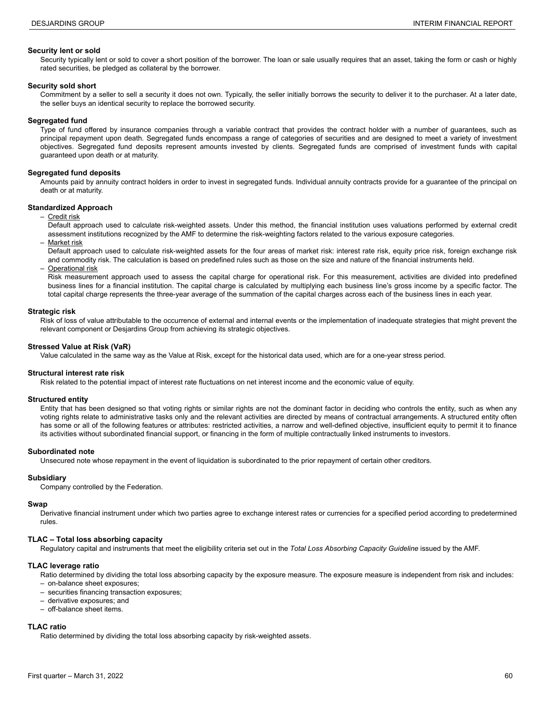#### **Security lent or sold**

Security typically lent or sold to cover a short position of the borrower. The loan or sale usually requires that an asset, taking the form or cash or highly rated securities, be pledged as collateral by the borrower.

#### **Security sold short**

Commitment by a seller to sell a security it does not own. Typically, the seller initially borrows the security to deliver it to the purchaser. At a later date, the seller buys an identical security to replace the borrowed security.

#### **Segregated fund**

Type of fund offered by insurance companies through a variable contract that provides the contract holder with a number of guarantees, such as principal repayment upon death. Segregated funds encompass a range of categories of securities and are designed to meet a variety of investment objectives. Segregated fund deposits represent amounts invested by clients. Segregated funds are comprised of investment funds with capital guaranteed upon death or at maturity.

#### **Segregated fund deposits**

Amounts paid by annuity contract holders in order to invest in segregated funds. Individual annuity contracts provide for a guarantee of the principal on death or at maturity.

#### **Standardized Approach**

– Credit risk

Default approach used to calculate risk-weighted assets. Under this method, the financial institution uses valuations performed by external credit assessment institutions recognized by the AMF to determine the risk-weighting factors related to the various exposure categories.

Market risk

Default approach used to calculate risk-weighted assets for the four areas of market risk: interest rate risk, equity price risk, foreign exchange risk and commodity risk. The calculation is based on predefined rules such as those on the size and nature of the financial instruments held.

**Operational risk** 

Risk measurement approach used to assess the capital charge for operational risk. For this measurement, activities are divided into predefined business lines for a financial institution. The capital charge is calculated by multiplying each business line's gross income by a specific factor. The total capital charge represents the three-year average of the summation of the capital charges across each of the business lines in each year.

#### **Strategic risk**

Risk of loss of value attributable to the occurrence of external and internal events or the implementation of inadequate strategies that might prevent the relevant component or Desjardins Group from achieving its strategic objectives.

#### **Stressed Value at Risk (VaR)**

Value calculated in the same way as the Value at Risk, except for the historical data used, which are for a one-year stress period.

#### **Structural interest rate risk**

Risk related to the potential impact of interest rate fluctuations on net interest income and the economic value of equity.

#### **Structured entity**

Entity that has been designed so that voting rights or similar rights are not the dominant factor in deciding who controls the entity, such as when any voting rights relate to administrative tasks only and the relevant activities are directed by means of contractual arrangements. A structured entity often has some or all of the following features or attributes: restricted activities, a narrow and well-defined objective, insufficient equity to permit it to finance its activities without subordinated financial support, or financing in the form of multiple contractually linked instruments to investors.

#### **Subordinated note**

Unsecured note whose repayment in the event of liquidation is subordinated to the prior repayment of certain other creditors.

#### **Subsidiary**

Company controlled by the Federation.

#### **Swap**

Derivative financial instrument under which two parties agree to exchange interest rates or currencies for a specified period according to predetermined rules.

#### **TLAC – Total loss absorbing capacity**

Regulatory capital and instruments that meet the eligibility criteria set out in the *Total Loss Absorbing Capacity Guideline* issued by the AMF.

#### **TLAC leverage ratio**

Ratio determined by dividing the total loss absorbing capacity by the exposure measure. The exposure measure is independent from risk and includes: – on-balance sheet exposures;

- securities financing transaction exposures;
- derivative exposures; and
- off-balance sheet items.

#### **TLAC ratio**

Ratio determined by dividing the total loss absorbing capacity by risk-weighted assets.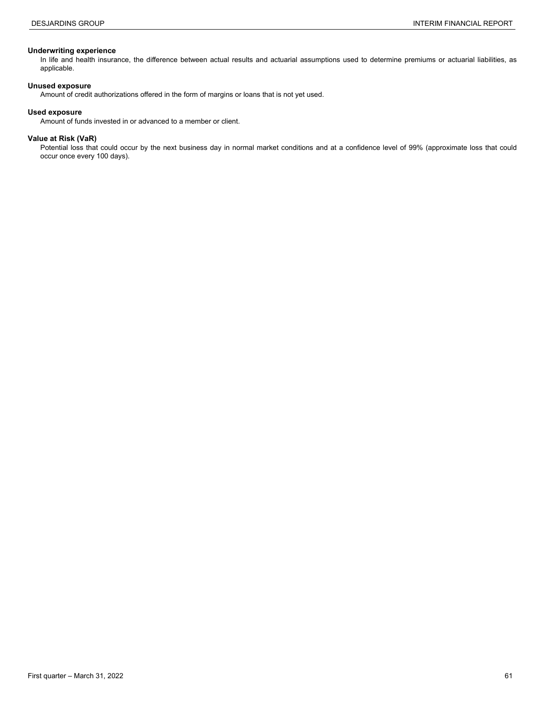#### **Underwriting experience**

In life and health insurance, the difference between actual results and actuarial assumptions used to determine premiums or actuarial liabilities, as applicable.

#### **Unused exposure**

Amount of credit authorizations offered in the form of margins or loans that is not yet used.

#### **Used exposure**

Amount of funds invested in or advanced to a member or client.

#### **Value at Risk (VaR)**

Potential loss that could occur by the next business day in normal market conditions and at a confidence level of 99% (approximate loss that could occur once every 100 days).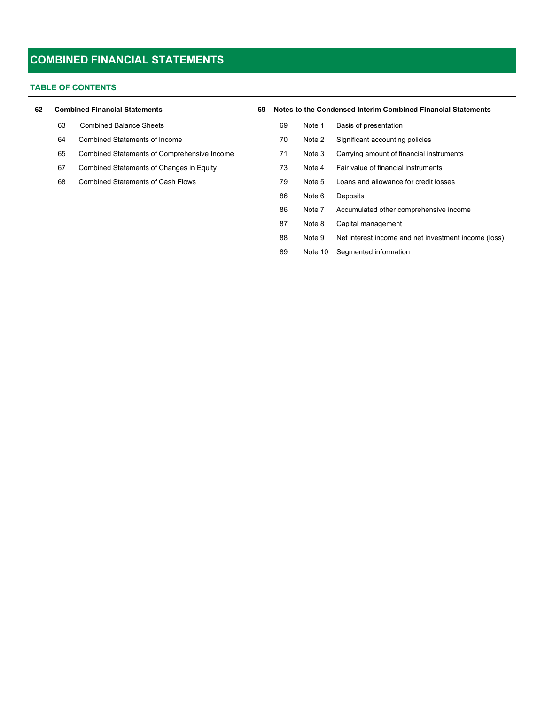#### **TABLE OF CONTENTS**

| 62 |  |  | <b>Combined Financial Statements</b> |
|----|--|--|--------------------------------------|
|----|--|--|--------------------------------------|

- Combined Statements of Income
- Combined Statements of Comprehensive Income
- Combined Statements of Changes in Equity

| 62 | <b>Combined Financial Statements</b> |                                             |  | Notes to the Condensed Interim Combined Financial Statements<br>69 |         |                                                      |  |  |  |
|----|--------------------------------------|---------------------------------------------|--|--------------------------------------------------------------------|---------|------------------------------------------------------|--|--|--|
|    | 63                                   | <b>Combined Balance Sheets</b>              |  | 69                                                                 | Note 1  | Basis of presentation                                |  |  |  |
|    | 64                                   | Combined Statements of Income               |  | 70                                                                 | Note 2  | Significant accounting policies                      |  |  |  |
|    | 65                                   | Combined Statements of Comprehensive Income |  | 71                                                                 | Note 3  | Carrying amount of financial instruments             |  |  |  |
|    | 67                                   | Combined Statements of Changes in Equity    |  | 73                                                                 | Note 4  | Fair value of financial instruments                  |  |  |  |
|    | 68                                   | <b>Combined Statements of Cash Flows</b>    |  | 79                                                                 | Note 5  | Loans and allowance for credit losses                |  |  |  |
|    |                                      |                                             |  | 86                                                                 | Note 6  | Deposits                                             |  |  |  |
|    |                                      |                                             |  | 86                                                                 | Note 7  | Accumulated other comprehensive income               |  |  |  |
|    |                                      |                                             |  | 87                                                                 | Note 8  | Capital management                                   |  |  |  |
|    |                                      |                                             |  | 88                                                                 | Note 9  | Net interest income and net investment income (loss) |  |  |  |
|    |                                      |                                             |  | 89                                                                 | Note 10 | Segmented information                                |  |  |  |
|    |                                      |                                             |  |                                                                    |         |                                                      |  |  |  |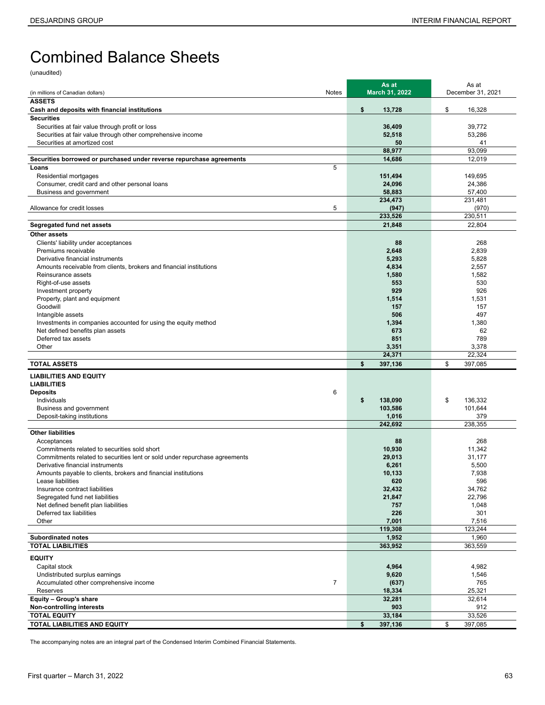# Combined Balance Sheets

(unaudited)

|                                                                                                                | As at                   | As at                   |
|----------------------------------------------------------------------------------------------------------------|-------------------------|-------------------------|
| Notes<br>(in millions of Canadian dollars)                                                                     | March 31, 2022          | December 31, 2021       |
| <b>ASSETS</b>                                                                                                  |                         |                         |
| Cash and deposits with financial institutions<br><b>Securities</b>                                             | \$<br>13,728            | \$<br>16,328            |
| Securities at fair value through profit or loss                                                                | 36,409                  | 39,772                  |
| Securities at fair value through other comprehensive income                                                    | 52,518                  | 53,286                  |
| Securities at amortized cost                                                                                   | 50                      | 41                      |
|                                                                                                                | 88,977                  | 93,099                  |
| Securities borrowed or purchased under reverse repurchase agreements                                           | 14,686                  | 12,019                  |
| 5<br>Loans                                                                                                     |                         |                         |
| Residential mortgages                                                                                          | 151,494                 | 149.695                 |
| Consumer, credit card and other personal loans                                                                 | 24,096                  | 24,386                  |
| Business and government                                                                                        | 58,883                  | 57,400                  |
| 5<br>Allowance for credit losses                                                                               | 234,473                 | 231.481                 |
|                                                                                                                | (947)<br>233,526        | (970)<br>230,511        |
| Segregated fund net assets                                                                                     | 21,848                  | 22,804                  |
| Other assets                                                                                                   |                         |                         |
| Clients' liability under acceptances                                                                           | 88                      | 268                     |
| Premiums receivable                                                                                            | 2,648                   | 2,839                   |
| Derivative financial instruments                                                                               | 5,293                   | 5,828                   |
| Amounts receivable from clients, brokers and financial institutions                                            | 4,834                   | 2,557                   |
| Reinsurance assets                                                                                             | 1,580                   | 1,582                   |
| Right-of-use assets                                                                                            | 553                     | 530                     |
| Investment property                                                                                            | 929                     | 926                     |
| Property, plant and equipment<br>Goodwill                                                                      | 1,514<br>157            | 1,531<br>157            |
| Intangible assets                                                                                              | 506                     | 497                     |
| Investments in companies accounted for using the equity method                                                 | 1,394                   | 1,380                   |
| Net defined benefits plan assets                                                                               | 673                     | 62                      |
| Deferred tax assets                                                                                            | 851                     | 789                     |
| Other                                                                                                          | 3,351                   | 3,378                   |
| <b>TOTAL ASSETS</b>                                                                                            | 24,371<br>\$<br>397,136 | 22,324<br>\$<br>397,085 |
|                                                                                                                |                         |                         |
| <b>LIABILITIES AND EQUITY</b>                                                                                  |                         |                         |
| <b>LIABILITIES</b><br>6<br><b>Deposits</b>                                                                     |                         |                         |
| Individuals                                                                                                    | \$<br>138,090           | \$<br>136,332           |
| Business and government                                                                                        | 103,586                 | 101,644                 |
| Deposit-taking institutions                                                                                    | 1,016                   | 379                     |
|                                                                                                                | 242.692                 | 238,355                 |
| <b>Other liabilities</b>                                                                                       |                         |                         |
| Acceptances                                                                                                    | 88                      | 268                     |
| Commitments related to securities sold short                                                                   | 10,930                  | 11,342                  |
| Commitments related to securities lent or sold under repurchase agreements<br>Derivative financial instruments | 29,013<br>6,261         | 31,177<br>5,500         |
| Amounts payable to clients, brokers and financial institutions                                                 | 10,133                  | 7,938                   |
| Lease liabilities                                                                                              | 620                     | 596                     |
| Insurance contract liabilities                                                                                 | 32,432                  | 34,762                  |
| Segregated fund net liabilities                                                                                | 21,847                  | 22,796                  |
| Net defined benefit plan liabilities                                                                           | 757                     | 1,048                   |
| Deferred tax liabilities                                                                                       | 226                     | 301                     |
| Other                                                                                                          | 7,001<br>119,308        | 7,516<br>123,244        |
| <b>Subordinated notes</b>                                                                                      | 1,952                   | 1,960                   |
| <b>TOTAL LIABILITIES</b>                                                                                       | 363,952                 | 363,559                 |
| <b>EQUITY</b>                                                                                                  |                         |                         |
| Capital stock                                                                                                  | 4,964                   | 4,982                   |
| Undistributed surplus earnings                                                                                 | 9,620                   | 1,546                   |
| $\overline{7}$<br>Accumulated other comprehensive income                                                       | (637)                   | 765                     |
| Reserves                                                                                                       | 18,334                  | 25,321                  |
| Equity - Group's share                                                                                         | 32,281                  | 32,614                  |
| Non-controlling interests                                                                                      | 903                     | 912                     |
| <b>TOTAL EQUITY</b><br>TOTAL LIABILITIES AND EQUITY                                                            | 33,184<br>\$            | 33,526<br>\$            |
|                                                                                                                | 397,136                 | 397,085                 |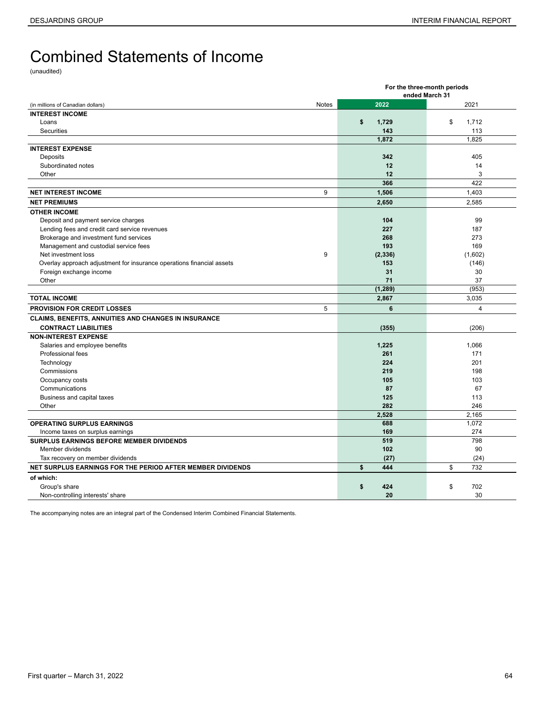# <span id="page-63-0"></span>Combined Statements of Income

(unaudited)

|                                                                       |       |                | For the three-month periods |  |
|-----------------------------------------------------------------------|-------|----------------|-----------------------------|--|
|                                                                       |       |                | ended March 31              |  |
| (in millions of Canadian dollars)                                     | Notes | 2022           | 2021                        |  |
| <b>INTEREST INCOME</b>                                                |       |                |                             |  |
| Loans                                                                 |       | \$<br>1,729    | \$<br>1,712                 |  |
| Securities                                                            |       | 143            | 113                         |  |
|                                                                       |       | 1,872          | 1,825                       |  |
| <b>INTEREST EXPENSE</b>                                               |       |                |                             |  |
| Deposits                                                              |       | 342            | 405                         |  |
| Subordinated notes                                                    |       | 12             | 14                          |  |
| Other                                                                 |       | 12             | 3                           |  |
|                                                                       |       | 366            | 422                         |  |
| <b>NET INTEREST INCOME</b>                                            | 9     | 1,506          | 1,403                       |  |
| <b>NET PREMIUMS</b>                                                   |       | 2,650          | 2,585                       |  |
| <b>OTHER INCOME</b>                                                   |       |                |                             |  |
| Deposit and payment service charges                                   |       | 104            | 99                          |  |
| Lending fees and credit card service revenues                         |       | 227            | 187                         |  |
| Brokerage and investment fund services                                |       | 268            | 273                         |  |
| Management and custodial service fees                                 |       | 193            | 169                         |  |
| Net investment loss                                                   | 9     | (2, 336)       | (1,602)                     |  |
| Overlay approach adjustment for insurance operations financial assets |       | 153            | (146)                       |  |
| Foreign exchange income                                               |       | 31             | 30                          |  |
| Other                                                                 |       | 71             | 37                          |  |
|                                                                       |       | (1, 289)       | (953)                       |  |
| <b>TOTAL INCOME</b>                                                   |       | 2,867          | 3,035                       |  |
| <b>PROVISION FOR CREDIT LOSSES</b>                                    | 5     | $6\phantom{a}$ | $\overline{4}$              |  |
| CLAIMS, BENEFITS, ANNUITIES AND CHANGES IN INSURANCE                  |       |                |                             |  |
| <b>CONTRACT LIABILITIES</b>                                           |       | (355)          | (206)                       |  |
| <b>NON-INTEREST EXPENSE</b>                                           |       |                |                             |  |
| Salaries and employee benefits                                        |       | 1,225          | 1,066                       |  |
| Professional fees                                                     |       | 261            | 171                         |  |
| Technology                                                            |       | 224            | 201                         |  |
| Commissions                                                           |       | 219            | 198                         |  |
| Occupancy costs                                                       |       | 105            | 103                         |  |
| Communications                                                        |       | 87             | 67                          |  |
| Business and capital taxes                                            |       | 125            | 113                         |  |
| Other                                                                 |       | 282            | 246                         |  |
|                                                                       |       | 2,528          | 2,165                       |  |
| <b>OPERATING SURPLUS EARNINGS</b>                                     |       | 688            | 1,072                       |  |
| Income taxes on surplus earnings                                      |       | 169            | 274                         |  |
| SURPLUS EARNINGS BEFORE MEMBER DIVIDENDS                              |       | 519            | 798                         |  |
| Member dividends                                                      |       | 102            | 90                          |  |
| Tax recovery on member dividends                                      |       | (27)           | (24)                        |  |
| NET SURPLUS EARNINGS FOR THE PERIOD AFTER MEMBER DIVIDENDS            |       | \$<br>444      | \$<br>732                   |  |
| of which:                                                             |       |                |                             |  |
| Group's share                                                         |       | \$<br>424      | \$<br>702                   |  |
| Non-controlling interests' share                                      |       | 20             | 30                          |  |
|                                                                       |       |                |                             |  |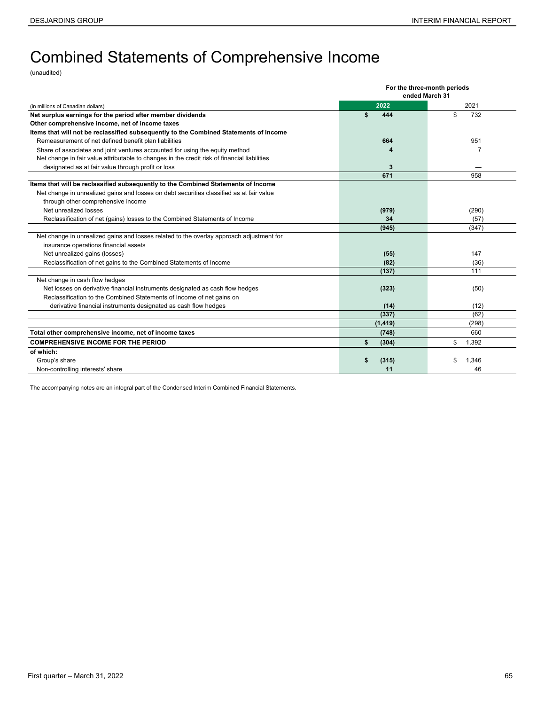# <span id="page-64-0"></span>Combined Statements of Comprehensive Income

(unaudited)

|                                                                                              |             | For the three-month periods |  |  |  |
|----------------------------------------------------------------------------------------------|-------------|-----------------------------|--|--|--|
|                                                                                              |             | ended March 31              |  |  |  |
| (in millions of Canadian dollars)                                                            | 2022        | 2021                        |  |  |  |
| Net surplus earnings for the period after member dividends                                   | \$<br>444   | \$<br>732                   |  |  |  |
| Other comprehensive income, net of income taxes                                              |             |                             |  |  |  |
| Items that will not be reclassified subsequently to the Combined Statements of Income        |             |                             |  |  |  |
| Remeasurement of net defined benefit plan liabilities                                        | 664         | 951                         |  |  |  |
| Share of associates and joint ventures accounted for using the equity method                 |             | 7                           |  |  |  |
| Net change in fair value attributable to changes in the credit risk of financial liabilities |             |                             |  |  |  |
| designated as at fair value through profit or loss                                           | 3           |                             |  |  |  |
|                                                                                              | 671         | 958                         |  |  |  |
| Items that will be reclassified subsequently to the Combined Statements of Income            |             |                             |  |  |  |
| Net change in unrealized gains and losses on debt securities classified as at fair value     |             |                             |  |  |  |
| through other comprehensive income                                                           |             |                             |  |  |  |
| Net unrealized losses                                                                        | (979)       | (290)                       |  |  |  |
| Reclassification of net (gains) losses to the Combined Statements of Income                  | 34          | (57)                        |  |  |  |
|                                                                                              | (945)       | (347)                       |  |  |  |
| Net change in unrealized gains and losses related to the overlay approach adjustment for     |             |                             |  |  |  |
| insurance operations financial assets                                                        |             |                             |  |  |  |
| Net unrealized gains (losses)                                                                | (55)        | 147                         |  |  |  |
| Reclassification of net gains to the Combined Statements of Income                           | (82)        | (36)                        |  |  |  |
|                                                                                              | (137)       | 111                         |  |  |  |
| Net change in cash flow hedges                                                               |             |                             |  |  |  |
| Net losses on derivative financial instruments designated as cash flow hedges                | (323)       | (50)                        |  |  |  |
| Reclassification to the Combined Statements of Income of net gains on                        |             |                             |  |  |  |
| derivative financial instruments designated as cash flow hedges                              | (14)        | (12)                        |  |  |  |
|                                                                                              | (337)       | (62)                        |  |  |  |
|                                                                                              | (1, 419)    | (298)                       |  |  |  |
| Total other comprehensive income, net of income taxes                                        | (748)       | 660                         |  |  |  |
| <b>COMPREHENSIVE INCOME FOR THE PERIOD</b>                                                   | \$<br>(304) | \$<br>1,392                 |  |  |  |
| of which:                                                                                    |             |                             |  |  |  |
| Group's share                                                                                | (315)<br>\$ | \$<br>1.346                 |  |  |  |
| Non-controlling interests' share                                                             | 11          | 46                          |  |  |  |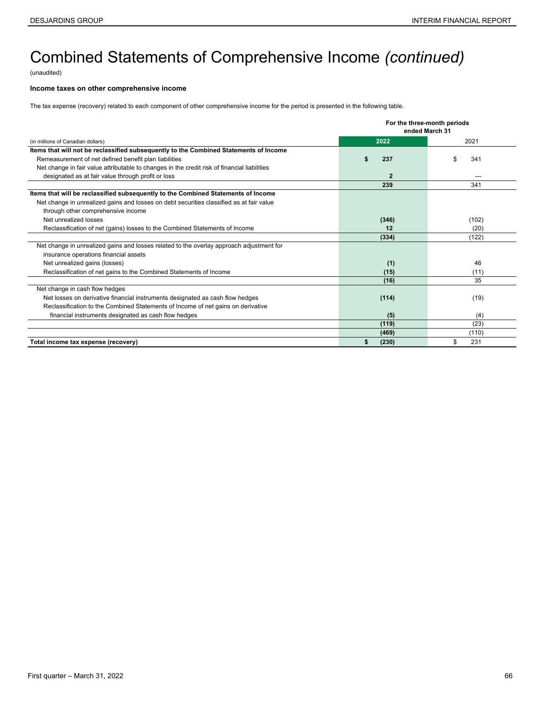# Combined Statements of Comprehensive Income *(continued)*

(unaudited)

#### **Income taxes on other comprehensive income**

The tax expense (recovery) related to each component of other comprehensive income for the period is presented in the following table.

|                                                                                              | For the three-month periods<br>ended March 31 |          |  |  |  |  |  |
|----------------------------------------------------------------------------------------------|-----------------------------------------------|----------|--|--|--|--|--|
| (in millions of Canadian dollars)                                                            | 2022                                          | 2021     |  |  |  |  |  |
| Items that will not be reclassified subsequently to the Combined Statements of Income        |                                               |          |  |  |  |  |  |
| Remeasurement of net defined benefit plan liabilities                                        | 237                                           | 341      |  |  |  |  |  |
| Net change in fair value attributable to changes in the credit risk of financial liabilities |                                               |          |  |  |  |  |  |
| designated as at fair value through profit or loss                                           | $\overline{2}$                                |          |  |  |  |  |  |
|                                                                                              | 239                                           | 341      |  |  |  |  |  |
| Items that will be reclassified subsequently to the Combined Statements of Income            |                                               |          |  |  |  |  |  |
| Net change in unrealized gains and losses on debt securities classified as at fair value     |                                               |          |  |  |  |  |  |
| through other comprehensive income                                                           |                                               |          |  |  |  |  |  |
| Net unrealized losses                                                                        | (346)                                         | (102)    |  |  |  |  |  |
| Reclassification of net (gains) losses to the Combined Statements of Income                  | 12                                            | (20)     |  |  |  |  |  |
|                                                                                              | (334)                                         | (122)    |  |  |  |  |  |
| Net change in unrealized gains and losses related to the overlay approach adjustment for     |                                               |          |  |  |  |  |  |
| insurance operations financial assets                                                        |                                               |          |  |  |  |  |  |
| Net unrealized gains (losses)                                                                | (1)                                           | 46       |  |  |  |  |  |
| Reclassification of net gains to the Combined Statements of Income                           | (15)                                          | (11)     |  |  |  |  |  |
|                                                                                              | (16)                                          | 35       |  |  |  |  |  |
| Net change in cash flow hedges                                                               |                                               |          |  |  |  |  |  |
| Net losses on derivative financial instruments designated as cash flow hedges                | (114)                                         | (19)     |  |  |  |  |  |
| Reclassification to the Combined Statements of Income of net gains on derivative             |                                               |          |  |  |  |  |  |
| financial instruments designated as cash flow hedges                                         | (5)                                           | (4)      |  |  |  |  |  |
|                                                                                              | (119)                                         | (23)     |  |  |  |  |  |
|                                                                                              | (469)                                         | (110)    |  |  |  |  |  |
| Total income tax expense (recovery)                                                          | (230)                                         | 231<br>S |  |  |  |  |  |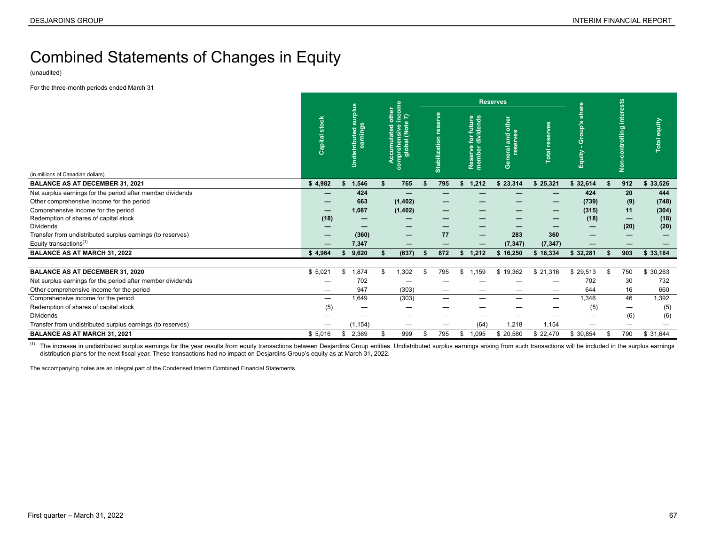# <span id="page-66-0"></span>Combined Statements of Changes in Equity

(unaudited)

For the three-month periods ended March 31

|                                                            |                                 |                                      |                                                                        |    |                      |                                              | <b>Reserves</b>                           |                          | sts              |                                  |              |
|------------------------------------------------------------|---------------------------------|--------------------------------------|------------------------------------------------------------------------|----|----------------------|----------------------------------------------|-------------------------------------------|--------------------------|------------------|----------------------------------|--------------|
| (in millions of Canadian dollars)                          | stock<br>Capital:               | surplus<br>earnings<br>Undistributed | <b>ome</b><br>othe<br>$\frac{5}{2}$<br>omprehensive ii<br>global (Note |    | <b>Stabilization</b> | for future<br>dividends<br>Reserve<br>member | other<br>and<br>erves<br>res<br>eral<br>ග | ෂි<br>ë<br>otal          | Group'<br>Equity | inter<br>olling<br>$\frac{5}{2}$ | Total equity |
| <b>BALANCE AS AT DECEMBER 31, 2021</b>                     | \$4,982                         | 1,546                                | 765                                                                    |    | 795                  | 1,212<br>S.                                  | \$23,314                                  | \$25,321                 | \$32,614         | 912                              | \$33,526     |
| Net surplus earnings for the period after member dividends |                                 | 424                                  |                                                                        |    |                      |                                              |                                           |                          | 424              | 20                               | 444          |
| Other comprehensive income for the period                  |                                 | 663                                  | (1, 402)                                                               |    | —                    |                                              |                                           |                          | (739)            | (9)                              | (748)        |
| Comprehensive income for the period                        | $\hspace{0.1mm}-\hspace{0.1mm}$ | 1,087                                | (1, 402)                                                               |    | —                    |                                              |                                           | $\overline{\phantom{m}}$ | (315)            | 11                               | (304)        |
| Redemption of shares of capital stock                      | (18)                            |                                      |                                                                        |    | –                    |                                              |                                           |                          | (18)             |                                  | (18)         |
| <b>Dividends</b>                                           |                                 |                                      |                                                                        |    | —                    |                                              |                                           |                          | –                | (20)                             | (20)         |
| Transfer from undistributed surplus earnings (to reserves) | –                               | (360)                                |                                                                        |    | 77                   | $\overline{\phantom{m}}$                     | 283                                       | 360                      |                  |                                  |              |
| Equity transactions <sup>(1)</sup>                         |                                 | 7,347                                |                                                                        |    | —                    |                                              | (7, 347)                                  | (7, 347)                 |                  |                                  |              |
| <b>BALANCE AS AT MARCH 31, 2022</b>                        | \$4,964                         | 9,620                                | (637)                                                                  |    | 872                  | 1,212<br>s.                                  | \$16,250                                  | \$18,334                 | \$32,281         | 903                              | \$33,184     |
| <b>BALANCE AS AT DECEMBER 31, 2020</b>                     | \$5,021                         | 1,874                                | 1,302                                                                  | £. | 795                  | ,159<br>\$                                   | \$19,362                                  | \$21,316                 | \$29,513         | 750                              | \$30,263     |
| Net surplus earnings for the period after member dividends |                                 | 702                                  |                                                                        |    | -                    |                                              |                                           |                          | 702              | 30                               | 732          |
| Other comprehensive income for the period                  | —                               | 947                                  | (303)                                                                  |    | —                    | –                                            |                                           |                          | 644              | 16                               | 660          |
| Comprehensive income for the period                        |                                 | 1,649                                | (303)                                                                  |    |                      | –                                            |                                           |                          | 1,346            | 46                               | 1,392        |
| Redemption of shares of capital stock                      | (5)                             |                                      |                                                                        |    |                      |                                              |                                           |                          | (5)              |                                  | (5)          |
| <b>Dividends</b>                                           |                                 |                                      |                                                                        |    |                      |                                              |                                           |                          |                  | (6)                              | (6)          |
| Transfer from undistributed surplus earnings (to reserves) |                                 | (1, 154)                             |                                                                        |    | —                    | (64)                                         | 1,218                                     | 1,154                    |                  |                                  |              |
| <b>BALANCE AS AT MARCH 31, 2021</b>                        | \$5,016                         | 2,369<br>\$                          | 999                                                                    | £  | 795                  | 1,095<br>\$                                  | \$ 20,580                                 | \$22,470                 | \$ 30,854        | 790                              | \$31,644     |

The increase in undistributed surplus earnings for the year results from equity transactions between Desjardins Group entities. Undistributed surplus earnings arising from such transactions will be included in the surplus distribution plans for the next fiscal year. These transactions had no impact on Desjardins Group's equity as at March 31, 2022.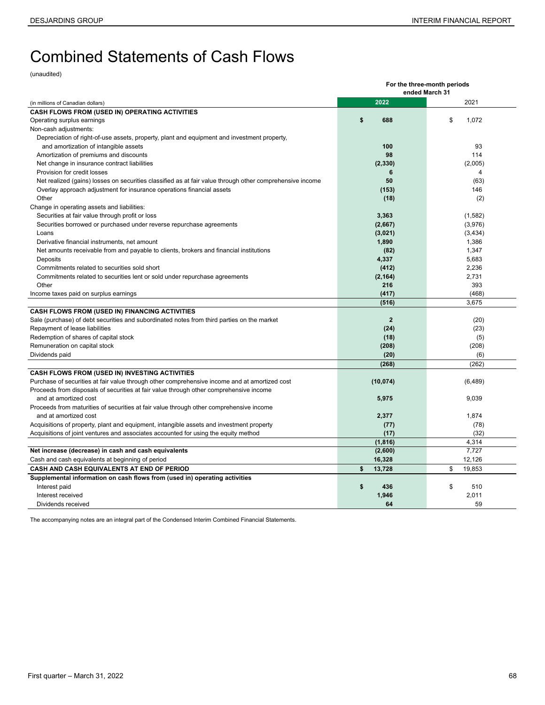# <span id="page-67-0"></span>Combined Statements of Cash Flows

(unaudited)

|                                                                                                          | For the three-month periods |                |  |  |  |  |
|----------------------------------------------------------------------------------------------------------|-----------------------------|----------------|--|--|--|--|
|                                                                                                          | ended March 31              |                |  |  |  |  |
| (in millions of Canadian dollars)                                                                        | 2022                        | 2021           |  |  |  |  |
| CASH FLOWS FROM (USED IN) OPERATING ACTIVITIES                                                           |                             |                |  |  |  |  |
| Operating surplus earnings                                                                               | \$<br>688                   | \$<br>1,072    |  |  |  |  |
| Non-cash adjustments:                                                                                    |                             |                |  |  |  |  |
| Depreciation of right-of-use assets, property, plant and equipment and investment property,              |                             |                |  |  |  |  |
| and amortization of intangible assets                                                                    | 100                         | 93             |  |  |  |  |
| Amortization of premiums and discounts                                                                   | 98                          | 114            |  |  |  |  |
| Net change in insurance contract liabilities                                                             | (2, 330)                    | (2,005)        |  |  |  |  |
| Provision for credit losses                                                                              | 6                           | $\overline{4}$ |  |  |  |  |
| Net realized (gains) losses on securities classified as at fair value through other comprehensive income | 50                          | (63)           |  |  |  |  |
| Overlay approach adjustment for insurance operations financial assets                                    | (153)                       | 146            |  |  |  |  |
| Other                                                                                                    | (18)                        | (2)            |  |  |  |  |
| Change in operating assets and liabilities:                                                              |                             |                |  |  |  |  |
| Securities at fair value through profit or loss                                                          | 3,363                       | (1, 582)       |  |  |  |  |
| Securities borrowed or purchased under reverse repurchase agreements                                     | (2,667)                     | (3,976)        |  |  |  |  |
| Loans                                                                                                    | (3,021)                     | (3, 434)       |  |  |  |  |
| Derivative financial instruments, net amount                                                             | 1,890                       | 1,386          |  |  |  |  |
| Net amounts receivable from and payable to clients, brokers and financial institutions                   | (82)                        | 1,347          |  |  |  |  |
| Deposits                                                                                                 | 4,337                       | 5,683          |  |  |  |  |
| Commitments related to securities sold short                                                             | (412)                       | 2,236          |  |  |  |  |
| Commitments related to securities lent or sold under repurchase agreements                               | (2, 164)                    | 2,731          |  |  |  |  |
| Other                                                                                                    | 216                         | 393            |  |  |  |  |
| Income taxes paid on surplus earnings                                                                    | (417)                       | (468)          |  |  |  |  |
|                                                                                                          | (516)                       | 3,675          |  |  |  |  |
| CASH FLOWS FROM (USED IN) FINANCING ACTIVITIES                                                           |                             |                |  |  |  |  |
| Sale (purchase) of debt securities and subordinated notes from third parties on the market               | $\overline{2}$              | (20)           |  |  |  |  |
| Repayment of lease liabilities                                                                           | (24)                        | (23)           |  |  |  |  |
| Redemption of shares of capital stock                                                                    | (18)                        | (5)            |  |  |  |  |
| Remuneration on capital stock                                                                            | (208)                       | (208)          |  |  |  |  |
| Dividends paid                                                                                           | (20)                        | (6)            |  |  |  |  |
|                                                                                                          | (268)                       | (262)          |  |  |  |  |
| <b>CASH FLOWS FROM (USED IN) INVESTING ACTIVITIES</b>                                                    |                             |                |  |  |  |  |
| Purchase of securities at fair value through other comprehensive income and at amortized cost            | (10, 074)                   | (6, 489)       |  |  |  |  |
| Proceeds from disposals of securities at fair value through other comprehensive income                   |                             |                |  |  |  |  |
| and at amortized cost                                                                                    | 5,975                       | 9,039          |  |  |  |  |
| Proceeds from maturities of securities at fair value through other comprehensive income                  |                             |                |  |  |  |  |
| and at amortized cost                                                                                    | 2,377                       | 1,874          |  |  |  |  |
| Acquisitions of property, plant and equipment, intangible assets and investment property                 | (77)                        | (78)           |  |  |  |  |
| Acquisitions of joint ventures and associates accounted for using the equity method                      | (17)                        | (32)           |  |  |  |  |
|                                                                                                          | (1, 816)                    | 4.314          |  |  |  |  |
| Net increase (decrease) in cash and cash equivalents                                                     | (2,600)                     | 7.727          |  |  |  |  |
| Cash and cash equivalents at beginning of period                                                         | 16,328                      | 12,126         |  |  |  |  |
| CASH AND CASH EQUIVALENTS AT END OF PERIOD                                                               | \$<br>13,728                | \$<br>19,853   |  |  |  |  |
| Supplemental information on cash flows from (used in) operating activities                               |                             |                |  |  |  |  |
| Interest paid                                                                                            | \$<br>436                   | \$<br>510      |  |  |  |  |
| Interest received                                                                                        | 1,946                       | 2,011          |  |  |  |  |
| Dividends received                                                                                       | 64                          | 59             |  |  |  |  |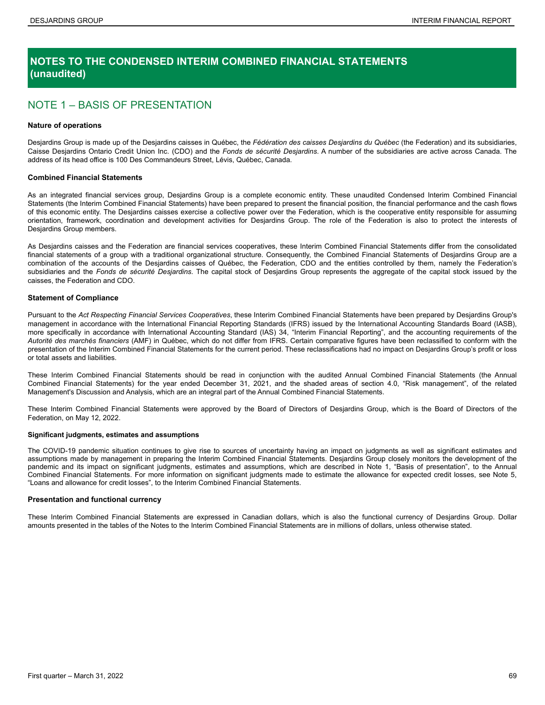### <span id="page-68-0"></span>**NOTES TO THE CONDENSED INTERIM COMBINED FINANCIAL STATEMENTS (unaudited)**

### NOTE 1 – BASIS OF PRESENTATION

#### **Nature of operations**

Desjardins Group is made up of the Desjardins caisses in Québec, the *Fédération des caisses Desjardins du Québec* (the Federation) and its subsidiaries, Caisse Desjardins Ontario Credit Union Inc. (CDO) and the *Fonds de sécurité Desjardins*. A number of the subsidiaries are active across Canada. The address of its head office is 100 Des Commandeurs Street, Lévis, Québec, Canada.

#### **Combined Financial Statements**

As an integrated financial services group, Desjardins Group is a complete economic entity. These unaudited Condensed Interim Combined Financial Statements (the Interim Combined Financial Statements) have been prepared to present the financial position, the financial performance and the cash flows of this economic entity. The Desjardins caisses exercise a collective power over the Federation, which is the cooperative entity responsible for assuming orientation, framework, coordination and development activities for Desjardins Group. The role of the Federation is also to protect the interests of Desjardins Group members.

As Desjardins caisses and the Federation are financial services cooperatives, these Interim Combined Financial Statements differ from the consolidated financial statements of a group with a traditional organizational structure. Consequently, the Combined Financial Statements of Desjardins Group are a combination of the accounts of the Desjardins caisses of Québec, the Federation, CDO and the entities controlled by them, namely the Federation's subsidiaries and the *Fonds de sécurité Desjardins*. The capital stock of Desjardins Group represents the aggregate of the capital stock issued by the caisses, the Federation and CDO.

#### **Statement of Compliance**

Pursuant to the *Act Respecting Financial Services Cooperatives*, these Interim Combined Financial Statements have been prepared by Desjardins Group's management in accordance with the International Financial Reporting Standards (IFRS) issued by the International Accounting Standards Board (IASB), more specifically in accordance with International Accounting Standard (IAS) 34, "Interim Financial Reporting", and the accounting requirements of the *Autorité des marchés financiers* (AMF) in Québec, which do not differ from IFRS. Certain comparative figures have been reclassified to conform with the presentation of the Interim Combined Financial Statements for the current period. These reclassifications had no impact on Desjardins Group's profit or loss or total assets and liabilities.

These Interim Combined Financial Statements should be read in conjunction with the audited Annual Combined Financial Statements (the Annual Combined Financial Statements) for the year ended December 31, 2021, and the shaded areas of section 4.0, "Risk management", of the related Management's Discussion and Analysis, which are an integral part of the Annual Combined Financial Statements.

These Interim Combined Financial Statements were approved by the Board of Directors of Desjardins Group, which is the Board of Directors of the Federation, on May 12, 2022.

#### **Significant judgments, estimates and assumptions**

The COVID-19 pandemic situation continues to give rise to sources of uncertainty having an impact on judgments as well as significant estimates and assumptions made by management in preparing the Interim Combined Financial Statements. Desjardins Group closely monitors the development of the pandemic and its impact on significant judgments, estimates and assumptions, which are described in Note 1, "Basis of presentation", to the Annual Combined Financial Statements. For more information on significant judgments made to estimate the allowance for expected credit losses, see Note 5, "Loans and allowance for credit losses", to the Interim Combined Financial Statements.

#### **Presentation and functional currency**

These Interim Combined Financial Statements are expressed in Canadian dollars, which is also the functional currency of Desjardins Group. Dollar amounts presented in the tables of the Notes to the Interim Combined Financial Statements are in millions of dollars, unless otherwise stated.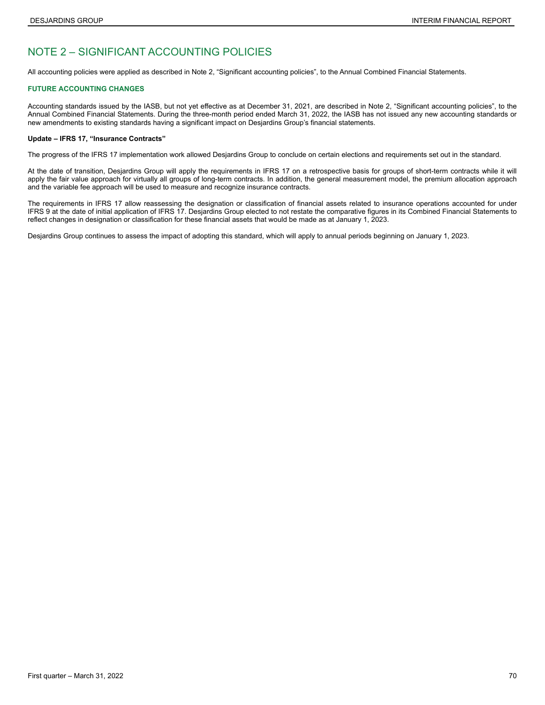### <span id="page-69-0"></span>NOTE 2 – SIGNIFICANT ACCOUNTING POLICIES

All accounting policies were applied as described in Note 2, "Significant accounting policies", to the Annual Combined Financial Statements.

#### **FUTURE ACCOUNTING CHANGES**

Accounting standards issued by the IASB, but not yet effective as at December 31, 2021, are described in Note 2, "Significant accounting policies", to the Annual Combined Financial Statements. During the three-month period ended March 31, 2022, the IASB has not issued any new accounting standards or new amendments to existing standards having a significant impact on Desjardins Group's financial statements.

#### **Update – IFRS 17, "Insurance Contracts"**

The progress of the IFRS 17 implementation work allowed Desjardins Group to conclude on certain elections and requirements set out in the standard.

At the date of transition, Desjardins Group will apply the requirements in IFRS 17 on a retrospective basis for groups of short-term contracts while it will apply the fair value approach for virtually all groups of long-term contracts. In addition, the general measurement model, the premium allocation approach and the variable fee approach will be used to measure and recognize insurance contracts.

The requirements in IFRS 17 allow reassessing the designation or classification of financial assets related to insurance operations accounted for under IFRS 9 at the date of initial application of IFRS 17. Desjardins Group elected to not restate the comparative figures in its Combined Financial Statements to reflect changes in designation or classification for these financial assets that would be made as at January 1, 2023.

Desjardins Group continues to assess the impact of adopting this standard, which will apply to annual periods beginning on January 1, 2023.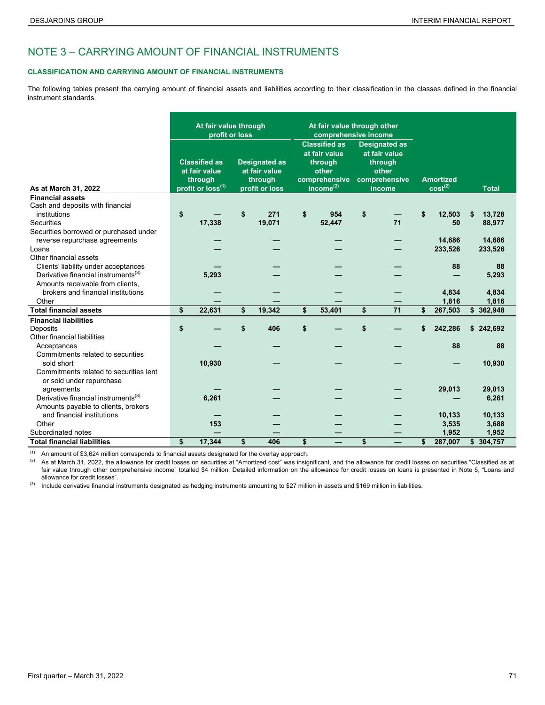### <span id="page-70-0"></span>NOTE 3 – CARRYING AMOUNT OF FINANCIAL INSTRUMENTS

#### **CLASSIFICATION AND CARRYING AMOUNT OF FINANCIAL INSTRUMENTS**

The following tables present the carrying amount of financial assets and liabilities according to their classification in the classes defined in the financial instrument standards.

|                                                 | At fair value through<br>profit or loss                                           |        |                                                                    | At fair value through other<br>comprehensive income |                                                                                                     |        |                                                                                      |    |                                         |         |    |              |
|-------------------------------------------------|-----------------------------------------------------------------------------------|--------|--------------------------------------------------------------------|-----------------------------------------------------|-----------------------------------------------------------------------------------------------------|--------|--------------------------------------------------------------------------------------|----|-----------------------------------------|---------|----|--------------|
| As at March 31, 2022                            | <b>Classified as</b><br>at fair value<br>through<br>profit or loss <sup>(1)</sup> |        | <b>Designated as</b><br>at fair value<br>through<br>profit or loss |                                                     | <b>Classified as</b><br>at fair value<br>through<br>other<br>comprehensive<br>income <sup>(2)</sup> |        | <b>Designated as</b><br>at fair value<br>through<br>other<br>comprehensive<br>income |    | <b>Amortized</b><br>cost <sup>(2)</sup> |         |    | <b>Total</b> |
| <b>Financial assets</b>                         |                                                                                   |        |                                                                    |                                                     |                                                                                                     |        |                                                                                      |    |                                         |         |    |              |
| Cash and deposits with financial                |                                                                                   |        |                                                                    |                                                     |                                                                                                     |        |                                                                                      |    |                                         |         |    |              |
| institutions                                    | \$                                                                                |        | \$                                                                 | 271                                                 | \$                                                                                                  | 954    | \$                                                                                   |    | \$                                      | 12,503  | S  | 13,728       |
| <b>Securities</b>                               |                                                                                   | 17,338 |                                                                    | 19,071                                              |                                                                                                     | 52,447 |                                                                                      | 71 |                                         | 50      |    | 88,977       |
| Securities borrowed or purchased under          |                                                                                   |        |                                                                    |                                                     |                                                                                                     |        |                                                                                      |    |                                         |         |    |              |
| reverse repurchase agreements                   |                                                                                   |        |                                                                    |                                                     |                                                                                                     |        |                                                                                      |    |                                         | 14,686  |    | 14,686       |
| Loans                                           |                                                                                   |        |                                                                    |                                                     |                                                                                                     |        |                                                                                      |    |                                         | 233,526 |    | 233,526      |
| Other financial assets                          |                                                                                   |        |                                                                    |                                                     |                                                                                                     |        |                                                                                      |    |                                         |         |    |              |
| Clients' liability under acceptances            |                                                                                   |        |                                                                    |                                                     |                                                                                                     |        |                                                                                      |    |                                         | 88      |    | 88           |
| Derivative financial instruments <sup>(3)</sup> |                                                                                   | 5,293  |                                                                    |                                                     |                                                                                                     |        |                                                                                      |    |                                         |         |    | 5,293        |
| Amounts receivable from clients.                |                                                                                   |        |                                                                    |                                                     |                                                                                                     |        |                                                                                      |    |                                         |         |    |              |
| brokers and financial institutions              |                                                                                   |        |                                                                    |                                                     |                                                                                                     |        |                                                                                      |    |                                         | 4,834   |    | 4,834        |
| Other                                           |                                                                                   |        |                                                                    |                                                     |                                                                                                     |        |                                                                                      |    |                                         | 1,816   |    | 1,816        |
| <b>Total financial assets</b>                   | \$                                                                                | 22,631 | \$                                                                 | 19,342                                              | \$                                                                                                  | 53,401 | \$                                                                                   | 71 | \$                                      | 267,503 |    | \$362,948    |
| <b>Financial liabilities</b>                    |                                                                                   |        |                                                                    |                                                     |                                                                                                     |        |                                                                                      |    |                                         |         |    |              |
| Deposits                                        | \$                                                                                |        | \$                                                                 | 406                                                 | \$                                                                                                  |        | \$                                                                                   |    | \$                                      | 242,286 |    | \$242,692    |
| Other financial liabilities                     |                                                                                   |        |                                                                    |                                                     |                                                                                                     |        |                                                                                      |    |                                         |         |    |              |
| Acceptances                                     |                                                                                   |        |                                                                    |                                                     |                                                                                                     |        |                                                                                      |    |                                         | 88      |    | 88           |
| Commitments related to securities               |                                                                                   |        |                                                                    |                                                     |                                                                                                     |        |                                                                                      |    |                                         |         |    |              |
| sold short                                      |                                                                                   | 10,930 |                                                                    |                                                     |                                                                                                     |        |                                                                                      |    |                                         |         |    | 10,930       |
| Commitments related to securities lent          |                                                                                   |        |                                                                    |                                                     |                                                                                                     |        |                                                                                      |    |                                         |         |    |              |
| or sold under repurchase                        |                                                                                   |        |                                                                    |                                                     |                                                                                                     |        |                                                                                      |    |                                         |         |    |              |
| agreements                                      |                                                                                   |        |                                                                    |                                                     |                                                                                                     |        |                                                                                      |    |                                         | 29,013  |    | 29,013       |
| Derivative financial instruments <sup>(3)</sup> |                                                                                   | 6,261  |                                                                    |                                                     |                                                                                                     |        |                                                                                      |    |                                         |         |    | 6,261        |
| Amounts payable to clients, brokers             |                                                                                   |        |                                                                    |                                                     |                                                                                                     |        |                                                                                      |    |                                         |         |    |              |
| and financial institutions                      |                                                                                   |        |                                                                    |                                                     |                                                                                                     |        |                                                                                      |    |                                         | 10,133  |    | 10,133       |
| Other                                           |                                                                                   | 153    |                                                                    |                                                     |                                                                                                     |        |                                                                                      |    |                                         | 3,535   |    | 3,688        |
| Subordinated notes                              |                                                                                   |        |                                                                    |                                                     |                                                                                                     |        |                                                                                      |    |                                         | 1,952   |    | 1,952        |
| <b>Total financial liabilities</b>              | \$                                                                                | 17.344 | \$                                                                 | 406                                                 | \$                                                                                                  |        | \$                                                                                   |    | \$                                      | 287,007 | \$ | 304,757      |

(1) An amount of \$3,624 million corresponds to financial assets designated for the overlay approach.

(2) As at March 31, 2022, the allowance for credit losses on securities at "Amortized cost" was insignificant, and the allowance for credit losses on securities "Classified as at fair value through other comprehensive income" totalled \$4 million. Detailed information on the allowance for credit losses on loans is presented in Note 5, "Loans and allowance for credit losses".

 $^{(3)}$  Include derivative financial instruments designated as hedging instruments amounting to \$27 million in assets and \$169 million in liabilities.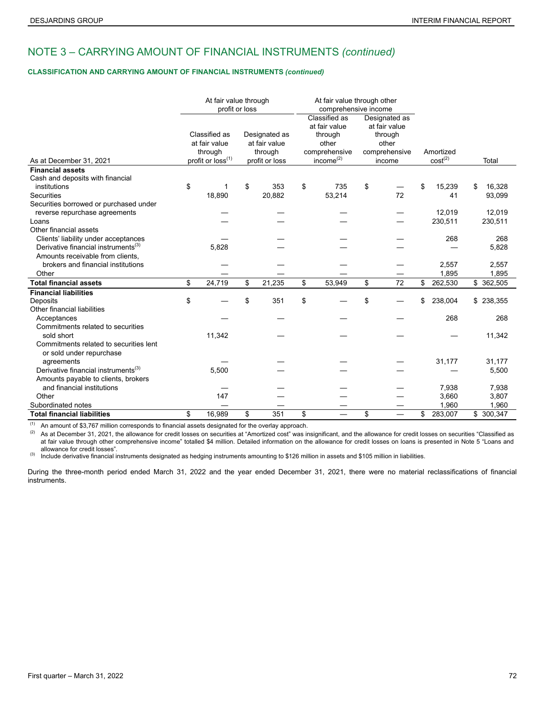### NOTE 3 – CARRYING AMOUNT OF FINANCIAL INSTRUMENTS *(continued)*

#### **CLASSIFICATION AND CARRYING AMOUNT OF FINANCIAL INSTRUMENTS** *(continued)*

|                                                                    | At fair value through<br>profit or loss                                    |                                                             |        |                                                                                        | comprehensive income | At fair value through other                                                   |    |                                  |         |              |
|--------------------------------------------------------------------|----------------------------------------------------------------------------|-------------------------------------------------------------|--------|----------------------------------------------------------------------------------------|----------------------|-------------------------------------------------------------------------------|----|----------------------------------|---------|--------------|
| As at December 31, 2021                                            | Classified as<br>at fair value<br>through<br>profit or loss <sup>(1)</sup> | Designated as<br>at fair value<br>through<br>profit or loss |        | Classified as<br>at fair value<br>through<br>other<br>comprehensive<br>income $^{(2)}$ |                      | Designated as<br>at fair value<br>through<br>other<br>comprehensive<br>income |    | Amortized<br>cost <sup>(2)</sup> |         | Total        |
| <b>Financial assets</b>                                            |                                                                            |                                                             |        |                                                                                        |                      |                                                                               |    |                                  |         |              |
| Cash and deposits with financial                                   |                                                                            |                                                             |        |                                                                                        |                      |                                                                               |    |                                  |         |              |
| institutions                                                       | \$<br>1                                                                    | \$                                                          | 353    | \$                                                                                     | 735                  | \$                                                                            |    | \$                               | 15,239  | 16,328<br>\$ |
| <b>Securities</b>                                                  | 18,890                                                                     |                                                             | 20,882 |                                                                                        | 53,214               |                                                                               | 72 |                                  | 41      | 93,099       |
| Securities borrowed or purchased under                             |                                                                            |                                                             |        |                                                                                        |                      |                                                                               |    |                                  |         |              |
| reverse repurchase agreements                                      |                                                                            |                                                             |        |                                                                                        |                      |                                                                               |    |                                  | 12,019  | 12,019       |
| Loans                                                              |                                                                            |                                                             |        |                                                                                        |                      |                                                                               |    |                                  | 230,511 | 230,511      |
| Other financial assets                                             |                                                                            |                                                             |        |                                                                                        |                      |                                                                               |    |                                  |         |              |
| Clients' liability under acceptances                               |                                                                            |                                                             |        |                                                                                        |                      |                                                                               |    |                                  | 268     | 268          |
| Derivative financial instruments <sup>(3)</sup>                    | 5,828                                                                      |                                                             |        |                                                                                        |                      |                                                                               |    |                                  |         | 5,828        |
| Amounts receivable from clients.                                   |                                                                            |                                                             |        |                                                                                        |                      |                                                                               |    |                                  |         |              |
| brokers and financial institutions                                 |                                                                            |                                                             |        |                                                                                        |                      |                                                                               |    |                                  | 2,557   | 2,557        |
| Other                                                              |                                                                            |                                                             |        |                                                                                        |                      |                                                                               |    |                                  | 1,895   | 1,895        |
| <b>Total financial assets</b>                                      | \$<br>24,719                                                               | \$                                                          | 21,235 | \$                                                                                     | 53,949               | \$                                                                            | 72 | \$                               | 262,530 | \$ 362,505   |
| <b>Financial liabilities</b>                                       |                                                                            |                                                             |        |                                                                                        |                      |                                                                               |    |                                  |         |              |
| Deposits                                                           | \$                                                                         | \$                                                          | 351    | \$                                                                                     |                      | \$                                                                            |    | \$                               | 238,004 | \$238,355    |
| Other financial liabilities                                        |                                                                            |                                                             |        |                                                                                        |                      |                                                                               |    |                                  |         |              |
| Acceptances                                                        |                                                                            |                                                             |        |                                                                                        |                      |                                                                               |    |                                  | 268     | 268          |
| Commitments related to securities                                  |                                                                            |                                                             |        |                                                                                        |                      |                                                                               |    |                                  |         |              |
| sold short                                                         | 11,342                                                                     |                                                             |        |                                                                                        |                      |                                                                               |    |                                  |         | 11,342       |
| Commitments related to securities lent<br>or sold under repurchase |                                                                            |                                                             |        |                                                                                        |                      |                                                                               |    |                                  |         |              |
| agreements                                                         |                                                                            |                                                             |        |                                                                                        |                      |                                                                               |    |                                  | 31,177  | 31,177       |
| Derivative financial instruments <sup>(3)</sup>                    | 5,500                                                                      |                                                             |        |                                                                                        |                      |                                                                               |    |                                  |         | 5,500        |
| Amounts payable to clients, brokers                                |                                                                            |                                                             |        |                                                                                        |                      |                                                                               |    |                                  |         |              |
| and financial institutions                                         |                                                                            |                                                             |        |                                                                                        |                      |                                                                               |    |                                  | 7,938   | 7,938        |
| Other                                                              | 147                                                                        |                                                             |        |                                                                                        |                      |                                                                               |    |                                  | 3,660   | 3,807        |
| Subordinated notes                                                 |                                                                            |                                                             |        |                                                                                        |                      |                                                                               |    |                                  | 1,960   | 1,960        |
| <b>Total financial liabilities</b>                                 | \$<br>16.989                                                               | \$                                                          | 351    | \$                                                                                     |                      | \$                                                                            |    | \$                               | 283,007 | \$ 300,347   |

(1) An amount of \$3,767 million corresponds to financial assets designated for the overlay approach.<br>(2) As at December 31, 2021, the allowance for credit losses on securities at "Amortized cost" was in

As at December 31, 2021, the allowance for credit losses on securities at "Amortized cost" was insignificant, and the allowance for credit losses on securities "Classified as at fair value through other comprehensive income" totalled \$4 million. Detailed information on the allowance for credit losses on loans is presented in Note 5 "Loans and allowance for credit losses".

(3) Include derivative financial instruments designated as hedging instruments amounting to \$126 million in assets and \$105 million in liabilities.

During the three-month period ended March 31, 2022 and the year ended December 31, 2021, there were no material reclassifications of financial instruments.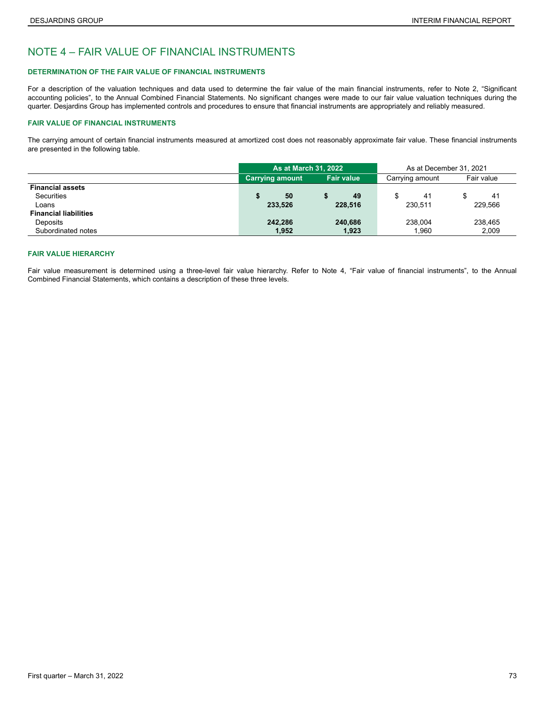## NOTE 4 – FAIR VALUE OF FINANCIAL INSTRUMENTS

### **DETERMINATION OF THE FAIR VALUE OF FINANCIAL INSTRUMENTS**

For a description of the valuation techniques and data used to determine the fair value of the main financial instruments, refer to Note 2, "Significant accounting policies", to the Annual Combined Financial Statements. No significant changes were made to our fair value valuation techniques during the quarter. Desjardins Group has implemented controls and procedures to ensure that financial instruments are appropriately and reliably measured.

### **FAIR VALUE OF FINANCIAL INSTRUMENTS**

The carrying amount of certain financial instruments measured at amortized cost does not reasonably approximate fair value. These financial instruments are presented in the following table.

|                              |                        | <b>As at March 31, 2022</b> |                   |                 | As at December 31, 2021 |            |  |
|------------------------------|------------------------|-----------------------------|-------------------|-----------------|-------------------------|------------|--|
|                              | <b>Carrying amount</b> |                             | <b>Fair value</b> | Carrying amount |                         | Fair value |  |
| <b>Financial assets</b>      |                        |                             |                   |                 |                         |            |  |
| Securities                   | 50                     |                             | 49                | 41              |                         | 41         |  |
| Loans                        | 233,526                |                             | 228.516           | 230.511         |                         | 229.566    |  |
| <b>Financial liabilities</b> |                        |                             |                   |                 |                         |            |  |
| Deposits                     | 242,286                |                             | 240,686           | 238.004         |                         | 238.465    |  |
| Subordinated notes           | 1,952                  |                             | 1,923             | 1,960           |                         | 2,009      |  |

### **FAIR VALUE HIERARCHY**

Fair value measurement is determined using a three-level fair value hierarchy. Refer to Note 4, "Fair value of financial instruments", to the Annual Combined Financial Statements, which contains a description of these three levels.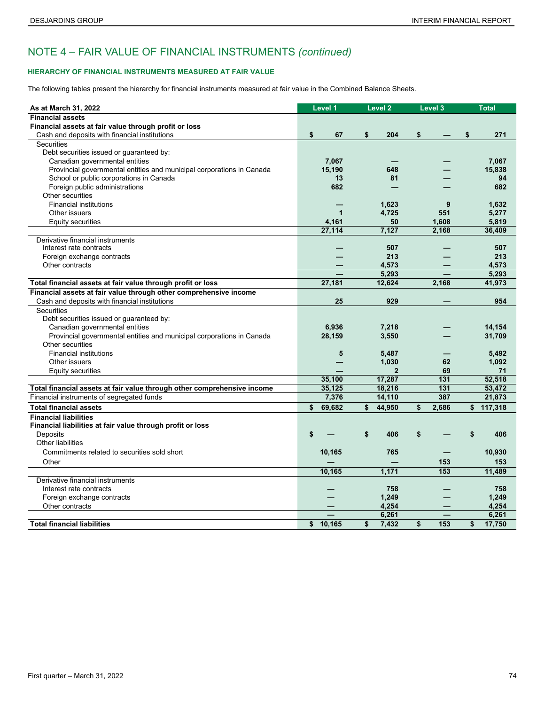### **HIERARCHY OF FINANCIAL INSTRUMENTS MEASURED AT FAIR VALUE**

The following tables present the hierarchy for financial instruments measured at fair value in the Combined Balance Sheets.

| As at March 31, 2022                                                    | Level 1      | Level <sub>2</sub> | Level 3 |       | <b>Total</b> |
|-------------------------------------------------------------------------|--------------|--------------------|---------|-------|--------------|
| <b>Financial assets</b>                                                 |              |                    |         |       |              |
| Financial assets at fair value through profit or loss                   |              |                    |         |       |              |
| Cash and deposits with financial institutions                           | \$<br>67     | \$<br>204          | \$      |       | \$<br>271    |
| Securities                                                              |              |                    |         |       |              |
| Debt securities issued or guaranteed by:                                |              |                    |         |       |              |
| Canadian governmental entities                                          | 7,067        |                    |         |       | 7,067        |
| Provincial governmental entities and municipal corporations in Canada   | 15,190       | 648                |         |       | 15,838       |
| School or public corporations in Canada                                 | 13           | 81                 |         |       | 94           |
| Foreign public administrations                                          | 682          |                    |         |       | 682          |
| Other securities                                                        |              |                    |         |       |              |
| <b>Financial institutions</b>                                           |              | 1,623              |         | 9     | 1,632        |
| Other issuers                                                           | $\mathbf{1}$ | 4,725              |         | 551   | 5,277        |
| Equity securities                                                       | 4,161        | 50                 |         | 1,608 | 5,819        |
|                                                                         | 27,114       | 7,127              |         | 2,168 | 36,409       |
| Derivative financial instruments                                        |              |                    |         |       |              |
| Interest rate contracts                                                 |              | 507                |         |       | 507          |
| Foreign exchange contracts                                              |              | 213                |         |       | 213          |
| Other contracts                                                         |              | 4,573              |         |       | 4,573        |
|                                                                         |              | 5,293              |         |       | 5,293        |
| Total financial assets at fair value through profit or loss             | 27,181       | 12,624             |         | 2,168 | 41,973       |
| Financial assets at fair value through other comprehensive income       |              |                    |         |       |              |
| Cash and deposits with financial institutions                           | 25           | 929                |         |       | 954          |
| Securities                                                              |              |                    |         |       |              |
| Debt securities issued or guaranteed by:                                |              |                    |         |       |              |
| Canadian governmental entities                                          | 6,936        | 7,218              |         |       | 14,154       |
| Provincial governmental entities and municipal corporations in Canada   | 28,159       | 3,550              |         |       | 31,709       |
| Other securities                                                        |              |                    |         |       |              |
| <b>Financial institutions</b>                                           | 5            | 5,487              |         |       | 5,492        |
| Other issuers                                                           |              | 1,030              |         | 62    | 1,092        |
| Equity securities                                                       |              |                    |         | 69    | 71           |
|                                                                         | 35.100       | 17,287             |         | 131   | 52,518       |
| Total financial assets at fair value through other comprehensive income | 35,125       | 18,216             |         | 131   | 53,472       |
| Financial instruments of segregated funds                               | 7,376        | 14,110             |         | 387   | 21,873       |
| <b>Total financial assets</b>                                           | \$<br>69,682 | \$<br>44,950       | \$      | 2,686 | \$117,318    |
| <b>Financial liabilities</b>                                            |              |                    |         |       |              |
| Financial liabilities at fair value through profit or loss              |              |                    |         |       |              |
| Deposits                                                                | \$           | \$<br>406          | \$      |       | \$<br>406    |
| Other liabilities                                                       |              |                    |         |       |              |
| Commitments related to securities sold short                            | 10,165       | 765                |         |       | 10,930       |
| Other                                                                   |              |                    |         | 153   | 153          |
|                                                                         | 10,165       | 1,171              |         | 153   | 11,489       |
| Derivative financial instruments                                        |              |                    |         |       |              |
| Interest rate contracts                                                 |              | 758                |         |       | 758          |
| Foreign exchange contracts                                              |              | 1,249              |         |       | 1,249        |
| Other contracts                                                         |              | 4,254              |         |       | 4,254        |
|                                                                         |              | 6.261              |         |       | 6,261        |
| <b>Total financial liabilities</b>                                      | \$<br>10.165 | \$<br>7,432        | \$      | 153   | \$<br>17,750 |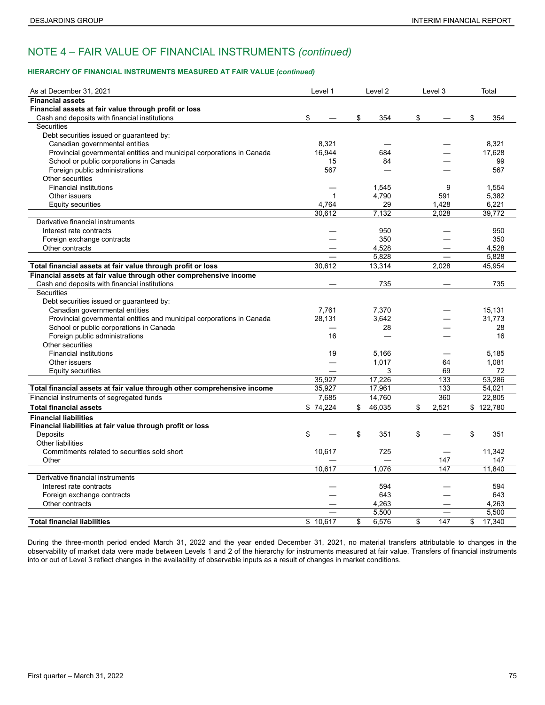### **HIERARCHY OF FINANCIAL INSTRUMENTS MEASURED AT FAIR VALUE** *(continued)*

| As at December 31, 2021                                                 | Level 1      | Level 2      | Level 3                  | Total        |
|-------------------------------------------------------------------------|--------------|--------------|--------------------------|--------------|
| <b>Financial assets</b>                                                 |              |              |                          |              |
| Financial assets at fair value through profit or loss                   |              |              |                          |              |
| Cash and deposits with financial institutions                           | \$           | \$<br>354    | \$                       | \$<br>354    |
| <b>Securities</b>                                                       |              |              |                          |              |
| Debt securities issued or guaranteed by:                                |              |              |                          |              |
| Canadian governmental entities                                          | 8,321        |              |                          | 8,321        |
| Provincial governmental entities and municipal corporations in Canada   | 16.944       | 684          |                          | 17.628       |
| School or public corporations in Canada                                 | 15           | 84           |                          | 99           |
| Foreign public administrations                                          | 567          |              |                          | 567          |
| Other securities                                                        |              |              |                          |              |
| <b>Financial institutions</b>                                           |              | 1,545        | 9                        | 1,554        |
| Other issuers                                                           | $\mathbf{1}$ | 4,790        | 591                      | 5,382        |
| Equity securities                                                       | 4,764        | 29           | 1,428                    | 6,221        |
|                                                                         | 30,612       | 7,132        | 2,028                    | 39,772       |
| Derivative financial instruments                                        |              |              |                          |              |
| Interest rate contracts                                                 |              | 950          |                          | 950          |
| Foreign exchange contracts                                              |              | 350          |                          | 350          |
| Other contracts                                                         |              | 4,528        |                          | 4,528        |
|                                                                         |              | 5,828        |                          | 5,828        |
| Total financial assets at fair value through profit or loss             | 30,612       | 13,314       | 2,028                    | 45,954       |
| Financial assets at fair value through other comprehensive income       |              |              |                          |              |
| Cash and deposits with financial institutions                           |              | 735          |                          | 735          |
| Securities                                                              |              |              |                          |              |
| Debt securities issued or guaranteed by:                                |              |              |                          |              |
| Canadian governmental entities                                          | 7.761        | 7,370        |                          | 15,131       |
| Provincial governmental entities and municipal corporations in Canada   | 28,131       | 3,642        |                          | 31,773       |
| School or public corporations in Canada                                 |              | 28           |                          | 28           |
| Foreign public administrations                                          | 16           |              |                          | 16           |
| Other securities                                                        |              |              |                          |              |
| <b>Financial institutions</b>                                           | 19           | 5,166        |                          | 5,185        |
| Other issuers                                                           |              | 1,017        | 64                       | 1.081        |
| Equity securities                                                       |              | 3            | 69                       | 72           |
|                                                                         | 35,927       | 17,226       | 133                      | 53.286       |
| Total financial assets at fair value through other comprehensive income | 35,927       | 17,961       | 133                      | 54,021       |
| Financial instruments of segregated funds                               | 7,685        | 14,760       | 360                      | 22,805       |
| <b>Total financial assets</b>                                           | \$74.224     | \$<br>46.035 | \$<br>2,521              | \$122,780    |
| <b>Financial liabilities</b>                                            |              |              |                          |              |
| Financial liabilities at fair value through profit or loss              |              |              |                          |              |
| Deposits                                                                | \$           | \$<br>351    | \$                       | \$<br>351    |
| <b>Other liabilities</b>                                                |              |              |                          |              |
| Commitments related to securities sold short                            | 10,617       | 725          |                          | 11,342       |
| Other                                                                   |              |              | 147                      | 147          |
|                                                                         | 10,617       | 1,076        | 147                      | 11,840       |
| Derivative financial instruments                                        |              |              |                          |              |
| Interest rate contracts                                                 |              | 594          |                          | 594          |
| Foreign exchange contracts                                              |              | 643          |                          | 643          |
| Other contracts                                                         |              | 4,263        |                          | 4,263        |
|                                                                         |              | 5,500        | $\overline{\phantom{0}}$ | 5.500        |
| <b>Total financial liabilities</b>                                      | \$10.617     | \$<br>6,576  | \$<br>147                | \$<br>17,340 |

During the three-month period ended March 31, 2022 and the year ended December 31, 2021, no material transfers attributable to changes in the observability of market data were made between Levels 1 and 2 of the hierarchy for instruments measured at fair value. Transfers of financial instruments into or out of Level 3 reflect changes in the availability of observable inputs as a result of changes in market conditions.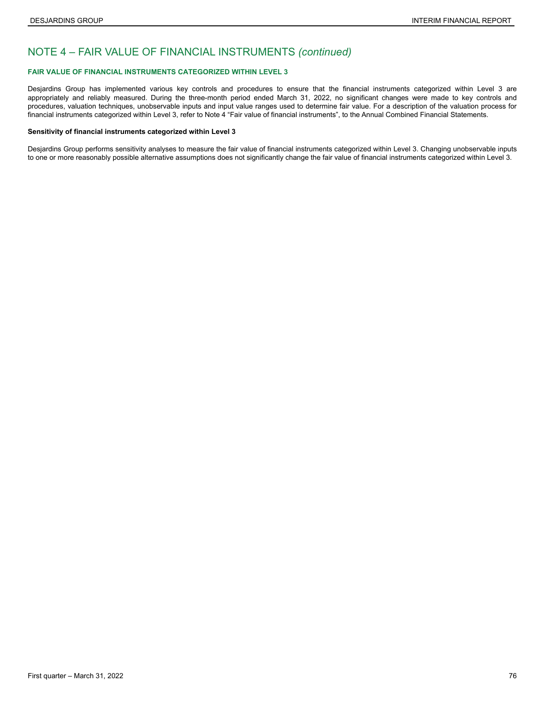### **FAIR VALUE OF FINANCIAL INSTRUMENTS CATEGORIZED WITHIN LEVEL 3**

Desjardins Group has implemented various key controls and procedures to ensure that the financial instruments categorized within Level 3 are appropriately and reliably measured. During the three-month period ended March 31, 2022, no significant changes were made to key controls and procedures, valuation techniques, unobservable inputs and input value ranges used to determine fair value. For a description of the valuation process for financial instruments categorized within Level 3, refer to Note 4 "Fair value of financial instruments", to the Annual Combined Financial Statements.

#### **Sensitivity of financial instruments categorized within Level 3**

Desjardins Group performs sensitivity analyses to measure the fair value of financial instruments categorized within Level 3. Changing unobservable inputs to one or more reasonably possible alternative assumptions does not significantly change the fair value of financial instruments categorized within Level 3.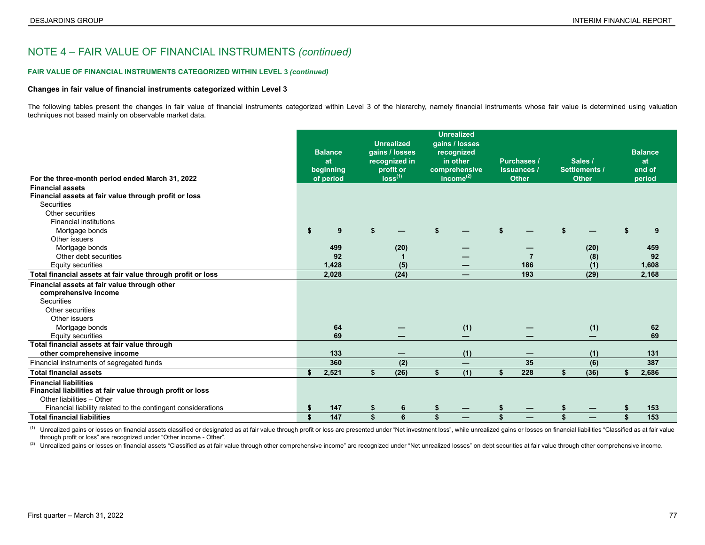#### **FAIR VALUE OF FINANCIAL INSTRUMENTS CATEGORIZED WITHIN LEVEL 3** *(continued)*

#### **Changes in fair value of financial instruments categorized within Level 3**

The following tables present the changes in fair value of financial instruments categorized within Level 3 of the hierarchy, namely financial instruments whose fair value is determined using valuation techniques not based mainly on observable market data.

|                                                              | <b>Balance</b><br>at | <b>Unrealized</b><br>gains / losses<br>recognized in | <b>Unrealized</b><br>gains / losses<br>recognized<br>in other | <b>Purchases /</b> | Sales /                  |    | <b>Balance</b><br>at |
|--------------------------------------------------------------|----------------------|------------------------------------------------------|---------------------------------------------------------------|--------------------|--------------------------|----|----------------------|
|                                                              | beginning            | profit or                                            | comprehensive                                                 | <b>Issuances /</b> | <b>Settlements /</b>     |    | end of               |
| For the three-month period ended March 31, 2022              | of period            | loss <sup>(1)</sup>                                  | income $(2)$                                                  | <b>Other</b>       | <b>Other</b>             |    | period               |
| <b>Financial assets</b>                                      |                      |                                                      |                                                               |                    |                          |    |                      |
| Financial assets at fair value through profit or loss        |                      |                                                      |                                                               |                    |                          |    |                      |
| <b>Securities</b>                                            |                      |                                                      |                                                               |                    |                          |    |                      |
| Other securities                                             |                      |                                                      |                                                               |                    |                          |    |                      |
| <b>Financial institutions</b>                                |                      |                                                      |                                                               |                    |                          |    |                      |
| Mortgage bonds                                               | \$<br>9              |                                                      |                                                               |                    |                          |    | 9                    |
| Other issuers                                                |                      |                                                      |                                                               |                    |                          |    |                      |
| Mortgage bonds                                               | 499                  | (20)                                                 |                                                               |                    | (20)                     |    | 459                  |
| Other debt securities                                        | 92                   |                                                      |                                                               |                    | (8)                      |    | 92                   |
| Equity securities                                            | 1,428                | (5)                                                  |                                                               | 186                | (1)                      |    | 1,608                |
| Total financial assets at fair value through profit or loss  | 2,028                | (24)                                                 | —                                                             | 193                | (29)                     |    | 2,168                |
| Financial assets at fair value through other                 |                      |                                                      |                                                               |                    |                          |    |                      |
| comprehensive income                                         |                      |                                                      |                                                               |                    |                          |    |                      |
| <b>Securities</b>                                            |                      |                                                      |                                                               |                    |                          |    |                      |
| Other securities                                             |                      |                                                      |                                                               |                    |                          |    |                      |
| Other issuers                                                |                      |                                                      |                                                               |                    |                          |    |                      |
| Mortgage bonds                                               | 64                   |                                                      | (1)                                                           |                    | (1)                      |    | 62                   |
| <b>Equity securities</b>                                     | 69                   |                                                      | —                                                             |                    | $\overline{\phantom{0}}$ |    | 69                   |
| Total financial assets at fair value through                 |                      |                                                      |                                                               |                    |                          |    |                      |
| other comprehensive income                                   | 133                  |                                                      | (1)                                                           |                    | (1)                      |    | 131                  |
| Financial instruments of segregated funds                    | 360                  | (2)                                                  | —                                                             | 35                 | (6)                      |    | 387                  |
| <b>Total financial assets</b>                                | \$<br>2,521          | (26)                                                 | \$<br>(1)                                                     | \$<br>228          | \$<br>(36)               | S. | 2,686                |
| <b>Financial liabilities</b>                                 |                      |                                                      |                                                               |                    |                          |    |                      |
| Financial liabilities at fair value through profit or loss   |                      |                                                      |                                                               |                    |                          |    |                      |
| Other liabilities - Other                                    |                      |                                                      |                                                               |                    |                          |    |                      |
| Financial liability related to the contingent considerations | \$<br>147            | 6                                                    |                                                               |                    |                          |    | 153                  |
| <b>Total financial liabilities</b>                           | \$<br>147            | \$<br>6                                              | \$                                                            | \$                 | \$                       | \$ | 153                  |

(1) Unrealized gains or losses on financial assets classified or designated as at fair value through profit or loss are presented under "Net investment loss", while unrealized gains or losses on financial liabilities "Clas through profit or loss" are recognized under "Other income - Other".

(2) Unrealized gains or losses on financial assets "Classified as at fair value through other comprehensive income" are recognized under "Net unrealized losses" on debt securities at fair value through other comprehensive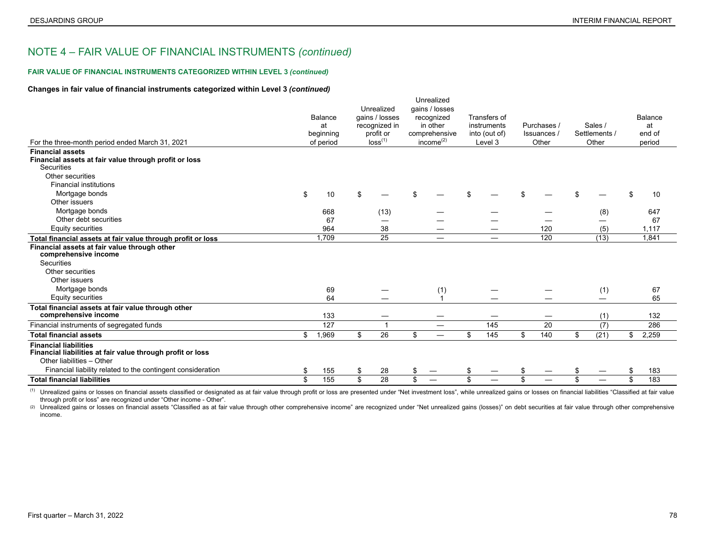#### **FAIR VALUE OF FINANCIAL INSTRUMENTS CATEGORIZED WITHIN LEVEL 3** *(continued)*

#### **Changes in fair value of financial instruments categorized within Level 3** *(continued)*

| For the three-month period ended March 31, 2021                                                                         | Balance<br>at<br>beginning<br>of period |       | Unrealized<br>gains / losses<br>recognized in<br>profit or<br>loss <sup>(1)</sup> |                | Unrealized<br>gains / losses<br>recognized<br>in other<br>comprehensive<br>income $^{(2)}$ |                          | Transfers of<br>instruments<br>into (out of)<br>Level 3 |     | Purchases /<br>Issuances /<br>Other |                               | Sales /<br>Settlements /<br>Other |      | Balance<br>at<br>end of<br>period |
|-------------------------------------------------------------------------------------------------------------------------|-----------------------------------------|-------|-----------------------------------------------------------------------------------|----------------|--------------------------------------------------------------------------------------------|--------------------------|---------------------------------------------------------|-----|-------------------------------------|-------------------------------|-----------------------------------|------|-----------------------------------|
| <b>Financial assets</b>                                                                                                 |                                         |       |                                                                                   |                |                                                                                            |                          |                                                         |     |                                     |                               |                                   |      |                                   |
| Financial assets at fair value through profit or loss<br>Securities                                                     |                                         |       |                                                                                   |                |                                                                                            |                          |                                                         |     |                                     |                               |                                   |      |                                   |
| Other securities                                                                                                        |                                         |       |                                                                                   |                |                                                                                            |                          |                                                         |     |                                     |                               |                                   |      |                                   |
| <b>Financial institutions</b>                                                                                           |                                         |       |                                                                                   |                |                                                                                            |                          |                                                         |     |                                     |                               |                                   |      |                                   |
| Mortgage bonds                                                                                                          | \$                                      | 10    | \$                                                                                |                | $\mathfrak{L}$                                                                             |                          |                                                         |     |                                     |                               |                                   |      | 10                                |
| Other issuers                                                                                                           |                                         |       |                                                                                   |                |                                                                                            |                          |                                                         |     |                                     |                               |                                   |      |                                   |
| Mortgage bonds                                                                                                          |                                         | 668   |                                                                                   | (13)           |                                                                                            |                          |                                                         |     |                                     |                               |                                   | (8)  | 647                               |
| Other debt securities                                                                                                   |                                         | 67    |                                                                                   |                |                                                                                            |                          |                                                         |     |                                     |                               |                                   |      | 67                                |
| Equity securities                                                                                                       |                                         | 964   |                                                                                   | 38             |                                                                                            |                          |                                                         |     |                                     | 120                           |                                   | (5)  | 1,117                             |
| Total financial assets at fair value through profit or loss                                                             |                                         | 1.709 |                                                                                   | 25             |                                                                                            | $\overline{\phantom{0}}$ |                                                         |     |                                     | 120                           |                                   | (13) | 1.841                             |
| Financial assets at fair value through other<br>comprehensive income                                                    |                                         |       |                                                                                   |                |                                                                                            |                          |                                                         |     |                                     |                               |                                   |      |                                   |
| <b>Securities</b>                                                                                                       |                                         |       |                                                                                   |                |                                                                                            |                          |                                                         |     |                                     |                               |                                   |      |                                   |
| Other securities                                                                                                        |                                         |       |                                                                                   |                |                                                                                            |                          |                                                         |     |                                     |                               |                                   |      |                                   |
| Other issuers                                                                                                           |                                         |       |                                                                                   |                |                                                                                            |                          |                                                         |     |                                     |                               |                                   |      |                                   |
| Mortgage bonds                                                                                                          |                                         | 69    |                                                                                   |                |                                                                                            | (1)                      |                                                         |     |                                     |                               |                                   | (1)  | 67                                |
| Equity securities                                                                                                       |                                         | 64    |                                                                                   |                |                                                                                            | $\overline{ }$           |                                                         |     |                                     |                               |                                   |      | 65                                |
| Total financial assets at fair value through other<br>comprehensive income                                              |                                         | 133   |                                                                                   |                |                                                                                            | —                        |                                                         |     |                                     | $\overbrace{\phantom{12332}}$ |                                   | (1)  | 132                               |
| Financial instruments of segregated funds                                                                               |                                         | 127   |                                                                                   | $\overline{1}$ |                                                                                            | —                        |                                                         | 145 |                                     | 20                            |                                   | (7)  | 286                               |
| <b>Total financial assets</b>                                                                                           | \$                                      | 1,969 | \$                                                                                | 26             | \$                                                                                         | $\overline{\phantom{0}}$ | \$                                                      | 145 | \$                                  | 140                           | \$                                | (21) | \$<br>2,259                       |
| <b>Financial liabilities</b><br>Financial liabilities at fair value through profit or loss<br>Other liabilities - Other |                                         |       |                                                                                   |                |                                                                                            |                          |                                                         |     |                                     |                               |                                   |      |                                   |
| Financial liability related to the contingent consideration                                                             | \$                                      | 155   | \$                                                                                | 28             | \$                                                                                         |                          |                                                         |     |                                     |                               |                                   |      | 183                               |
| <b>Total financial liabilities</b>                                                                                      | \$                                      | 155   | \$                                                                                | 28             | $\mathfrak{L}$                                                                             |                          | \$                                                      |     | \$                                  |                               | ፍ                                 |      | \$<br>183                         |
|                                                                                                                         |                                         |       |                                                                                   |                |                                                                                            |                          |                                                         |     |                                     |                               |                                   |      |                                   |

(1) Unrealized gains or losses on financial assets classified or designated as at fair value through profit or loss are presented under "Net investment loss", while unrealized gains or losses on financial liabilities "Clas through profit or loss" are recognized under "Other income - Other".

(2) Unrealized gains or losses on financial assets "Classified as at fair value through other comprehensive income" are recognized under "Net unrealized gains (losses)" on debt securities at fair value through other compre income.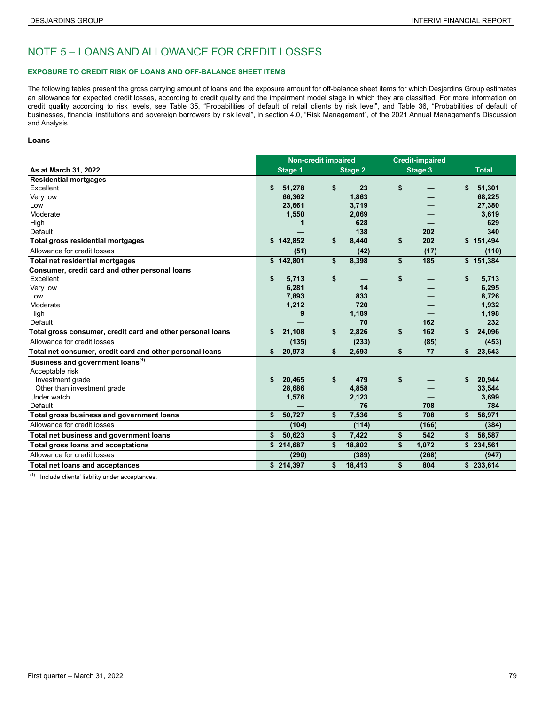## NOTE 5 – LOANS AND ALLOWANCE FOR CREDIT LOSSES

### **EXPOSURE TO CREDIT RISK OF LOANS AND OFF-BALANCE SHEET ITEMS**

The following tables present the gross carrying amount of loans and the exposure amount for off-balance sheet items for which Desjardins Group estimates an allowance for expected credit losses, according to credit quality and the impairment model stage in which they are classified. For more information on credit quality according to risk levels, see Table 35, "Probabilities of default of retail clients by risk level", and Table 36, "Probabilities of default of businesses, financial institutions and sovereign borrowers by risk level", in section 4.0, "Risk Management", of the 2021 Annual Management's Discussion and Analysis.

### **Loans**

|                                                            | <b>Non-credit impaired</b> |         |    | <b>Credit-impaired</b> |             |    |              |
|------------------------------------------------------------|----------------------------|---------|----|------------------------|-------------|----|--------------|
| As at March 31, 2022                                       |                            | Stage 1 |    | <b>Stage 2</b>         | Stage 3     |    | <b>Total</b> |
| <b>Residential mortgages</b>                               |                            |         |    |                        |             |    |              |
| Excellent                                                  | \$                         | 51,278  | \$ | 23                     | \$          | \$ | 51,301       |
| Very low                                                   |                            | 66,362  |    | 1,863                  |             |    | 68,225       |
| Low                                                        |                            | 23,661  |    | 3,719                  |             |    | 27,380       |
| Moderate                                                   |                            | 1,550   |    | 2,069                  |             |    | 3,619        |
| High                                                       |                            |         |    | 628                    |             |    | 629          |
| Default                                                    |                            |         |    | 138                    | 202         |    | 340          |
| <b>Total gross residential mortgages</b>                   | \$142,852                  |         | \$ | 8,440                  | \$<br>202   |    | \$151,494    |
| Allowance for credit losses                                |                            | (51)    |    | (42)                   | (17)        |    | (110)        |
| <b>Total net residential mortgages</b>                     | \$                         | 142,801 | \$ | 8,398                  | \$<br>185   |    | \$151,384    |
| Consumer, credit card and other personal loans             |                            |         |    |                        |             |    |              |
| Excellent                                                  | \$                         | 5,713   | \$ |                        | \$          | \$ | 5,713        |
| Very low                                                   |                            | 6,281   |    | 14                     |             |    | 6,295        |
| Low                                                        |                            | 7,893   |    | 833                    |             |    | 8,726        |
| Moderate                                                   |                            | 1,212   |    | 720                    |             |    | 1,932        |
| High                                                       |                            | 9       |    | 1,189                  |             |    | 1,198        |
| Default                                                    |                            |         |    | 70                     | 162         |    | 232          |
| Total gross consumer, credit card and other personal loans | \$                         | 21,108  | \$ | 2,826                  | \$<br>162   | \$ | 24,096       |
| Allowance for credit losses                                |                            | (135)   |    | (233)                  | (85)        |    | (453)        |
| Total net consumer, credit card and other personal loans   | \$                         | 20,973  | \$ | 2,593                  | \$<br>77    | \$ | 23,643       |
| Business and government loans <sup>(1)</sup>               |                            |         |    |                        |             |    |              |
| Acceptable risk                                            |                            |         |    |                        |             |    |              |
| Investment grade                                           | S                          | 20,465  | \$ | 479                    | \$          | S  | 20.944       |
| Other than investment grade                                |                            | 28,686  |    | 4,858                  |             |    | 33,544       |
| Under watch                                                |                            | 1,576   |    | 2.123                  |             |    | 3,699        |
| Default                                                    |                            |         |    | 76                     | 708         |    | 784          |
| Total gross business and government loans                  | \$                         | 50,727  | \$ | 7,536                  | \$<br>708   | \$ | 58,971       |
| Allowance for credit losses                                |                            | (104)   |    | (114)                  | (166)       |    | (384)        |
| Total net business and government loans                    | \$                         | 50,623  | \$ | 7,422                  | \$<br>542   | \$ | 58,587       |
| <b>Total gross loans and acceptations</b>                  | \$214,687                  |         | \$ | 18,802                 | \$<br>1,072 |    | \$234,561    |
| Allowance for credit losses                                |                            | (290)   |    | (389)                  | (268)       |    | (947)        |
| <b>Total net loans and acceptances</b>                     | \$214,397                  |         | \$ | 18,413                 | \$<br>804   |    | \$233,614    |

 $\overline{1}$  Include clients' liability under acceptances.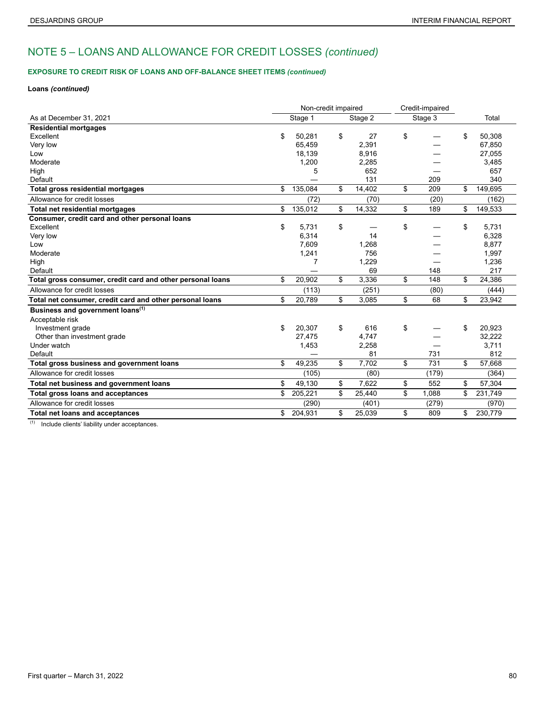## **EXPOSURE TO CREDIT RISK OF LOANS AND OFF-BALANCE SHEET ITEMS** *(continued)*

### **Loans** *(continued)*

|                                                            | Non-credit impaired |              | Credit-impaired |         |    |         |
|------------------------------------------------------------|---------------------|--------------|-----------------|---------|----|---------|
| As at December 31, 2021                                    | Stage 1             | Stage 2      |                 | Stage 3 |    | Total   |
| <b>Residential mortgages</b>                               |                     |              |                 |         |    |         |
| Excellent                                                  | \$<br>50,281        | \$<br>27     | \$              |         | \$ | 50,308  |
| Very low                                                   | 65.459              | 2,391        |                 |         |    | 67,850  |
| Low                                                        | 18,139              | 8,916        |                 |         |    | 27,055  |
| Moderate                                                   | 1,200               | 2,285        |                 |         |    | 3,485   |
| High                                                       | 5                   | 652          |                 |         |    | 657     |
| Default                                                    |                     | 131          |                 | 209     |    | 340     |
| Total gross residential mortgages                          | \$<br>135,084       | \$<br>14,402 | \$              | 209     | \$ | 149,695 |
| Allowance for credit losses                                | (72)                | (70)         |                 | (20)    |    | (162)   |
| <b>Total net residential mortgages</b>                     | \$<br>135,012       | \$<br>14,332 | \$              | 189     | \$ | 149,533 |
| Consumer, credit card and other personal loans             |                     |              |                 |         |    |         |
| Excellent                                                  | \$<br>5.731         | \$           | \$              |         | \$ | 5.731   |
| Very low                                                   | 6,314               | 14           |                 |         |    | 6,328   |
| Low                                                        | 7,609               | 1,268        |                 |         |    | 8,877   |
| Moderate                                                   | 1,241               | 756          |                 |         |    | 1,997   |
| High                                                       | 7                   | 1,229        |                 |         |    | 1,236   |
| Default                                                    |                     | 69           |                 | 148     |    | 217     |
| Total gross consumer, credit card and other personal loans | \$<br>20,902        | \$<br>3,336  | \$              | 148     | \$ | 24,386  |
| Allowance for credit losses                                | (113)               | (251)        |                 | (80)    |    | (444)   |
| Total net consumer, credit card and other personal loans   | \$<br>20,789        | \$<br>3,085  | \$              | 68      | \$ | 23,942  |
| Business and government loans <sup>(1)</sup>               |                     |              |                 |         |    |         |
| Acceptable risk                                            |                     |              |                 |         |    |         |
| Investment grade                                           | \$<br>20,307        | \$<br>616    | \$              |         | \$ | 20,923  |
| Other than investment grade                                | 27,475              | 4,747        |                 |         |    | 32,222  |
| Under watch                                                | 1,453               | 2,258        |                 |         |    | 3,711   |
| Default                                                    |                     | 81           |                 | 731     |    | 812     |
| Total gross business and government loans                  | \$<br>49,235        | \$<br>7,702  | \$              | 731     | \$ | 57,668  |
| Allowance for credit losses                                | (105)               | (80)         |                 | (179)   |    | (364)   |
| Total net business and government loans                    | \$<br>49,130        | \$<br>7,622  | \$              | 552     | \$ | 57,304  |
| <b>Total gross loans and acceptances</b>                   | \$<br>205,221       | \$<br>25.440 | \$              | 1.088   | \$ | 231,749 |
| Allowance for credit losses                                | (290)               | (401)        |                 | (279)   |    | (970)   |
| <b>Total net loans and acceptances</b>                     | \$<br>204,931       | \$<br>25,039 | \$              | 809     | \$ | 230,779 |

(1) Include clients' liability under acceptances.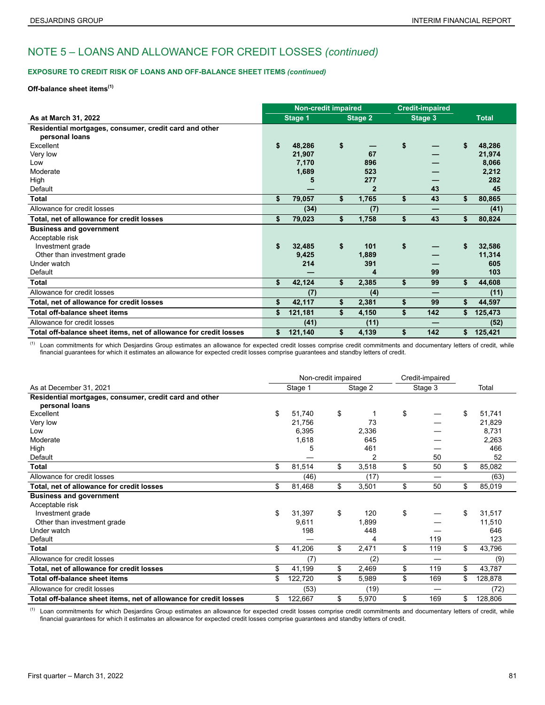### **EXPOSURE TO CREDIT RISK OF LOANS AND OFF-BALANCE SHEET ITEMS** *(continued)*

## **Off-balance sheet items(1)**

|                                                                   |               | <b>Non-credit impaired</b> |                | <b>Credit-impaired</b> |               |
|-------------------------------------------------------------------|---------------|----------------------------|----------------|------------------------|---------------|
| As at March 31, 2022                                              | Stage 1       |                            | Stage 2        | Stage 3                | <b>Total</b>  |
| Residential mortgages, consumer, credit card and other            |               |                            |                |                        |               |
| personal loans                                                    |               |                            |                |                        |               |
| Excellent                                                         | \$<br>48,286  | \$                         |                | \$                     | \$<br>48,286  |
| Very low                                                          | 21,907        |                            | 67             |                        | 21,974        |
| Low                                                               | 7,170         |                            | 896            |                        | 8,066         |
| Moderate                                                          | 1,689         |                            | 523            |                        | 2,212         |
| High                                                              | 5             |                            | 277            |                        | 282           |
| Default                                                           |               |                            | $\overline{2}$ | 43                     | 45            |
| <b>Total</b>                                                      | \$<br>79,057  | \$                         | 1,765          | \$<br>43               | \$<br>80,865  |
| Allowance for credit losses                                       | (34)          |                            | (7)            | –                      | (41)          |
| Total, net of allowance for credit losses                         | \$<br>79,023  | \$                         | 1,758          | \$<br>43               | \$<br>80,824  |
| <b>Business and government</b>                                    |               |                            |                |                        |               |
| Acceptable risk                                                   |               |                            |                |                        |               |
| Investment grade                                                  | \$<br>32,485  | \$                         | 101            | \$                     | \$<br>32,586  |
| Other than investment grade                                       | 9,425         |                            | 1,889          |                        | 11,314        |
| Under watch                                                       | 214           |                            | 391            |                        | 605           |
| Default                                                           |               |                            | 4              | 99                     | 103           |
| Total                                                             | \$<br>42,124  | \$                         | 2,385          | \$<br>99               | \$<br>44,608  |
| Allowance for credit losses                                       | (7)           |                            | (4)            | —                      | (11)          |
| Total, net of allowance for credit losses                         | \$<br>42,117  | \$                         | 2,381          | \$<br>99               | \$<br>44,597  |
| <b>Total off-balance sheet items</b>                              | \$<br>121,181 | \$                         | 4,150          | \$<br>142              | \$<br>125,473 |
| Allowance for credit losses                                       | (41)          |                            | (11)           |                        | (52)          |
| Total off-balance sheet items, net of allowance for credit losses | \$<br>121,140 | \$                         | 4,139          | \$<br>142              | \$<br>125,421 |

(1) Loan commitments for which Desjardins Group estimates an allowance for expected credit losses comprise credit commitments and documentary letters of credit, while financial guarantees for which it estimates an allowance for expected credit losses comprise guarantees and standby letters of credit.

|                                                                          | Non-credit impaired |             | Credit-impaired |                               |    |         |
|--------------------------------------------------------------------------|---------------------|-------------|-----------------|-------------------------------|----|---------|
| As at December 31, 2021                                                  | Stage 1             | Stage 2     |                 | Stage 3                       |    | Total   |
| Residential mortgages, consumer, credit card and other<br>personal loans |                     |             |                 |                               |    |         |
| Excellent                                                                | \$<br>51,740        | \$          | \$              |                               | \$ | 51,741  |
| Very low                                                                 | 21,756              | 73          |                 |                               |    | 21,829  |
| Low                                                                      | 6,395               | 2,336       |                 |                               |    | 8,731   |
| Moderate                                                                 | 1,618               | 645         |                 |                               |    | 2,263   |
| High                                                                     | 5                   | 461         |                 |                               |    | 466     |
| Default                                                                  |                     | 2           |                 | 50                            |    | 52      |
| <b>Total</b>                                                             | \$<br>81,514        | \$<br>3,518 | \$              | 50                            | \$ | 85,082  |
| Allowance for credit losses                                              | (46)                | (17)        |                 |                               |    | (63)    |
| Total, net of allowance for credit losses                                | \$<br>81,468        | \$<br>3,501 | \$              | 50                            | \$ | 85,019  |
| <b>Business and government</b>                                           |                     |             |                 |                               |    |         |
| Acceptable risk                                                          |                     |             |                 |                               |    |         |
| Investment grade                                                         | \$<br>31,397        | \$<br>120   | \$              |                               | \$ | 31,517  |
| Other than investment grade                                              | 9,611               | 1,899       |                 |                               |    | 11,510  |
| Under watch                                                              | 198                 | 448         |                 |                               |    | 646     |
| Default                                                                  |                     | 4           |                 | 119                           |    | 123     |
| Total                                                                    | \$<br>41,206        | \$<br>2,471 | \$              | 119                           | \$ | 43,796  |
| Allowance for credit losses                                              | (7)                 | (2)         |                 |                               |    | (9)     |
| Total, net of allowance for credit losses                                | \$<br>41,199        | \$<br>2,469 | \$              | 119                           | \$ | 43,787  |
| <b>Total off-balance sheet items</b>                                     | \$<br>122,720       | \$<br>5,989 | \$              | 169                           | \$ | 128,878 |
| Allowance for credit losses                                              | (53)                | (19)        |                 | $\overbrace{\phantom{12332}}$ |    | (72)    |
| Total off-balance sheet items, net of allowance for credit losses        | \$<br>122,667       | \$<br>5,970 | \$              | 169                           | \$ | 128,806 |

<sup>(1)</sup> Loan commitments for which Desjardins Group estimates an allowance for expected credit losses comprise credit commitments and documentary letters of credit, while financial guarantees for which it estimates an allowance for expected credit losses comprise guarantees and standby letters of credit.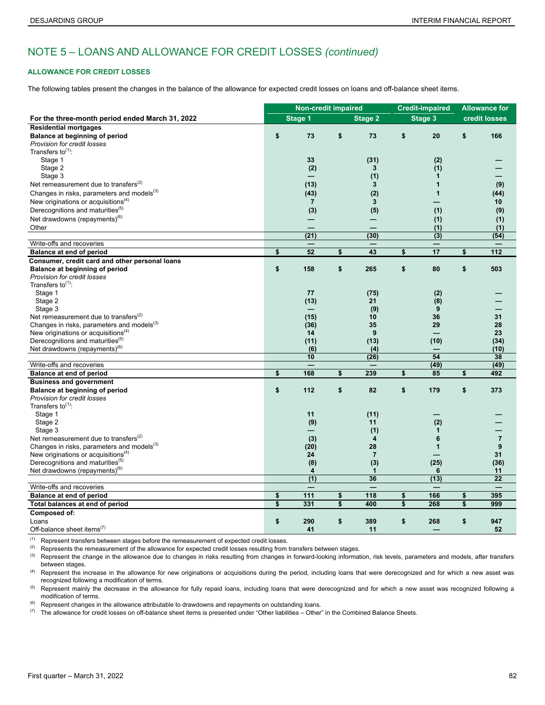## **ALLOWANCE FOR CREDIT LOSSES**

The following tables present the changes in the balance of the allowance for expected credit losses on loans and off-balance sheet items.

|                                                        | <b>Non-credit impaired</b> |                          |                         |                 | <b>Credit-impaired</b>   |                         | <b>Allowance for</b> |
|--------------------------------------------------------|----------------------------|--------------------------|-------------------------|-----------------|--------------------------|-------------------------|----------------------|
| For the three-month period ended March 31, 2022        |                            | <b>Stage 1</b>           |                         | <b>Stage 2</b>  | Stage 3                  |                         | credit losses        |
| <b>Residential mortgages</b>                           |                            |                          |                         |                 |                          |                         |                      |
| Balance at beginning of period                         | \$                         | 73                       | \$                      | 73              | \$<br>20                 | \$                      | 166                  |
| Provision for credit losses                            |                            |                          |                         |                 |                          |                         |                      |
| Transfers to $(1)$ :                                   |                            |                          |                         |                 |                          |                         |                      |
| Stage 1                                                |                            | 33                       |                         | (31)            | (2)                      |                         |                      |
| Stage 2                                                |                            | (2)                      |                         | 3               | (1)                      |                         |                      |
| Stage 3                                                |                            |                          |                         | (1)             | $\mathbf{1}$             |                         |                      |
| Net remeasurement due to transfers $^{(2)}$            |                            | (13)                     |                         | 3               | $\mathbf{1}$             |                         | (9)                  |
| Changes in risks, parameters and models <sup>(3)</sup> |                            | (43)                     |                         | (2)             | $\mathbf 1$              |                         | (44)                 |
| New originations or acquisitions <sup>(4)</sup>        |                            | $\overline{7}$           |                         | 3               |                          |                         | 10                   |
| Derecognitions and maturities <sup>(5)</sup>           |                            | (3)                      |                         | (5)             | (1)                      |                         | (9)                  |
| Net drawdowns (repayments) <sup>(6)</sup>              |                            |                          |                         |                 |                          |                         |                      |
|                                                        |                            |                          |                         | $\qquad \qquad$ | (1)                      |                         | (1)                  |
| Other                                                  |                            | (21)                     |                         | (30)            | (1)<br>$\overline{(3)}$  |                         | (1)<br>(54)          |
| Write-offs and recoveries                              |                            |                          |                         |                 | $\overline{\phantom{0}}$ |                         |                      |
| Balance at end of period                               | \$                         | 52                       | \$                      | 43              | \$<br>17                 | \$                      | 112                  |
| Consumer, credit card and other personal loans         |                            |                          |                         |                 |                          |                         |                      |
| Balance at beginning of period                         | \$                         | 158                      | \$                      | 265             | \$<br>80                 | \$                      | 503                  |
| Provision for credit losses                            |                            |                          |                         |                 |                          |                         |                      |
| Transfers to $(1)$ :                                   |                            |                          |                         |                 |                          |                         |                      |
| Stage 1                                                |                            | 77                       |                         | (75)            | (2)                      |                         |                      |
| Stage 2                                                |                            | (13)                     |                         | 21              | (8)                      |                         |                      |
| Stage 3                                                |                            |                          |                         | (9)             | 9                        |                         |                      |
| Net remeasurement due to transfers <sup>(2)</sup>      |                            | (15)                     |                         | 10              | 36                       |                         | 31                   |
| Changes in risks, parameters and models <sup>(3)</sup> |                            | (36)                     |                         | 35              | 29                       |                         | 28                   |
| New originations or acquisitions <sup>(4)</sup>        |                            | 14                       |                         | 9               |                          |                         | 23                   |
| Derecognitions and maturities <sup>(5)</sup>           |                            | (11)                     |                         | (13)            | (10)                     |                         | (34)                 |
| Net drawdowns (repayments) <sup>(6)</sup>              |                            | (6)                      |                         | (4)             |                          |                         | (10)                 |
|                                                        |                            | 10                       |                         | (26)            | 54                       |                         | 38                   |
| Write-offs and recoveries                              |                            | $\overline{\phantom{0}}$ |                         |                 | (49)                     |                         | (49)                 |
| <b>Balance at end of period</b>                        | \$                         | 168                      | \$                      | 239             | \$<br>85                 | \$                      | 492                  |
| <b>Business and government</b>                         |                            |                          |                         |                 |                          |                         |                      |
| Balance at beginning of period                         | \$                         | 112                      | \$                      | 82              | \$<br>179                | \$                      | 373                  |
| Provision for credit losses                            |                            |                          |                         |                 |                          |                         |                      |
| Transfers to $(1)$ :                                   |                            |                          |                         |                 |                          |                         |                      |
| Stage 1                                                |                            | 11                       |                         | (11)            |                          |                         |                      |
| Stage 2                                                |                            | (9)                      |                         | 11              | (2)                      |                         |                      |
| Stage 3                                                |                            |                          |                         | (1)             | $\mathbf{1}$             |                         |                      |
| Net remeasurement due to transfers <sup>(2)</sup>      |                            | (3)                      |                         | 4               | 6                        |                         | $\overline{7}$       |
| Changes in risks, parameters and models <sup>(3)</sup> |                            | (20)                     |                         | 28              | $\mathbf{1}$             |                         | 9                    |
| New originations or acquisitions $(4)$                 |                            | 24                       |                         | $\overline{7}$  |                          |                         | 31                   |
| Derecognitions and maturities <sup>(5)</sup>           |                            | (8)                      |                         | (3)             | (25)                     |                         | (36)                 |
| Net drawdowns (repayments) <sup>(6)</sup>              |                            | 4                        |                         | $\mathbf{1}$    | 6                        |                         | 11                   |
|                                                        |                            | $\overline{(1)}$         |                         | 36              | (13)                     |                         | $\overline{22}$      |
| Write-offs and recoveries                              |                            |                          |                         |                 |                          |                         |                      |
| Balance at end of period                               | \$                         | 111                      | \$                      | 118             | \$<br>166                | \$                      | 395                  |
| Total balances at end of period                        | $\overline{\mathbf{S}}$    | 331                      | $\overline{\mathbf{s}}$ | 400             | \$<br>268                | $\overline{\mathbf{s}}$ | 999                  |
| Composed of:                                           |                            |                          |                         |                 |                          |                         |                      |
| Loans                                                  | \$                         | 290                      | \$                      | 389             | \$<br>268                | \$                      | 947                  |
| Off-balance sheet items <sup>(7)</sup>                 |                            | 41                       |                         | 11              |                          |                         | 52                   |

(1) Represent transfers between stages before the remeasurement of expected credit losses.

<sup>(2)</sup> Represents the remeasurement of the allowance for expected credit losses resulting from transfers between stages.

<sup>(3)</sup> Represent the change in the allowance due to changes in risks resulting from changes in forward-looking information, risk levels, parameters and models, after transfers between stages.

(4) Represent the increase in the allowance for new originations or acquisitions during the period, including loans that were derecognized and for which a new asset was recognized following a modification of terms.

<sup>(5)</sup> Represent mainly the decrease in the allowance for fully repaid loans, including loans that were derecognized and for which a new asset was recognized following a modification of terms.

 $(6)$  Represent changes in the allowance attributable to drawdowns and repayments on outstanding loans.

 $(7)$  The allowance for credit losses on off-balance sheet items is presented under "Other liabilities – Other" in the Combined Balance Sheets.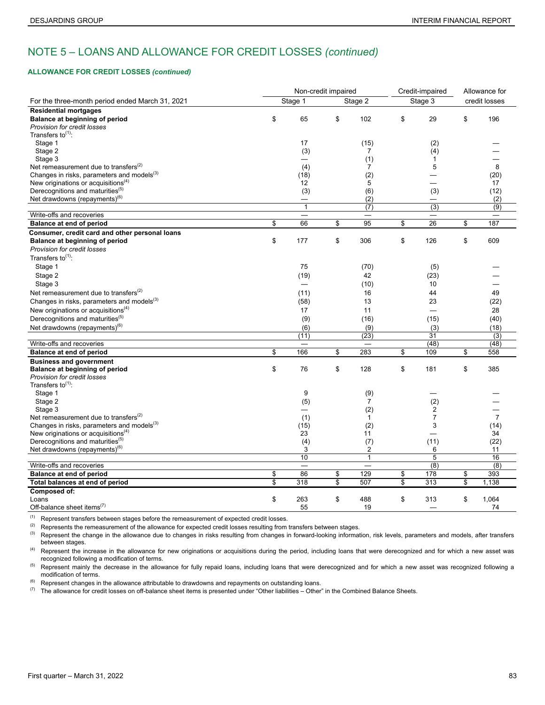### **ALLOWANCE FOR CREDIT LOSSES** *(continued)*

|                                                        |                         |                                   | Non-credit impaired |                 | Credit-impaired          | Allowance for  |
|--------------------------------------------------------|-------------------------|-----------------------------------|---------------------|-----------------|--------------------------|----------------|
| For the three-month period ended March 31, 2021        |                         | Stage 1                           |                     | Stage 2         | Stage 3                  | credit losses  |
| <b>Residential mortgages</b>                           |                         |                                   |                     |                 |                          |                |
| Balance at beginning of period                         | \$                      | 65                                | \$                  | 102             | \$<br>29                 | \$<br>196      |
| Provision for credit losses                            |                         |                                   |                     |                 |                          |                |
| Transfers to $(1)$ :                                   |                         |                                   |                     |                 |                          |                |
| Stage 1                                                |                         | 17                                |                     | (15)            | (2)                      |                |
| Stage 2                                                |                         | (3)                               |                     | 7               | (4)                      |                |
| Stage 3                                                |                         |                                   |                     | (1)             | $\mathbf{1}$             |                |
| Net remeasurement due to transfers <sup>(2)</sup>      |                         | (4)                               |                     | $\overline{7}$  | 5                        | 8              |
| Changes in risks, parameters and models <sup>(3)</sup> |                         | (18)                              |                     | (2)             |                          | (20)           |
| New originations or acquisitions $(4)$                 |                         | 12                                |                     | 5               | $\overline{\phantom{0}}$ | 17             |
| Derecognitions and maturities <sup>(5)</sup>           |                         | (3)                               |                     | (6)             | (3)                      | (12)           |
| Net drawdowns (repayments) <sup>(6)</sup>              |                         | $\overbrace{\phantom{123221111}}$ |                     | (2)             |                          | (2)            |
|                                                        |                         | $\mathbf{1}$                      |                     | (7)             | $\overline{(3)}$         | (9)            |
| Write-offs and recoveries                              |                         |                                   |                     | $\qquad \qquad$ | $\qquad \qquad$          | $\equiv$       |
| Balance at end of period                               | \$                      | 66                                | \$                  | 95              | \$<br>26                 | \$<br>187      |
| Consumer, credit card and other personal loans         |                         |                                   |                     |                 |                          |                |
| Balance at beginning of period                         | \$                      | 177                               | \$                  | 306             | \$<br>126                | \$<br>609      |
| Provision for credit losses                            |                         |                                   |                     |                 |                          |                |
| Transfers to <sup>(1)</sup> :                          |                         |                                   |                     |                 |                          |                |
| Stage 1                                                |                         | 75                                |                     | (70)            | (5)                      |                |
| Stage 2                                                |                         | (19)                              |                     | 42              | (23)                     |                |
| Stage 3                                                |                         | $\overline{\phantom{0}}$          |                     | (10)            | 10                       |                |
| Net remeasurement due to transfers <sup>(2)</sup>      |                         | (11)                              |                     | 16              | 44                       | 49             |
| Changes in risks, parameters and models <sup>(3)</sup> |                         | (58)                              |                     | 13              | 23                       | (22)           |
| New originations or acquisitions $(4)$                 |                         | 17                                |                     | 11              |                          | 28             |
| Derecognitions and maturities <sup>(5)</sup>           |                         | (9)                               |                     | (16)            | (15)                     | (40)           |
| Net drawdowns (repayments) <sup>(6)</sup>              |                         | (6)                               |                     | (9)             | (3)                      | (18)           |
|                                                        |                         | (11)                              |                     | (23)            | 31                       | (3)            |
| Write-offs and recoveries                              |                         |                                   |                     |                 | (48)                     | (48)           |
| Balance at end of period                               | \$                      | 166                               | \$                  | 283             | \$<br>109                | \$<br>558      |
| <b>Business and government</b>                         |                         |                                   |                     |                 |                          |                |
| Balance at beginning of period                         | \$                      | 76                                | \$                  | 128             | \$<br>181                | \$<br>385      |
| Provision for credit losses                            |                         |                                   |                     |                 |                          |                |
| Transfers to $(1)$ :                                   |                         |                                   |                     |                 |                          |                |
| Stage 1                                                |                         | 9                                 |                     | (9)             |                          |                |
| Stage 2                                                |                         | (5)                               |                     | $\overline{7}$  | (2)                      |                |
| Stage 3                                                |                         |                                   |                     | (2)             | $\overline{2}$           |                |
| Net remeasurement due to transfers <sup>(2)</sup>      |                         | (1)                               |                     | 1               | $\overline{7}$           | $\overline{7}$ |
| Changes in risks, parameters and models <sup>(3)</sup> |                         | (15)                              |                     | (2)             | 3                        | (14)           |
| New originations or acquisitions <sup>(4)</sup>        |                         | 23                                |                     | 11              |                          | 34             |
| Derecognitions and maturities <sup>(5)</sup>           |                         | (4)                               |                     | (7)             | (11)                     | (22)           |
| Net drawdowns (repayments) <sup>(6)</sup>              |                         | 3                                 |                     | 2               | 6                        | 11             |
|                                                        |                         | 10                                |                     | $\mathbf{1}$    | $\overline{5}$           | 16             |
| Write-offs and recoveries                              |                         |                                   |                     |                 | (8)                      | (8)            |
| Balance at end of period                               | \$                      | 86                                | \$                  | 129             | \$<br>178                | \$<br>393      |
| Total balances at end of period                        | $\overline{\mathbb{S}}$ | 318                               | \$                  | 507             | \$<br>313                | \$<br>1,138    |
| <b>Composed of:</b>                                    |                         |                                   |                     |                 |                          |                |
| Loans                                                  | \$                      | 263                               | \$                  | 488             | \$<br>313                | \$<br>1,064    |
| Off-balance sheet items <sup>(7)</sup>                 |                         | 55                                |                     | 19              |                          | 74             |

(1) Represent transfers between stages before the remeasurement of expected credit losses.<br>(2) Borrocents the remeasurement of the ellowence for expected credit losses resulting from

(2) Represents the remeasurement of the allowance for expected credit losses resulting from transfers between stages.<br>(3) Represent the change in the allowance due to changes in risks resulting from changes in forward-loo

Represent the change in the allowance due to changes in risks resulting from changes in forward-looking information, risk levels, parameters and models, after transfers between stages.

(4) Represent the increase in the allowance for new originations or acquisitions during the period, including loans that were derecognized and for which a new asset was recognized following a modification of terms.

<sup>(5)</sup> Represent mainly the decrease in the allowance for fully repaid loans, including loans that were derecognized and for which a new asset was recognized following a modification of terms.

 $(6)$  Represent changes in the allowance attributable to drawdowns and repayments on outstanding loans.

 $(7)$  The allowance for credit losses on off-balance sheet items is presented under "Other liabilities – Other" in the Combined Balance Sheets.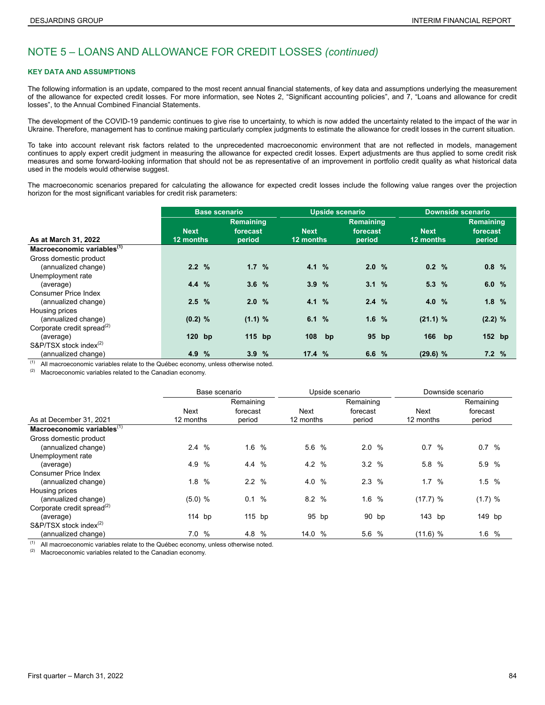### **KEY DATA AND ASSUMPTIONS**

The following information is an update, compared to the most recent annual financial statements, of key data and assumptions underlying the measurement of the allowance for expected credit losses. For more information, see Notes 2, "Significant accounting policies", and 7, "Loans and allowance for credit losses", to the Annual Combined Financial Statements.

The development of the COVID-19 pandemic continues to give rise to uncertainty, to which is now added the uncertainty related to the impact of the war in Ukraine. Therefore, management has to continue making particularly complex judgments to estimate the allowance for credit losses in the current situation.

To take into account relevant risk factors related to the unprecedented macroeconomic environment that are not reflected in models, management continues to apply expert credit judgment in measuring the allowance for expected credit losses. Expert adjustments are thus applied to some credit risk measures and some forward-looking information that should not be as representative of an improvement in portfolio credit quality as what historical data used in the models would otherwise suggest.

The macroeconomic scenarios prepared for calculating the allowance for expected credit losses include the following value ranges over the projection horizon for the most significant variables for credit risk parameters:

|                                        | <b>Base scenario</b> |               |           |  |             | <b>Upside scenario</b> |                  | <b>Downside scenario</b> |             |  |                  |  |
|----------------------------------------|----------------------|---------------|-----------|--|-------------|------------------------|------------------|--------------------------|-------------|--|------------------|--|
|                                        |                      |               | Remaining |  |             |                        | <b>Remaining</b> |                          |             |  | <b>Remaining</b> |  |
|                                        | <b>Next</b>          |               | forecast  |  | <b>Next</b> |                        | forecast         |                          | <b>Next</b> |  | forecast         |  |
| As at March 31, 2022                   | 12 months            |               | period    |  | 12 months   |                        | period           |                          | 12 months   |  | period           |  |
| Macroeconomic variables <sup>(1)</sup> |                      |               |           |  |             |                        |                  |                          |             |  |                  |  |
| Gross domestic product                 |                      |               |           |  |             |                        |                  |                          |             |  |                  |  |
| (annualized change)                    | 2.2%                 |               | 1.7%      |  | 4.1 %       |                        | 2.0%             |                          | 0.2 %       |  | 0.8%             |  |
| Unemployment rate                      |                      |               |           |  |             |                        |                  |                          |             |  |                  |  |
| (average)                              | 4.4%                 |               | 3.6%      |  | 3.9%        |                        | 3.1%             |                          | 5.3%        |  | 6.0%             |  |
| <b>Consumer Price Index</b>            |                      |               |           |  |             |                        |                  |                          |             |  |                  |  |
| (annualized change)                    | 2.5%                 |               | 2.0%      |  | 4.1 %       |                        | 2.4%             |                          | 4.0 %       |  | 1.8%             |  |
| Housing prices                         |                      |               |           |  |             |                        |                  |                          |             |  |                  |  |
| (annualized change)                    | $(0.2)$ %            |               | (1.1) %   |  | 6.1%        |                        | 1.6%             |                          | (21.1) %    |  | (2.2) %          |  |
| Corporate credit spread <sup>(2)</sup> |                      |               |           |  |             |                        |                  |                          |             |  |                  |  |
| (average)                              | $120$ bp             |               | $115$ bp  |  | 108         | bp                     |                  | 95 bp                    | 166 bp      |  | 152 bp           |  |
| S&P/TSX stock index <sup>(2)</sup>     |                      |               |           |  |             |                        |                  |                          |             |  |                  |  |
| (annualized change)                    | 4.9                  | $\frac{9}{6}$ | 3.9%      |  | 17.4%       |                        | 6.6%             |                          | $(29.6)$ %  |  | 7.2%             |  |

 $(1)$  All macroeconomic variables relate to the Québec economy, unless otherwise noted.

 $(2)$  Macroeconomic variables related to the Canadian economy.

|                                        |             | Base scenario |          |      |           | Upside scenario<br>Remaining |          |        |          |           | Downside scenario |        |  |  |  |
|----------------------------------------|-------------|---------------|----------|------|-----------|------------------------------|----------|--------|----------|-----------|-------------------|--------|--|--|--|
|                                        |             | Remaining     |          |      | Remaining |                              |          |        |          |           |                   |        |  |  |  |
|                                        | Next        |               | forecast |      | Next      |                              | forecast |        | Next     |           | forecast          |        |  |  |  |
| As at December 31, 2021                | 12 months   |               | period   |      |           | 12 months                    |          | period |          | 12 months |                   | period |  |  |  |
| Macroeconomic variables <sup>(1)</sup> |             |               |          |      |           |                              |          |        |          |           |                   |        |  |  |  |
| Gross domestic product                 |             |               |          |      |           |                              |          |        |          |           |                   |        |  |  |  |
| (annualized change)                    | 2.4%        |               | 1.6%     |      | 5.6 %     |                              | 2.0%     |        | 0.7 %    |           | 0.7 %             |        |  |  |  |
| Unemployment rate                      |             |               |          |      |           |                              |          |        |          |           |                   |        |  |  |  |
| (average)                              | 4.9<br>%    |               | $4.4\%$  |      | 4.2%      |                              | 3.2%     |        | 5.8      | %         | 5.9 %             |        |  |  |  |
| Consumer Price Index                   |             |               |          |      |           |                              |          |        |          |           |                   |        |  |  |  |
| (annualized change)                    | $\%$<br>1.8 |               | 2.2%     |      | 4.0       | $\%$                         | 2.3%     |        | 1.7      | %         | 1.5%              |        |  |  |  |
| Housing prices                         |             |               |          |      |           |                              |          |        |          |           |                   |        |  |  |  |
| (annualized change)                    | (5.0) %     |               | 0.1      | $\%$ | 8.2%      |                              | 1.6%     |        | (17.7) % |           | (1.7) %           |        |  |  |  |
| Corporate credit spread <sup>(2)</sup> |             |               |          |      |           |                              |          |        |          |           |                   |        |  |  |  |
| (average)                              | $114$ bp    |               | 115 bp   |      |           | 95 bp                        |          | 90 bp  | 143 bp   |           | 149 bp            |        |  |  |  |
| S&P/TSX stock index <sup>(2)</sup>     |             |               |          |      |           |                              |          |        |          |           |                   |        |  |  |  |
| (annualized change)                    | $\%$<br>7.0 |               | 4.8 %    |      | 14.0 %    |                              | 5.6 %    |        | (11.6) % |           | 1.6%              |        |  |  |  |

 $(1)$  All macroeconomic variables relate to the Québec economy, unless otherwise noted.

 $(2)$  Macroeconomic variables related to the Canadian economy.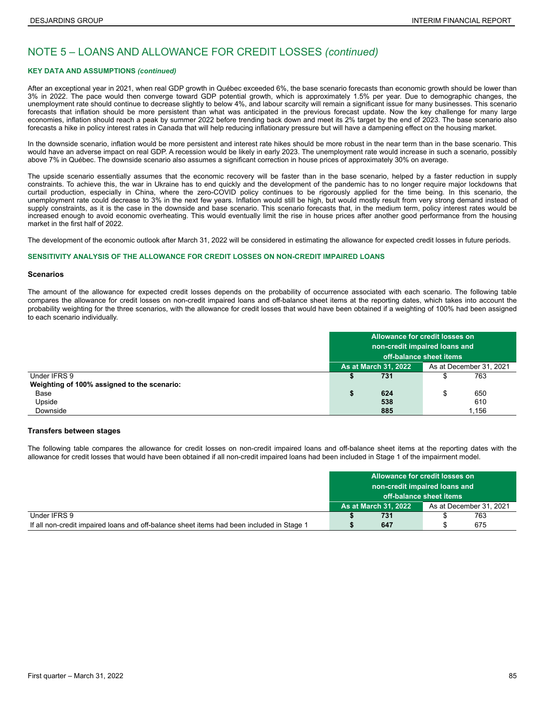### **KEY DATA AND ASSUMPTIONS** *(continued)*

After an exceptional year in 2021, when real GDP growth in Québec exceeded 6%, the base scenario forecasts than economic growth should be lower than 3% in 2022. The pace would then converge toward GDP potential growth, which is approximately 1.5% per year. Due to demographic changes, the unemployment rate should continue to decrease slightly to below 4%, and labour scarcity will remain a significant issue for many businesses. This scenario forecasts that inflation should be more persistent than what was anticipated in the previous forecast update. Now the key challenge for many large economies, inflation should reach a peak by summer 2022 before trending back down and meet its 2% target by the end of 2023. The base scenario also forecasts a hike in policy interest rates in Canada that will help reducing inflationary pressure but will have a dampening effect on the housing market.

In the downside scenario, inflation would be more persistent and interest rate hikes should be more robust in the near term than in the base scenario. This would have an adverse impact on real GDP. A recession would be likely in early 2023. The unemployment rate would increase in such a scenario, possibly above 7% in Québec. The downside scenario also assumes a significant correction in house prices of approximately 30% on average.

The upside scenario essentially assumes that the economic recovery will be faster than in the base scenario, helped by a faster reduction in supply constraints. To achieve this, the war in Ukraine has to end quickly and the development of the pandemic has to no longer require major lockdowns that curtail production, especially in China, where the zero-COVID policy continues to be rigorously applied for the time being. In this scenario, the unemployment rate could decrease to 3% in the next few years. Inflation would still be high, but would mostly result from very strong demand instead of supply constraints, as it is the case in the downside and base scenario. This scenario forecasts that, in the medium term, policy interest rates would be increased enough to avoid economic overheating. This would eventually limit the rise in house prices after another good performance from the housing market in the first half of 2022.

The development of the economic outlook after March 31, 2022 will be considered in estimating the allowance for expected credit losses in future periods.

### **SENSITIVITY ANALYSIS OF THE ALLOWANCE FOR CREDIT LOSSES ON NON-CREDIT IMPAIRED LOANS**

#### **Scenarios**

The amount of the allowance for expected credit losses depends on the probability of occurrence associated with each scenario. The following table compares the allowance for credit losses on non-credit impaired loans and off-balance sheet items at the reporting dates, which takes into account the probability weighting for the three scenarios, with the allowance for credit losses that would have been obtained if a weighting of 100% had been assigned to each scenario individually.

|                                             | Allowance for credit losses on                         |                         |    |     |  |  |
|---------------------------------------------|--------------------------------------------------------|-------------------------|----|-----|--|--|
|                                             | non-credit impaired loans and                          |                         |    |     |  |  |
|                                             |                                                        | off-balance sheet items |    |     |  |  |
|                                             | As at December 31, 2021<br><b>As at March 31, 2022</b> |                         |    |     |  |  |
| Under IFRS 9                                |                                                        | 731                     |    | 763 |  |  |
| Weighting of 100% assigned to the scenario: |                                                        |                         |    |     |  |  |
| Base                                        |                                                        | 624                     | \$ | 650 |  |  |
| Upside                                      |                                                        | 538                     |    | 610 |  |  |
| Downside                                    | 885<br>1.156                                           |                         |    |     |  |  |

### **Transfers between stages**

The following table compares the allowance for credit losses on non-credit impaired loans and off-balance sheet items at the reporting dates with the allowance for credit losses that would have been obtained if all non-credit impaired loans had been included in Stage 1 of the impairment model.

|                                                                                           | Allowance for credit losses on                         |     |  |     |  |
|-------------------------------------------------------------------------------------------|--------------------------------------------------------|-----|--|-----|--|
|                                                                                           | non-credit impaired loans and                          |     |  |     |  |
|                                                                                           | off-balance sheet items                                |     |  |     |  |
|                                                                                           | <b>As at March 31, 2022</b><br>As at December 31, 2021 |     |  |     |  |
| Under IFRS 9                                                                              |                                                        | 731 |  | 763 |  |
| If all non-credit impaired loans and off-balance sheet items had been included in Stage 1 |                                                        | 647 |  | 675 |  |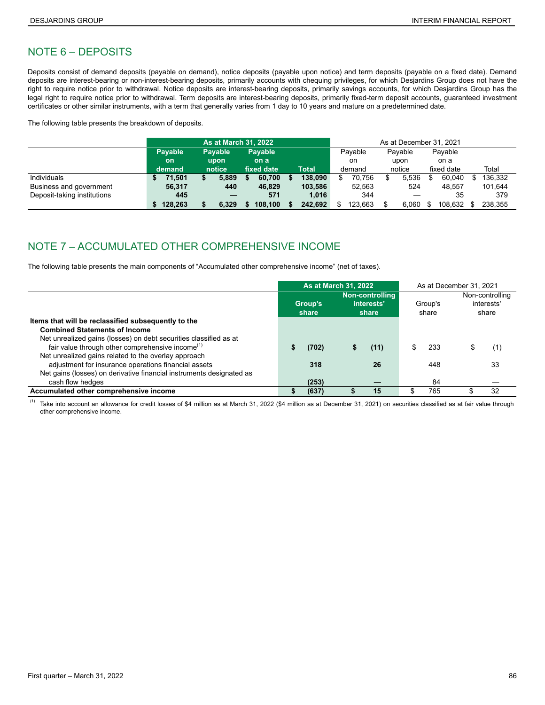## NOTE 6 – DEPOSITS

Deposits consist of demand deposits (payable on demand), notice deposits (payable upon notice) and term deposits (payable on a fixed date). Demand deposits are interest-bearing or non-interest-bearing deposits, primarily accounts with chequing privileges, for which Desjardins Group does not have the right to require notice prior to withdrawal. Notice deposits are interest-bearing deposits, primarily savings accounts, for which Desjardins Group has the legal right to require notice prior to withdrawal. Term deposits are interest-bearing deposits, primarily fixed-term deposit accounts, guaranteed investment certificates or other similar instruments, with a term that generally varies from 1 day to 10 years and mature on a predetermined date.

The following table presents the breakdown of deposits.

|                             | <b>As at March 31, 2022</b> |  |                        |            |                        |  | As at December 31, 2021 |  |              |         |                |         |                               |  |         |  |
|-----------------------------|-----------------------------|--|------------------------|------------|------------------------|--|-------------------------|--|--------------|---------|----------------|---------|-------------------------------|--|---------|--|
|                             | Payable                     |  | <b>Payable</b><br>upon |            | <b>Payable</b><br>on a |  |                         |  |              | Payable |                | Payable | Payable<br>on a<br>fixed date |  |         |  |
|                             | <b>on</b>                   |  |                        |            |                        |  |                         |  | on<br>demand |         | upon<br>notice |         |                               |  |         |  |
|                             | demand                      |  | notice                 | fixed date |                        |  | <b>Total</b>            |  |              |         |                |         |                               |  | Total   |  |
| Individuals                 | 71,501                      |  | 5,889                  |            | 60,700                 |  | 138.090                 |  | 70.756       |         | 5,536          |         | 60,040                        |  | 136,332 |  |
| Business and government     | 56,317                      |  | 440                    |            | 46.829                 |  | 103.586                 |  | 52.563       |         | 524            |         | 48.557                        |  | 101.644 |  |
| Deposit-taking institutions | 445                         |  |                        |            | 571                    |  | 1.016                   |  | 344          |         |                |         | 35                            |  | 379     |  |
|                             | 128,263                     |  | 6.329                  |            | 108.100                |  | 242.692                 |  | 123,663      |         | 6.060          |         | 108.632                       |  | 238.355 |  |

# NOTE 7 – ACCUMULATED OTHER COMPREHENSIVE INCOME

The following table presents the main components of "Accumulated other comprehensive income" (net of taxes).

|                                                                      |                                                            | <b>As at March 31, 2022</b> |                  |      |  |                                        | As at December 31, 2021 |     |  |  |
|----------------------------------------------------------------------|------------------------------------------------------------|-----------------------------|------------------|------|--|----------------------------------------|-------------------------|-----|--|--|
|                                                                      | Non-controlling<br>interests'<br>Group's<br>share<br>share |                             | Group's<br>share |      |  | Non-controlling<br>interests'<br>share |                         |     |  |  |
| Items that will be reclassified subsequently to the                  |                                                            |                             |                  |      |  |                                        |                         |     |  |  |
| <b>Combined Statements of Income</b>                                 |                                                            |                             |                  |      |  |                                        |                         |     |  |  |
| Net unrealized gains (losses) on debt securities classified as at    |                                                            |                             |                  |      |  |                                        |                         |     |  |  |
| fair value through other comprehensive income <sup>(1)</sup>         |                                                            | (702)                       |                  | (11) |  | 233                                    |                         | (1) |  |  |
| Net unrealized gains related to the overlay approach                 |                                                            |                             |                  |      |  |                                        |                         |     |  |  |
| adjustment for insurance operations financial assets                 |                                                            | 318                         |                  | 26   |  | 448                                    |                         | 33  |  |  |
| Net gains (losses) on derivative financial instruments designated as |                                                            |                             |                  |      |  |                                        |                         |     |  |  |
| cash flow hedges                                                     |                                                            | (253)                       |                  |      |  | 84                                     |                         |     |  |  |
| Accumulated other comprehensive income                               | S                                                          | (637)                       |                  | 15   |  | 765                                    |                         | 32  |  |  |

<sup>(1)</sup> Take into account an allowance for credit losses of \$4 million as at March 31, 2022 (\$4 million as at December 31, 2021) on securities classified as at fair value through other comprehensive income.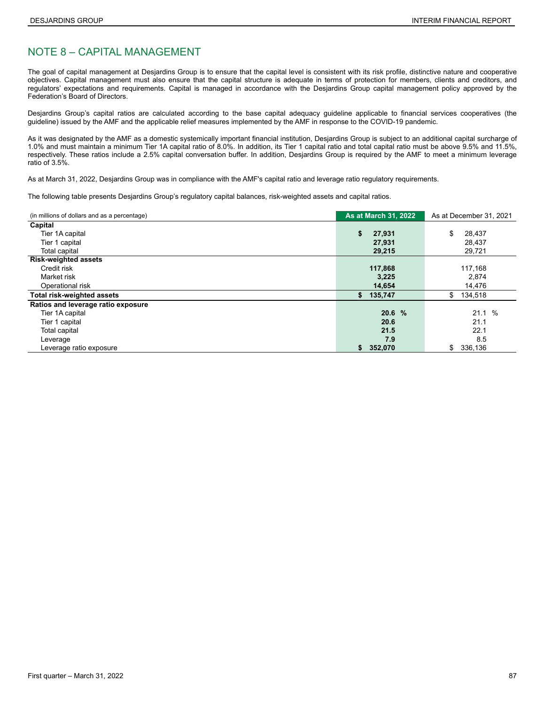## NOTE 8 – CAPITAL MANAGEMENT

The goal of capital management at Desjardins Group is to ensure that the capital level is consistent with its risk profile, distinctive nature and cooperative objectives. Capital management must also ensure that the capital structure is adequate in terms of protection for members, clients and creditors, and regulators' expectations and requirements. Capital is managed in accordance with the Desjardins Group capital management policy approved by the Federation's Board of Directors.

Desjardins Group's capital ratios are calculated according to the base capital adequacy guideline applicable to financial services cooperatives (the guideline) issued by the AMF and the applicable relief measures implemented by the AMF in response to the COVID-19 pandemic.

As it was designated by the AMF as a domestic systemically important financial institution, Desjardins Group is subject to an additional capital surcharge of 1.0% and must maintain a minimum Tier 1A capital ratio of 8.0%. In addition, its Tier 1 capital ratio and total capital ratio must be above 9.5% and 11.5%, respectively. These ratios include a 2.5% capital conversation buffer. In addition, Desjardins Group is required by the AMF to meet a minimum leverage ratio of 3.5%.

As at March 31, 2022, Desjardins Group was in compliance with the AMF's capital ratio and leverage ratio regulatory requirements.

The following table presents Desjardins Group's regulatory capital balances, risk-weighted assets and capital ratios.

| (in millions of dollars and as a percentage) | <b>As at March 31, 2022</b> | As at December 31, 2021 |
|----------------------------------------------|-----------------------------|-------------------------|
| Capital                                      |                             |                         |
| Tier 1A capital                              | \$<br>27,931                | \$<br>28,437            |
| Tier 1 capital                               | 27,931                      | 28,437                  |
| Total capital                                | 29,215                      | 29,721                  |
| <b>Risk-weighted assets</b>                  |                             |                         |
| Credit risk                                  | 117,868                     | 117,168                 |
| Market risk                                  | 3,225                       | 2,874                   |
| Operational risk                             | 14.654                      | 14,476                  |
| <b>Total risk-weighted assets</b>            | s.<br>135,747               | \$<br>134,518           |
| Ratios and leverage ratio exposure           |                             |                         |
| Tier 1A capital                              | 20.6%                       | 21.1%                   |
| Tier 1 capital                               | 20.6                        | 21.1                    |
| <b>Total capital</b>                         | 21.5                        | 22.1                    |
| Leverage                                     | 7.9                         | 8.5                     |
| Leverage ratio exposure                      | 352,070<br>S.               | \$<br>336,136           |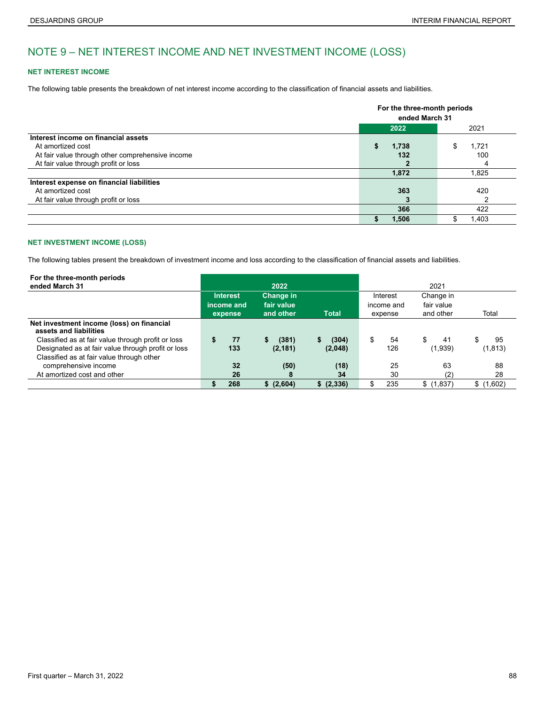# NOTE 9 – NET INTEREST INCOME AND NET INVESTMENT INCOME (LOSS)

### **NET INTEREST INCOME**

The following table presents the breakdown of net interest income according to the classification of financial assets and liabilities.

|                                                  |       | For the three-month periods<br>ended March 31 |  |  |  |  |
|--------------------------------------------------|-------|-----------------------------------------------|--|--|--|--|
|                                                  | 2022  | 2021                                          |  |  |  |  |
| Interest income on financial assets              |       |                                               |  |  |  |  |
| At amortized cost                                | 1,738 | 1.721                                         |  |  |  |  |
| At fair value through other comprehensive income | 132   | 100                                           |  |  |  |  |
| At fair value through profit or loss             |       |                                               |  |  |  |  |
|                                                  | 1,872 | 1,825                                         |  |  |  |  |
| Interest expense on financial liabilities        |       |                                               |  |  |  |  |
| At amortized cost                                | 363   | 420                                           |  |  |  |  |
| At fair value through profit or loss             | 3     |                                               |  |  |  |  |
|                                                  | 366   | 422                                           |  |  |  |  |
|                                                  | 1,506 | 1.403                                         |  |  |  |  |

### **NET INVESTMENT INCOME (LOSS)**

The following tables present the breakdown of investment income and loss according to the classification of financial assets and liabilities.

| For the three-month periods<br>ended March 31                       |    |                               | 2022                                 |              |    |                        | 2021                                 |     |           |
|---------------------------------------------------------------------|----|-------------------------------|--------------------------------------|--------------|----|------------------------|--------------------------------------|-----|-----------|
|                                                                     |    | <b>Interest</b><br>income and | Change in<br>fair value<br>and other | <b>Total</b> |    | Interest<br>income and | Change in<br>fair value<br>and other |     | Total     |
|                                                                     |    | expense                       |                                      |              |    | expense                |                                      |     |           |
| Net investment income (loss) on financial<br>assets and liabilities |    |                               |                                      |              |    |                        |                                      |     |           |
| Classified as at fair value through profit or loss                  | \$ | 77                            | (381)                                | (304)        | \$ | 54                     | \$                                   | 41  | \$<br>95  |
| Designated as at fair value through profit or loss                  |    | 133                           | (2, 181)                             | (2,048)      |    | 126                    | (1,939)                              |     | (1, 813)  |
| Classified as at fair value through other                           |    |                               |                                      |              |    |                        |                                      |     |           |
| comprehensive income                                                |    | 32                            | (50)                                 | (18)         |    | 25                     |                                      | 63  | 88        |
| At amortized cost and other                                         |    | 26                            | 8                                    | 34           |    | 30                     |                                      | (2) | 28        |
|                                                                     | S  | 268                           | \$ (2,604)                           | \$ (2,336)   | S  | 235                    | \$(1,837)                            |     | \$(1,602) |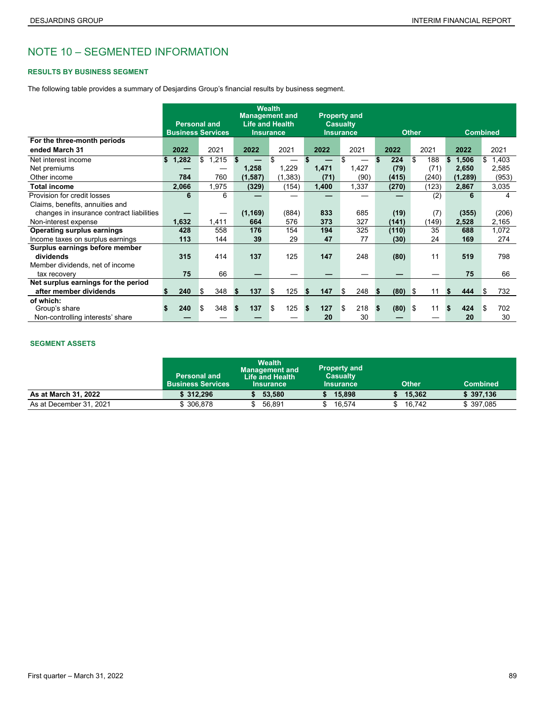# NOTE 10 – SEGMENTED INFORMATION

### **RESULTS BY BUSINESS SEGMENT**

The following table provides a summary of Desjardins Group's financial results by business segment.

|                                           |             | <b>Personal and</b><br><b>Business Services</b> | <b>Wealth</b><br><b>Management and</b><br><b>Life and Health</b><br><b>Insurance</b> |           |           | <b>Property and</b><br><b>Casualty</b><br><b>Insurance</b> |             | <b>Other</b> |             | <b>Combined</b> |
|-------------------------------------------|-------------|-------------------------------------------------|--------------------------------------------------------------------------------------|-----------|-----------|------------------------------------------------------------|-------------|--------------|-------------|-----------------|
| For the three-month periods               |             |                                                 |                                                                                      |           |           |                                                            |             |              |             |                 |
| ended March 31                            | 2022        | 2021                                            | 2022                                                                                 | 2021      | 2022      | 2021                                                       | 2022        | 2021         | 2022        | 2021            |
| Net interest income                       | 1,282<br>\$ | 1,215<br>\$                                     | \$                                                                                   | \$        |           | \$                                                         | \$<br>224   | \$<br>188    | 1,506<br>\$ | 1,403<br>\$     |
| Net premiums                              |             |                                                 | 1,258                                                                                | 1,229     | 1,471     | 1,427                                                      | (79)        | (71)         | 2,650       | 2,585           |
| Other income                              | 784         | 760                                             | (1, 587)                                                                             | (1, 383)  | (71)      | (90)                                                       | (415)       | (240)        | (1, 289)    | (953)           |
| <b>Total income</b>                       | 2,066       | 1,975                                           | (329)                                                                                | (154)     | 1,400     | 1,337                                                      | (270)       | (123)        | 2,867       | 3,035           |
| Provision for credit losses               | 6           | 6                                               |                                                                                      |           |           |                                                            |             | (2)          | 6           | 4               |
| Claims, benefits, annuities and           |             |                                                 |                                                                                      |           |           |                                                            |             |              |             |                 |
| changes in insurance contract liabilities |             |                                                 | (1, 169)                                                                             | (884)     | 833       | 685                                                        | (19)        | (7)          | (355)       | (206)           |
| Non-interest expense                      | 1,632       | 1,411                                           | 664                                                                                  | 576       | 373       | 327                                                        | (141)       | (149)        | 2,528       | 2,165           |
| <b>Operating surplus earnings</b>         | 428         | 558                                             | 176                                                                                  | 154       | 194       | 325                                                        | (110)       | 35           | 688         | 1,072           |
| Income taxes on surplus earnings          | 113         | 144                                             | 39                                                                                   | 29        | 47        | 77                                                         | (30)        | 24           | 169         | 274             |
| Surplus earnings before member            |             |                                                 |                                                                                      |           |           |                                                            |             |              |             |                 |
| dividends                                 | 315         | 414                                             | 137                                                                                  | 125       | 147       | 248                                                        | (80)        | 11           | 519         | 798             |
| Member dividends, net of income           |             |                                                 |                                                                                      |           |           |                                                            |             |              |             |                 |
| tax recovery                              | 75          | 66                                              |                                                                                      |           |           |                                                            |             |              | 75          | 66              |
| Net surplus earnings for the period       |             |                                                 |                                                                                      |           |           |                                                            |             |              |             |                 |
| after member dividends                    | 240         | 348<br>ß.                                       | 137<br>- \$                                                                          | \$<br>125 | 147<br>S. | \$<br>248                                                  | (80)<br>S.  | \$<br>11     | 444         | 732<br>S        |
| of which:                                 |             |                                                 |                                                                                      |           |           |                                                            |             |              |             |                 |
| Group's share                             | 240         | \$<br>348                                       | 137<br>S.                                                                            | 125<br>\$ | 127<br>S. | \$<br>218                                                  | (80)<br>\$. | S.<br>11     | 424         | 702<br>\$       |
| Non-controlling interests' share          |             |                                                 |                                                                                      |           | 20        | 30                                                         |             |              | 20          | 30              |

### **SEGMENT ASSETS**

|                         | <b>Personal and</b><br><b>Business Services</b> | <b>Wealth</b><br>Management and <b>\</b><br>Life and Health<br><b>Insurance</b> | <b>Property and</b><br><b>Casualty</b><br><b>Insurance</b> | <b>Other</b> | <b>Combined</b> |
|-------------------------|-------------------------------------------------|---------------------------------------------------------------------------------|------------------------------------------------------------|--------------|-----------------|
| As at March 31, 2022    | \$312.296                                       | 53.580                                                                          | 15,898                                                     | 15.362       | \$397.136       |
| As at December 31, 2021 | \$306.878                                       | 56.891                                                                          | 16.574                                                     | 16.742       | \$397.085       |